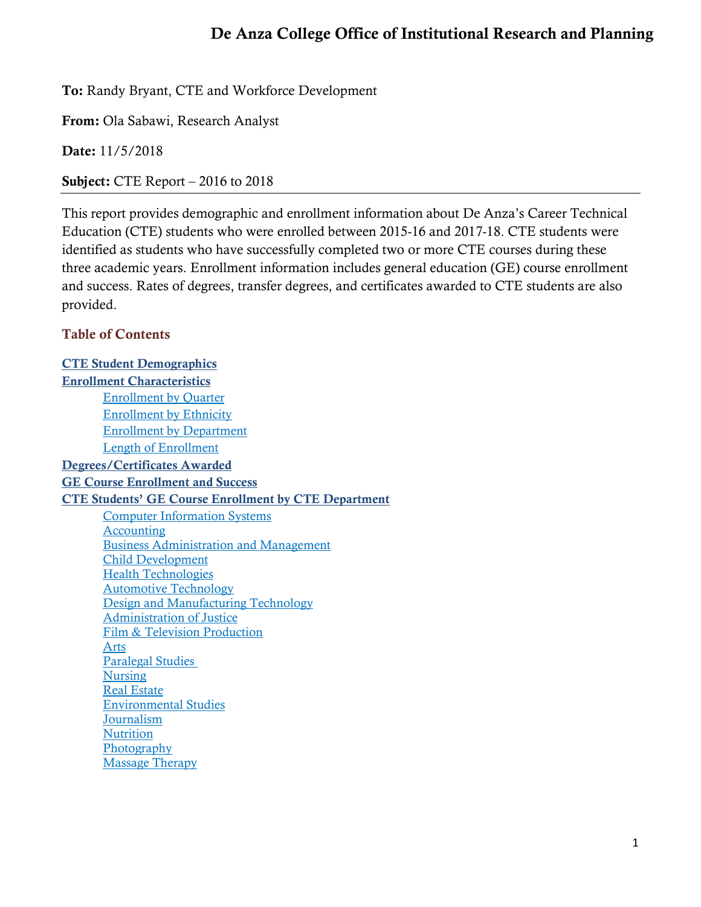# De Anza College Office of Institutional Research and Planning

To: Randy Bryant, CTE and Workforce Development

From: Ola Sabawi, Research Analyst

Date: 11/5/2018

Subject: CTE Report – 2016 to 2018

This report provides demographic and enrollment information about De Anza's Career Technical Education (CTE) students who were enrolled between 2015-16 and 2017-18. CTE students were identified as students who have successfully completed two or more CTE courses during these three academic years. Enrollment information includes general education (GE) course enrollment and success. Rates of degrees, transfer degrees, and certificates awarded to CTE students are also provided.

### Table of Contents

**CTE Student [Demographics](#page-1-0)** [Enrollment Characteristics](#page-3-0) [Enrollment by Quarter](#page-3-1) [Enrollment by Ethnicity](#page-4-0) [Enrollment by Department](#page-5-0) [Length of Enrollment](#page-6-0) [Degrees/Certificates](#page-6-1) Awarded [GE Course Enrollment and Success](#page-7-0) [CTE Students' GE Course Enrollment by CTE Department](#page-9-0) [Computer Information Systems](#page-9-1) **[Accounting](#page-20-0)** [Business](#page-31-0) Administration and Management [Child Development](#page-42-0) [Health Technologies](#page-51-0) [Automotive Technology](#page-60-0) Design [and Manufacturing Techn](#page-67-0)ology [Administration](#page-73-0) of Justice [Film & Television Production](#page-82-0) [Arts](#page-91-0) [Paralegal Studies](#page-98-0)  [Nursing](#page-104-0) [Real Estate](#page-109-0) [Environmental Studies](#page-112-0) **[Journalism](#page-119-0) [Nutrition](#page-126-0)** [Photography](#page-133-0) [Massage Therapy](#page-137-0)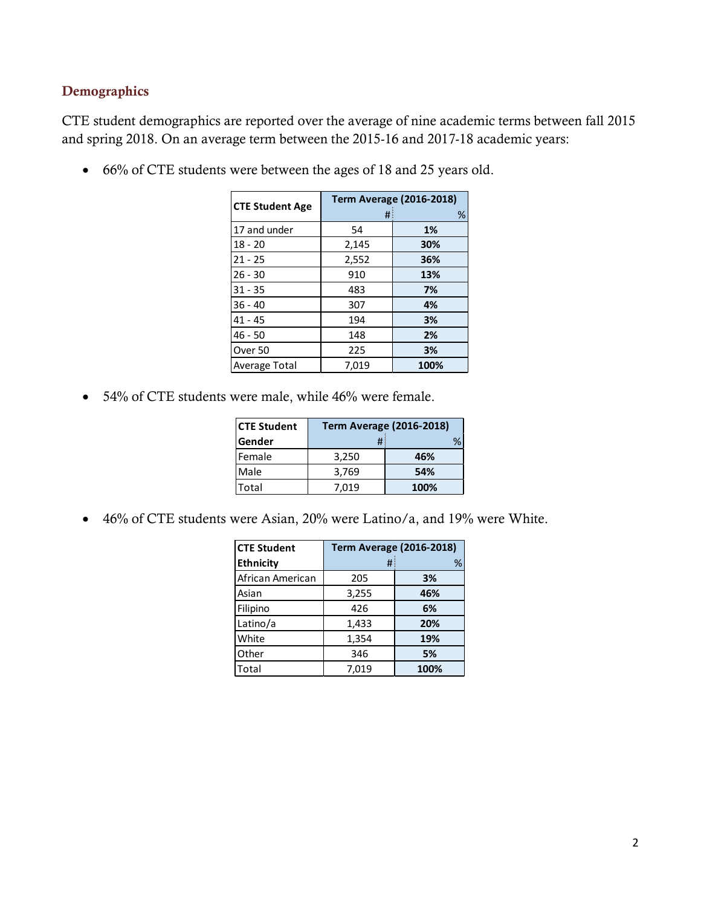### <span id="page-1-0"></span>Demographics

CTE student demographics are reported over the average of nine academic terms between fall 2015 and spring 2018. On an average term between the 2015-16 and 2017-18 academic years:

• 66% of CTE students were between the ages of 18 and 25 years old.

| <b>CTE Student Age</b> |       | <b>Term Average (2016-2018)</b> |
|------------------------|-------|---------------------------------|
|                        | #     | %                               |
| 17 and under           | 54    | 1%                              |
| $18 - 20$              | 2,145 | 30%                             |
| $21 - 25$              | 2,552 | 36%                             |
| $26 - 30$              | 910   | 13%                             |
| $31 - 35$              | 483   | 7%                              |
| $36 - 40$              | 307   | 4%                              |
| $41 - 45$              | 194   | 3%                              |
| $46 - 50$              | 148   | 2%                              |
| Over 50                | 225   | 3%                              |
| <b>Average Total</b>   | 7,019 | 100%                            |

• 54% of CTE students were male, while 46% were female.

| <b>CTE Student</b> | <b>Term Average (2016-2018)</b> |      |  |  |  |
|--------------------|---------------------------------|------|--|--|--|
| lGender            |                                 |      |  |  |  |
| Female             | 3,250                           | 46%  |  |  |  |
| Male               | 3,769                           | 54%  |  |  |  |
| Total              | 7.019                           | 100% |  |  |  |

• 46% of CTE students were Asian, 20% were Latino/a, and 19% were White.

| <b>CTE Student</b> | <b>Term Average (2016-2018)</b> |      |  |  |
|--------------------|---------------------------------|------|--|--|
| <b>Ethnicity</b>   | #                               | %    |  |  |
| African American   | 205                             | 3%   |  |  |
| Asian              | 3,255                           | 46%  |  |  |
| Filipino           | 426                             | 6%   |  |  |
| Latino/a           | 1,433                           | 20%  |  |  |
| White              | 1,354                           | 19%  |  |  |
| Other              | 346                             | 5%   |  |  |
| Total              | 7,019                           | 100% |  |  |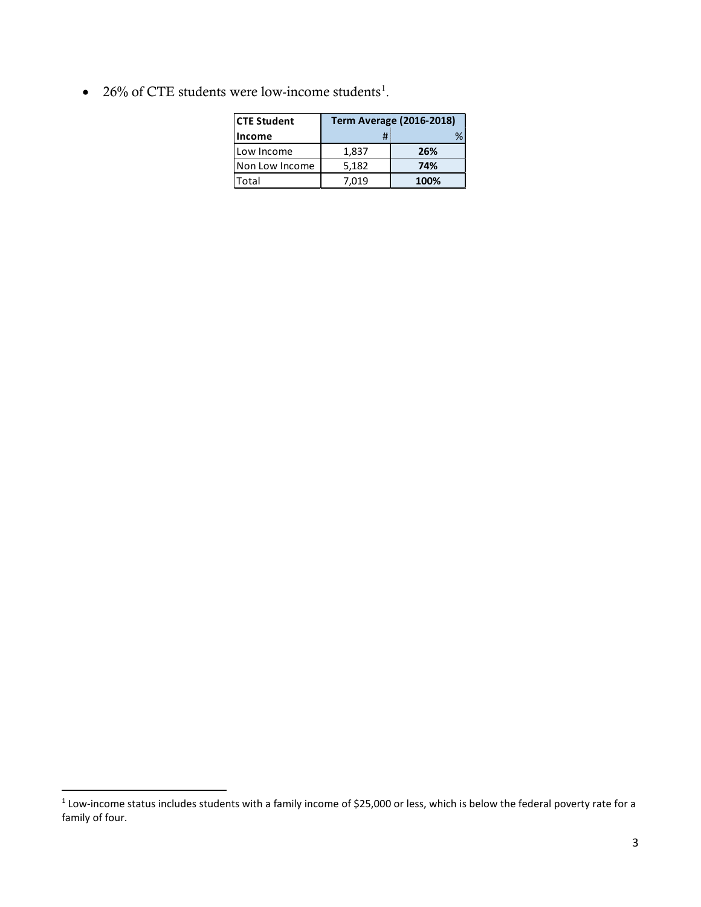• 26% of CTE students were low-income students<sup>[1](#page-2-0)</sup>.

| <b>CTE Student</b>    | <b>Term Average (2016-2018)</b> |      |  |
|-----------------------|---------------------------------|------|--|
| <b>Income</b>         | #                               | ℅    |  |
| I Low Income          | 1,837                           | 26%  |  |
| <b>Non Low Income</b> | 5,182                           | 74%  |  |
| Total                 | 7.019                           | 100% |  |

<span id="page-2-0"></span><sup>&</sup>lt;sup>1</sup> Low-income status includes students with a family income of \$25,000 or less, which is below the federal poverty rate for a family of four.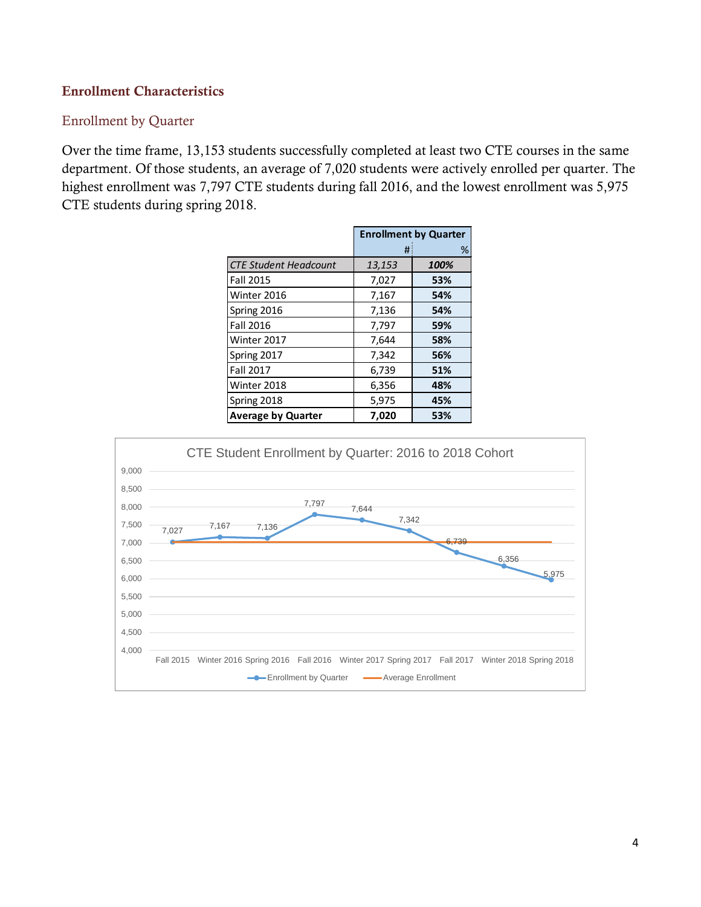### Enrollment Characteristics

#### <span id="page-3-1"></span>Enrollment by Quarter

Over the time frame, 13,153 students successfully completed at least two CTE courses in the same department. Of those students, an average of 7,020 students were actively enrolled per quarter. The highest enrollment was 7,797 CTE students during fall 2016, and the lowest enrollment was 5,975 CTE students during spring 2018.

<span id="page-3-0"></span>

|                              | <b>Enrollment by Quarter</b> |      |  |
|------------------------------|------------------------------|------|--|
|                              | #                            | %    |  |
| <b>CTE Student Headcount</b> | 13,153                       | 100% |  |
| <b>Fall 2015</b>             | 7,027                        | 53%  |  |
| Winter 2016                  | 7,167                        | 54%  |  |
| Spring 2016                  | 7,136                        | 54%  |  |
| Fall 2016                    | 7,797                        | 59%  |  |
| Winter 2017                  | 7,644                        | 58%  |  |
| Spring 2017                  | 7,342                        | 56%  |  |
| <b>Fall 2017</b>             | 6,739                        | 51%  |  |
| Winter 2018                  | 6,356                        | 48%  |  |
| Spring 2018                  | 5,975                        | 45%  |  |
| <b>Average by Quarter</b>    | 7,020                        | 53%  |  |

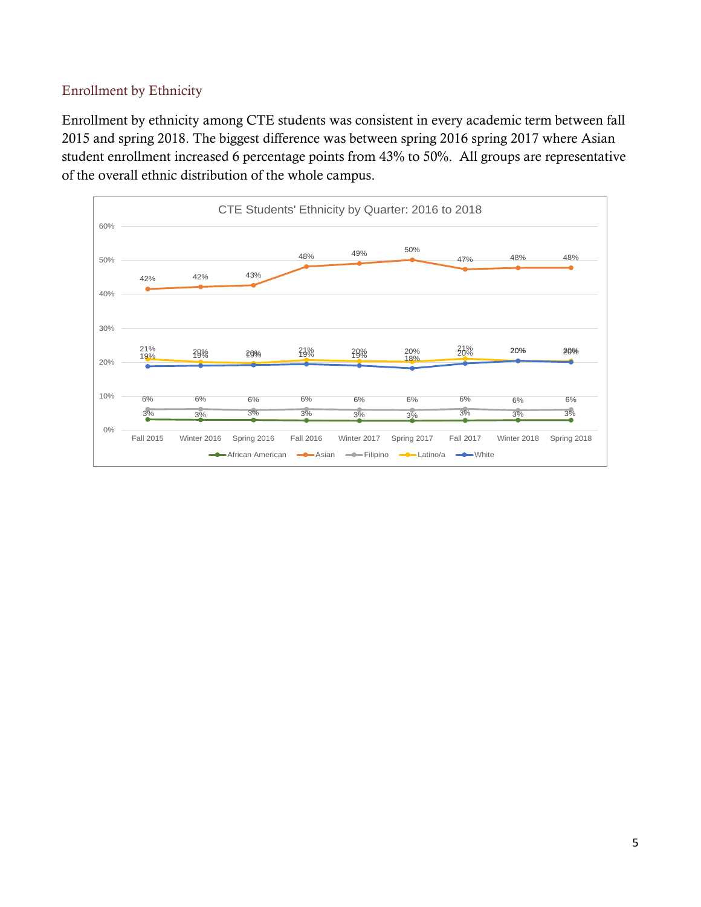### <span id="page-4-0"></span>Enrollment by Ethnicity

Enrollment by ethnicity among CTE students was consistent in every academic term between fall 2015 and spring 2018. The biggest difference was between spring 2016 spring 2017 where Asian student enrollment increased 6 percentage points from 43% to 50%. All groups are representative of the overall ethnic distribution of the whole campus.

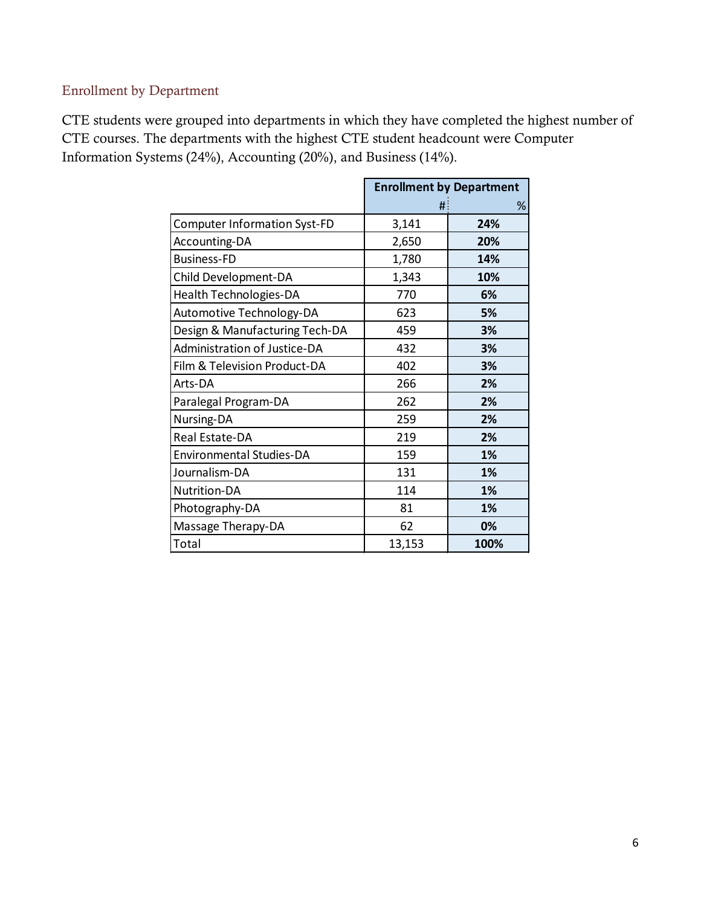## <span id="page-5-0"></span>Enrollment by Department

CTE students were grouped into departments in which they have completed the highest number of CTE courses. The departments with the highest CTE student headcount were Computer Information Systems (24%), Accounting (20%), and Business (14%).

|                                     | <b>Enrollment by Department</b> |      |
|-------------------------------------|---------------------------------|------|
|                                     | #                               | %    |
| <b>Computer Information Syst-FD</b> | 3,141                           | 24%  |
| <b>Accounting-DA</b>                | 2,650                           | 20%  |
| <b>Business-FD</b>                  | 1,780                           | 14%  |
| Child Development-DA                | 1,343                           | 10%  |
| Health Technologies-DA              | 770                             | 6%   |
| Automotive Technology-DA            | 623                             | 5%   |
| Design & Manufacturing Tech-DA      | 459                             | 3%   |
| Administration of Justice-DA        | 432                             | 3%   |
| Film & Television Product-DA        | 402                             | 3%   |
| Arts-DA                             | 266                             | 2%   |
| Paralegal Program-DA                | 262                             | 2%   |
| Nursing-DA                          | 259                             | 2%   |
| Real Estate-DA                      | 219                             | 2%   |
| <b>Environmental Studies-DA</b>     | 159                             | 1%   |
| Journalism-DA                       | 131                             | 1%   |
| Nutrition-DA                        | 114                             | 1%   |
| Photography-DA                      | 81                              | 1%   |
| Massage Therapy-DA                  | 62                              | 0%   |
| Total                               | 13,153                          | 100% |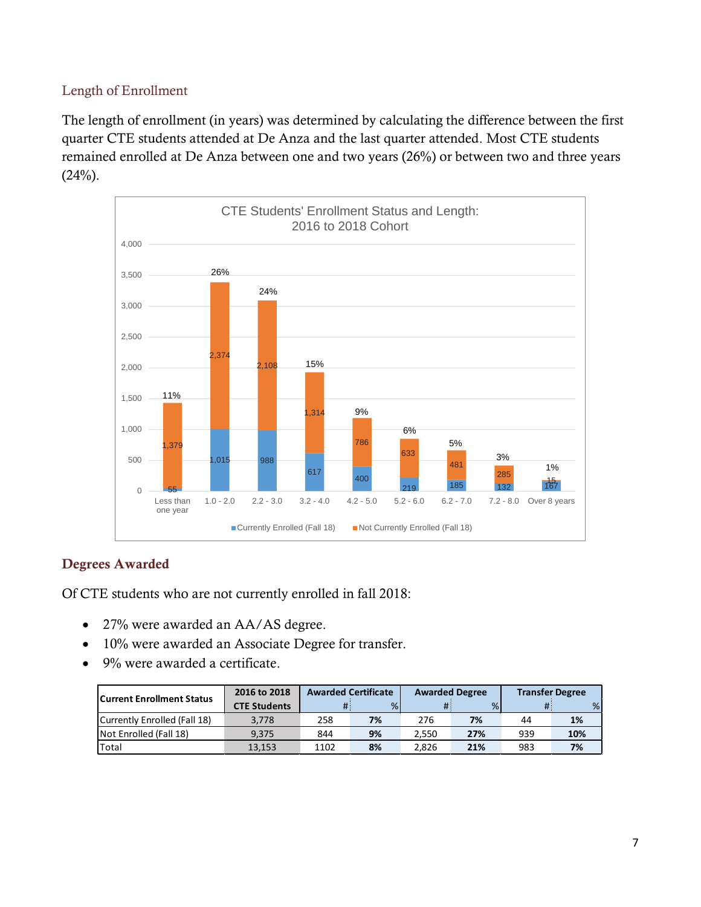### <span id="page-6-0"></span>Length of Enrollment

The length of enrollment (in years) was determined by calculating the difference between the first quarter CTE students attended at De Anza and the last quarter attended. Most CTE students remained enrolled at De Anza between one and two years (26%) or between two and three years  $(24%)$ .



### <span id="page-6-1"></span>Degrees Awarded

Of CTE students who are not currently enrolled in fall 2018:

- 27% were awarded an AA/AS degree.
- 10% were awarded an Associate Degree for transfer.
- 9% were awarded a certificate.

| <b>Current Enrollment Status</b> | 2016 to 2018        | <b>Awarded Certificate</b> |    | <b>Awarded Degree</b> |     | <b>Transfer Degree</b> |     |
|----------------------------------|---------------------|----------------------------|----|-----------------------|-----|------------------------|-----|
|                                  | <b>CTE Students</b> |                            | %  |                       | %   |                        | %   |
| Currently Enrolled (Fall 18)     | 3.778               | 258                        | 7% | 276                   | 7%  | 44                     | 1%  |
| Not Enrolled (Fall 18)           | 9.375               | 844                        | 9% | 2.550                 | 27% | 939                    | 10% |
| 'Total                           | 13.153              | 1102                       | 8% | 2.826                 | 21% | 983                    | 7%  |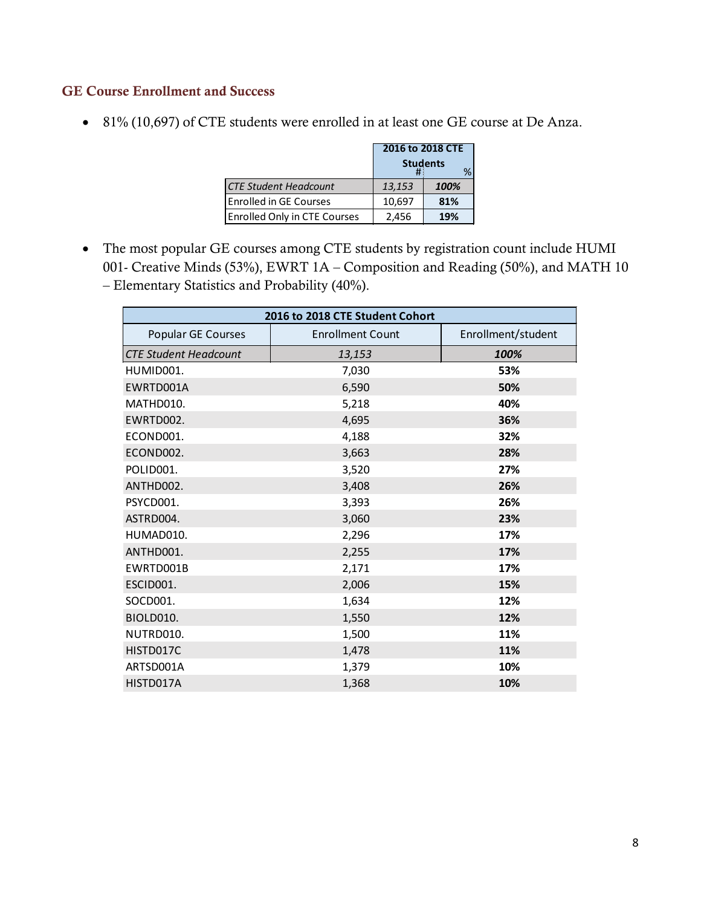### <span id="page-7-0"></span>GE Course Enrollment and Success

• 81% (10,697) of CTE students were enrolled in at least one GE course at De Anza.

|                              | 2016 to 2018 CTE |      |  |
|------------------------------|------------------|------|--|
|                              | <b>Students</b>  |      |  |
| <b>CTE Student Headcount</b> | 13,153           | 100% |  |
| Enrolled in GE Courses       | 10.697           | 81%  |  |
| Enrolled Only in CTE Courses | 2,456            | 19%  |  |

• The most popular GE courses among CTE students by registration count include HUMI 001- Creative Minds (53%), EWRT 1A – Composition and Reading (50%), and MATH 10 – Elementary Statistics and Probability (40%).

| 2016 to 2018 CTE Student Cohort |                         |                    |  |  |  |  |
|---------------------------------|-------------------------|--------------------|--|--|--|--|
| Popular GE Courses              | <b>Enrollment Count</b> | Enrollment/student |  |  |  |  |
| <b>CTE Student Headcount</b>    | 13,153                  | 100%               |  |  |  |  |
| HUMID001.                       | 7,030                   | 53%                |  |  |  |  |
| EWRTD001A                       | 6,590                   | 50%                |  |  |  |  |
| MATHD010.                       | 5,218                   | 40%                |  |  |  |  |
| EWRTD002.                       | 4,695                   | 36%                |  |  |  |  |
| ECOND001.                       | 4,188                   | 32%                |  |  |  |  |
| ECOND002.                       | 3,663                   | 28%                |  |  |  |  |
| POLID001.                       | 3,520                   | 27%                |  |  |  |  |
| ANTHD002.                       | 3,408                   | 26%                |  |  |  |  |
| PSYCD001.                       | 3,393                   | 26%                |  |  |  |  |
| ASTRD004.                       | 3,060                   | 23%                |  |  |  |  |
| HUMAD010.                       | 2,296                   | 17%                |  |  |  |  |
| ANTHD001.                       | 2,255                   | 17%                |  |  |  |  |
| EWRTD001B                       | 2,171                   | 17%                |  |  |  |  |
| ESCID001.                       | 2,006                   | 15%                |  |  |  |  |
| SOCD001.                        | 1,634                   | 12%                |  |  |  |  |
| BIOLD010.                       | 1,550                   | 12%                |  |  |  |  |
| NUTRD010.                       | 1,500                   | 11%                |  |  |  |  |
| HISTD017C                       | 1,478                   | 11%                |  |  |  |  |
| ARTSD001A                       | 1,379                   | 10%                |  |  |  |  |
| HISTD017A                       | 1,368                   | 10%                |  |  |  |  |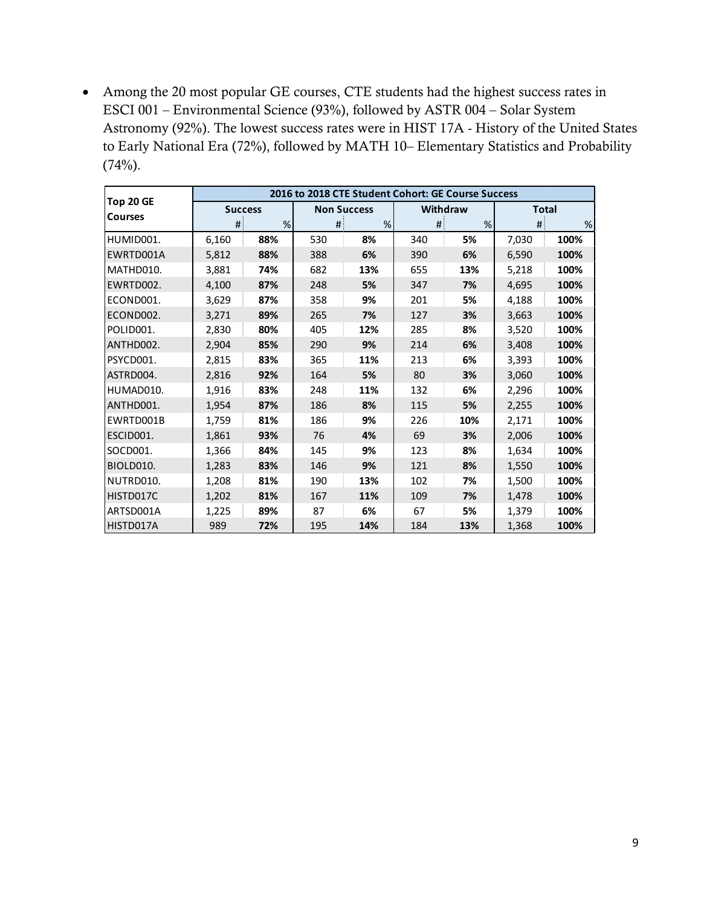• Among the 20 most popular GE courses, CTE students had the highest success rates in ESCI 001 – Environmental Science (93%), followed by ASTR 004 – Solar System Astronomy (92%). The lowest success rates were in HIST 17A - History of the United States to Early National Era (72%), followed by MATH 10– Elementary Statistics and Probability  $(74%)$ .

|                | 2016 to 2018 CTE Student Cohort: GE Course Success |                |      |                    |      |                 |       |              |  |
|----------------|----------------------------------------------------|----------------|------|--------------------|------|-----------------|-------|--------------|--|
| Top 20 GE      |                                                    | <b>Success</b> |      | <b>Non Success</b> |      | <b>Withdraw</b> |       | <b>Total</b> |  |
| <b>Courses</b> | #                                                  | %              | $\#$ | %                  | $\#$ | %               | #     | $\%$         |  |
| HUMID001.      | 6,160                                              | 88%            | 530  | 8%                 | 340  | 5%              | 7,030 | 100%         |  |
| EWRTD001A      | 5,812                                              | 88%            | 388  | 6%                 | 390  | 6%              | 6,590 | 100%         |  |
| MATHD010.      | 3,881                                              | 74%            | 682  | 13%                | 655  | 13%             | 5,218 | 100%         |  |
| EWRTD002.      | 4,100                                              | 87%            | 248  | 5%                 | 347  | 7%              | 4,695 | 100%         |  |
| ECOND001.      | 3,629                                              | 87%            | 358  | 9%                 | 201  | 5%              | 4,188 | 100%         |  |
| ECOND002.      | 3,271                                              | 89%            | 265  | 7%                 | 127  | 3%              | 3,663 | 100%         |  |
| POLID001.      | 2,830                                              | 80%            | 405  | 12%                | 285  | 8%              | 3,520 | 100%         |  |
| ANTHD002.      | 2,904                                              | 85%            | 290  | 9%                 | 214  | 6%              | 3,408 | 100%         |  |
| PSYCD001.      | 2,815                                              | 83%            | 365  | 11%                | 213  | 6%              | 3,393 | 100%         |  |
| ASTRD004.      | 2,816                                              | 92%            | 164  | 5%                 | 80   | 3%              | 3,060 | 100%         |  |
| HUMAD010.      | 1,916                                              | 83%            | 248  | 11%                | 132  | 6%              | 2,296 | 100%         |  |
| ANTHD001.      | 1,954                                              | 87%            | 186  | 8%                 | 115  | 5%              | 2,255 | 100%         |  |
| EWRTD001B      | 1,759                                              | 81%            | 186  | 9%                 | 226  | 10%             | 2,171 | 100%         |  |
| ESCID001.      | 1,861                                              | 93%            | 76   | 4%                 | 69   | 3%              | 2,006 | 100%         |  |
| SOCD001.       | 1,366                                              | 84%            | 145  | 9%                 | 123  | 8%              | 1,634 | 100%         |  |
| BIOLD010.      | 1,283                                              | 83%            | 146  | 9%                 | 121  | 8%              | 1,550 | 100%         |  |
| INUTRD010.     | 1,208                                              | 81%            | 190  | 13%                | 102  | 7%              | 1,500 | 100%         |  |
| HISTD017C      | 1,202                                              | 81%            | 167  | 11%                | 109  | 7%              | 1,478 | 100%         |  |
| ARTSD001A      | 1,225                                              | 89%            | 87   | 6%                 | 67   | 5%              | 1,379 | 100%         |  |
| HISTD017A      | 989                                                | 72%            | 195  | 14%                | 184  | 13%             | 1,368 | 100%         |  |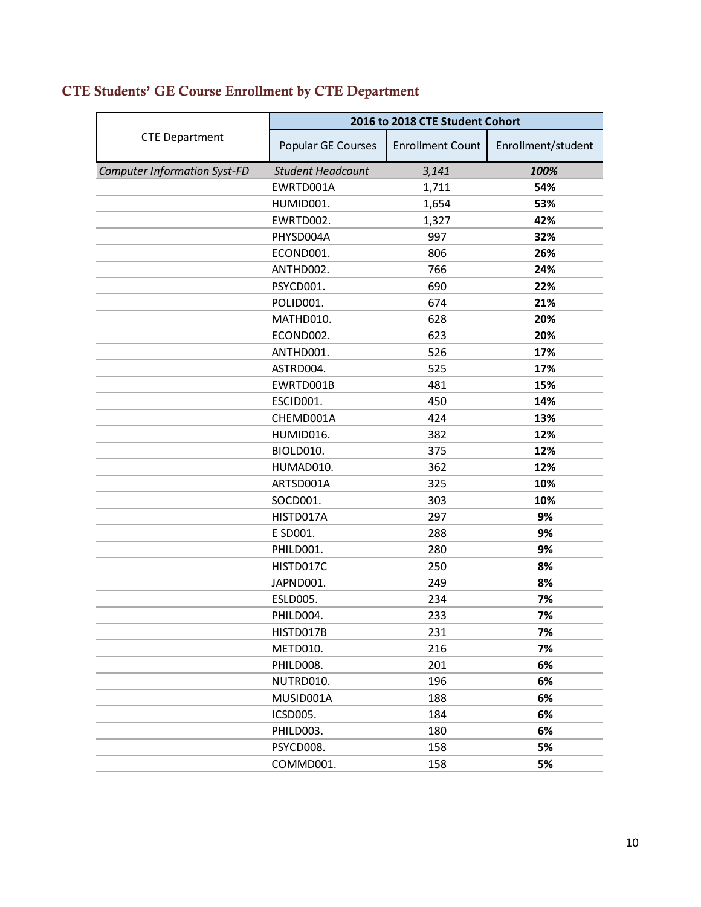<span id="page-9-1"></span>

|                                     | 2016 to 2018 CTE Student Cohort |                         |                    |  |  |
|-------------------------------------|---------------------------------|-------------------------|--------------------|--|--|
| <b>CTE Department</b>               | Popular GE Courses              | <b>Enrollment Count</b> | Enrollment/student |  |  |
| <b>Computer Information Syst-FD</b> | <b>Student Headcount</b>        | 3,141                   | 100%               |  |  |
|                                     | EWRTD001A                       | 1,711                   | 54%                |  |  |
|                                     | HUMID001.                       | 1,654                   | 53%                |  |  |
|                                     | EWRTD002.                       | 1,327                   | 42%                |  |  |
|                                     | PHYSD004A                       | 997                     | 32%                |  |  |
|                                     | ECOND001.                       | 806                     | 26%                |  |  |
|                                     | ANTHD002.                       | 766                     | 24%                |  |  |
|                                     | PSYCD001.                       | 690                     | 22%                |  |  |
|                                     | POLID001.                       | 674                     | 21%                |  |  |
|                                     | MATHD010.                       | 628                     | 20%                |  |  |
|                                     | ECOND002.                       | 623                     | 20%                |  |  |
|                                     | ANTHD001.                       | 526                     | 17%                |  |  |
|                                     | ASTRD004.                       | 525                     | 17%                |  |  |
|                                     | EWRTD001B                       | 481                     | 15%                |  |  |
|                                     | ESCID001.                       | 450                     | 14%                |  |  |
|                                     | CHEMD001A                       | 424                     | 13%                |  |  |
|                                     | HUMID016.                       | 382                     | 12%                |  |  |
|                                     | BIOLD010.                       | 375                     | 12%                |  |  |
|                                     | HUMAD010.                       | 362                     | 12%                |  |  |
|                                     | ARTSD001A                       | 325                     | 10%                |  |  |
|                                     | SOCD001.                        | 303                     | 10%                |  |  |
|                                     | HISTD017A                       | 297                     | 9%                 |  |  |
|                                     | E SD001.                        | 288                     | 9%                 |  |  |
|                                     | PHILD001.                       | 280                     | 9%                 |  |  |
|                                     | HISTD017C                       | 250                     | 8%                 |  |  |
|                                     | JAPND001.                       | 249                     | 8%                 |  |  |
|                                     | <b>ESLD005.</b>                 | 234                     | 7%                 |  |  |
|                                     | PHILD004.                       | 233                     | 7%                 |  |  |
|                                     | HISTD017B                       | 231                     | 7%                 |  |  |
|                                     | METD010.                        | 216                     | 7%                 |  |  |
|                                     | PHILD008.                       | 201                     | 6%                 |  |  |
|                                     | NUTRD010.                       | 196                     | 6%                 |  |  |
|                                     | MUSID001A                       | 188                     | 6%                 |  |  |
|                                     | ICSD005.                        | 184                     | 6%                 |  |  |
|                                     | PHILD003.                       | 180                     | 6%                 |  |  |
|                                     | PSYCD008.                       | 158                     | 5%                 |  |  |
|                                     | COMMD001.                       | 158                     | 5%                 |  |  |
|                                     |                                 |                         |                    |  |  |

# <span id="page-9-0"></span>CTE Students' GE Course Enrollment by CTE Department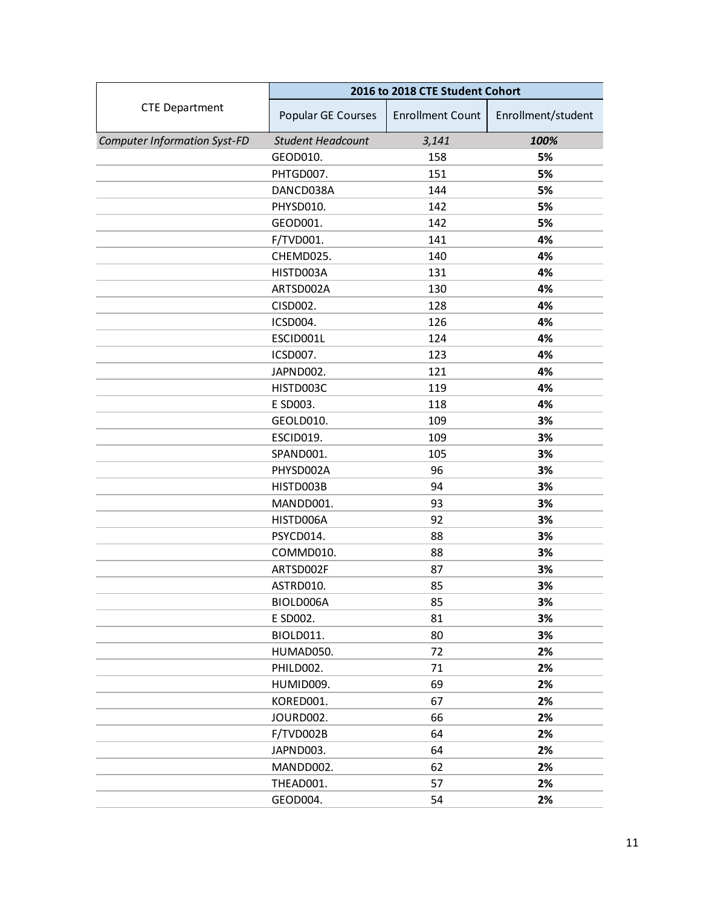|                                     | 2016 to 2018 CTE Student Cohort |                         |                    |  |  |
|-------------------------------------|---------------------------------|-------------------------|--------------------|--|--|
| <b>CTE Department</b>               | Popular GE Courses              | <b>Enrollment Count</b> | Enrollment/student |  |  |
| <b>Computer Information Syst-FD</b> | <b>Student Headcount</b>        | 3,141                   | 100%               |  |  |
|                                     | GEOD010.                        | 158                     | 5%                 |  |  |
|                                     | PHTGD007.                       | 151                     | 5%                 |  |  |
|                                     | DANCD038A                       | 144                     | 5%                 |  |  |
|                                     | PHYSD010.                       | 142                     | 5%                 |  |  |
|                                     | GEOD001.                        | 142                     | 5%                 |  |  |
|                                     | F/TVD001.                       | 141                     | 4%                 |  |  |
|                                     | CHEMD025.                       | 140                     | 4%                 |  |  |
|                                     | HISTD003A                       | 131                     | 4%                 |  |  |
|                                     | ARTSD002A                       | 130                     | 4%                 |  |  |
|                                     | CISD002.                        | 128                     | 4%                 |  |  |
|                                     | ICSD004.                        | 126                     | 4%                 |  |  |
|                                     | ESCID001L                       | 124                     | 4%                 |  |  |
|                                     | ICSD007.                        | 123                     | 4%                 |  |  |
|                                     | JAPND002.                       | 121                     | 4%                 |  |  |
|                                     | HISTD003C                       | 119                     | 4%                 |  |  |
|                                     | E SD003.                        | 118                     | 4%                 |  |  |
|                                     | GEOLD010.                       | 109                     | 3%                 |  |  |
|                                     | ESCID019.                       | 109                     | 3%                 |  |  |
|                                     | SPAND001.                       | 105                     | 3%                 |  |  |
|                                     | PHYSD002A                       | 96                      | 3%                 |  |  |
|                                     | HISTD003B                       | 94                      | 3%                 |  |  |
|                                     | MANDD001.                       | 93                      | 3%                 |  |  |
|                                     | HISTD006A                       | 92                      | 3%                 |  |  |
|                                     | PSYCD014.                       | 88                      | 3%                 |  |  |
|                                     | COMMD010.                       | 88                      | 3%                 |  |  |
|                                     | ARTSD002F                       | 87                      | 3%                 |  |  |
|                                     | ASTRD010.                       | 85                      | 3%                 |  |  |
|                                     | BIOLD006A                       | 85                      | 3%                 |  |  |
|                                     | E SD002.                        | 81                      | 3%                 |  |  |
|                                     | BIOLD011.                       | 80                      | 3%                 |  |  |
|                                     | HUMAD050.                       | 72                      | 2%                 |  |  |
|                                     | PHILD002.                       | 71                      | 2%                 |  |  |
|                                     | HUMID009.                       | 69                      | 2%                 |  |  |
|                                     | KORED001.                       | 67                      | 2%                 |  |  |
|                                     | JOURD002.                       | 66                      | 2%                 |  |  |
|                                     | F/TVD002B                       | 64                      | 2%                 |  |  |
|                                     | JAPND003.                       | 64                      | 2%                 |  |  |
|                                     | MANDD002.                       | 62                      | 2%                 |  |  |
|                                     | THEAD001.                       | 57                      | 2%                 |  |  |
|                                     | GEOD004.                        | 54                      | 2%                 |  |  |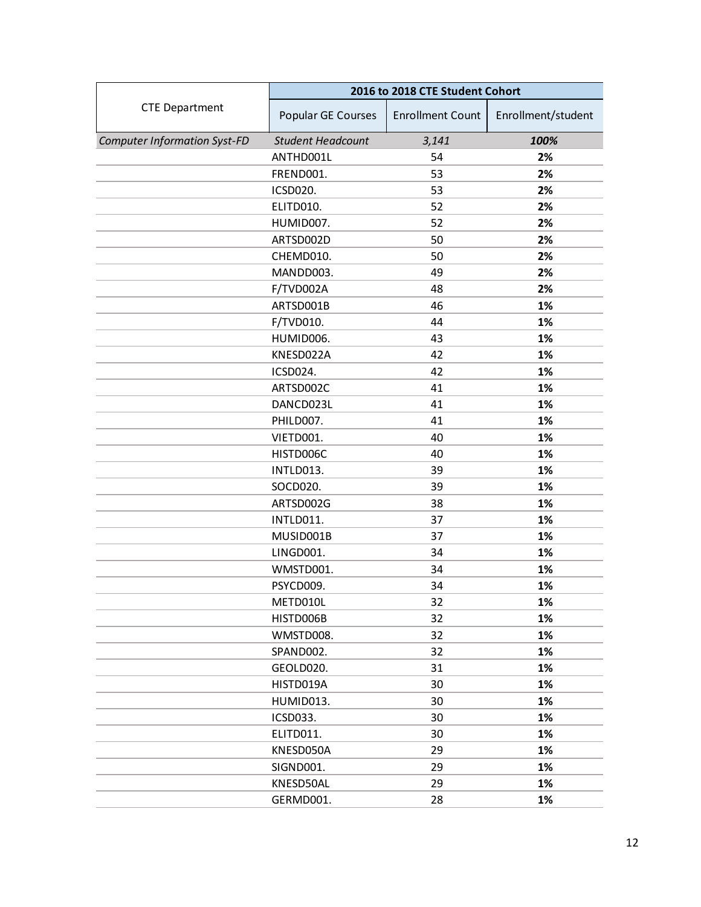|                                     | 2016 to 2018 CTE Student Cohort |                         |                    |
|-------------------------------------|---------------------------------|-------------------------|--------------------|
| <b>CTE Department</b>               | Popular GE Courses              | <b>Enrollment Count</b> | Enrollment/student |
| <b>Computer Information Syst-FD</b> | <b>Student Headcount</b>        | 3,141                   | 100%               |
|                                     | ANTHD001L                       | 54                      | 2%                 |
|                                     | FREND001.                       | 53                      | 2%                 |
|                                     | ICSD020.                        | 53                      | 2%                 |
|                                     | ELITD010.                       | 52                      | 2%                 |
|                                     | HUMID007.                       | 52                      | 2%                 |
|                                     | ARTSD002D                       | 50                      | 2%                 |
|                                     | CHEMD010.                       | 50                      | 2%                 |
|                                     | MANDD003.                       | 49                      | 2%                 |
|                                     | F/TVD002A                       | 48                      | 2%                 |
|                                     | ARTSD001B                       | 46                      | 1%                 |
|                                     | F/TVD010.                       | 44                      | 1%                 |
|                                     | HUMID006.                       | 43                      | 1%                 |
|                                     | KNESD022A                       | 42                      | 1%                 |
|                                     | ICSD024.                        | 42                      | 1%                 |
|                                     | ARTSD002C                       | 41                      | 1%                 |
|                                     | DANCD023L                       | 41                      | 1%                 |
|                                     | PHILD007.                       | 41                      | 1%                 |
|                                     | VIETD001.                       | 40                      | 1%                 |
|                                     | HISTD006C                       | 40                      | 1%                 |
|                                     | INTLD013.                       | 39                      | 1%                 |
|                                     | SOCD020.                        | 39                      | 1%                 |
|                                     | ARTSD002G                       | 38                      | 1%                 |
|                                     | INTLD011.                       | 37                      | 1%                 |
|                                     | MUSID001B                       | 37                      | 1%                 |
|                                     | LINGD001.                       | 34                      | 1%                 |
|                                     | WMSTD001.                       | 34                      | 1%                 |
|                                     | PSYCD009.                       | 34                      | 1%                 |
|                                     | METD010L                        | 32                      | 1%                 |
|                                     | HISTD006B                       | 32                      | 1%                 |
|                                     | WMSTD008.                       | 32                      | 1%                 |
|                                     | SPAND002.                       | 32                      | 1%                 |
|                                     | GEOLD020.                       | 31                      | 1%                 |
|                                     | HISTD019A                       | 30                      | 1%                 |
|                                     | HUMID013.                       | 30                      | 1%                 |
|                                     | ICSD033.                        | 30                      | 1%                 |
|                                     | ELITD011.                       | 30                      | 1%                 |
|                                     | KNESD050A                       | 29                      | 1%                 |
|                                     | SIGND001.                       | 29                      | 1%                 |
|                                     | KNESD50AL                       | 29                      | 1%                 |
|                                     | GERMD001.                       | 28                      | 1%                 |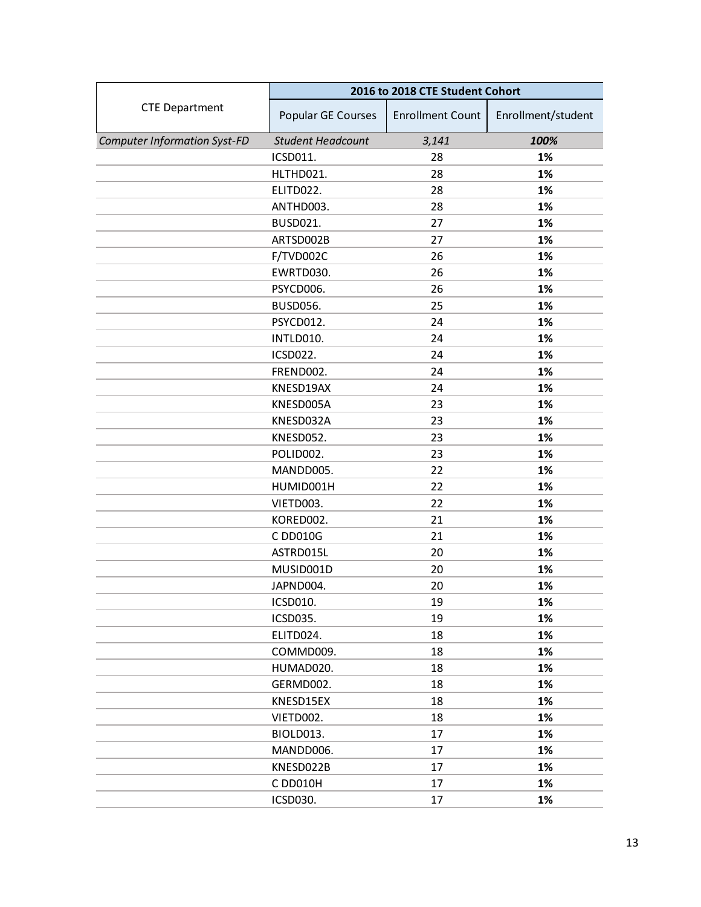|                                     | 2016 to 2018 CTE Student Cohort |                         |                    |
|-------------------------------------|---------------------------------|-------------------------|--------------------|
| <b>CTE Department</b>               | Popular GE Courses              | <b>Enrollment Count</b> | Enrollment/student |
| <b>Computer Information Syst-FD</b> | <b>Student Headcount</b>        | 3,141                   | 100%               |
|                                     | ICSD011.                        | 28                      | 1%                 |
|                                     | HLTHD021.                       | 28                      | 1%                 |
|                                     | ELITD022.                       | 28                      | 1%                 |
|                                     | ANTHD003.                       | 28                      | 1%                 |
|                                     | <b>BUSD021.</b>                 | 27                      | 1%                 |
|                                     | ARTSD002B                       | 27                      | 1%                 |
|                                     | F/TVD002C                       | 26                      | 1%                 |
|                                     | EWRTD030.                       | 26                      | 1%                 |
|                                     | PSYCD006.                       | 26                      | 1%                 |
|                                     | <b>BUSD056.</b>                 | 25                      | 1%                 |
|                                     | PSYCD012.                       | 24                      | 1%                 |
|                                     | INTLD010.                       | 24                      | 1%                 |
|                                     | ICSD022.                        | 24                      | 1%                 |
|                                     | FREND002.                       | 24                      | 1%                 |
|                                     | KNESD19AX                       | 24                      | 1%                 |
|                                     | KNESD005A                       | 23                      | 1%                 |
|                                     | KNESD032A                       | 23                      | 1%                 |
|                                     | KNESD052.                       | 23                      | 1%                 |
|                                     | POLID002.                       | 23                      | 1%                 |
|                                     | MANDD005.                       | 22                      | 1%                 |
|                                     | HUMID001H                       | 22                      | 1%                 |
|                                     | VIETD003.                       | 22                      | 1%                 |
|                                     | KORED002.                       | 21                      | 1%                 |
|                                     | C DD010G                        | 21                      | 1%                 |
|                                     | ASTRD015L                       | 20                      | 1%                 |
|                                     | MUSID001D                       | 20                      | 1%                 |
|                                     | JAPND004.                       | 20                      | 1%                 |
|                                     | ICSD010.                        | 19                      | 1%                 |
|                                     | ICSD035.                        | 19                      | 1%                 |
|                                     | ELITD024.                       | 18                      | 1%                 |
|                                     | COMMD009.                       | 18                      | 1%                 |
|                                     | HUMAD020.                       | 18                      | 1%                 |
|                                     | GERMD002.                       | 18                      | 1%                 |
|                                     | KNESD15EX                       | 18                      | 1%                 |
|                                     | VIETD002.                       | 18                      | 1%                 |
|                                     | BIOLD013.                       | 17                      | 1%                 |
|                                     | MANDD006.                       | 17                      | 1%                 |
|                                     | KNESD022B                       | 17                      | 1%                 |
|                                     | C DD010H                        | 17                      | 1%                 |
|                                     | ICSD030.                        | 17                      | 1%                 |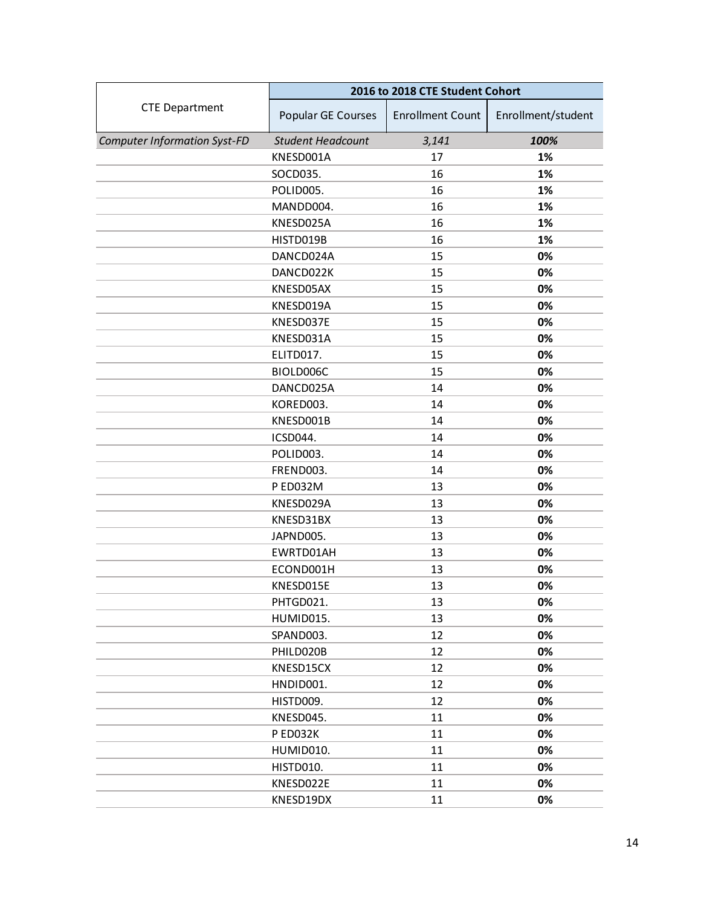|                                     | 2016 to 2018 CTE Student Cohort |                         |                    |
|-------------------------------------|---------------------------------|-------------------------|--------------------|
| <b>CTE Department</b>               | Popular GE Courses              | <b>Enrollment Count</b> | Enrollment/student |
| <b>Computer Information Syst-FD</b> | <b>Student Headcount</b>        | 3,141                   | 100%               |
|                                     | KNESD001A                       | 17                      | 1%                 |
|                                     | SOCD035.                        | 16                      | 1%                 |
|                                     | POLID005.                       | 16                      | 1%                 |
|                                     | MANDD004.                       | 16                      | 1%                 |
|                                     | KNESD025A                       | 16                      | 1%                 |
|                                     | HISTD019B                       | 16                      | 1%                 |
|                                     | DANCD024A                       | 15                      | 0%                 |
|                                     | DANCD022K                       | 15                      | 0%                 |
|                                     | KNESD05AX                       | 15                      | 0%                 |
|                                     | KNESD019A                       | 15                      | 0%                 |
|                                     | KNESD037E                       | 15                      | 0%                 |
|                                     | KNESD031A                       | 15                      | 0%                 |
|                                     | ELITD017.                       | 15                      | 0%                 |
|                                     | BIOLD006C                       | 15                      | 0%                 |
|                                     | DANCD025A                       | 14                      | 0%                 |
|                                     | KORED003.                       | 14                      | 0%                 |
|                                     | KNESD001B                       | 14                      | 0%                 |
|                                     | ICSD044.                        | 14                      | 0%                 |
|                                     | POLID003.                       | 14                      | 0%                 |
|                                     | FREND003.                       | 14                      | 0%                 |
|                                     | P ED032M                        | 13                      | 0%                 |
|                                     | KNESD029A                       | 13                      | 0%                 |
|                                     | KNESD31BX                       | 13                      | 0%                 |
|                                     | JAPND005.                       | 13                      | 0%                 |
|                                     | EWRTD01AH                       | 13                      | 0%                 |
|                                     | ECOND001H                       | 13                      | 0%                 |
|                                     | KNESD015E                       | 13                      | 0%                 |
|                                     | PHTGD021.                       | 13                      | 0%                 |
|                                     | HUMID015.                       | 13                      | 0%                 |
|                                     | SPAND003.                       | 12                      | 0%                 |
|                                     | PHILD020B                       | 12                      | 0%                 |
|                                     | KNESD15CX                       | 12                      | 0%                 |
|                                     | HNDID001.                       | 12                      | 0%                 |
|                                     | HISTD009.                       | 12                      | 0%                 |
|                                     | KNESD045.                       | 11                      | 0%                 |
|                                     | P ED032K                        | 11                      | 0%                 |
|                                     | HUMID010.                       | 11                      | 0%                 |
|                                     | HISTD010.                       | 11                      | 0%                 |
|                                     | KNESD022E                       | 11                      | 0%                 |
|                                     | KNESD19DX                       | 11                      | 0%                 |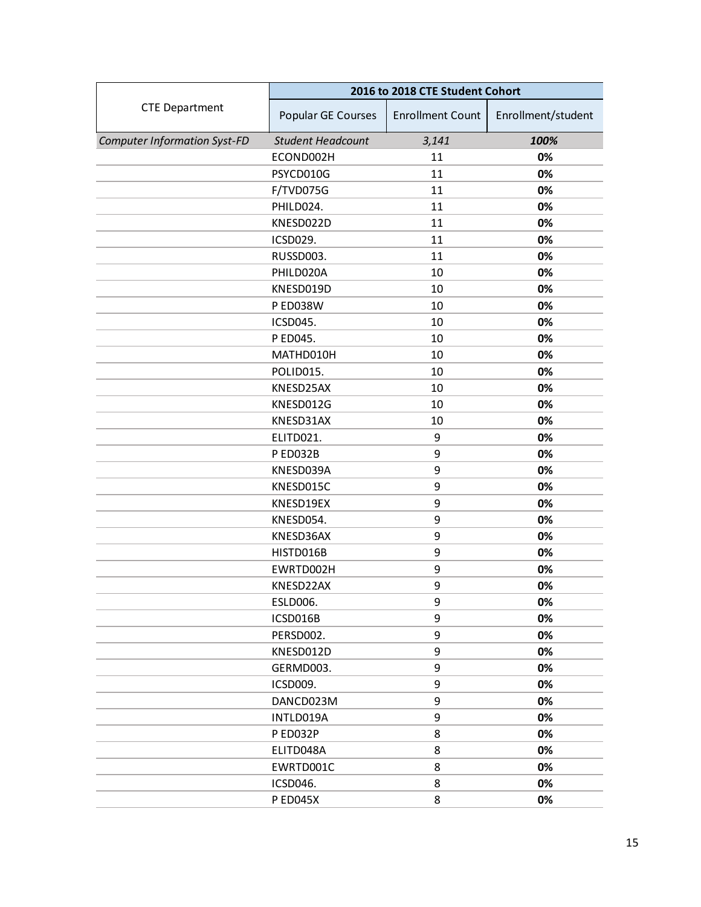|                                     | 2016 to 2018 CTE Student Cohort |                         |                    |
|-------------------------------------|---------------------------------|-------------------------|--------------------|
| <b>CTE Department</b>               | Popular GE Courses              | <b>Enrollment Count</b> | Enrollment/student |
| <b>Computer Information Syst-FD</b> | <b>Student Headcount</b>        | 3,141                   | 100%               |
|                                     | ECOND002H                       | 11                      | 0%                 |
|                                     | PSYCD010G                       | 11                      | 0%                 |
|                                     | F/TVD075G                       | 11                      | 0%                 |
|                                     | PHILD024.                       | 11                      | 0%                 |
|                                     | KNESD022D                       | 11                      | 0%                 |
|                                     | ICSD029.                        | 11                      | 0%                 |
|                                     | RUSSD003.                       | 11                      | 0%                 |
|                                     | PHILD020A                       | 10                      | 0%                 |
|                                     | KNESD019D                       | 10                      | 0%                 |
|                                     | <b>P ED038W</b>                 | 10                      | 0%                 |
|                                     | ICSD045.                        | 10                      | 0%                 |
|                                     | P ED045.                        | 10                      | 0%                 |
|                                     | MATHD010H                       | 10                      | 0%                 |
|                                     | POLID015.                       | 10                      | 0%                 |
|                                     | KNESD25AX                       | 10                      | 0%                 |
|                                     | KNESD012G                       | 10                      | 0%                 |
|                                     | KNESD31AX                       | 10                      | 0%                 |
|                                     | ELITD021.                       | 9                       | 0%                 |
|                                     | P ED032B                        | 9                       | 0%                 |
|                                     | KNESD039A                       | 9                       | 0%                 |
|                                     | KNESD015C                       | 9                       | 0%                 |
|                                     | KNESD19EX                       | 9                       | 0%                 |
|                                     | KNESD054.                       | 9                       | 0%                 |
|                                     | KNESD36AX                       | 9                       | 0%                 |
|                                     | HISTD016B                       | 9                       | 0%                 |
|                                     | EWRTD002H                       | 9                       | 0%                 |
|                                     | KNESD22AX                       | 9                       | 0%                 |
|                                     | ESLD006.                        | 9                       | 0%                 |
|                                     | ICSD016B                        | 9                       | 0%                 |
|                                     | PERSD002.                       | 9                       | 0%                 |
|                                     | KNESD012D                       | 9                       | 0%                 |
|                                     | GERMD003.                       | 9                       | 0%                 |
|                                     | ICSD009.                        | 9                       | 0%                 |
|                                     | DANCD023M                       | 9                       | 0%                 |
|                                     | INTLD019A                       | 9                       | 0%                 |
|                                     | P ED032P                        | 8                       | 0%                 |
|                                     | ELITD048A                       | 8                       | 0%                 |
|                                     | EWRTD001C                       | 8                       | 0%                 |
|                                     | ICSD046.                        | 8                       | 0%                 |
|                                     | <b>PED045X</b>                  | 8                       | 0%                 |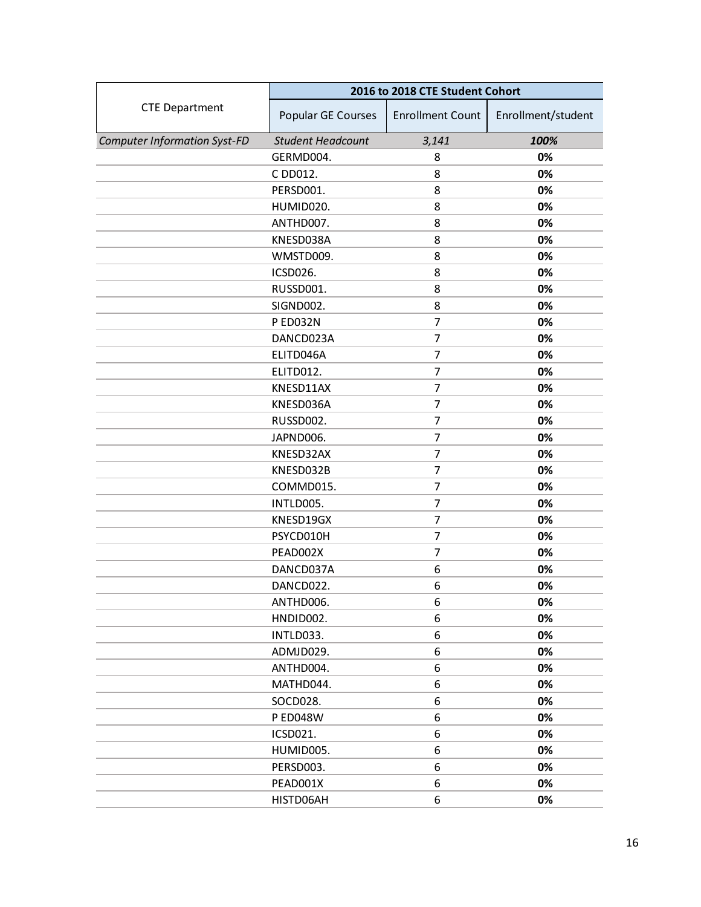|                                     | 2016 to 2018 CTE Student Cohort |                         |                    |
|-------------------------------------|---------------------------------|-------------------------|--------------------|
| <b>CTE Department</b>               | Popular GE Courses              | <b>Enrollment Count</b> | Enrollment/student |
| <b>Computer Information Syst-FD</b> | <b>Student Headcount</b>        | 3,141                   | 100%               |
|                                     | GERMD004.                       | 8                       | 0%                 |
|                                     | C DD012.                        | 8                       | 0%                 |
|                                     | PERSD001.                       | 8                       | 0%                 |
|                                     | HUMID020.                       | 8                       | 0%                 |
|                                     | ANTHD007.                       | 8                       | 0%                 |
|                                     | KNESD038A                       | 8                       | 0%                 |
|                                     | WMSTD009.                       | 8                       | 0%                 |
|                                     | ICSD026.                        | 8                       | 0%                 |
|                                     | RUSSD001.                       | 8                       | 0%                 |
|                                     | SIGND002.                       | 8                       | 0%                 |
|                                     | P ED032N                        | 7                       | 0%                 |
|                                     | DANCD023A                       | $\overline{7}$          | 0%                 |
|                                     | ELITD046A                       | 7                       | 0%                 |
|                                     | ELITD012.                       | 7                       | 0%                 |
|                                     | KNESD11AX                       | $\overline{7}$          | 0%                 |
|                                     | KNESD036A                       | 7                       | 0%                 |
|                                     | RUSSD002.                       | $\overline{7}$          | 0%                 |
|                                     | JAPND006.                       | 7                       | 0%                 |
|                                     | KNESD32AX                       | 7                       | 0%                 |
|                                     | KNESD032B                       | $\overline{7}$          | 0%                 |
|                                     | COMMD015.                       | $\overline{7}$          | 0%                 |
|                                     | INTLD005.                       | $\overline{7}$          | 0%                 |
|                                     | KNESD19GX                       | 7                       | 0%                 |
|                                     | PSYCD010H                       | 7                       | 0%                 |
|                                     | PEAD002X                        | 7                       | 0%                 |
|                                     | DANCD037A                       | 6                       | 0%                 |
|                                     | DANCD022.                       | 6                       | 0%                 |
|                                     | ANTHD006.                       | 6                       | 0%                 |
|                                     | HNDID002.                       | 6                       | 0%                 |
|                                     | INTLD033.                       | 6                       | 0%                 |
|                                     | ADMJD029.                       | 6                       | 0%                 |
|                                     | ANTHD004.                       | 6                       | 0%                 |
|                                     | MATHD044.                       | 6                       | 0%                 |
|                                     | SOCD028.                        | 6                       | 0%                 |
|                                     | <b>PED048W</b>                  | 6                       | 0%                 |
|                                     | ICSD021.                        | 6                       | 0%                 |
|                                     | HUMID005.                       | 6                       | 0%                 |
|                                     | PERSD003.                       | 6                       | 0%                 |
|                                     | PEAD001X                        | 6                       | 0%                 |
|                                     | HISTD06AH                       | 6                       | 0%                 |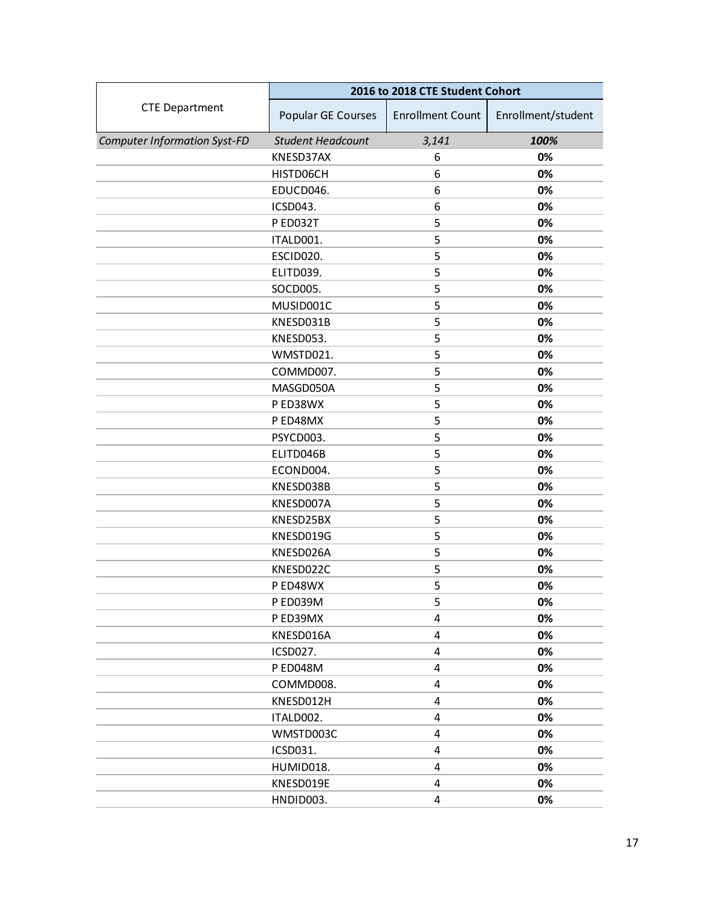|                                     | 2016 to 2018 CTE Student Cohort |                         |                    |
|-------------------------------------|---------------------------------|-------------------------|--------------------|
| <b>CTE Department</b>               | Popular GE Courses              | <b>Enrollment Count</b> | Enrollment/student |
| <b>Computer Information Syst-FD</b> | <b>Student Headcount</b>        | 3,141                   | 100%               |
|                                     | KNESD37AX                       | 6                       | 0%                 |
|                                     | HISTD06CH                       | 6                       | 0%                 |
|                                     | EDUCD046.                       | 6                       | 0%                 |
|                                     | ICSD043.                        | 6                       | 0%                 |
|                                     | <b>P ED032T</b>                 | 5                       | 0%                 |
|                                     | ITALD001.                       | 5                       | 0%                 |
|                                     | ESCID020.                       | 5                       | 0%                 |
|                                     | ELITD039.                       | 5                       | 0%                 |
|                                     | SOCD005.                        | 5                       | 0%                 |
|                                     | MUSID001C                       | 5                       | 0%                 |
|                                     | KNESD031B                       | 5                       | 0%                 |
|                                     | KNESD053.                       | 5                       | 0%                 |
|                                     | WMSTD021.                       | 5                       | 0%                 |
|                                     | COMMD007.                       | 5                       | 0%                 |
|                                     | MASGD050A                       | 5                       | 0%                 |
|                                     | P ED38WX                        | 5                       | 0%                 |
|                                     | P ED48MX                        | 5                       | 0%                 |
|                                     | PSYCD003.                       | 5                       | 0%                 |
|                                     | ELITD046B                       | 5                       | 0%                 |
|                                     | ECOND004.                       | 5                       | 0%                 |
|                                     | KNESD038B                       | 5                       | 0%                 |
|                                     | KNESD007A                       | 5                       | 0%                 |
|                                     | KNESD25BX                       | 5                       | 0%                 |
|                                     | KNESD019G                       | 5                       | 0%                 |
|                                     | KNESD026A                       | 5                       | 0%                 |
|                                     | KNESD022C                       | 5                       | 0%                 |
|                                     | P ED48WX                        | 5                       | 0%                 |
|                                     | P ED039M                        | 5                       | 0%                 |
|                                     | P ED39MX                        | 4                       | 0%                 |
|                                     | KNESD016A                       | 4                       | 0%                 |
|                                     | ICSD027.                        | 4                       | 0%                 |
|                                     | P ED048M                        | 4                       | 0%                 |
|                                     | COMMD008.                       | 4                       | 0%                 |
|                                     | KNESD012H                       | 4                       | 0%                 |
|                                     | ITALD002.                       | 4                       | 0%                 |
|                                     | WMSTD003C                       | 4                       | 0%                 |
|                                     | ICSD031.                        | 4                       | 0%                 |
|                                     | HUMID018.                       | 4                       | 0%                 |
|                                     | KNESD019E                       | 4                       | 0%                 |
|                                     | HNDID003.                       | 4                       | 0%                 |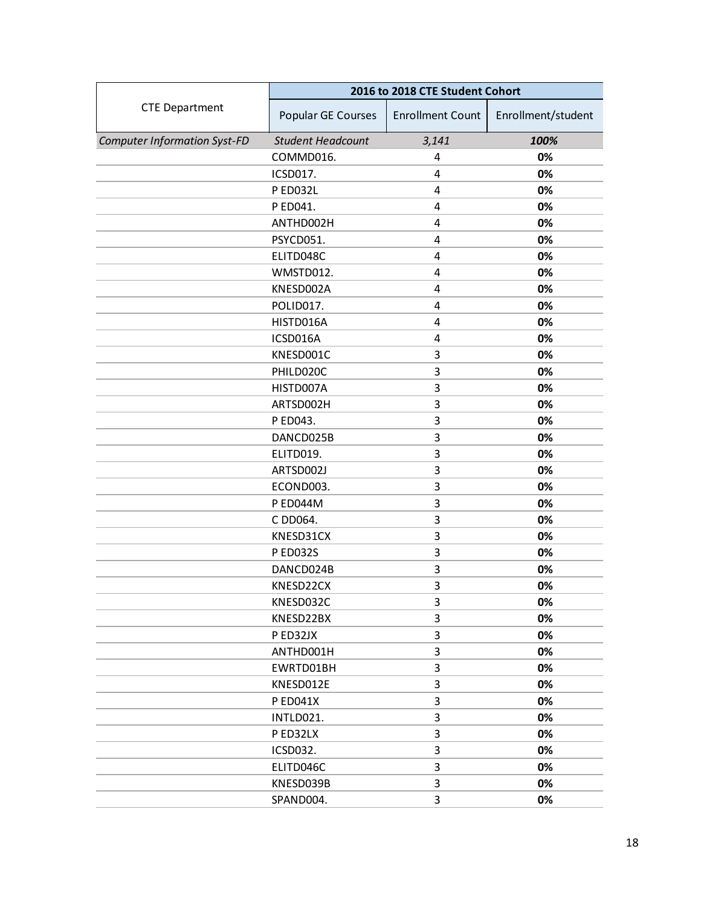|                                     | 2016 to 2018 CTE Student Cohort |                         |                    |
|-------------------------------------|---------------------------------|-------------------------|--------------------|
| <b>CTE Department</b>               | Popular GE Courses              | <b>Enrollment Count</b> | Enrollment/student |
| <b>Computer Information Syst-FD</b> | <b>Student Headcount</b>        | 3,141                   | 100%               |
|                                     | COMMD016.                       | 4                       | 0%                 |
|                                     | ICSD017.                        | 4                       | 0%                 |
|                                     | P ED032L                        | 4                       | 0%                 |
|                                     | P ED041.                        | 4                       | 0%                 |
|                                     | ANTHD002H                       | 4                       | 0%                 |
|                                     | PSYCD051.                       | 4                       | 0%                 |
|                                     | ELITD048C                       | $\overline{4}$          | 0%                 |
|                                     | WMSTD012.                       | 4                       | 0%                 |
|                                     | KNESD002A                       | 4                       | 0%                 |
|                                     | POLID017.                       | 4                       | 0%                 |
|                                     | HISTD016A                       | $\overline{4}$          | 0%                 |
|                                     | ICSD016A                        | $\overline{4}$          | 0%                 |
|                                     | KNESD001C                       | 3                       | 0%                 |
|                                     | PHILD020C                       | 3                       | 0%                 |
|                                     | HISTD007A                       | 3                       | 0%                 |
|                                     | ARTSD002H                       | 3                       | 0%                 |
|                                     | P ED043.                        | 3                       | 0%                 |
|                                     | DANCD025B                       | 3                       | 0%                 |
|                                     | ELITD019.                       | 3                       | 0%                 |
|                                     | ARTSD002J                       | 3                       | 0%                 |
|                                     | ECOND003.                       | 3                       | 0%                 |
|                                     | <b>P ED044M</b>                 | 3                       | 0%                 |
|                                     | C DD064.                        | 3                       | 0%                 |
|                                     | KNESD31CX                       | 3                       | 0%                 |
|                                     | P ED032S                        | 3                       | 0%                 |
|                                     | DANCD024B                       | 3                       | 0%                 |
|                                     | KNESD22CX                       | 3                       | 0%                 |
|                                     | KNESD032C                       | 3                       | 0%                 |
|                                     | KNESD22BX                       | 3                       | 0%                 |
|                                     | P ED32JX                        | 3                       | 0%                 |
|                                     | ANTHD001H                       | 3                       | 0%                 |
|                                     | EWRTD01BH                       | 3                       | 0%                 |
|                                     | KNESD012E                       | 3                       | 0%                 |
|                                     | <b>PED041X</b>                  | 3                       | 0%                 |
|                                     | INTLD021.                       | 3                       | 0%                 |
|                                     | P ED32LX                        | 3                       | 0%                 |
|                                     | <b>ICSD032.</b>                 | 3                       | 0%                 |
|                                     | ELITD046C                       | 3                       | 0%                 |
|                                     | KNESD039B                       | 3                       | 0%                 |
|                                     | SPAND004.                       | 3                       | 0%                 |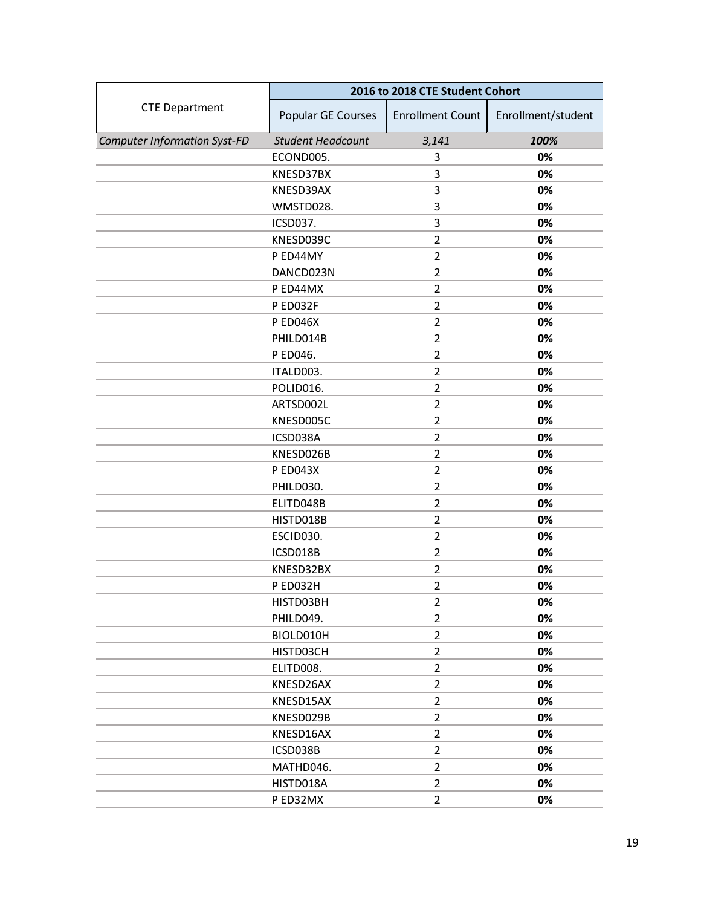|                                     | 2016 to 2018 CTE Student Cohort |                         |                    |
|-------------------------------------|---------------------------------|-------------------------|--------------------|
| <b>CTE Department</b>               | Popular GE Courses              | <b>Enrollment Count</b> | Enrollment/student |
| <b>Computer Information Syst-FD</b> | <b>Student Headcount</b>        | 3,141                   | 100%               |
|                                     | ECOND005.                       | 3                       | 0%                 |
|                                     | KNESD37BX                       | 3                       | 0%                 |
|                                     | KNESD39AX                       | 3                       | 0%                 |
|                                     | WMSTD028.                       | 3                       | 0%                 |
|                                     | ICSD037.                        | 3                       | 0%                 |
|                                     | KNESD039C                       | $\overline{2}$          | 0%                 |
|                                     | P ED44MY                        | $\overline{2}$          | 0%                 |
|                                     | DANCD023N                       | $\overline{2}$          | 0%                 |
|                                     | P ED44MX                        | $\overline{2}$          | 0%                 |
|                                     | PED032F                         | $\overline{2}$          | 0%                 |
|                                     | <b>PED046X</b>                  | $\overline{2}$          | 0%                 |
|                                     | PHILD014B                       | $\overline{2}$          | 0%                 |
|                                     | P ED046.                        | $\overline{2}$          | 0%                 |
|                                     | ITALD003.                       | $\overline{2}$          | 0%                 |
|                                     | POLID016.                       | $\overline{2}$          | 0%                 |
|                                     | ARTSD002L                       | $\overline{2}$          | 0%                 |
|                                     | KNESD005C                       | $\overline{2}$          | 0%                 |
|                                     | ICSD038A                        | $\overline{2}$          | 0%                 |
|                                     | KNESD026B                       | $\overline{2}$          | 0%                 |
|                                     | P ED043X                        | $\overline{2}$          | 0%                 |
|                                     | PHILD030.                       | $\overline{2}$          | 0%                 |
|                                     | ELITD048B                       | $\overline{2}$          | 0%                 |
|                                     | HISTD018B                       | $\overline{2}$          | 0%                 |
|                                     | ESCID030.                       | $\overline{2}$          | 0%                 |
|                                     | ICSD018B                        | $\overline{2}$          | 0%                 |
|                                     | KNESD32BX                       | $\overline{2}$          | 0%                 |
|                                     | P ED032H                        | $\overline{2}$          | 0%                 |
|                                     | HISTD03BH                       | $\overline{2}$          | 0%                 |
|                                     | PHILD049.                       | $\overline{2}$          | 0%                 |
|                                     | BIOLD010H                       | 2                       | 0%                 |
|                                     | HISTD03CH                       | $\overline{2}$          | 0%                 |
|                                     | ELITD008.                       | $\overline{2}$          | 0%                 |
|                                     | KNESD26AX                       | $\overline{2}$          | 0%                 |
|                                     | KNESD15AX                       | $\overline{2}$          | 0%                 |
|                                     | KNESD029B                       | 2                       | 0%                 |
|                                     | KNESD16AX                       | $\overline{2}$          | 0%                 |
|                                     | ICSD038B                        | $\overline{2}$          | 0%                 |
|                                     | MATHD046.                       | $\overline{2}$          | 0%                 |
|                                     | HISTD018A                       | $\overline{2}$          | 0%                 |
|                                     | P ED32MX                        | $\overline{2}$          | 0%                 |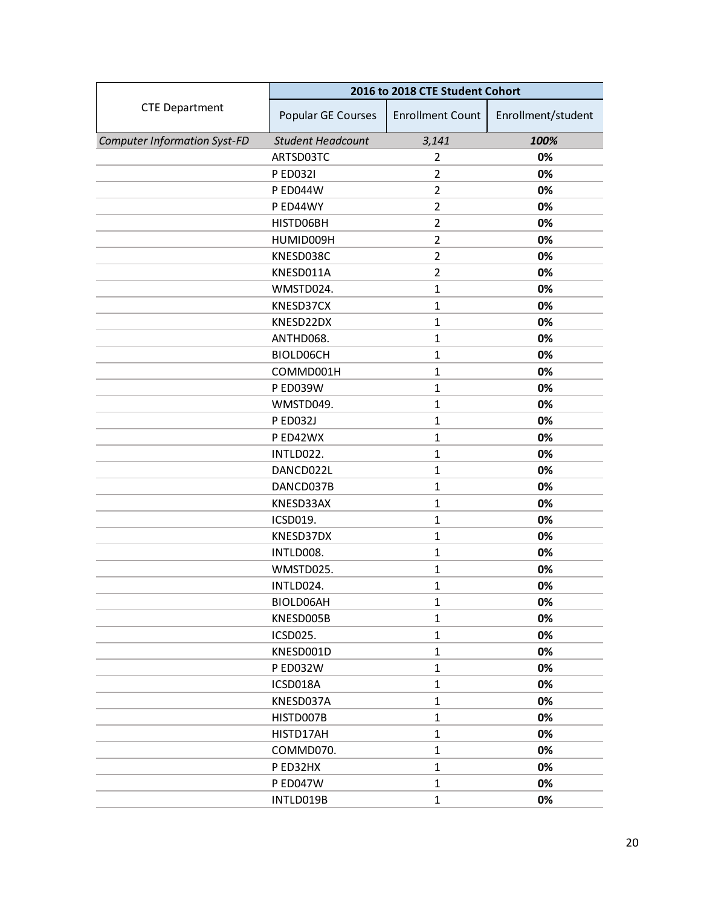|                                     | 2016 to 2018 CTE Student Cohort |                         |                    |
|-------------------------------------|---------------------------------|-------------------------|--------------------|
| <b>CTE Department</b>               | Popular GE Courses              | <b>Enrollment Count</b> | Enrollment/student |
| <b>Computer Information Syst-FD</b> | <b>Student Headcount</b>        | 3,141                   | 100%               |
|                                     | ARTSD03TC                       | $\overline{2}$          | 0%                 |
|                                     | P ED032I                        | $\overline{2}$          | 0%                 |
|                                     | <b>PED044W</b>                  | $\overline{2}$          | 0%                 |
|                                     | P ED44WY                        | $\overline{2}$          | 0%                 |
|                                     | HISTD06BH                       | $\overline{2}$          | 0%                 |
|                                     | HUMID009H                       | $\overline{2}$          | 0%                 |
|                                     | KNESD038C                       | $\overline{2}$          | 0%                 |
|                                     | KNESD011A                       | $\overline{2}$          | 0%                 |
|                                     | WMSTD024.                       | $\mathbf{1}$            | 0%                 |
|                                     | KNESD37CX                       | $\mathbf{1}$            | 0%                 |
|                                     | KNESD22DX                       | $\mathbf{1}$            | 0%                 |
|                                     | ANTHD068.                       | $\mathbf{1}$            | 0%                 |
|                                     | BIOLD06CH                       | $\mathbf{1}$            | 0%                 |
|                                     | COMMD001H                       | $\mathbf{1}$            | 0%                 |
|                                     | P ED039W                        | $\mathbf{1}$            | 0%                 |
|                                     | WMSTD049.                       | $\mathbf{1}$            | 0%                 |
|                                     | <b>P ED032J</b>                 | $\mathbf{1}$            | 0%                 |
|                                     | P ED42WX                        | $\mathbf{1}$            | 0%                 |
|                                     | INTLD022.                       | $\mathbf{1}$            | 0%                 |
|                                     | DANCD022L                       | $\mathbf{1}$            | 0%                 |
|                                     | DANCD037B                       | $\mathbf{1}$            | 0%                 |
|                                     | KNESD33AX                       | $\mathbf{1}$            | 0%                 |
|                                     | ICSD019.                        | $\mathbf{1}$            | 0%                 |
|                                     | KNESD37DX                       | $\mathbf{1}$            | 0%                 |
|                                     | INTLD008.                       | $\mathbf{1}$            | 0%                 |
|                                     | WMSTD025.                       | $\mathbf{1}$            | 0%                 |
|                                     | INTLD024.                       | $\mathbf{1}$            | 0%                 |
|                                     | BIOLD06AH                       | $\mathbf{1}$            | 0%                 |
|                                     | KNESD005B                       | $\mathbf{1}$            | 0%                 |
|                                     | ICSD025.                        | $\mathbf{1}$            | 0%                 |
|                                     | KNESD001D                       | $\mathbf{1}$            | 0%                 |
|                                     | <b>PED032W</b>                  | $\mathbf{1}$            | 0%                 |
|                                     | ICSD018A                        | $\mathbf{1}$            | 0%                 |
|                                     | KNESD037A                       | $\mathbf{1}$            | 0%                 |
|                                     | HISTD007B                       | $\mathbf{1}$            | 0%                 |
|                                     | HISTD17AH                       | $\mathbf{1}$            | 0%                 |
|                                     | COMMD070.                       | $\mathbf{1}$            | 0%                 |
|                                     | PED32HX                         | $\mathbf{1}$            | 0%                 |
|                                     | <b>P ED047W</b>                 | $\mathbf{1}$            | 0%                 |
|                                     | INTLD019B                       | $\mathbf{1}$            | 0%                 |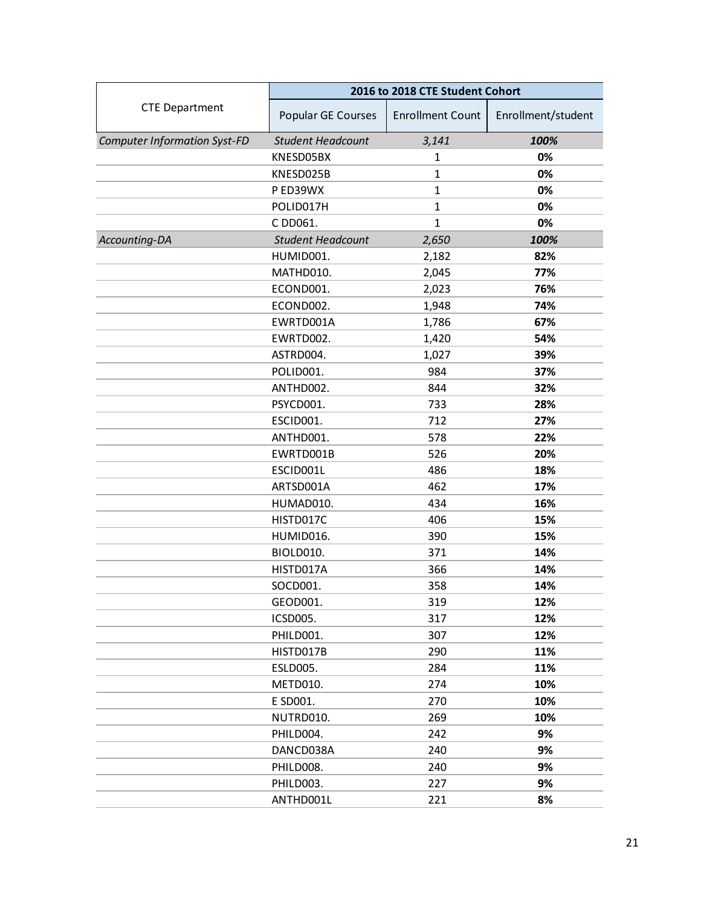<span id="page-20-0"></span>

|                                     | 2016 to 2018 CTE Student Cohort |                         |                    |
|-------------------------------------|---------------------------------|-------------------------|--------------------|
| <b>CTE Department</b>               | Popular GE Courses              | <b>Enrollment Count</b> | Enrollment/student |
| <b>Computer Information Syst-FD</b> | <b>Student Headcount</b>        | 3,141                   | 100%               |
|                                     | KNESD05BX                       | 1                       | 0%                 |
|                                     | KNESD025B                       | $\mathbf{1}$            | 0%                 |
|                                     | P ED39WX                        | $\mathbf{1}$            | 0%                 |
|                                     | POLID017H                       | $\mathbf{1}$            | 0%                 |
|                                     | C DD061.                        | $\mathbf{1}$            | 0%                 |
| Accounting-DA                       | <b>Student Headcount</b>        | 2,650                   | 100%               |
|                                     | HUMID001.                       | 2,182                   | 82%                |
|                                     | MATHD010.                       | 2,045                   | 77%                |
|                                     | ECOND001.                       | 2,023                   | 76%                |
|                                     | ECOND002.                       | 1,948                   | 74%                |
|                                     | EWRTD001A                       | 1,786                   | 67%                |
|                                     | EWRTD002.                       | 1,420                   | 54%                |
|                                     | ASTRD004.                       | 1,027                   | 39%                |
|                                     | POLID001.                       | 984                     | 37%                |
|                                     | ANTHD002.                       | 844                     | 32%                |
|                                     | PSYCD001.                       | 733                     | 28%                |
|                                     | ESCID001.                       | 712                     | 27%                |
|                                     | ANTHD001.                       | 578                     | 22%                |
|                                     | EWRTD001B                       | 526                     | 20%                |
|                                     | ESCID001L                       | 486                     | 18%                |
|                                     | ARTSD001A                       | 462                     | 17%                |
|                                     | HUMAD010.                       | 434                     | 16%                |
|                                     | HISTD017C                       | 406                     | 15%                |
|                                     | HUMID016.                       | 390                     | 15%                |
|                                     | <b>BIOLD010.</b>                | 371                     | 14%                |
|                                     | HISTD017A                       | 366                     | 14%                |
|                                     | SOCD001.                        | 358                     | 14%                |
|                                     | GEOD001.                        | 319                     | 12%                |
|                                     | ICSD005.                        | 317                     | 12%                |
|                                     | PHILD001.                       | 307                     | 12%                |
|                                     | HISTD017B                       | 290                     | 11%                |
|                                     | ESLD005.                        | 284                     | 11%                |
|                                     | METD010.                        | 274                     | 10%                |
|                                     | E SD001.                        | 270                     | 10%                |
|                                     | NUTRD010.                       | 269                     | 10%                |
|                                     | PHILD004.                       | 242                     | 9%                 |
|                                     | DANCD038A                       | 240                     | 9%                 |
|                                     | PHILD008.                       | 240                     | 9%                 |
|                                     | PHILD003.                       | 227                     | 9%                 |
|                                     | ANTHD001L                       | 221                     | 8%                 |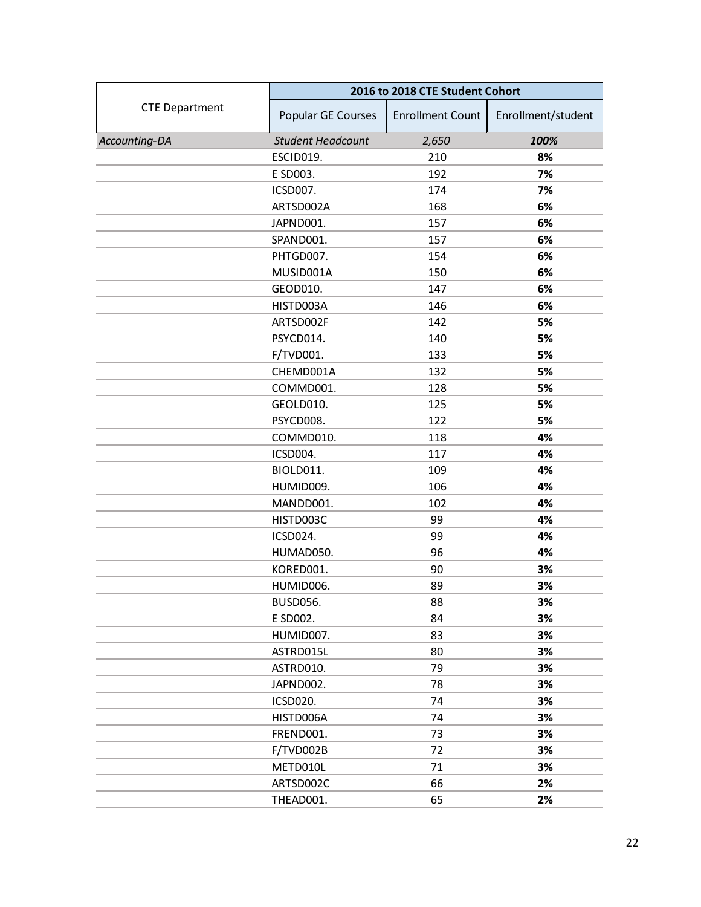|                       | 2016 to 2018 CTE Student Cohort |                         |                    |
|-----------------------|---------------------------------|-------------------------|--------------------|
| <b>CTE Department</b> | Popular GE Courses              | <b>Enrollment Count</b> | Enrollment/student |
| Accounting-DA         | <b>Student Headcount</b>        | 2,650                   | 100%               |
|                       | ESCID019.                       | 210                     | 8%                 |
|                       | E SD003.                        | 192                     | 7%                 |
|                       | ICSD007.                        | 174                     | 7%                 |
|                       | ARTSD002A                       | 168                     | 6%                 |
|                       | JAPND001.                       | 157                     | 6%                 |
|                       | SPAND001.                       | 157                     | 6%                 |
|                       | PHTGD007.                       | 154                     | 6%                 |
|                       | MUSID001A                       | 150                     | 6%                 |
|                       | GEOD010.                        | 147                     | 6%                 |
|                       | HISTD003A                       | 146                     | 6%                 |
|                       | ARTSD002F                       | 142                     | 5%                 |
|                       | PSYCD014.                       | 140                     | 5%                 |
|                       | F/TVD001.                       | 133                     | 5%                 |
|                       | CHEMD001A                       | 132                     | 5%                 |
|                       | COMMD001.                       | 128                     | 5%                 |
|                       | GEOLD010.                       | 125                     | 5%                 |
|                       | PSYCD008.                       | 122                     | 5%                 |
|                       | COMMD010.                       | 118                     | 4%                 |
|                       | ICSD004.                        | 117                     | 4%                 |
|                       | BIOLD011.                       | 109                     | 4%                 |
|                       | HUMID009.                       | 106                     | 4%                 |
|                       | MANDD001.                       | 102                     | 4%                 |
|                       | HISTD003C                       | 99                      | 4%                 |
|                       | ICSD024.                        | 99                      | 4%                 |
|                       | HUMAD050.                       | 96                      | 4%                 |
|                       | KORED001.                       | 90                      | 3%                 |
|                       | HUMID006.                       | 89                      | 3%                 |
|                       | <b>BUSD056.</b>                 | 88                      | 3%                 |
|                       | E SD002.                        | 84                      | 3%                 |
|                       | HUMID007.                       | 83                      | 3%                 |
|                       | ASTRD015L                       | 80                      | 3%                 |
|                       | ASTRD010.                       | 79                      | 3%                 |
|                       | JAPND002.                       | 78                      | 3%                 |
|                       | <b>ICSD020.</b>                 | 74                      | 3%                 |
|                       | HISTD006A                       | 74                      | 3%                 |
|                       | FREND001.                       | 73                      | 3%                 |
|                       | F/TVD002B                       | 72                      | 3%                 |
|                       | METD010L                        | 71                      | 3%                 |
|                       | ARTSD002C                       | 66                      | 2%                 |
|                       | THEAD001.                       | 65                      | 2%                 |
|                       |                                 |                         |                    |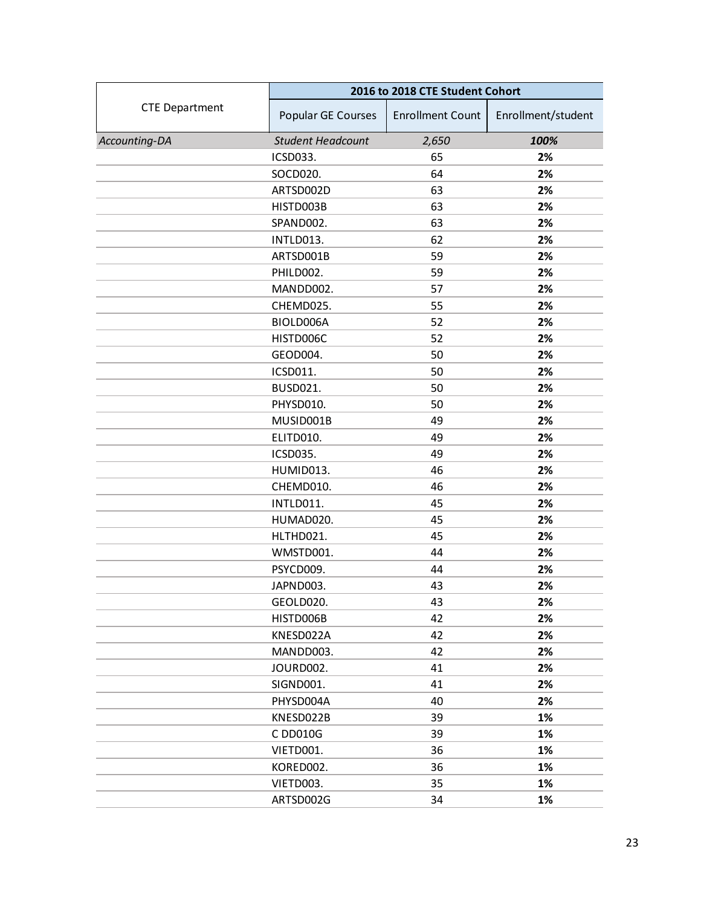|                       | 2016 to 2018 CTE Student Cohort |                         |                    |
|-----------------------|---------------------------------|-------------------------|--------------------|
| <b>CTE Department</b> | Popular GE Courses              | <b>Enrollment Count</b> | Enrollment/student |
| Accounting-DA         | <b>Student Headcount</b>        | 2,650                   | 100%               |
|                       | ICSD033.                        | 65                      | 2%                 |
|                       | SOCD020.                        | 64                      | 2%                 |
|                       | ARTSD002D                       | 63                      | 2%                 |
|                       | HISTD003B                       | 63                      | 2%                 |
|                       | SPAND002.                       | 63                      | 2%                 |
|                       | INTLD013.                       | 62                      | 2%                 |
|                       | ARTSD001B                       | 59                      | 2%                 |
|                       | PHILD002.                       | 59                      | 2%                 |
|                       | MANDD002.                       | 57                      | 2%                 |
|                       | CHEMD025.                       | 55                      | 2%                 |
|                       | BIOLD006A                       | 52                      | 2%                 |
|                       | HISTD006C                       | 52                      | 2%                 |
|                       | GEOD004.                        | 50                      | 2%                 |
|                       | ICSD011.                        | 50                      | 2%                 |
|                       | <b>BUSD021.</b>                 | 50                      | 2%                 |
|                       | PHYSD010.                       | 50                      | 2%                 |
|                       | MUSID001B                       | 49                      | 2%                 |
|                       | ELITD010.                       | 49                      | 2%                 |
|                       | ICSD035.                        | 49                      | 2%                 |
|                       | HUMID013.                       | 46                      | 2%                 |
|                       | CHEMD010.                       | 46                      | 2%                 |
|                       | INTLD011.                       | 45                      | 2%                 |
|                       | HUMAD020.                       | 45                      | 2%                 |
|                       | HLTHD021.                       | 45                      | 2%                 |
|                       | WMSTD001.                       | 44                      | 2%                 |
|                       | PSYCD009.                       | 44                      | 2%                 |
|                       | JAPND003.                       | 43                      | 2%                 |
|                       | GEOLD020.                       | 43                      | 2%                 |
|                       | HISTD006B                       | 42                      | 2%                 |
|                       | KNESD022A                       | 42                      | 2%                 |
|                       | MANDD003.                       | 42                      | 2%                 |
|                       | JOURD002.                       | 41                      | 2%                 |
|                       | SIGND001.                       | 41                      | 2%                 |
|                       | PHYSD004A                       | 40                      | 2%                 |
|                       | KNESD022B                       | 39                      | 1%                 |
|                       | C DD010G                        | 39                      | 1%                 |
|                       | VIETD001.                       | 36                      | 1%                 |
|                       | KORED002.                       | 36                      | 1%                 |
|                       | VIETD003.                       | 35                      | 1%                 |
|                       | ARTSD002G                       | 34                      | 1%                 |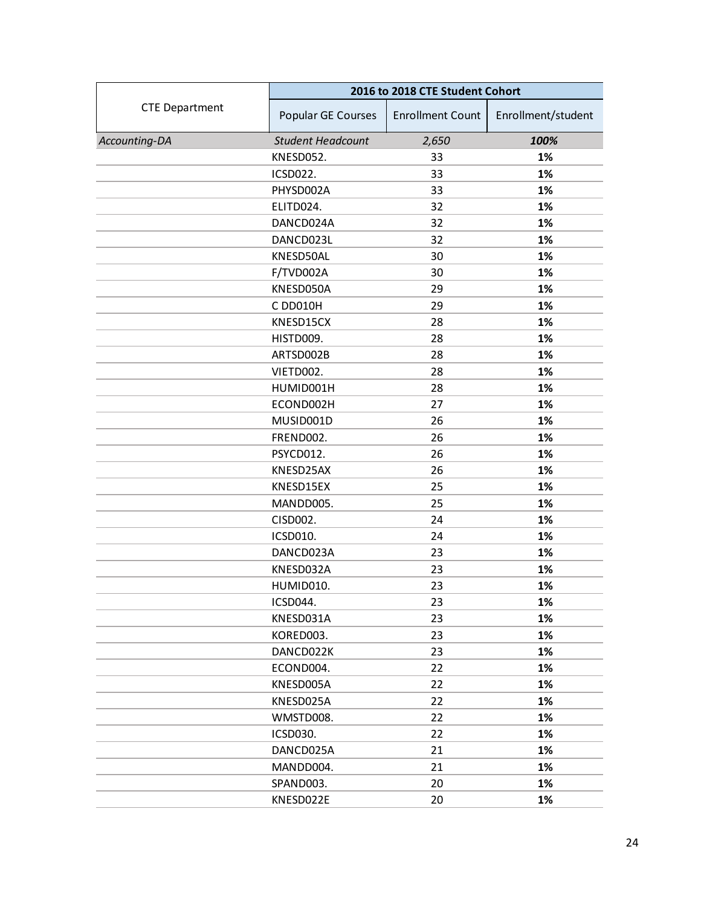|                       | 2016 to 2018 CTE Student Cohort |                         |                    |
|-----------------------|---------------------------------|-------------------------|--------------------|
| <b>CTE Department</b> | Popular GE Courses              | <b>Enrollment Count</b> | Enrollment/student |
| Accounting-DA         | <b>Student Headcount</b>        | 2,650                   | 100%               |
|                       | KNESD052.                       | 33                      | 1%                 |
|                       | ICSD022.                        | 33                      | 1%                 |
|                       | PHYSD002A                       | 33                      | 1%                 |
|                       | ELITD024.                       | 32                      | 1%                 |
|                       | DANCD024A                       | 32                      | 1%                 |
|                       | DANCD023L                       | 32                      | 1%                 |
|                       | KNESD50AL                       | 30                      | 1%                 |
|                       | F/TVD002A                       | 30                      | 1%                 |
|                       | KNESD050A                       | 29                      | 1%                 |
|                       | C DD010H                        | 29                      | 1%                 |
|                       | KNESD15CX                       | 28                      | 1%                 |
|                       | HISTD009.                       | 28                      | 1%                 |
|                       | ARTSD002B                       | 28                      | 1%                 |
|                       | VIETD002.                       | 28                      | 1%                 |
|                       | HUMID001H                       | 28                      | 1%                 |
|                       | ECOND002H                       | 27                      | 1%                 |
|                       | MUSID001D                       | 26                      | 1%                 |
|                       | FREND002.                       | 26                      | 1%                 |
|                       | PSYCD012.                       | 26                      | 1%                 |
|                       | KNESD25AX                       | 26                      | 1%                 |
|                       | KNESD15EX                       | 25                      | 1%                 |
|                       | MANDD005.                       | 25                      | 1%                 |
|                       | CISD002.                        | 24                      | 1%                 |
|                       | ICSD010.                        | 24                      | 1%                 |
|                       | DANCD023A                       | 23                      | 1%                 |
|                       | KNESD032A                       | 23                      | 1%                 |
|                       | HUMID010.                       | 23                      | 1%                 |
|                       | ICSD044.                        | 23                      | 1%                 |
|                       | KNESD031A                       | 23                      | 1%                 |
|                       | KORED003.                       | 23                      | 1%                 |
|                       | DANCD022K                       | 23                      | 1%                 |
|                       | ECOND004.                       | 22                      | 1%                 |
|                       | KNESD005A                       | 22                      | 1%                 |
|                       | KNESD025A                       | 22                      | 1%                 |
|                       | WMSTD008.                       | 22                      | 1%                 |
|                       | <b>ICSD030.</b>                 | 22                      | 1%                 |
|                       | DANCD025A                       | 21                      | 1%                 |
|                       | MANDD004.                       | 21                      | 1%                 |
|                       | SPAND003.                       | 20                      | 1%                 |
|                       | KNESD022E                       | 20                      | 1%                 |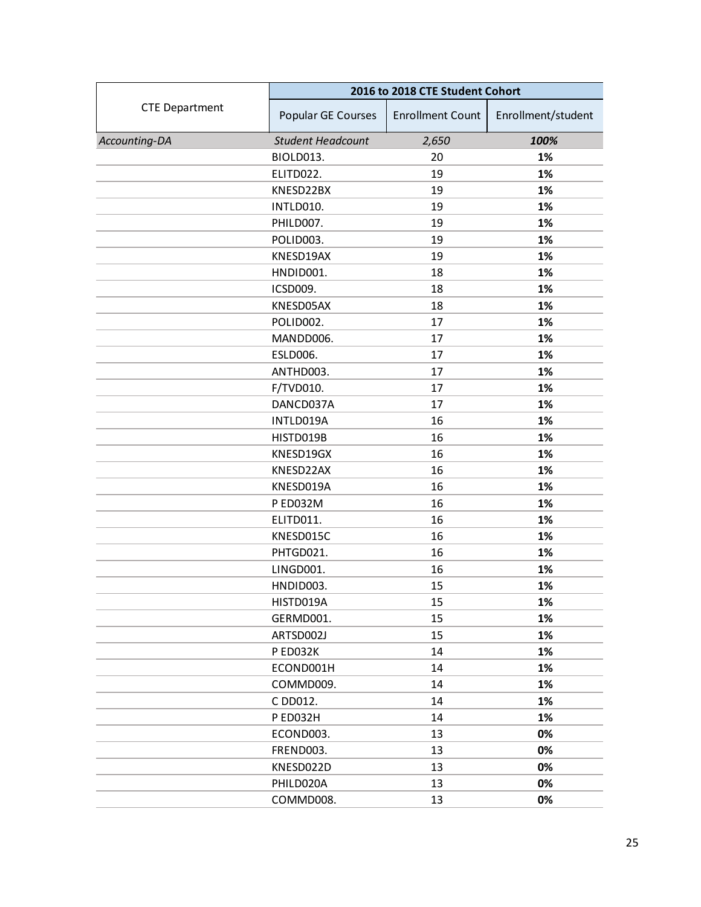|                       | 2016 to 2018 CTE Student Cohort |                         |                    |
|-----------------------|---------------------------------|-------------------------|--------------------|
| <b>CTE Department</b> | Popular GE Courses              | <b>Enrollment Count</b> | Enrollment/student |
| Accounting-DA         | <b>Student Headcount</b>        | 2,650                   | 100%               |
|                       | BIOLD013.                       | 20                      | 1%                 |
|                       | ELITD022.                       | 19                      | 1%                 |
|                       | KNESD22BX                       | 19                      | 1%                 |
|                       | INTLD010.                       | 19                      | 1%                 |
|                       | PHILD007.                       | 19                      | 1%                 |
|                       | POLID003.                       | 19                      | 1%                 |
|                       | KNESD19AX                       | 19                      | 1%                 |
|                       | HNDID001.                       | 18                      | 1%                 |
|                       | ICSD009.                        | 18                      | 1%                 |
|                       | KNESD05AX                       | 18                      | 1%                 |
|                       | POLID002.                       | 17                      | 1%                 |
|                       | MANDD006.                       | 17                      | 1%                 |
|                       | <b>ESLD006.</b>                 | 17                      | 1%                 |
|                       | ANTHD003.                       | 17                      | 1%                 |
|                       | F/TVD010.                       | 17                      | 1%                 |
|                       | DANCD037A                       | 17                      | 1%                 |
|                       | INTLD019A                       | 16                      | 1%                 |
|                       | HISTD019B                       | 16                      | 1%                 |
|                       | KNESD19GX                       | 16                      | 1%                 |
|                       | KNESD22AX                       | 16                      | 1%                 |
|                       | KNESD019A                       | 16                      | 1%                 |
|                       | P ED032M                        | 16                      | 1%                 |
|                       | ELITD011.                       | 16                      | 1%                 |
|                       | KNESD015C                       | 16                      | 1%                 |
|                       | PHTGD021.                       | 16                      | 1%                 |
|                       | LINGD001.                       | 16                      | 1%                 |
|                       | HNDID003.                       | 15                      | 1%                 |
|                       | HISTD019A                       | 15                      | 1%                 |
|                       | GERMD001.                       | 15                      | 1%                 |
|                       | ARTSD002J                       | 15                      | 1%                 |
|                       | P ED032K                        | 14                      | 1%                 |
|                       | ECOND001H                       | 14                      | 1%                 |
|                       | COMMD009.                       | 14                      | 1%                 |
|                       | C DD012.                        | 14                      | 1%                 |
|                       | PED032H                         | 14                      | 1%                 |
|                       | ECOND003.                       | 13                      | 0%                 |
|                       | FREND003.                       | 13                      | 0%                 |
|                       | KNESD022D                       | 13                      | 0%                 |
|                       | PHILD020A                       | 13                      | 0%                 |
|                       | COMMD008.                       | 13                      | 0%                 |
|                       |                                 |                         |                    |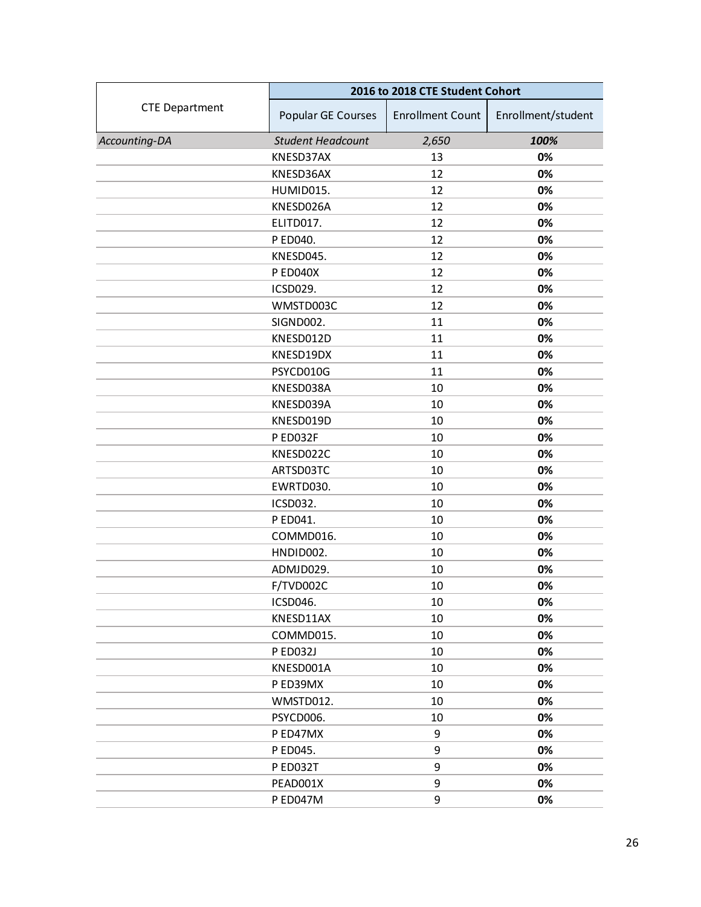|                       | 2016 to 2018 CTE Student Cohort |                         |                    |
|-----------------------|---------------------------------|-------------------------|--------------------|
| <b>CTE Department</b> | Popular GE Courses              | <b>Enrollment Count</b> | Enrollment/student |
| Accounting-DA         | <b>Student Headcount</b>        | 2,650                   | 100%               |
|                       | KNESD37AX                       | 13                      | 0%                 |
|                       | KNESD36AX                       | 12                      | 0%                 |
|                       | HUMID015.                       | 12                      | 0%                 |
|                       | KNESD026A                       | 12                      | 0%                 |
|                       | ELITD017.                       | 12                      | 0%                 |
|                       | P ED040.                        | 12                      | 0%                 |
|                       | KNESD045.                       | 12                      | 0%                 |
|                       | P ED040X                        | 12                      | 0%                 |
|                       | ICSD029.                        | 12                      | 0%                 |
|                       | WMSTD003C                       | 12                      | 0%                 |
|                       | SIGND002.                       | 11                      | 0%                 |
|                       | KNESD012D                       | 11                      | 0%                 |
|                       | KNESD19DX                       | 11                      | 0%                 |
|                       | PSYCD010G                       | 11                      | 0%                 |
|                       | KNESD038A                       | 10                      | 0%                 |
|                       | KNESD039A                       | 10                      | 0%                 |
|                       | KNESD019D                       | 10                      | 0%                 |
|                       | P ED032F                        | 10                      | 0%                 |
|                       | KNESD022C                       | 10                      | 0%                 |
|                       | ARTSD03TC                       | 10                      | 0%                 |
|                       | EWRTD030.                       | 10                      | 0%                 |
|                       | <b>ICSD032.</b>                 | 10                      | 0%                 |
|                       | P ED041.                        | 10                      | 0%                 |
|                       | COMMD016.                       | 10                      | 0%                 |
|                       | HNDID002.                       | 10                      | 0%                 |
|                       | ADMJD029.                       | 10                      | 0%                 |
|                       | F/TVD002C                       | 10                      | 0%                 |
|                       | ICSD046.                        | 10                      | 0%                 |
|                       | KNESD11AX                       | 10                      | 0%                 |
|                       | COMMD015.                       | 10                      | 0%                 |
|                       | <b>PED032J</b>                  | 10                      | 0%                 |
|                       | KNESD001A                       | 10                      | 0%                 |
|                       | P ED39MX                        | 10                      | 0%                 |
|                       | WMSTD012.                       | 10                      | 0%                 |
|                       | PSYCD006.                       | 10                      | 0%                 |
|                       | P ED47MX                        | 9                       | 0%                 |
|                       | P ED045.                        | 9                       | 0%                 |
|                       | P ED032T                        | 9                       | 0%                 |
|                       | PEAD001X                        | 9                       | 0%                 |
|                       | P ED047M                        | 9                       | 0%                 |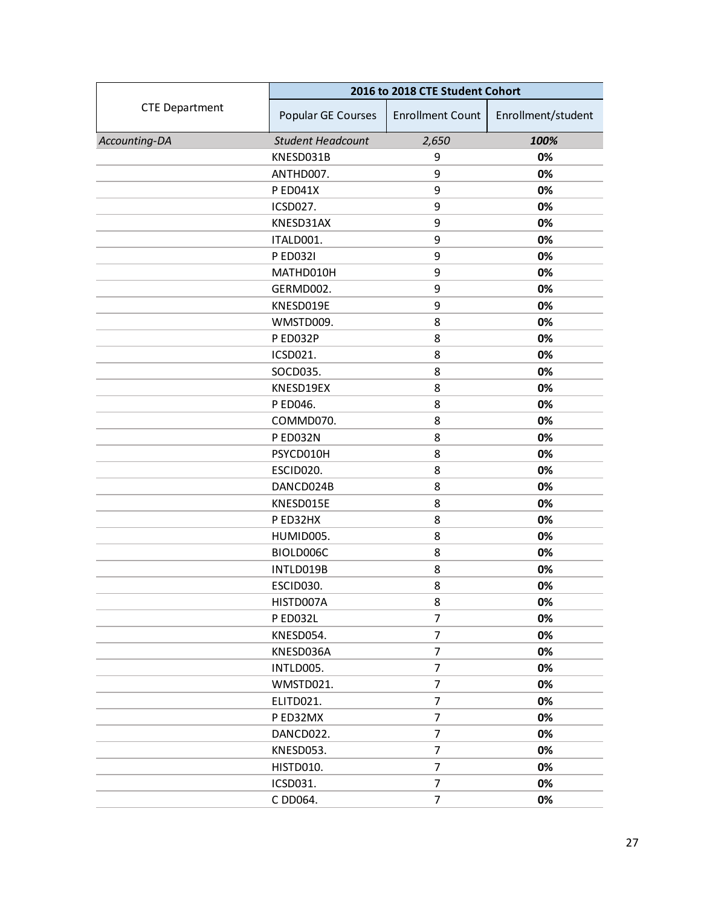|                       | 2016 to 2018 CTE Student Cohort |                         |                    |
|-----------------------|---------------------------------|-------------------------|--------------------|
| <b>CTE Department</b> | Popular GE Courses              | <b>Enrollment Count</b> | Enrollment/student |
| Accounting-DA         | <b>Student Headcount</b>        | 2,650                   | 100%               |
|                       | KNESD031B                       | 9                       | 0%                 |
|                       | ANTHD007.                       | 9                       | 0%                 |
|                       | P ED041X                        | 9                       | 0%                 |
|                       | ICSD027.                        | 9                       | 0%                 |
|                       | KNESD31AX                       | 9                       | 0%                 |
|                       | ITALD001.                       | 9                       | 0%                 |
|                       | P ED032I                        | 9                       | 0%                 |
|                       | MATHD010H                       | 9                       | 0%                 |
|                       | GERMD002.                       | 9                       | 0%                 |
|                       | KNESD019E                       | 9                       | 0%                 |
|                       | WMSTD009.                       | 8                       | 0%                 |
|                       | P ED032P                        | 8                       | 0%                 |
|                       | ICSD021.                        | 8                       | 0%                 |
|                       | SOCD035.                        | 8                       | 0%                 |
|                       | KNESD19EX                       | 8                       | 0%                 |
|                       | P ED046.                        | 8                       | 0%                 |
|                       | COMMD070.                       | 8                       | 0%                 |
|                       | P ED032N                        | 8                       | 0%                 |
|                       | PSYCD010H                       | 8                       | 0%                 |
|                       | ESCID020.                       | 8                       | 0%                 |
|                       | DANCD024B                       | 8                       | 0%                 |
|                       | KNESD015E                       | 8                       | 0%                 |
|                       | P ED32HX                        | 8                       | 0%                 |
|                       | HUMID005.                       | 8                       | 0%                 |
|                       | BIOLD006C                       | 8                       | 0%                 |
|                       | INTLD019B                       | 8                       | 0%                 |
|                       | ESCID030.                       | 8                       | 0%                 |
|                       | HISTD007A                       | 8                       | 0%                 |
|                       | P ED032L                        | 7                       | 0%                 |
|                       | KNESD054.                       | 7                       | 0%                 |
|                       | KNESD036A                       | $\overline{7}$          | 0%                 |
|                       | INTLD005.                       | 7                       | 0%                 |
|                       | WMSTD021.                       | $\overline{7}$          | 0%                 |
|                       | ELITD021.                       | 7                       | 0%                 |
|                       | P ED32MX                        | $\overline{7}$          | 0%                 |
|                       | DANCD022.                       | $\overline{7}$          | 0%                 |
|                       | KNESD053.                       | 7                       | 0%                 |
|                       | HISTD010.                       | $\overline{7}$          | 0%                 |
|                       | ICSD031.                        | 7                       | 0%                 |
|                       | C DD064.                        | $\overline{7}$          | 0%                 |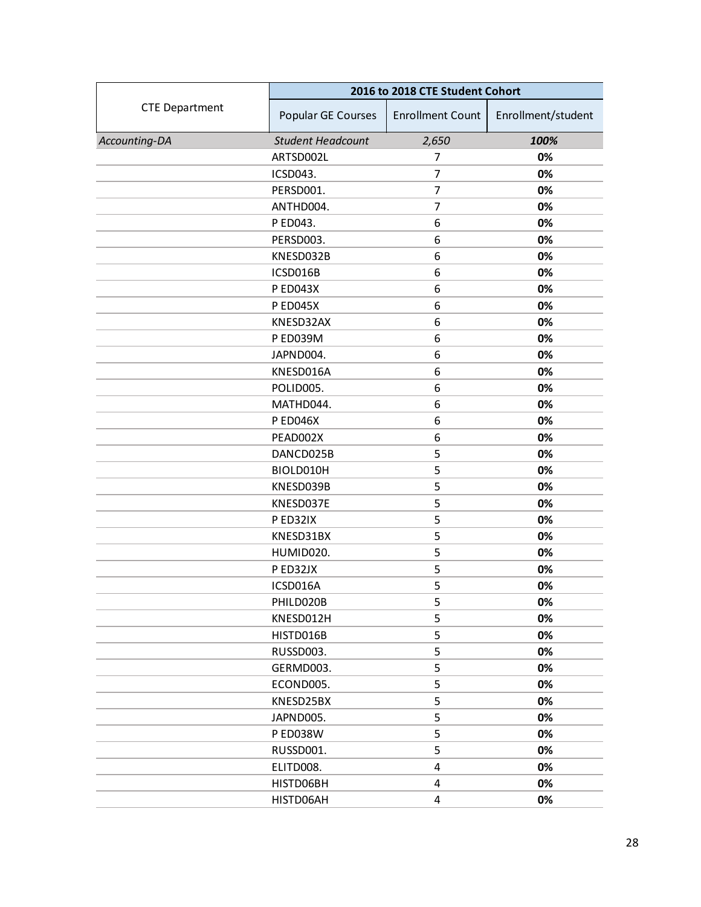|                       | 2016 to 2018 CTE Student Cohort |                         |                    |
|-----------------------|---------------------------------|-------------------------|--------------------|
| <b>CTE Department</b> | Popular GE Courses              | <b>Enrollment Count</b> | Enrollment/student |
| Accounting-DA         | <b>Student Headcount</b>        | 2,650                   | 100%               |
|                       | ARTSD002L                       | 7                       | 0%                 |
|                       | ICSD043.                        | 7                       | 0%                 |
|                       | PERSD001.                       | 7                       | 0%                 |
|                       | ANTHD004.                       | $\overline{7}$          | 0%                 |
|                       | P ED043.                        | 6                       | 0%                 |
|                       | PERSD003.                       | 6                       | 0%                 |
|                       | KNESD032B                       | 6                       | 0%                 |
|                       | ICSD016B                        | 6                       | 0%                 |
|                       | <b>PED043X</b>                  | 6                       | 0%                 |
|                       | <b>PED045X</b>                  | 6                       | 0%                 |
|                       | KNESD32AX                       | 6                       | 0%                 |
|                       | P ED039M                        | 6                       | 0%                 |
|                       | JAPND004.                       | 6                       | 0%                 |
|                       | KNESD016A                       | 6                       | 0%                 |
|                       | POLID005.                       | 6                       | 0%                 |
|                       | MATHD044.                       | 6                       | 0%                 |
|                       | <b>PED046X</b>                  | 6                       | 0%                 |
|                       | PEAD002X                        | 6                       | 0%                 |
|                       | DANCD025B                       | 5                       | 0%                 |
|                       | BIOLD010H                       | 5                       | 0%                 |
|                       | KNESD039B                       | 5                       | 0%                 |
|                       | KNESD037E                       | 5                       | 0%                 |
|                       | P ED32IX                        | 5                       | 0%                 |
|                       | KNESD31BX                       | 5                       | 0%                 |
|                       | HUMID020.                       | 5                       | 0%                 |
|                       | P ED32JX                        | 5                       | 0%                 |
|                       | ICSD016A                        | 5                       | 0%                 |
|                       | PHILD020B                       | 5                       | 0%                 |
|                       | KNESD012H                       | 5                       | 0%                 |
|                       | HISTD016B                       | 5                       | 0%                 |
|                       | RUSSD003.                       | 5                       | 0%                 |
|                       | GERMD003.                       | 5                       | 0%                 |
|                       | ECOND005.                       | 5                       | 0%                 |
|                       | KNESD25BX                       | 5                       | 0%                 |
|                       | JAPND005.                       | 5                       | 0%                 |
|                       | <b>PED038W</b>                  | 5                       | 0%                 |
|                       | RUSSD001.                       | 5                       | 0%                 |
|                       | ELITD008.                       | 4                       | 0%                 |
|                       | HISTD06BH                       | 4                       | 0%                 |
|                       | HISTD06AH                       | 4                       | 0%                 |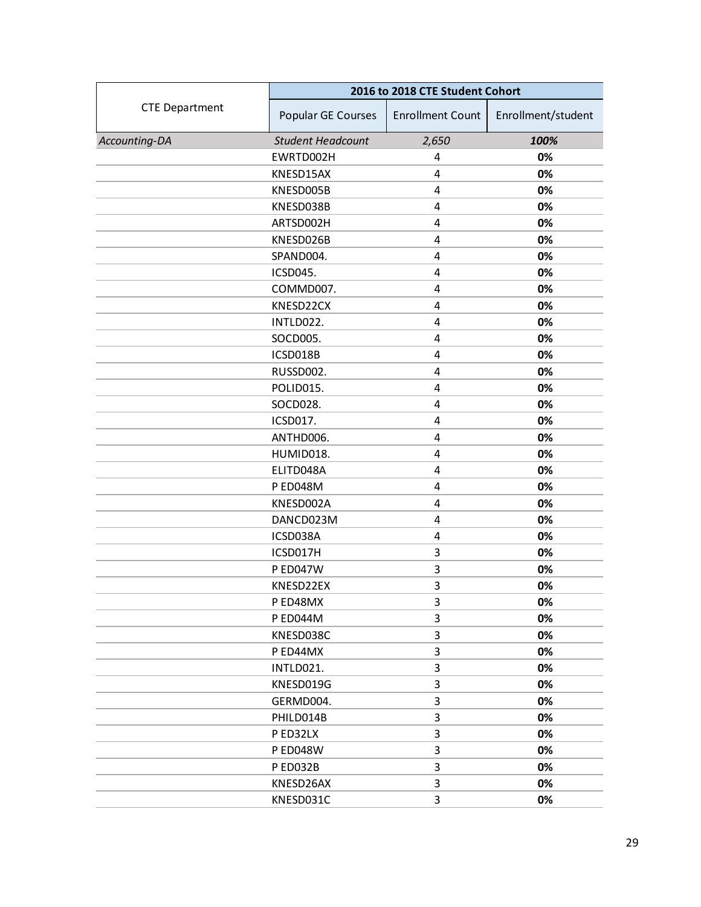|                       | 2016 to 2018 CTE Student Cohort |                         |                    |
|-----------------------|---------------------------------|-------------------------|--------------------|
| <b>CTE Department</b> | Popular GE Courses              | <b>Enrollment Count</b> | Enrollment/student |
| Accounting-DA         | <b>Student Headcount</b>        | 2,650                   | 100%               |
|                       | EWRTD002H                       | 4                       | 0%                 |
|                       | KNESD15AX                       | 4                       | 0%                 |
|                       | KNESD005B                       | 4                       | 0%                 |
|                       | KNESD038B                       | $\overline{4}$          | 0%                 |
|                       | ARTSD002H                       | 4                       | 0%                 |
|                       | KNESD026B                       | 4                       | 0%                 |
|                       | SPAND004.                       | $\overline{4}$          | 0%                 |
|                       | <b>ICSD045.</b>                 | 4                       | 0%                 |
|                       | COMMD007.                       | $\overline{4}$          | 0%                 |
|                       | KNESD22CX                       | 4                       | 0%                 |
|                       | INTLD022.                       | $\overline{4}$          | 0%                 |
|                       | SOCD005.                        | $\overline{4}$          | 0%                 |
|                       | ICSD018B                        | 4                       | 0%                 |
|                       | RUSSD002.                       | 4                       | 0%                 |
|                       | POLID015.                       | 4                       | 0%                 |
|                       | SOCD028.                        | $\overline{4}$          | 0%                 |
|                       | ICSD017.                        | $\overline{4}$          | 0%                 |
|                       | ANTHD006.                       | 4                       | 0%                 |
|                       | HUMID018.                       | 4                       | 0%                 |
|                       | ELITD048A                       | 4                       | 0%                 |
|                       | P ED048M                        | $\overline{4}$          | 0%                 |
|                       | KNESD002A                       | 4                       | 0%                 |
|                       | DANCD023M                       | 4                       | 0%                 |
|                       | ICSD038A                        | $\overline{4}$          | 0%                 |
|                       | ICSD017H                        | $\mathsf 3$             | 0%                 |
|                       | P ED047W                        | 3                       | 0%                 |
|                       | KNESD22EX                       | $\mathsf 3$             | 0%                 |
|                       | P ED48MX                        | 3                       | 0%                 |
|                       | P ED044M                        | 3                       | 0%                 |
|                       | KNESD038C                       | 3                       | 0%                 |
|                       | P ED44MX                        | 3                       | 0%                 |
|                       | INTLD021.                       | 3                       | 0%                 |
|                       | KNESD019G                       | 3                       | 0%                 |
|                       | GERMD004.                       | $\mathsf 3$             | 0%                 |
|                       | PHILD014B                       | 3                       | 0%                 |
|                       | P ED32LX                        | 3                       | 0%                 |
|                       | <b>PED048W</b>                  | 3                       | 0%                 |
|                       | PED032B                         | 3                       | 0%                 |
|                       | KNESD26AX                       | 3                       | 0%                 |
|                       | KNESD031C                       | 3                       | 0%                 |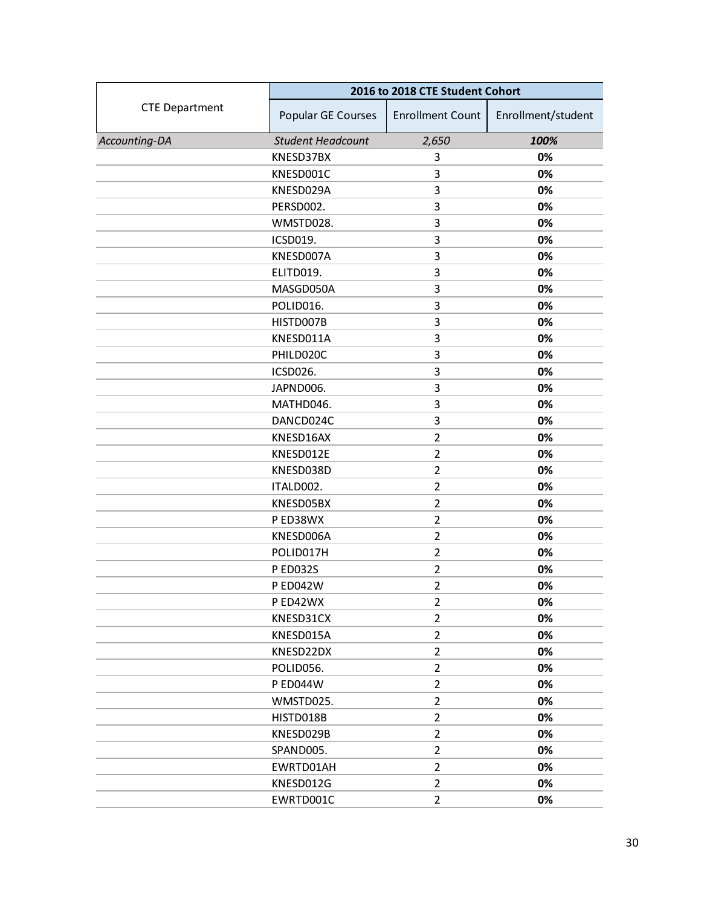|                       | 2016 to 2018 CTE Student Cohort |                         |                    |
|-----------------------|---------------------------------|-------------------------|--------------------|
| <b>CTE Department</b> | Popular GE Courses              | <b>Enrollment Count</b> | Enrollment/student |
| Accounting-DA         | <b>Student Headcount</b>        | 2,650                   | 100%               |
|                       | KNESD37BX                       | 3                       | 0%                 |
|                       | KNESD001C                       | 3                       | 0%                 |
|                       | KNESD029A                       | 3                       | 0%                 |
|                       | PERSD002.                       | 3                       | 0%                 |
|                       | WMSTD028.                       | 3                       | 0%                 |
|                       | ICSD019.                        | 3                       | 0%                 |
|                       | KNESD007A                       | 3                       | 0%                 |
|                       | ELITD019.                       | 3                       | 0%                 |
|                       | MASGD050A                       | 3                       | 0%                 |
|                       | POLID016.                       | 3                       | 0%                 |
|                       | HISTD007B                       | 3                       | 0%                 |
|                       | KNESD011A                       | 3                       | 0%                 |
|                       | PHILD020C                       | 3                       | 0%                 |
|                       | ICSD026.                        | 3                       | 0%                 |
|                       | JAPND006.                       | 3                       | 0%                 |
|                       | MATHD046.                       | 3                       | 0%                 |
|                       | DANCD024C                       | 3                       | 0%                 |
|                       | KNESD16AX                       | $\overline{2}$          | 0%                 |
|                       | KNESD012E                       | $\overline{2}$          | 0%                 |
|                       | KNESD038D                       | $\overline{2}$          | 0%                 |
|                       | ITALD002.                       | $\overline{2}$          | 0%                 |
|                       | KNESD05BX                       | $\overline{2}$          | 0%                 |
|                       | P ED38WX                        | $\overline{2}$          | 0%                 |
|                       | KNESD006A                       | $\overline{2}$          | 0%                 |
|                       | POLID017H                       | $\overline{2}$          | 0%                 |
|                       | P ED032S                        | $\overline{2}$          | 0%                 |
|                       | <b>PED042W</b>                  | $\overline{2}$          | 0%                 |
|                       | P ED42WX                        | $\overline{2}$          | 0%                 |
|                       | KNESD31CX                       | $\overline{2}$          | 0%                 |
|                       | KNESD015A                       | 2                       | 0%                 |
|                       | KNESD22DX                       | $\overline{2}$          | 0%                 |
|                       | POLID056.                       | $\overline{2}$          | 0%                 |
|                       | <b>PED044W</b>                  | $\overline{2}$          | 0%                 |
|                       | WMSTD025.                       | $\overline{2}$          | 0%                 |
|                       | HISTD018B                       | 2                       | 0%                 |
|                       | KNESD029B                       | $\overline{2}$          | 0%                 |
|                       | SPAND005.                       | $\overline{2}$          | 0%                 |
|                       | EWRTD01AH                       | $\overline{2}$          | 0%                 |
|                       | KNESD012G                       | $\overline{2}$          | 0%                 |
|                       | EWRTD001C                       | $\overline{2}$          | 0%                 |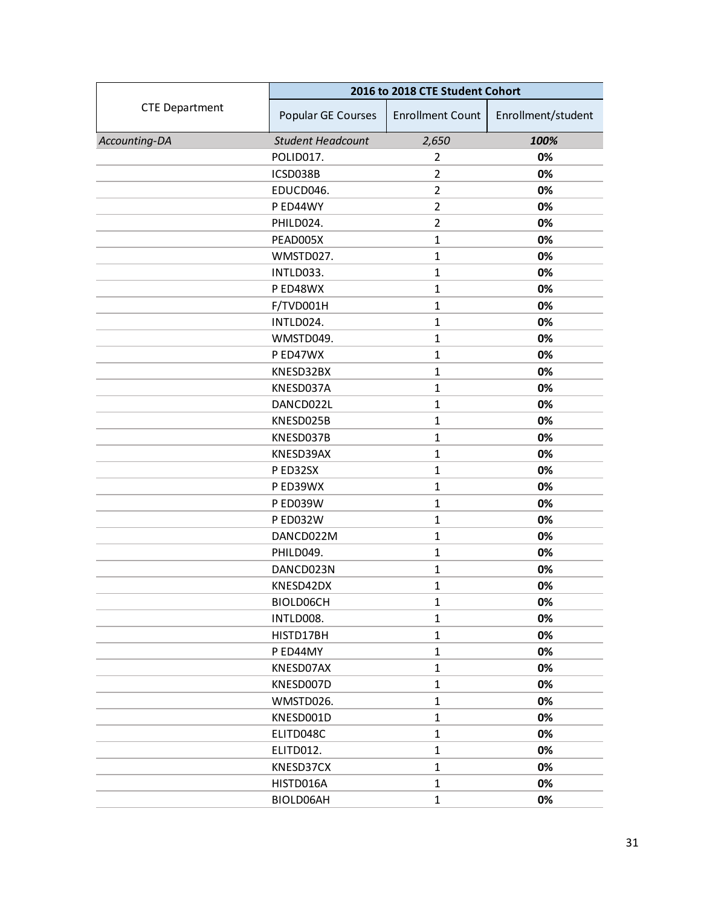|                       | 2016 to 2018 CTE Student Cohort |                         |                    |
|-----------------------|---------------------------------|-------------------------|--------------------|
| <b>CTE Department</b> | Popular GE Courses              | <b>Enrollment Count</b> | Enrollment/student |
| Accounting-DA         | <b>Student Headcount</b>        | 2,650                   | 100%               |
|                       | POLID017.                       | $\overline{2}$          | 0%                 |
|                       | ICSD038B                        | $\overline{2}$          | 0%                 |
|                       | EDUCD046.                       | $\overline{2}$          | 0%                 |
|                       | P ED44WY                        | $\overline{2}$          | 0%                 |
|                       | PHILD024.                       | $\overline{2}$          | 0%                 |
|                       | PEAD005X                        | $\mathbf{1}$            | 0%                 |
|                       | WMSTD027.                       | $\mathbf{1}$            | 0%                 |
|                       | INTLD033.                       | $\mathbf{1}$            | 0%                 |
|                       | P ED48WX                        | $\mathbf{1}$            | 0%                 |
|                       | F/TVD001H                       | $\mathbf{1}$            | 0%                 |
|                       | INTLD024.                       | $\mathbf{1}$            | 0%                 |
|                       | WMSTD049.                       | $\mathbf{1}$            | 0%                 |
|                       | P ED47WX                        | $\mathbf{1}$            | 0%                 |
|                       | KNESD32BX                       | $\mathbf{1}$            | 0%                 |
|                       | KNESD037A                       | $\mathbf{1}$            | 0%                 |
|                       | DANCD022L                       | $\mathbf{1}$            | 0%                 |
|                       | KNESD025B                       | $\mathbf{1}$            | 0%                 |
|                       | KNESD037B                       | $\mathbf{1}$            | 0%                 |
|                       | KNESD39AX                       | $\mathbf{1}$            | 0%                 |
|                       | PED32SX                         | $\mathbf{1}$            | 0%                 |
|                       | P ED39WX                        | $\mathbf{1}$            | 0%                 |
|                       | <b>P ED039W</b>                 | $\mathbf{1}$            | 0%                 |
|                       | <b>P ED032W</b>                 | $\mathbf{1}$            | 0%                 |
|                       | DANCD022M                       | $\mathbf{1}$            | 0%                 |
|                       | PHILD049.                       | $\mathbf{1}$            | 0%                 |
|                       | DANCD023N                       | $\mathbf{1}$            | 0%                 |
|                       | KNESD42DX                       | $\mathbf{1}$            | 0%                 |
|                       | BIOLD06CH                       | $\mathbf{1}$            | 0%                 |
|                       | INTLD008.                       | $\mathbf{1}$            | 0%                 |
|                       | HISTD17BH                       | $\mathbf{1}$            | 0%                 |
|                       | P ED44MY                        | $\mathbf{1}$            | 0%                 |
|                       | KNESD07AX                       | $\mathbf{1}$            | 0%                 |
|                       | KNESD007D                       | $\mathbf{1}$            | 0%                 |
|                       | WMSTD026.                       | $\mathbf{1}$            | 0%                 |
|                       | KNESD001D                       | $\mathbf{1}$            | 0%                 |
|                       | ELITD048C                       | $\mathbf{1}$            | 0%                 |
|                       | ELITD012.                       | $\mathbf{1}$            | 0%                 |
|                       | KNESD37CX                       | $\mathbf{1}$            | 0%                 |
|                       | HISTD016A                       | $\mathbf{1}$            | 0%                 |
|                       | BIOLD06AH                       | $\mathbf{1}$            | 0%                 |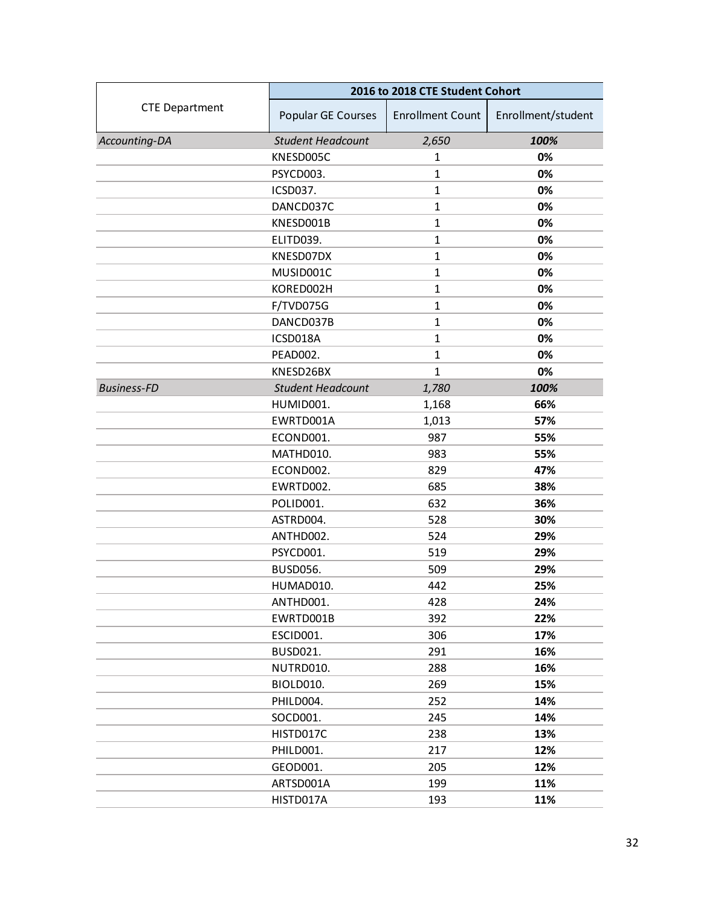<span id="page-31-0"></span>

|                       | 2016 to 2018 CTE Student Cohort |                         |                    |
|-----------------------|---------------------------------|-------------------------|--------------------|
| <b>CTE Department</b> | Popular GE Courses              | <b>Enrollment Count</b> | Enrollment/student |
| Accounting-DA         | <b>Student Headcount</b>        | 2,650                   | 100%               |
|                       | KNESD005C                       | 1                       | 0%                 |
|                       | PSYCD003.                       | $\mathbf{1}$            | 0%                 |
|                       | ICSD037.                        | $\mathbf{1}$            | 0%                 |
|                       | DANCD037C                       | $\mathbf{1}$            | 0%                 |
|                       | KNESD001B                       | $\mathbf{1}$            | 0%                 |
|                       | ELITD039.                       | $\mathbf{1}$            | 0%                 |
|                       | KNESD07DX                       | $\mathbf{1}$            | 0%                 |
|                       | MUSID001C                       | $\mathbf{1}$            | 0%                 |
|                       | KORED002H                       | $\mathbf{1}$            | 0%                 |
|                       | F/TVD075G                       | $\mathbf{1}$            | 0%                 |
|                       | DANCD037B                       | $\mathbf{1}$            | 0%                 |
|                       | ICSD018A                        | $\mathbf{1}$            | 0%                 |
|                       | PEAD002.                        | $\mathbf{1}$            | 0%                 |
|                       | KNESD26BX                       | $\mathbf{1}$            | 0%                 |
| <b>Business-FD</b>    | <b>Student Headcount</b>        | 1,780                   | 100%               |
|                       | HUMID001.                       | 1,168                   | 66%                |
|                       | EWRTD001A                       | 1,013                   | 57%                |
|                       | ECOND001.                       | 987                     | 55%                |
|                       | MATHD010.                       | 983                     | 55%                |
|                       | ECOND002.                       | 829                     | 47%                |
|                       | EWRTD002.                       | 685                     | 38%                |
|                       | POLID001.                       | 632                     | 36%                |
|                       | ASTRD004.                       | 528                     | 30%                |
|                       | ANTHD002.                       | 524                     | 29%                |
|                       | PSYCD001.                       | 519                     | 29%                |
|                       | <b>BUSD056.</b>                 | 509                     | 29%                |
|                       | HUMAD010.                       | 442                     | 25%                |
|                       | ANTHD001.                       | 428                     | 24%                |
|                       | EWRTD001B                       | 392                     | 22%                |
|                       | ESCID001.                       | 306                     | 17%                |
|                       | BUSD021.                        | 291                     | 16%                |
|                       | NUTRD010.                       | 288                     | 16%                |
|                       | BIOLD010.                       | 269                     | 15%                |
|                       | PHILD004.                       | 252                     | 14%                |
|                       | SOCD001.                        | 245                     | 14%                |
|                       | HISTD017C                       | 238                     | 13%                |
|                       | PHILD001.                       | 217                     | 12%                |
|                       | GEOD001.                        | 205                     | 12%                |
|                       | ARTSD001A                       | 199                     | 11%                |
|                       | HISTD017A                       | 193                     | 11%                |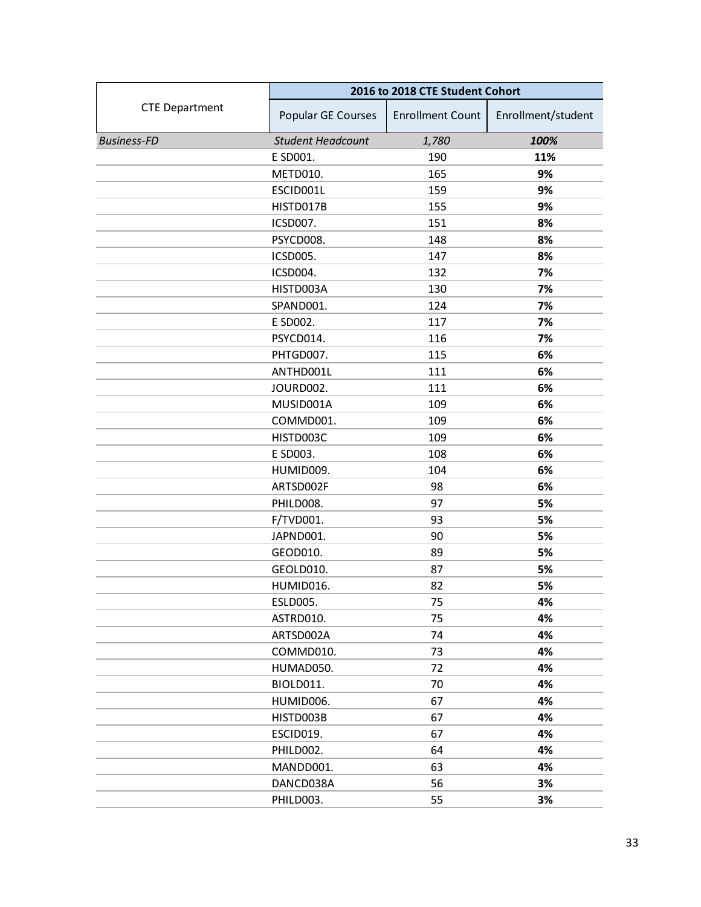|                       | 2016 to 2018 CTE Student Cohort |                         |                    |
|-----------------------|---------------------------------|-------------------------|--------------------|
| <b>CTE Department</b> | Popular GE Courses              | <b>Enrollment Count</b> | Enrollment/student |
| <b>Business-FD</b>    | <b>Student Headcount</b>        | 1,780                   | 100%               |
|                       | E SD001.                        | 190                     | 11%                |
|                       | METD010.                        | 165                     | 9%                 |
|                       | ESCID001L                       | 159                     | 9%                 |
|                       | HISTD017B                       | 155                     | 9%                 |
|                       | ICSD007.                        | 151                     | 8%                 |
|                       | PSYCD008.                       | 148                     | 8%                 |
|                       | ICSD005.                        | 147                     | 8%                 |
|                       | ICSD004.                        | 132                     | 7%                 |
|                       | HISTD003A                       | 130                     | 7%                 |
|                       | SPAND001.                       | 124                     | 7%                 |
|                       | E SD002.                        | 117                     | 7%                 |
|                       | PSYCD014.                       | 116                     | 7%                 |
|                       | PHTGD007.                       | 115                     | 6%                 |
|                       | ANTHD001L                       | 111                     | 6%                 |
|                       | JOURD002.                       | 111                     | 6%                 |
|                       | MUSID001A                       | 109                     | 6%                 |
|                       | COMMD001.                       | 109                     | 6%                 |
|                       | HISTD003C                       | 109                     | 6%                 |
|                       | E SD003.                        | 108                     | 6%                 |
|                       | HUMID009.                       | 104                     | 6%                 |
|                       | ARTSD002F                       | 98                      | 6%                 |
|                       | PHILD008.                       | 97                      | 5%                 |
|                       | F/TVD001.                       | 93                      | 5%                 |
|                       | JAPND001.                       | 90                      | 5%                 |
|                       | GEOD010.                        | 89                      | 5%                 |
|                       | GEOLD010.                       | 87                      | 5%                 |
|                       | HUMID016.                       | 82                      | 5%                 |
|                       | <b>ESLD005.</b>                 | 75                      | 4%                 |
|                       | ASTRD010.                       | 75                      | 4%                 |
|                       | ARTSD002A                       | 74                      | 4%                 |
|                       | COMMD010.                       | 73                      | 4%                 |
|                       | HUMAD050.                       | 72                      | 4%                 |
|                       | BIOLD011.                       | 70                      | 4%                 |
|                       | HUMID006.                       | 67                      | 4%                 |
|                       | HISTD003B                       | 67                      | 4%                 |
|                       | ESCID019.                       | 67                      | 4%                 |
|                       | PHILD002.                       | 64                      | 4%                 |
|                       | MANDD001.                       | 63                      | 4%                 |
|                       | DANCD038A                       | 56                      | 3%                 |
|                       | PHILD003.                       | 55                      | 3%                 |
|                       |                                 |                         |                    |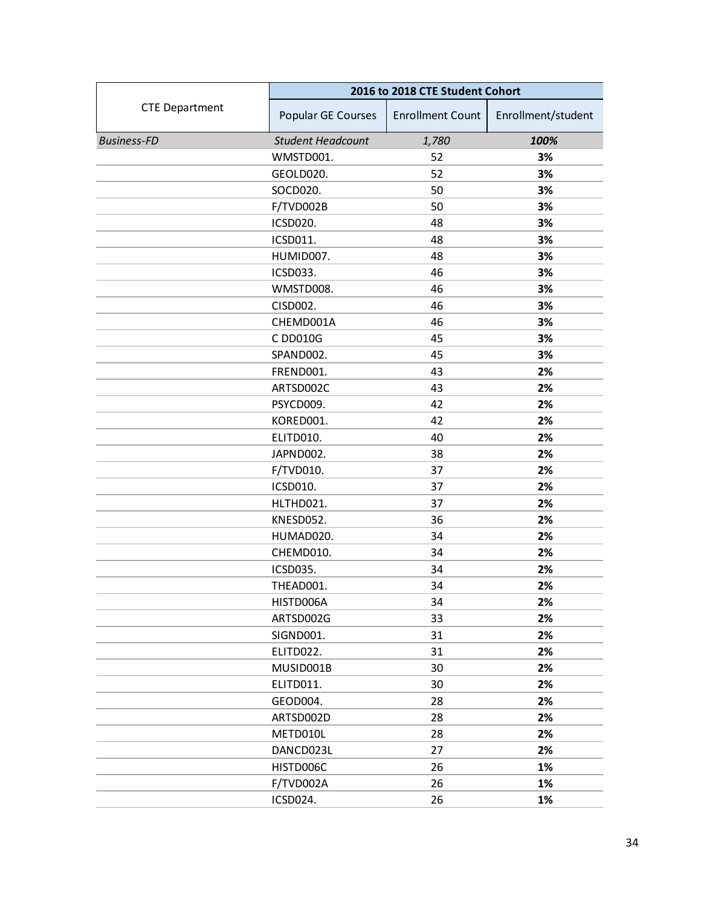|                       | 2016 to 2018 CTE Student Cohort |                         |                    |
|-----------------------|---------------------------------|-------------------------|--------------------|
| <b>CTE Department</b> | Popular GE Courses              | <b>Enrollment Count</b> | Enrollment/student |
| <b>Business-FD</b>    | <b>Student Headcount</b>        | 1,780                   | 100%               |
|                       | WMSTD001.                       | 52                      | 3%                 |
|                       | GEOLD020.                       | 52                      | 3%                 |
|                       | SOCD020.                        | 50                      | 3%                 |
|                       | F/TVD002B                       | 50                      | 3%                 |
|                       | ICSD020.                        | 48                      | 3%                 |
|                       | ICSD011.                        | 48                      | 3%                 |
|                       | HUMID007.                       | 48                      | 3%                 |
|                       | ICSD033.                        | 46                      | 3%                 |
|                       | WMSTD008.                       | 46                      | 3%                 |
|                       | CISD002.                        | 46                      | 3%                 |
|                       | CHEMD001A                       | 46                      | 3%                 |
|                       | C DD010G                        | 45                      | 3%                 |
|                       | SPAND002.                       | 45                      | 3%                 |
|                       | FREND001.                       | 43                      | 2%                 |
|                       | ARTSD002C                       | 43                      | 2%                 |
|                       | PSYCD009.                       | 42                      | 2%                 |
|                       | KORED001.                       | 42                      | 2%                 |
|                       | ELITD010.                       | 40                      | 2%                 |
|                       | JAPND002.                       | 38                      | 2%                 |
|                       | F/TVD010.                       | 37                      | 2%                 |
|                       | ICSD010.                        | 37                      | 2%                 |
|                       | HLTHD021.                       | 37                      | 2%                 |
|                       | KNESD052.                       | 36                      | 2%                 |
|                       | HUMAD020.                       | 34                      | 2%                 |
|                       | CHEMD010.                       | 34                      | 2%                 |
|                       | ICSD035.                        | 34                      | 2%                 |
|                       | THEAD001.                       | 34                      | 2%                 |
|                       | HISTD006A                       | 34                      | 2%                 |
|                       | ARTSD002G                       | 33                      | 2%                 |
|                       | SIGND001.                       | 31                      | 2%                 |
|                       | ELITD022.                       | 31                      | 2%                 |
|                       | MUSID001B                       | 30                      | 2%                 |
|                       | ELITD011.                       | 30                      | 2%                 |
|                       | GEOD004.                        | 28                      | 2%                 |
|                       | ARTSD002D                       | 28                      | 2%                 |
|                       | METD010L                        | 28                      | 2%                 |
|                       | DANCD023L                       | 27                      | 2%                 |
|                       | HISTD006C                       | 26                      | 1%                 |
|                       | F/TVD002A                       | 26                      | 1%                 |
|                       | ICSD024.                        | 26                      | 1%                 |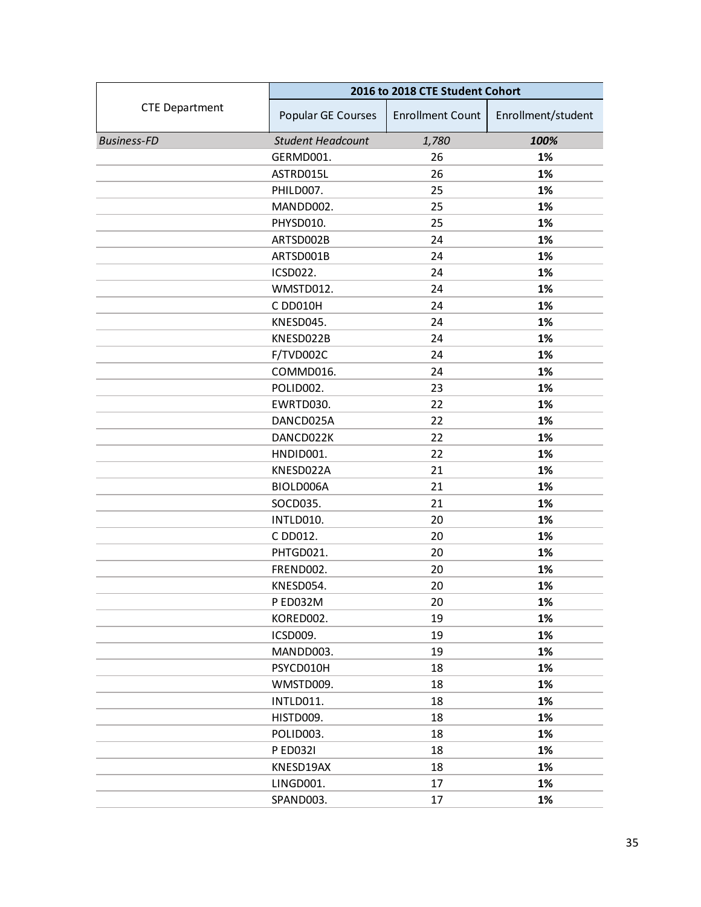|                       | 2016 to 2018 CTE Student Cohort |                         |                    |
|-----------------------|---------------------------------|-------------------------|--------------------|
| <b>CTE Department</b> | Popular GE Courses              | <b>Enrollment Count</b> | Enrollment/student |
| <b>Business-FD</b>    | <b>Student Headcount</b>        | 1,780                   | 100%               |
|                       | GERMD001.                       | 26                      | 1%                 |
|                       | ASTRD015L                       | 26                      | 1%                 |
|                       | PHILD007.                       | 25                      | 1%                 |
|                       | MANDD002.                       | 25                      | 1%                 |
|                       | PHYSD010.                       | 25                      | 1%                 |
|                       | ARTSD002B                       | 24                      | 1%                 |
|                       | ARTSD001B                       | 24                      | 1%                 |
|                       | ICSD022.                        | 24                      | 1%                 |
|                       | WMSTD012.                       | 24                      | 1%                 |
|                       | C DD010H                        | 24                      | 1%                 |
|                       | KNESD045.                       | 24                      | 1%                 |
|                       | KNESD022B                       | 24                      | 1%                 |
|                       | F/TVD002C                       | 24                      | 1%                 |
|                       | COMMD016.                       | 24                      | 1%                 |
|                       | POLID002.                       | 23                      | 1%                 |
|                       | EWRTD030.                       | 22                      | 1%                 |
|                       | DANCD025A                       | 22                      | 1%                 |
|                       | DANCD022K                       | 22                      | 1%                 |
|                       | HNDID001.                       | 22                      | 1%                 |
|                       | KNESD022A                       | 21                      | 1%                 |
|                       | BIOLD006A                       | 21                      | 1%                 |
|                       | SOCD035.                        | 21                      | 1%                 |
|                       | INTLD010.                       | 20                      | 1%                 |
|                       | C DD012.                        | 20                      | 1%                 |
|                       | PHTGD021.                       | 20                      | 1%                 |
|                       | FREND002.                       | 20                      | 1%                 |
|                       | KNESD054.                       | 20                      | 1%                 |
|                       | P ED032M                        | 20                      | 1%                 |
|                       | KORED002.                       | 19                      | 1%                 |
|                       | ICSD009.                        | 19                      | 1%                 |
|                       | MANDD003.                       | 19                      | 1%                 |
|                       | PSYCD010H                       | 18                      | 1%                 |
|                       | WMSTD009.                       | 18                      | 1%                 |
|                       | INTLD011.                       | 18                      | 1%                 |
|                       | HISTD009.                       | 18                      | 1%                 |
|                       | POLID003.                       | 18                      | 1%                 |
|                       | P ED032I                        | 18                      | 1%                 |
|                       | KNESD19AX                       | 18                      | 1%                 |
|                       | LINGD001.                       | 17                      | 1%                 |
|                       | SPAND003.                       | 17                      | 1%                 |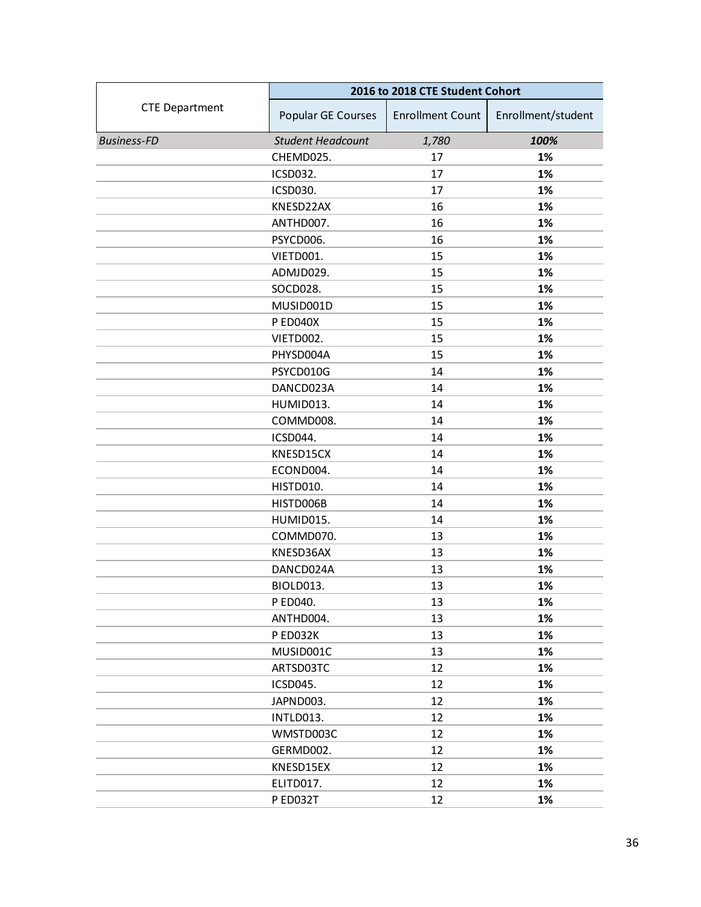|                       | 2016 to 2018 CTE Student Cohort |                         |                    |
|-----------------------|---------------------------------|-------------------------|--------------------|
| <b>CTE Department</b> | Popular GE Courses              | <b>Enrollment Count</b> | Enrollment/student |
| <b>Business-FD</b>    | <b>Student Headcount</b>        | 1,780                   | 100%               |
|                       | CHEMD025.                       | 17                      | 1%                 |
|                       | ICSD032.                        | 17                      | 1%                 |
|                       | <b>ICSD030.</b>                 | 17                      | 1%                 |
|                       | KNESD22AX                       | 16                      | 1%                 |
|                       | ANTHD007.                       | 16                      | 1%                 |
|                       | PSYCD006.                       | 16                      | 1%                 |
|                       | VIETD001.                       | 15                      | 1%                 |
|                       | ADMJD029.                       | 15                      | 1%                 |
|                       | SOCD028.                        | 15                      | 1%                 |
|                       | MUSID001D                       | 15                      | 1%                 |
|                       | P ED040X                        | 15                      | 1%                 |
|                       | VIETD002.                       | 15                      | 1%                 |
|                       | PHYSD004A                       | 15                      | 1%                 |
|                       | PSYCD010G                       | 14                      | 1%                 |
|                       | DANCD023A                       | 14                      | 1%                 |
|                       | HUMID013.                       | 14                      | 1%                 |
|                       | COMMD008.                       | 14                      | 1%                 |
|                       | ICSD044.                        | 14                      | 1%                 |
|                       | KNESD15CX                       | 14                      | 1%                 |
|                       | ECOND004.                       | 14                      | 1%                 |
|                       | HISTD010.                       | 14                      | 1%                 |
|                       | HISTD006B                       | 14                      | 1%                 |
|                       | HUMID015.                       | 14                      | 1%                 |
|                       | COMMD070.                       | 13                      | 1%                 |
|                       | KNESD36AX                       | 13                      | 1%                 |
|                       | DANCD024A                       | 13                      | 1%                 |
|                       | BIOLD013.                       | 13                      | 1%                 |
|                       | P ED040.                        | 13                      | 1%                 |
|                       | ANTHD004.                       | 13                      | 1%                 |
|                       | P ED032K                        | 13                      | 1%                 |
|                       | MUSID001C                       | 13                      | 1%                 |
|                       | ARTSD03TC                       | 12                      | 1%                 |
|                       | ICSD045.                        | 12                      | 1%                 |
|                       | JAPND003.                       | 12                      | 1%                 |
|                       | INTLD013.                       | 12                      | 1%                 |
|                       | WMSTD003C                       | 12                      | 1%                 |
|                       | GERMD002.                       | 12                      | 1%                 |
|                       | KNESD15EX                       | 12                      | 1%                 |
|                       | ELITD017.                       | 12                      | 1%                 |
|                       | P ED032T                        | 12                      | 1%                 |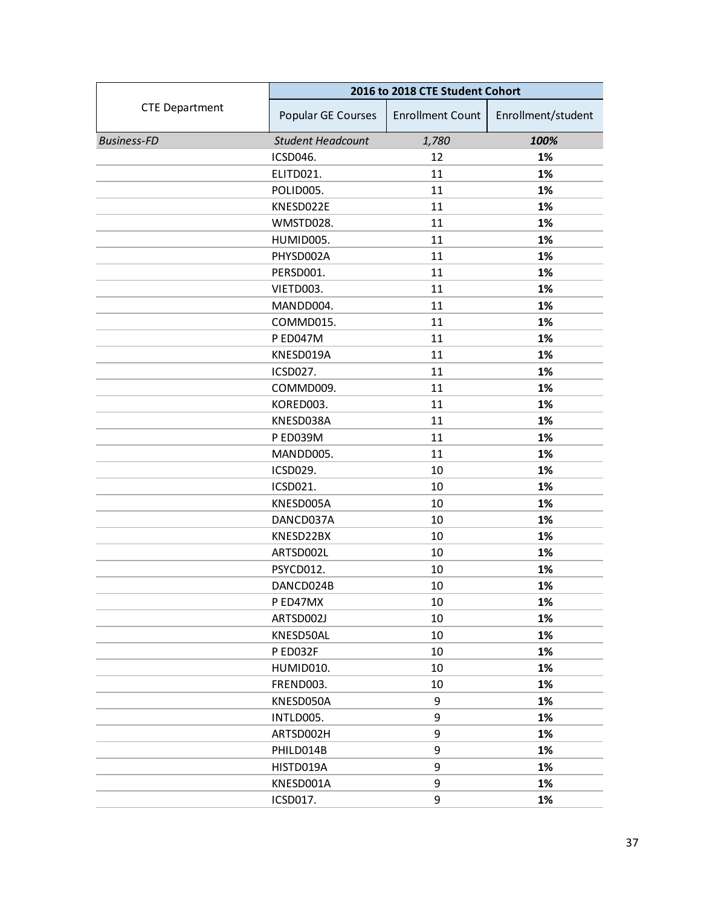|                       | 2016 to 2018 CTE Student Cohort |                         |                    |
|-----------------------|---------------------------------|-------------------------|--------------------|
| <b>CTE Department</b> | Popular GE Courses              | <b>Enrollment Count</b> | Enrollment/student |
| <b>Business-FD</b>    | <b>Student Headcount</b>        | 1,780                   | 100%               |
|                       | ICSD046.                        | 12                      | 1%                 |
|                       | ELITD021.                       | 11                      | 1%                 |
|                       | POLID005.                       | 11                      | 1%                 |
|                       | KNESD022E                       | 11                      | 1%                 |
|                       | WMSTD028.                       | 11                      | 1%                 |
|                       | HUMID005.                       | 11                      | 1%                 |
|                       | PHYSD002A                       | 11                      | 1%                 |
|                       | PERSD001.                       | 11                      | 1%                 |
|                       | VIETD003.                       | 11                      | 1%                 |
|                       | MANDD004.                       | 11                      | 1%                 |
|                       | COMMD015.                       | 11                      | 1%                 |
|                       | <b>P ED047M</b>                 | 11                      | 1%                 |
|                       | KNESD019A                       | 11                      | 1%                 |
|                       | ICSD027.                        | 11                      | 1%                 |
|                       | COMMD009.                       | 11                      | 1%                 |
|                       | KORED003.                       | 11                      | 1%                 |
|                       | KNESD038A                       | 11                      | 1%                 |
|                       | P ED039M                        | 11                      | 1%                 |
|                       | MANDD005.                       | 11                      | 1%                 |
|                       | ICSD029.                        | 10                      | 1%                 |
|                       | ICSD021.                        | 10                      | 1%                 |
|                       | KNESD005A                       | 10                      | 1%                 |
|                       | DANCD037A                       | 10                      | 1%                 |
|                       | KNESD22BX                       | 10                      | 1%                 |
|                       | ARTSD002L                       | 10                      | 1%                 |
|                       | PSYCD012.                       | 10                      | 1%                 |
|                       | DANCD024B                       | 10                      | 1%                 |
|                       | P ED47MX                        | 10                      | 1%                 |
|                       | ARTSD002J                       | 10                      | 1%                 |
|                       | KNESD50AL                       | 10                      | 1%                 |
|                       | P ED032F                        | 10                      | 1%                 |
|                       | HUMID010.                       | 10                      | 1%                 |
|                       | FREND003.                       | 10                      | 1%                 |
|                       | KNESD050A                       | 9                       | 1%                 |
|                       | INTLD005.                       | 9                       | 1%                 |
|                       | ARTSD002H                       | 9                       | 1%                 |
|                       | PHILD014B                       | 9                       | 1%                 |
|                       | HISTD019A                       | 9                       | 1%                 |
|                       | KNESD001A                       | 9                       | 1%                 |
|                       | ICSD017.                        | 9                       | 1%                 |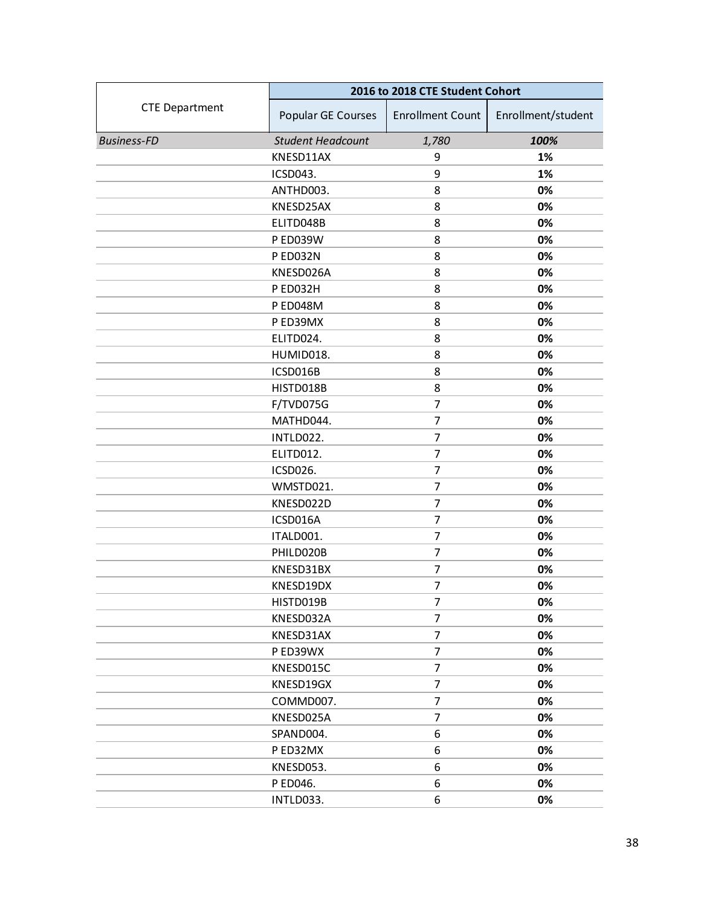|                       | 2016 to 2018 CTE Student Cohort |                         |                    |
|-----------------------|---------------------------------|-------------------------|--------------------|
| <b>CTE Department</b> | Popular GE Courses              | <b>Enrollment Count</b> | Enrollment/student |
| <b>Business-FD</b>    | <b>Student Headcount</b>        | 1,780                   | 100%               |
|                       | KNESD11AX                       | 9                       | 1%                 |
|                       | ICSD043.                        | 9                       | 1%                 |
|                       | ANTHD003.                       | 8                       | 0%                 |
|                       | KNESD25AX                       | 8                       | 0%                 |
|                       | ELITD048B                       | 8                       | 0%                 |
|                       | <b>P ED039W</b>                 | 8                       | 0%                 |
|                       | P ED032N                        | 8                       | 0%                 |
|                       | KNESD026A                       | 8                       | 0%                 |
|                       | P ED032H                        | 8                       | 0%                 |
|                       | P ED048M                        | 8                       | 0%                 |
|                       | P ED39MX                        | 8                       | 0%                 |
|                       | ELITD024.                       | 8                       | 0%                 |
|                       | HUMID018.                       | 8                       | 0%                 |
|                       | ICSD016B                        | 8                       | 0%                 |
|                       | HISTD018B                       | 8                       | 0%                 |
|                       | F/TVD075G                       | $\overline{7}$          | 0%                 |
|                       | MATHD044.                       | $\overline{7}$          | 0%                 |
|                       | INTLD022.                       | 7                       | 0%                 |
|                       | ELITD012.                       | $\overline{7}$          | 0%                 |
|                       | ICSD026.                        | $\overline{7}$          | 0%                 |
|                       | WMSTD021.                       | $\overline{7}$          | 0%                 |
|                       | KNESD022D                       | 7                       | 0%                 |
|                       | ICSD016A                        | 7                       | 0%                 |
|                       | ITALD001.                       | $\overline{7}$          | 0%                 |
|                       | PHILD020B                       | $\overline{7}$          | 0%                 |
|                       | KNESD31BX                       | $\overline{7}$          | 0%                 |
|                       | KNESD19DX                       | 7                       | 0%                 |
|                       | HISTD019B                       | 7                       | 0%                 |
|                       | KNESD032A                       | 7                       | 0%                 |
|                       | KNESD31AX                       | $\overline{7}$          | 0%                 |
|                       | P ED39WX                        | 7                       | 0%                 |
|                       | KNESD015C                       | 7                       | 0%                 |
|                       | KNESD19GX                       | $\overline{7}$          | 0%                 |
|                       | COMMD007.                       | 7                       | 0%                 |
|                       | KNESD025A                       | $\overline{7}$          | 0%                 |
|                       | SPAND004.                       | 6                       | 0%                 |
|                       | PED32MX                         | 6                       | 0%                 |
|                       | KNESD053.                       | 6                       | 0%                 |
|                       | P ED046.                        | 6                       | 0%                 |
|                       | INTLD033.                       | 6                       | 0%                 |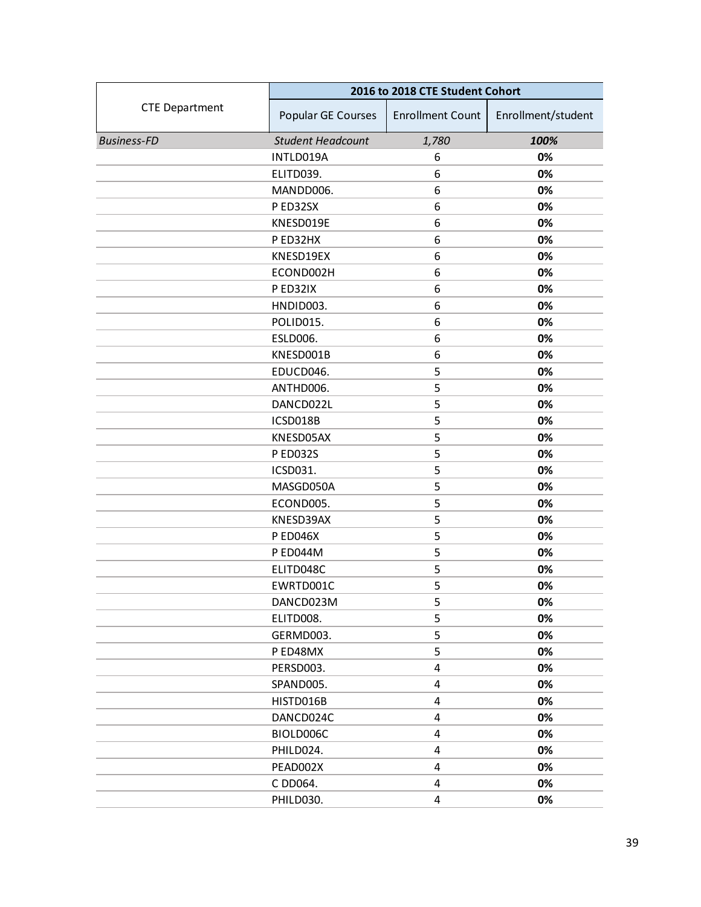|                       | 2016 to 2018 CTE Student Cohort |                         |                    |
|-----------------------|---------------------------------|-------------------------|--------------------|
| <b>CTE Department</b> | Popular GE Courses              | <b>Enrollment Count</b> | Enrollment/student |
| <b>Business-FD</b>    | <b>Student Headcount</b>        | 1,780                   | 100%               |
|                       | INTLD019A                       | 6                       | 0%                 |
|                       | ELITD039.                       | 6                       | 0%                 |
|                       | MANDD006.                       | 6                       | 0%                 |
|                       | P ED32SX                        | 6                       | 0%                 |
|                       | KNESD019E                       | 6                       | 0%                 |
|                       | P ED32HX                        | 6                       | 0%                 |
|                       | KNESD19EX                       | 6                       | 0%                 |
|                       | ECOND002H                       | 6                       | 0%                 |
|                       | P ED32IX                        | 6                       | 0%                 |
|                       | HNDID003.                       | 6                       | 0%                 |
|                       | POLID015.                       | 6                       | 0%                 |
|                       | ESLD006.                        | 6                       | 0%                 |
|                       | KNESD001B                       | 6                       | 0%                 |
|                       | EDUCD046.                       | 5                       | 0%                 |
|                       | ANTHD006.                       | 5                       | 0%                 |
|                       | DANCD022L                       | 5                       | 0%                 |
|                       | ICSD018B                        | 5                       | 0%                 |
|                       | KNESD05AX                       | 5                       | 0%                 |
|                       | P ED032S                        | 5                       | 0%                 |
|                       | ICSD031.                        | 5                       | 0%                 |
|                       | MASGD050A                       | 5                       | 0%                 |
|                       | ECOND005.                       | 5                       | 0%                 |
|                       | KNESD39AX                       | 5                       | 0%                 |
|                       | <b>PED046X</b>                  | 5                       | 0%                 |
|                       | P ED044M                        | 5                       | 0%                 |
|                       | ELITD048C                       | 5                       | 0%                 |
|                       | EWRTD001C                       | 5                       | 0%                 |
|                       | DANCD023M                       | 5                       | 0%                 |
|                       | ELITD008.                       | 5                       | 0%                 |
|                       | GERMD003.                       | 5                       | 0%                 |
|                       | P ED48MX                        | 5                       | 0%                 |
|                       | PERSD003.                       | 4                       | 0%                 |
|                       | SPAND005.                       | 4                       | 0%                 |
|                       | HISTD016B                       | 4                       | 0%                 |
|                       | DANCD024C                       | 4                       | 0%                 |
|                       | BIOLD006C                       | 4                       | 0%                 |
|                       | PHILD024.                       | 4                       | 0%                 |
|                       | PEAD002X                        | 4                       | 0%                 |
|                       | C DD064.                        | 4                       | 0%                 |
|                       | PHILD030.                       | 4                       | 0%                 |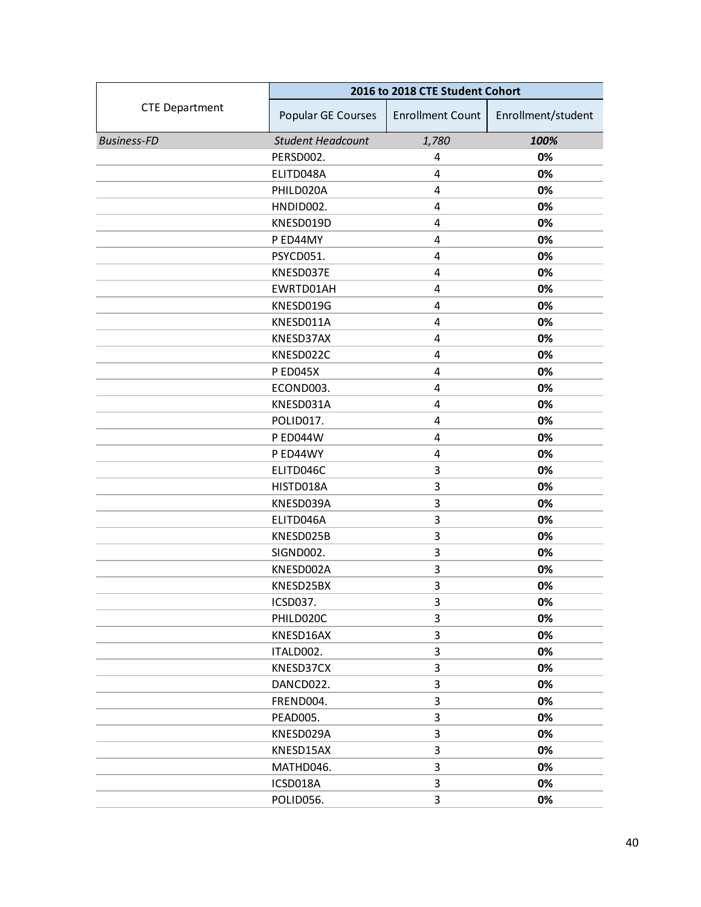|                       | 2016 to 2018 CTE Student Cohort |                         |                    |
|-----------------------|---------------------------------|-------------------------|--------------------|
| <b>CTE Department</b> | Popular GE Courses              | <b>Enrollment Count</b> | Enrollment/student |
| <b>Business-FD</b>    | <b>Student Headcount</b>        | 1,780                   | 100%               |
|                       | PERSD002.                       | 4                       | 0%                 |
|                       | ELITD048A                       | 4                       | 0%                 |
|                       | PHILD020A                       | 4                       | 0%                 |
|                       | HNDID002.                       | 4                       | 0%                 |
|                       | KNESD019D                       | 4                       | 0%                 |
|                       | P ED44MY                        | 4                       | 0%                 |
|                       | PSYCD051.                       | $\overline{4}$          | 0%                 |
|                       | KNESD037E                       | 4                       | 0%                 |
|                       | EWRTD01AH                       | 4                       | 0%                 |
|                       | KNESD019G                       | 4                       | 0%                 |
|                       | KNESD011A                       | $\overline{4}$          | 0%                 |
|                       | KNESD37AX                       | $\overline{4}$          | 0%                 |
|                       | KNESD022C                       | 4                       | 0%                 |
|                       | <b>PED045X</b>                  | 4                       | 0%                 |
|                       | ECOND003.                       | 4                       | 0%                 |
|                       | KNESD031A                       | $\overline{4}$          | 0%                 |
|                       | POLID017.                       | $\overline{4}$          | 0%                 |
|                       | <b>P ED044W</b>                 | 4                       | 0%                 |
|                       | P ED44WY                        | 4                       | 0%                 |
|                       | ELITD046C                       | $\mathsf 3$             | 0%                 |
|                       | HISTD018A                       | 3                       | 0%                 |
|                       | KNESD039A                       | 3                       | 0%                 |
|                       | ELITD046A                       | 3                       | 0%                 |
|                       | KNESD025B                       | 3                       | 0%                 |
|                       | SIGND002.                       | 3                       | 0%                 |
|                       | KNESD002A                       | 3                       | 0%                 |
|                       | KNESD25BX                       | 3                       | 0%                 |
|                       | ICSD037.                        | 3                       | 0%                 |
|                       | PHILD020C                       | 3                       | 0%                 |
|                       | KNESD16AX                       | 3                       | 0%                 |
|                       | ITALD002.                       | 3                       | 0%                 |
|                       | KNESD37CX                       | 3                       | 0%                 |
|                       | DANCD022.                       | 3                       | 0%                 |
|                       | FREND004.                       | 3                       | 0%                 |
|                       | PEAD005.                        | 3                       | 0%                 |
|                       | KNESD029A                       | 3                       | 0%                 |
|                       | KNESD15AX                       | 3                       | 0%                 |
|                       | MATHD046.                       | 3                       | 0%                 |
|                       | ICSD018A                        | 3                       | 0%                 |
|                       | POLID056.                       | 3                       | 0%                 |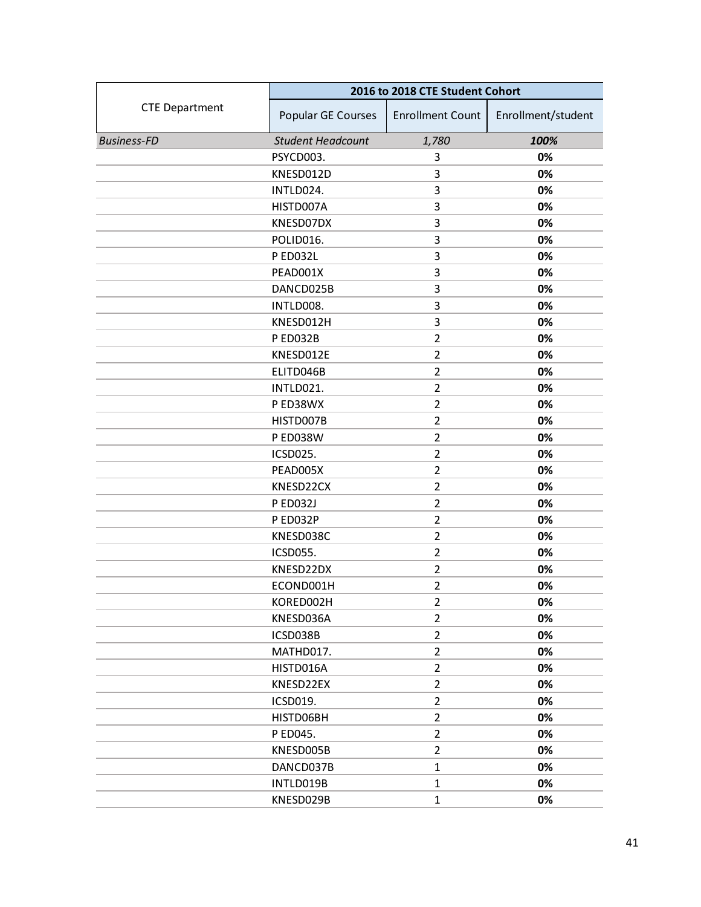|                       | 2016 to 2018 CTE Student Cohort |                         |                    |
|-----------------------|---------------------------------|-------------------------|--------------------|
| <b>CTE Department</b> | Popular GE Courses              | <b>Enrollment Count</b> | Enrollment/student |
| <b>Business-FD</b>    | <b>Student Headcount</b>        | 1,780                   | 100%               |
|                       | PSYCD003.                       | 3                       | 0%                 |
|                       | KNESD012D                       | 3                       | 0%                 |
|                       | INTLD024.                       | 3                       | 0%                 |
|                       | HISTD007A                       | 3                       | 0%                 |
|                       | KNESD07DX                       | 3                       | 0%                 |
|                       | POLID016.                       | 3                       | 0%                 |
|                       | <b>PED032L</b>                  | 3                       | 0%                 |
|                       | PEAD001X                        | 3                       | 0%                 |
|                       | DANCD025B                       | 3                       | 0%                 |
|                       | INTLD008.                       | 3                       | 0%                 |
|                       | KNESD012H                       | 3                       | 0%                 |
|                       | P ED032B                        | $\overline{2}$          | 0%                 |
|                       | KNESD012E                       | $\overline{2}$          | 0%                 |
|                       | ELITD046B                       | $\overline{2}$          | 0%                 |
|                       | INTLD021.                       | $\overline{2}$          | 0%                 |
|                       | P ED38WX                        | $\overline{2}$          | 0%                 |
|                       | HISTD007B                       | $\overline{2}$          | 0%                 |
|                       | <b>P ED038W</b>                 | $\overline{2}$          | 0%                 |
|                       | ICSD025.                        | $\overline{2}$          | 0%                 |
|                       | PEAD005X                        | $\overline{2}$          | 0%                 |
|                       | KNESD22CX                       | $\overline{2}$          | 0%                 |
|                       | <b>PED032J</b>                  | $\overline{2}$          | 0%                 |
|                       | P ED032P                        | $\overline{2}$          | 0%                 |
|                       | KNESD038C                       | $\overline{2}$          | 0%                 |
|                       | ICSD055.                        | $\overline{2}$          | 0%                 |
|                       | KNESD22DX                       | $\overline{2}$          | 0%                 |
|                       | ECOND001H                       | $\overline{2}$          | 0%                 |
|                       | KORED002H                       | $\overline{2}$          | 0%                 |
|                       | KNESD036A                       | $\overline{2}$          | 0%                 |
|                       | ICSD038B                        | 2                       | 0%                 |
|                       | MATHD017.                       | $\overline{2}$          | 0%                 |
|                       | HISTD016A                       | $\overline{2}$          | 0%                 |
|                       | KNESD22EX                       | $\overline{2}$          | 0%                 |
|                       | ICSD019.                        | $\overline{2}$          | 0%                 |
|                       | HISTD06BH                       | 2                       | 0%                 |
|                       | P ED045.                        | $\overline{2}$          | 0%                 |
|                       | KNESD005B                       | $\overline{2}$          | 0%                 |
|                       | DANCD037B                       | $\mathbf{1}$            | 0%                 |
|                       | INTLD019B                       | $\mathbf{1}$            | 0%                 |
|                       | KNESD029B                       | $\mathbf{1}$            | 0%                 |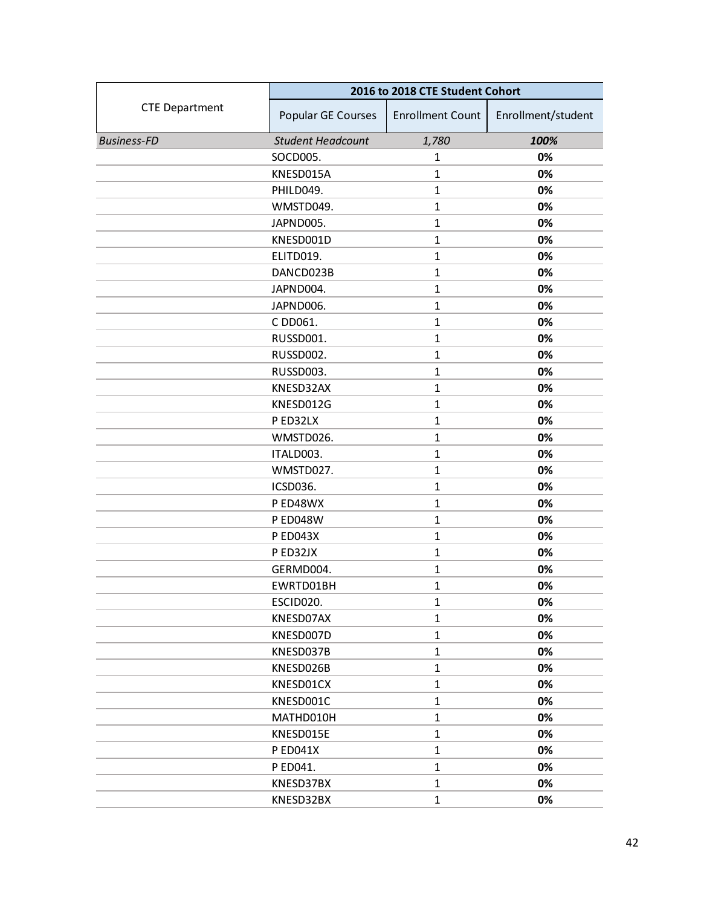|                       | 2016 to 2018 CTE Student Cohort |                         |                    |
|-----------------------|---------------------------------|-------------------------|--------------------|
| <b>CTE Department</b> | Popular GE Courses              | <b>Enrollment Count</b> | Enrollment/student |
| <b>Business-FD</b>    | <b>Student Headcount</b>        | 1,780                   | 100%               |
|                       | SOCD005.                        | 1                       | 0%                 |
|                       | KNESD015A                       | $\mathbf{1}$            | 0%                 |
|                       | PHILD049.                       | $\mathbf{1}$            | 0%                 |
|                       | WMSTD049.                       | $\mathbf{1}$            | 0%                 |
|                       | JAPND005.                       | $\mathbf{1}$            | 0%                 |
|                       | KNESD001D                       | $\mathbf{1}$            | 0%                 |
|                       | ELITD019.                       | $\mathbf{1}$            | 0%                 |
|                       | DANCD023B                       | $\mathbf{1}$            | 0%                 |
|                       | JAPND004.                       | $\mathbf{1}$            | 0%                 |
|                       | JAPND006.                       | $\mathbf{1}$            | 0%                 |
|                       | C DD061.                        | $\mathbf{1}$            | 0%                 |
|                       | RUSSD001.                       | $\mathbf{1}$            | 0%                 |
|                       | RUSSD002.                       | $\mathbf{1}$            | 0%                 |
|                       | RUSSD003.                       | $\mathbf{1}$            | 0%                 |
|                       | KNESD32AX                       | $\mathbf{1}$            | 0%                 |
|                       | KNESD012G                       | $\mathbf{1}$            | 0%                 |
|                       | P ED32LX                        | $\mathbf{1}$            | 0%                 |
|                       | WMSTD026.                       | $\mathbf{1}$            | 0%                 |
|                       | ITALD003.                       | $\mathbf{1}$            | 0%                 |
|                       | WMSTD027.                       | $\mathbf{1}$            | 0%                 |
|                       | ICSD036.                        | $\mathbf{1}$            | 0%                 |
|                       | P ED48WX                        | $\mathbf{1}$            | 0%                 |
|                       | <b>PED048W</b>                  | $\mathbf{1}$            | 0%                 |
|                       | <b>PED043X</b>                  | $\mathbf{1}$            | 0%                 |
|                       | P ED32JX                        | $\mathbf{1}$            | 0%                 |
|                       | GERMD004.                       | $\mathbf{1}$            | 0%                 |
|                       | EWRTD01BH                       | $\mathbf{1}$            | 0%                 |
|                       | ESCID020.                       | $\mathbf{1}$            | 0%                 |
|                       | KNESD07AX                       | $\mathbf{1}$            | 0%                 |
|                       | KNESD007D                       | $\mathbf{1}$            | 0%                 |
|                       | KNESD037B                       | $\mathbf{1}$            | 0%                 |
|                       | KNESD026B                       | $\mathbf{1}$            | 0%                 |
|                       | KNESD01CX                       | $\mathbf{1}$            | 0%                 |
|                       | KNESD001C                       | $\mathbf{1}$            | 0%                 |
|                       | MATHD010H                       | $\mathbf{1}$            | 0%                 |
|                       | KNESD015E                       | $\mathbf{1}$            | 0%                 |
|                       | <b>PED041X</b>                  | $\mathbf{1}$            | 0%                 |
|                       | P ED041.                        | $\mathbf{1}$            | 0%                 |
|                       | KNESD37BX                       | $\mathbf{1}$            | 0%                 |
|                       | KNESD32BX                       | $\mathbf{1}$            | 0%                 |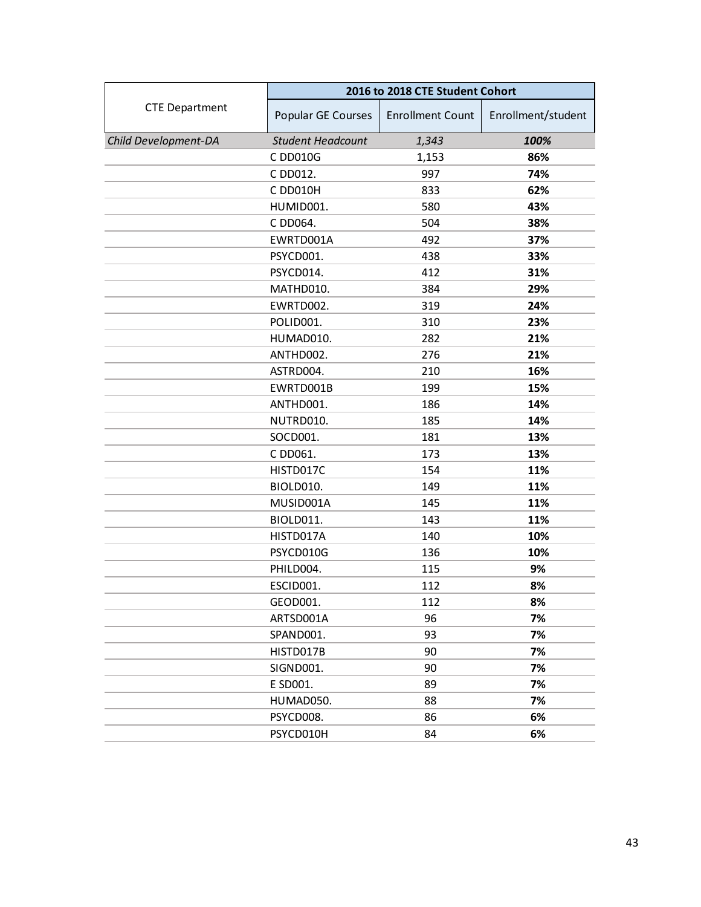|                       | 2016 to 2018 CTE Student Cohort |                         |                    |
|-----------------------|---------------------------------|-------------------------|--------------------|
| <b>CTE Department</b> | Popular GE Courses              | <b>Enrollment Count</b> | Enrollment/student |
| Child Development-DA  | <b>Student Headcount</b>        | 1,343                   | 100%               |
|                       | C DD010G                        | 1,153                   | 86%                |
|                       | C DD012.                        | 997                     | 74%                |
|                       | C DD010H                        | 833                     | 62%                |
|                       | HUMID001.                       | 580                     | 43%                |
|                       | C DD064.                        | 504                     | 38%                |
|                       | EWRTD001A                       | 492                     | 37%                |
|                       | PSYCD001.                       | 438                     | 33%                |
|                       | PSYCD014.                       | 412                     | 31%                |
|                       | MATHD010.                       | 384                     | 29%                |
|                       | EWRTD002.                       | 319                     | 24%                |
|                       | POLID001.                       | 310                     | 23%                |
|                       | HUMAD010.                       | 282                     | 21%                |
|                       | ANTHD002.                       | 276                     | 21%                |
|                       | ASTRD004.                       | 210                     | 16%                |
|                       | EWRTD001B                       | 199                     | 15%                |
|                       | ANTHD001.                       | 186                     | 14%                |
|                       | NUTRD010.                       | 185                     | 14%                |
|                       | SOCD001.                        | 181                     | 13%                |
|                       | C DD061.                        | 173                     | 13%                |
|                       | HISTD017C                       | 154                     | 11%                |
|                       | BIOLD010.                       | 149                     | 11%                |
|                       | MUSID001A                       | 145                     | 11%                |
|                       | BIOLD011.                       | 143                     | 11%                |
|                       | HISTD017A                       | 140                     | 10%                |
|                       | PSYCD010G                       | 136                     | 10%                |
|                       | PHILD004.                       | 115                     | 9%                 |
|                       | ESCID001.                       | 112                     | 8%                 |
|                       | GEOD001.                        | 112                     | 8%                 |
|                       | ARTSD001A                       | 96                      | 7%                 |
|                       | SPAND001.                       | 93                      | 7%                 |
|                       | HISTD017B                       | 90                      | 7%                 |
|                       | SIGND001.                       | 90                      | 7%                 |
|                       | E SD001.                        | 89                      | 7%                 |
|                       | HUMAD050.                       | 88                      | 7%                 |
|                       | PSYCD008.                       | 86                      | 6%                 |
|                       | PSYCD010H                       | 84                      | 6%                 |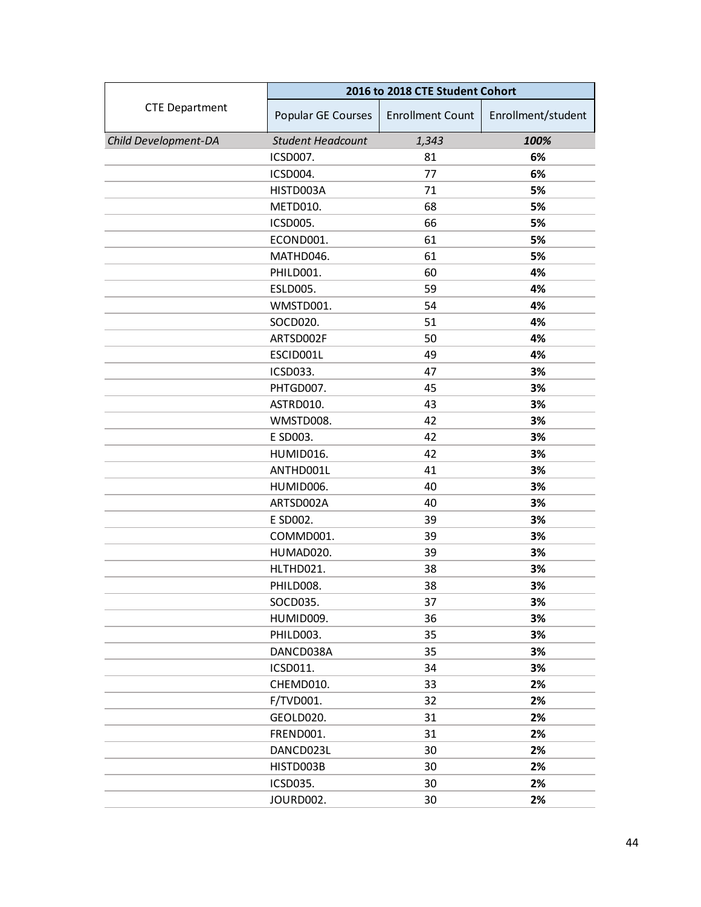|                       | 2016 to 2018 CTE Student Cohort |                         |                    |
|-----------------------|---------------------------------|-------------------------|--------------------|
| <b>CTE Department</b> | Popular GE Courses              | <b>Enrollment Count</b> | Enrollment/student |
| Child Development-DA  | <b>Student Headcount</b>        | 1,343                   | 100%               |
|                       | ICSD007.                        | 81                      | 6%                 |
|                       | ICSD004.                        | 77                      | 6%                 |
|                       | HISTD003A                       | 71                      | 5%                 |
|                       | METD010.                        | 68                      | 5%                 |
|                       | ICSD005.                        | 66                      | 5%                 |
|                       | ECOND001.                       | 61                      | 5%                 |
|                       | MATHD046.                       | 61                      | 5%                 |
|                       | PHILD001.                       | 60                      | 4%                 |
|                       | ESLD005.                        | 59                      | 4%                 |
|                       | WMSTD001.                       | 54                      | 4%                 |
|                       | SOCD020.                        | 51                      | 4%                 |
|                       | ARTSD002F                       | 50                      | 4%                 |
|                       | ESCID001L                       | 49                      | 4%                 |
|                       | ICSD033.                        | 47                      | 3%                 |
|                       | PHTGD007.                       | 45                      | 3%                 |
|                       | ASTRD010.                       | 43                      | 3%                 |
|                       | WMSTD008.                       | 42                      | 3%                 |
|                       | E SD003.                        | 42                      | 3%                 |
|                       | HUMID016.                       | 42                      | 3%                 |
|                       | ANTHD001L                       | 41                      | 3%                 |
|                       | HUMID006.                       | 40                      | 3%                 |
|                       | ARTSD002A                       | 40                      | 3%                 |
|                       | E SD002.                        | 39                      | 3%                 |
|                       | COMMD001.                       | 39                      | 3%                 |
|                       | HUMAD020.                       | 39                      | 3%                 |
|                       | HLTHD021.                       | 38                      | 3%                 |
|                       | PHILD008.                       | 38                      | 3%                 |
|                       | SOCD035.                        | 37                      | 3%                 |
|                       | HUMID009.                       | 36                      | 3%                 |
|                       | PHILD003.                       | 35                      | 3%                 |
|                       | DANCD038A                       | 35                      | 3%                 |
|                       | ICSD011.                        | 34                      | 3%                 |
|                       | CHEMD010.                       | 33                      | 2%                 |
|                       | F/TVD001.                       | 32                      | 2%                 |
|                       | GEOLD020.                       | 31                      | 2%                 |
|                       | FREND001.                       | 31                      | 2%                 |
|                       | DANCD023L                       | 30                      | 2%                 |
|                       | HISTD003B                       | 30                      | 2%                 |
|                       | ICSD035.                        | 30                      | 2%                 |
|                       | JOURD002.                       | 30                      | 2%                 |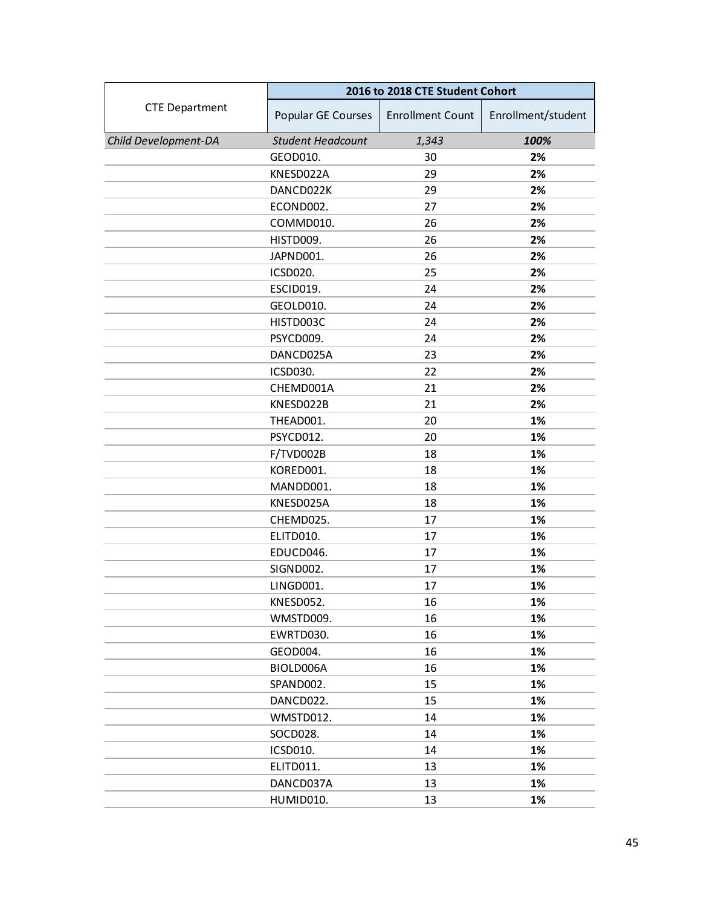|                       | 2016 to 2018 CTE Student Cohort |                         |                    |
|-----------------------|---------------------------------|-------------------------|--------------------|
| <b>CTE Department</b> | Popular GE Courses              | <b>Enrollment Count</b> | Enrollment/student |
| Child Development-DA  | <b>Student Headcount</b>        | 1,343                   | 100%               |
|                       | GEOD010.                        | 30                      | 2%                 |
|                       | KNESD022A                       | 29                      | 2%                 |
|                       | DANCD022K                       | 29                      | 2%                 |
|                       | ECOND002.                       | 27                      | 2%                 |
|                       | COMMD010.                       | 26                      | 2%                 |
|                       | HISTD009.                       | 26                      | 2%                 |
|                       | JAPND001.                       | 26                      | 2%                 |
|                       | ICSD020.                        | 25                      | 2%                 |
|                       | ESCID019.                       | 24                      | 2%                 |
|                       | GEOLD010.                       | 24                      | 2%                 |
|                       | HISTD003C                       | 24                      | 2%                 |
|                       | PSYCD009.                       | 24                      | 2%                 |
|                       | DANCD025A                       | 23                      | 2%                 |
|                       | ICSD030.                        | 22                      | 2%                 |
|                       | CHEMD001A                       | 21                      | 2%                 |
|                       | KNESD022B                       | 21                      | 2%                 |
|                       | THEAD001.                       | 20                      | 1%                 |
|                       | PSYCD012.                       | 20                      | 1%                 |
|                       | F/TVD002B                       | 18                      | 1%                 |
|                       | KORED001.                       | 18                      | 1%                 |
|                       | MANDD001.                       | 18                      | 1%                 |
|                       | KNESD025A                       | 18                      | 1%                 |
|                       | CHEMD025.                       | 17                      | 1%                 |
|                       | ELITD010.                       | 17                      | 1%                 |
|                       | EDUCD046.                       | 17                      | 1%                 |
|                       | SIGND002.                       | 17                      | 1%                 |
|                       | LINGD001.                       | 17                      | 1%                 |
|                       | KNESD052.                       | 16                      | 1%                 |
|                       | WMSTD009.                       | 16                      | 1%                 |
|                       | EWRTD030.                       | 16                      | 1%                 |
|                       | GEOD004.                        | 16                      | 1%                 |
|                       | BIOLD006A                       | 16                      | 1%                 |
|                       | SPAND002.                       | 15                      | 1%                 |
|                       | DANCD022.                       | 15                      | 1%                 |
|                       | WMSTD012.                       | 14                      | 1%                 |
|                       | SOCD028.                        | 14                      | 1%                 |
|                       | ICSD010.                        | 14                      | 1%                 |
|                       | ELITD011.                       | 13                      | 1%                 |
|                       | DANCD037A                       | 13                      | 1%                 |
|                       | HUMID010.                       | 13                      | 1%                 |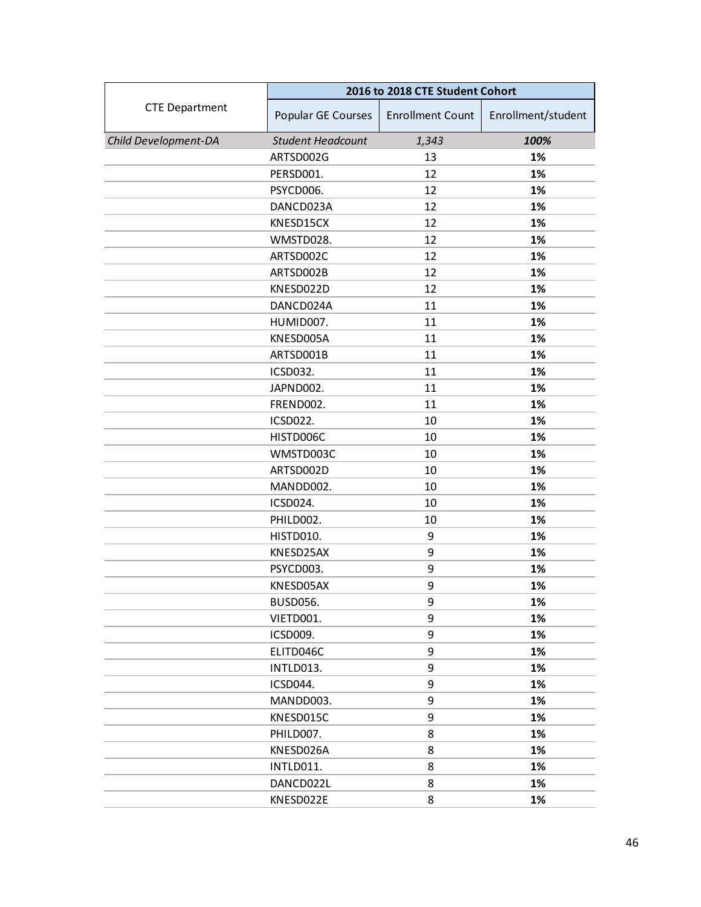|                       | 2016 to 2018 CTE Student Cohort |                         |                    |
|-----------------------|---------------------------------|-------------------------|--------------------|
| <b>CTE Department</b> | Popular GE Courses              | <b>Enrollment Count</b> | Enrollment/student |
| Child Development-DA  | <b>Student Headcount</b>        | 1,343                   | 100%               |
|                       | ARTSD002G                       | 13                      | 1%                 |
|                       | PERSD001.                       | 12                      | 1%                 |
|                       | PSYCD006.                       | 12                      | 1%                 |
|                       | DANCD023A                       | 12                      | 1%                 |
|                       | KNESD15CX                       | 12                      | 1%                 |
|                       | WMSTD028.                       | 12                      | 1%                 |
|                       | ARTSD002C                       | 12                      | 1%                 |
|                       | ARTSD002B                       | 12                      | 1%                 |
|                       | KNESD022D                       | 12                      | 1%                 |
|                       | DANCD024A                       | 11                      | 1%                 |
|                       | HUMID007.                       | 11                      | 1%                 |
|                       | KNESD005A                       | 11                      | 1%                 |
|                       | ARTSD001B                       | 11                      | 1%                 |
|                       | ICSD032.                        | 11                      | 1%                 |
|                       | JAPND002.                       | 11                      | 1%                 |
|                       | FREND002.                       | 11                      | 1%                 |
|                       | ICSD022.                        | 10                      | 1%                 |
|                       | HISTD006C                       | 10                      | 1%                 |
|                       | WMSTD003C                       | 10                      | 1%                 |
|                       | ARTSD002D                       | 10                      | 1%                 |
|                       | MANDD002.                       | 10                      | 1%                 |
|                       | ICSD024.                        | 10                      | 1%                 |
|                       | PHILD002.                       | 10                      | 1%                 |
|                       | HISTD010.                       | 9                       | 1%                 |
|                       | KNESD25AX                       | 9                       | 1%                 |
|                       | PSYCD003.                       | 9                       | 1%                 |
|                       | KNESD05AX                       | 9                       | 1%                 |
|                       | <b>BUSD056.</b>                 | 9                       | 1%                 |
|                       | VIETD001.                       | 9                       | 1%                 |
|                       | ICSD009.                        | 9                       | 1%                 |
|                       | ELITD046C                       | 9                       | 1%                 |
|                       | INTLD013.                       | 9                       | 1%                 |
|                       | ICSD044.                        | 9                       | 1%                 |
|                       | MANDD003.                       | 9                       | 1%                 |
|                       | KNESD015C                       | 9                       | 1%                 |
|                       | PHILD007.                       | 8                       | 1%                 |
|                       | KNESD026A                       | 8                       | 1%                 |
|                       | INTLD011.                       | 8                       | 1%                 |
|                       | DANCD022L                       | 8                       | 1%                 |
|                       | KNESD022E                       | 8                       | 1%                 |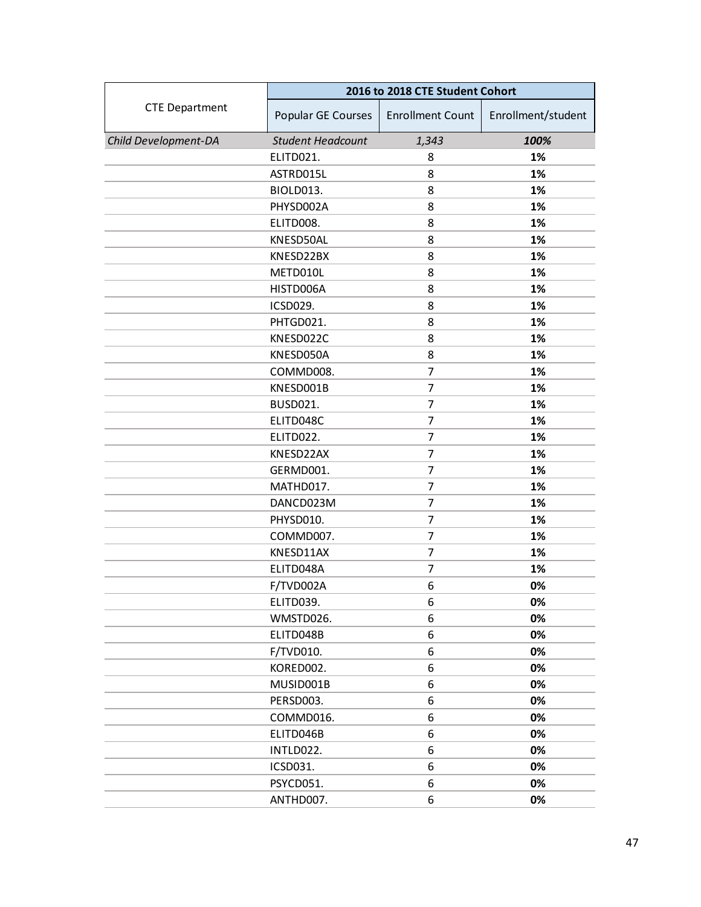|                       | 2016 to 2018 CTE Student Cohort |                         |                    |
|-----------------------|---------------------------------|-------------------------|--------------------|
| <b>CTE Department</b> | Popular GE Courses              | <b>Enrollment Count</b> | Enrollment/student |
| Child Development-DA  | <b>Student Headcount</b>        | 1,343                   | 100%               |
|                       | ELITD021.                       | 8                       | 1%                 |
|                       | ASTRD015L                       | 8                       | 1%                 |
|                       | BIOLD013.                       | 8                       | 1%                 |
|                       | PHYSD002A                       | 8                       | 1%                 |
|                       | ELITD008.                       | 8                       | 1%                 |
|                       | KNESD50AL                       | 8                       | 1%                 |
|                       | KNESD22BX                       | 8                       | 1%                 |
|                       | METD010L                        | 8                       | 1%                 |
|                       | HISTD006A                       | 8                       | 1%                 |
|                       | ICSD029.                        | 8                       | 1%                 |
|                       | PHTGD021.                       | 8                       | 1%                 |
|                       | KNESD022C                       | 8                       | 1%                 |
|                       | KNESD050A                       | 8                       | 1%                 |
|                       | COMMD008.                       | 7                       | 1%                 |
|                       | KNESD001B                       | 7                       | 1%                 |
|                       | <b>BUSD021.</b>                 | 7                       | 1%                 |
|                       | ELITD048C                       | 7                       | 1%                 |
|                       | ELITD022.                       | 7                       | 1%                 |
|                       | KNESD22AX                       | 7                       | 1%                 |
|                       | GERMD001.                       | 7                       | 1%                 |
|                       | MATHD017.                       | 7                       | 1%                 |
|                       | DANCD023M                       | 7                       | 1%                 |
|                       | PHYSD010.                       | 7                       | 1%                 |
|                       | COMMD007.                       | 7                       | 1%                 |
|                       | KNESD11AX                       | $\overline{7}$          | 1%                 |
|                       | ELITD048A                       | 7                       | 1%                 |
|                       | F/TVD002A                       | 6                       | 0%                 |
|                       | ELITD039.                       | 6                       | 0%                 |
|                       | WMSTD026.                       | 6                       | 0%                 |
|                       | ELITD048B                       | 6                       | 0%                 |
|                       | F/TVD010.                       | 6                       | 0%                 |
|                       | KORED002.                       | 6                       | 0%                 |
|                       | MUSID001B                       | 6                       | 0%                 |
|                       | PERSD003.                       | 6                       | 0%                 |
|                       | COMMD016.                       | 6                       | 0%                 |
|                       | ELITD046B                       | 6                       | 0%                 |
|                       | INTLD022.                       | 6                       | 0%                 |
|                       | ICSD031.                        | 6                       | 0%                 |
|                       | PSYCD051.                       | 6                       | 0%                 |
|                       | ANTHD007.                       | 6                       | 0%                 |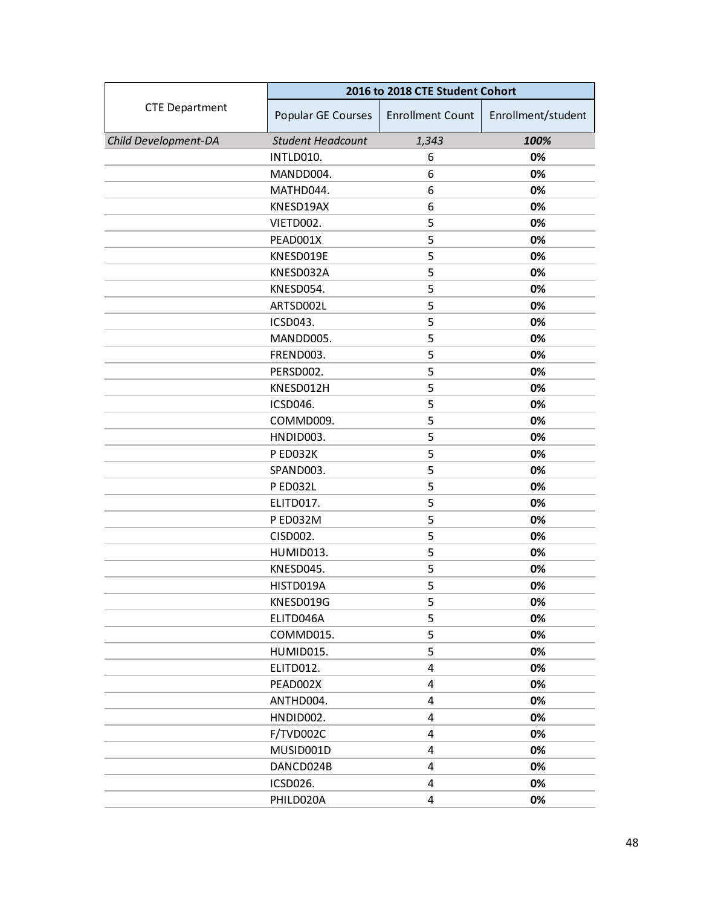|                       | 2016 to 2018 CTE Student Cohort |                         |                    |
|-----------------------|---------------------------------|-------------------------|--------------------|
| <b>CTE Department</b> | Popular GE Courses              | <b>Enrollment Count</b> | Enrollment/student |
| Child Development-DA  | <b>Student Headcount</b>        | 1,343                   | 100%               |
|                       | INTLD010.                       | 6                       | 0%                 |
|                       | MANDD004.                       | 6                       | 0%                 |
|                       | MATHD044.                       | 6                       | 0%                 |
|                       | KNESD19AX                       | 6                       | 0%                 |
|                       | VIETD002.                       | 5                       | 0%                 |
|                       | PEAD001X                        | 5                       | 0%                 |
|                       | KNESD019E                       | 5                       | 0%                 |
|                       | KNESD032A                       | 5                       | 0%                 |
|                       | KNESD054.                       | 5                       | 0%                 |
|                       | ARTSD002L                       | 5                       | 0%                 |
|                       | ICSD043.                        | 5                       | 0%                 |
|                       | MANDD005.                       | 5                       | 0%                 |
|                       | FREND003.                       | 5                       | 0%                 |
|                       | PERSD002.                       | 5                       | 0%                 |
|                       | KNESD012H                       | 5                       | 0%                 |
|                       | ICSD046.                        | 5                       | 0%                 |
|                       | COMMD009.                       | 5                       | 0%                 |
|                       | HNDID003.                       | 5                       | 0%                 |
|                       | P ED032K                        | 5                       | 0%                 |
|                       | SPAND003.                       | 5                       | 0%                 |
|                       | <b>PED032L</b>                  | 5                       | 0%                 |
|                       | ELITD017.                       | 5                       | 0%                 |
|                       | P ED032M                        | 5                       | 0%                 |
|                       | CISD002.                        | 5                       | 0%                 |
|                       | HUMID013.                       | 5                       | 0%                 |
|                       | KNESD045.                       | 5                       | 0%                 |
|                       | HISTD019A                       | 5                       | 0%                 |
|                       | KNESD019G                       | 5                       | 0%                 |
|                       | ELITD046A                       | 5                       | 0%                 |
|                       | COMMD015.                       | 5                       | 0%                 |
|                       | HUMID015.                       | 5                       | 0%                 |
|                       | ELITD012.                       | 4                       | 0%                 |
|                       | PEAD002X                        | 4                       | 0%                 |
|                       | ANTHD004.                       | 4                       | 0%                 |
|                       | HNDID002.                       | 4                       | 0%                 |
|                       | F/TVD002C                       | 4                       | 0%                 |
|                       | MUSID001D                       | 4                       | 0%                 |
|                       | DANCD024B                       | 4                       | 0%                 |
|                       | ICSD026.                        | 4                       | 0%                 |
|                       | PHILD020A                       | $\overline{4}$          | 0%                 |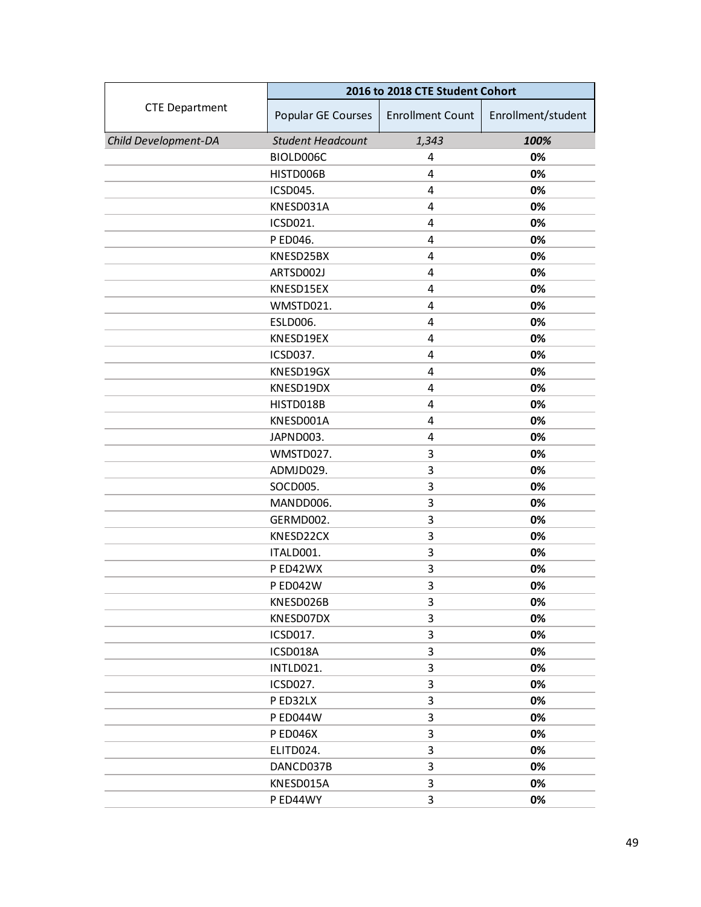|                       | 2016 to 2018 CTE Student Cohort |                         |                    |
|-----------------------|---------------------------------|-------------------------|--------------------|
| <b>CTE Department</b> | Popular GE Courses              | <b>Enrollment Count</b> | Enrollment/student |
| Child Development-DA  | <b>Student Headcount</b>        | 1,343                   | 100%               |
|                       | BIOLD006C                       | 4                       | 0%                 |
|                       | HISTD006B                       | 4                       | 0%                 |
|                       | <b>ICSD045.</b>                 | 4                       | 0%                 |
|                       | KNESD031A                       | 4                       | 0%                 |
|                       | ICSD021.                        | 4                       | 0%                 |
|                       | P ED046.                        | 4                       | 0%                 |
|                       | KNESD25BX                       | 4                       | 0%                 |
|                       | ARTSD002J                       | 4                       | 0%                 |
|                       | KNESD15EX                       | 4                       | 0%                 |
|                       | WMSTD021.                       | 4                       | 0%                 |
|                       | ESLD006.                        | 4                       | 0%                 |
|                       | KNESD19EX                       | 4                       | 0%                 |
|                       | <b>ICSD037.</b>                 | 4                       | 0%                 |
|                       | KNESD19GX                       | 4                       | 0%                 |
|                       | KNESD19DX                       | 4                       | 0%                 |
|                       | HISTD018B                       | 4                       | 0%                 |
|                       | KNESD001A                       | 4                       | 0%                 |
|                       | JAPND003.                       | 4                       | 0%                 |
|                       | WMSTD027.                       | 3                       | 0%                 |
|                       | ADMJD029.                       | 3                       | 0%                 |
|                       | SOCD005.                        | 3                       | 0%                 |
|                       | MANDD006.                       | 3                       | 0%                 |
|                       | GERMD002.                       | 3                       | 0%                 |
|                       | KNESD22CX                       | 3                       | 0%                 |
|                       | ITALD001.                       | 3                       | 0%                 |
|                       | P ED42WX                        | 3                       | 0%                 |
|                       | P ED042W                        | 3                       | 0%                 |
|                       | KNESD026B                       | 3                       | 0%                 |
|                       | KNESD07DX                       | 3                       | 0%                 |
|                       | ICSD017.                        | 3                       | 0%                 |
|                       | ICSD018A                        | 3                       | 0%                 |
|                       | INTLD021.                       | 3                       | 0%                 |
|                       | ICSD027.                        | 3                       | 0%                 |
|                       | P ED32LX                        | 3                       | 0%                 |
|                       | P ED044W                        | 3                       | 0%                 |
|                       | <b>PED046X</b>                  | 3                       | 0%                 |
|                       | ELITD024.                       | 3                       | 0%                 |
|                       | DANCD037B                       | 3                       | 0%                 |
|                       | KNESD015A                       | 3                       | 0%                 |
|                       | P ED44WY                        | 3                       | 0%                 |
|                       |                                 |                         |                    |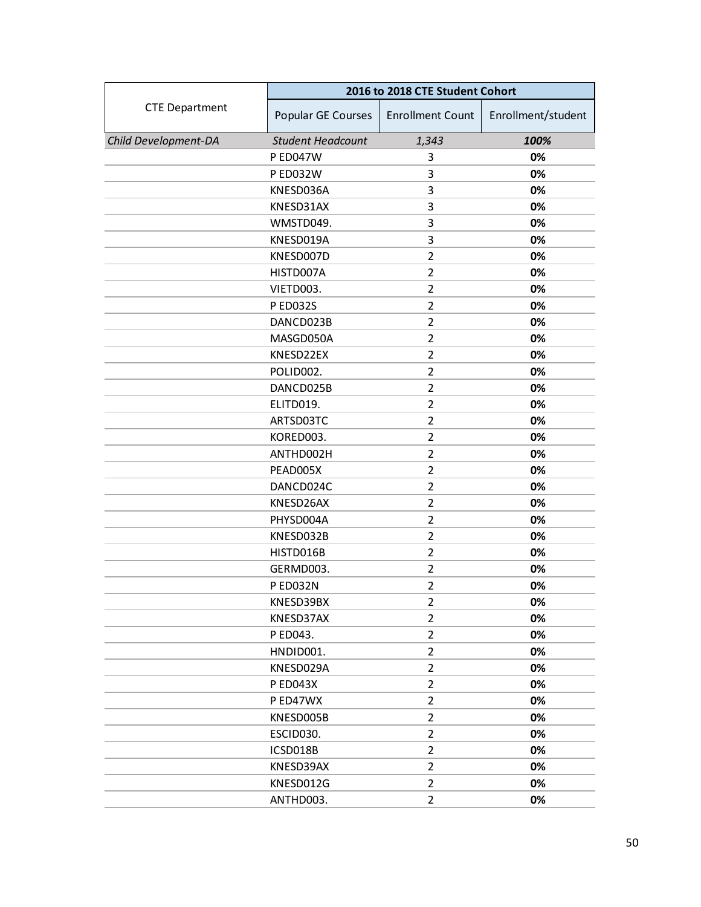|                       | 2016 to 2018 CTE Student Cohort |                         |                    |
|-----------------------|---------------------------------|-------------------------|--------------------|
| <b>CTE Department</b> | Popular GE Courses              | <b>Enrollment Count</b> | Enrollment/student |
| Child Development-DA  | <b>Student Headcount</b>        | 1,343                   | 100%               |
|                       | <b>P ED047W</b>                 | 3                       | 0%                 |
|                       | P ED032W                        | 3                       | 0%                 |
|                       | KNESD036A                       | 3                       | 0%                 |
|                       | KNESD31AX                       | 3                       | 0%                 |
|                       | WMSTD049.                       | 3                       | 0%                 |
|                       | KNESD019A                       | 3                       | 0%                 |
|                       | KNESD007D                       | $\overline{2}$          | 0%                 |
|                       | HISTD007A                       | $\overline{2}$          | 0%                 |
|                       | VIETD003.                       | $\overline{2}$          | 0%                 |
|                       | P ED032S                        | $\overline{2}$          | 0%                 |
|                       | DANCD023B                       | $\overline{2}$          | 0%                 |
|                       | MASGD050A                       | $\overline{2}$          | 0%                 |
|                       | KNESD22EX                       | $\overline{2}$          | 0%                 |
|                       | POLID002.                       | $\overline{2}$          | 0%                 |
|                       | DANCD025B                       | $\overline{2}$          | 0%                 |
|                       | ELITD019.                       | $\overline{2}$          | 0%                 |
|                       | ARTSD03TC                       | $\overline{2}$          | 0%                 |
|                       | KORED003.                       | $\overline{2}$          | 0%                 |
|                       | ANTHD002H                       | $\overline{2}$          | 0%                 |
|                       | PEAD005X                        | $\overline{2}$          | 0%                 |
|                       | DANCD024C                       | $\overline{2}$          | 0%                 |
|                       | KNESD26AX                       | $\overline{2}$          | 0%                 |
|                       | PHYSD004A                       | $\overline{2}$          | 0%                 |
|                       | KNESD032B                       | $\overline{2}$          | 0%                 |
|                       | HISTD016B                       | $\overline{2}$          | 0%                 |
|                       | GERMD003.                       | $\overline{2}$          | 0%                 |
|                       | P ED032N                        | $\overline{2}$          | 0%                 |
|                       | KNESD39BX                       | $\overline{2}$          | 0%                 |
|                       | KNESD37AX                       | 2                       | 0%                 |
|                       | P ED043.                        | 2                       | 0%                 |
|                       | HNDID001.                       | $\overline{2}$          | 0%                 |
|                       | KNESD029A                       | $\overline{2}$          | 0%                 |
|                       | <b>PED043X</b>                  | $\overline{2}$          | 0%                 |
|                       | P ED47WX                        | $\overline{2}$          | 0%                 |
|                       | KNESD005B                       | $\overline{2}$          | 0%                 |
|                       | ESCID030.                       | $\overline{2}$          | 0%                 |
|                       | ICSD018B                        | $\overline{2}$          | 0%                 |
|                       | KNESD39AX                       | $\overline{2}$          | 0%                 |
|                       | KNESD012G                       | $\overline{2}$          | 0%                 |
|                       | ANTHD003.                       | $\overline{2}$          | 0%                 |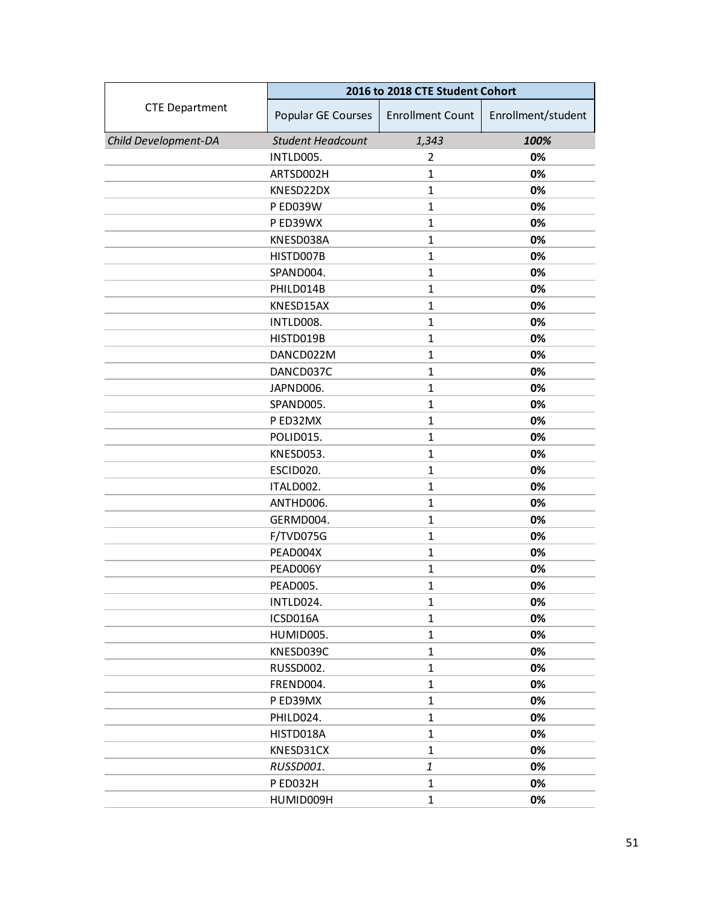|                       | 2016 to 2018 CTE Student Cohort |                         |                    |
|-----------------------|---------------------------------|-------------------------|--------------------|
| <b>CTE Department</b> | Popular GE Courses              | <b>Enrollment Count</b> | Enrollment/student |
| Child Development-DA  | <b>Student Headcount</b>        | 1,343                   | 100%               |
|                       | INTLD005.                       | 2                       | 0%                 |
|                       | ARTSD002H                       | $\mathbf{1}$            | 0%                 |
|                       | KNESD22DX                       | $\mathbf{1}$            | 0%                 |
|                       | <b>P ED039W</b>                 | $\mathbf{1}$            | 0%                 |
|                       | P ED39WX                        | $\mathbf{1}$            | 0%                 |
|                       | KNESD038A                       | $\mathbf{1}$            | 0%                 |
|                       | HISTD007B                       | $\mathbf{1}$            | 0%                 |
|                       | SPAND004.                       | $\mathbf{1}$            | 0%                 |
|                       | PHILD014B                       | $\mathbf{1}$            | 0%                 |
|                       | KNESD15AX                       | $\mathbf{1}$            | 0%                 |
|                       | INTLD008.                       | $\mathbf{1}$            | 0%                 |
|                       | HISTD019B                       | $\mathbf{1}$            | 0%                 |
|                       | DANCD022M                       | $\mathbf{1}$            | 0%                 |
|                       | DANCD037C                       | $\mathbf{1}$            | 0%                 |
|                       | JAPND006.                       | $\mathbf{1}$            | 0%                 |
|                       | SPAND005.                       | $\mathbf{1}$            | 0%                 |
|                       | P ED32MX                        | $\mathbf{1}$            | 0%                 |
|                       | POLID015.                       | $\mathbf{1}$            | 0%                 |
|                       | KNESD053.                       | $\mathbf{1}$            | 0%                 |
|                       | ESCID020.                       | $\mathbf{1}$            | 0%                 |
|                       | ITALD002.                       | $\mathbf{1}$            | 0%                 |
|                       | ANTHD006.                       | $\mathbf{1}$            | 0%                 |
|                       | GERMD004.                       | $\mathbf{1}$            | 0%                 |
|                       | F/TVD075G                       | $\mathbf{1}$            | 0%                 |
|                       | PEAD004X                        | $\mathbf{1}$            | 0%                 |
|                       | PEAD006Y                        | $\mathbf{1}$            | 0%                 |
|                       | PEAD005.                        | $\mathbf{1}$            | 0%                 |
|                       | INTLD024.                       | 1                       | 0%                 |
|                       | ICSD016A                        | $\mathbf{1}$            | 0%                 |
|                       | HUMID005.                       | $\mathbf{1}$            | 0%                 |
|                       | KNESD039C                       | $\mathbf{1}$            | 0%                 |
|                       | RUSSD002.                       | $\mathbf{1}$            | 0%                 |
|                       | FREND004.                       | $\mathbf{1}$            | 0%                 |
|                       | P ED39MX                        | $\mathbf{1}$            | 0%                 |
|                       | PHILD024.                       | $\mathbf{1}$            | 0%                 |
|                       | HISTD018A                       | $\mathbf{1}$            | 0%                 |
|                       | KNESD31CX                       | $\mathbf{1}$            | 0%                 |
|                       | RUSSD001.                       | $\mathbf{1}$            | 0%                 |
|                       | P ED032H                        | $\mathbf{1}$            | 0%                 |
|                       | HUMID009H                       | $\mathbf{1}$            | 0%                 |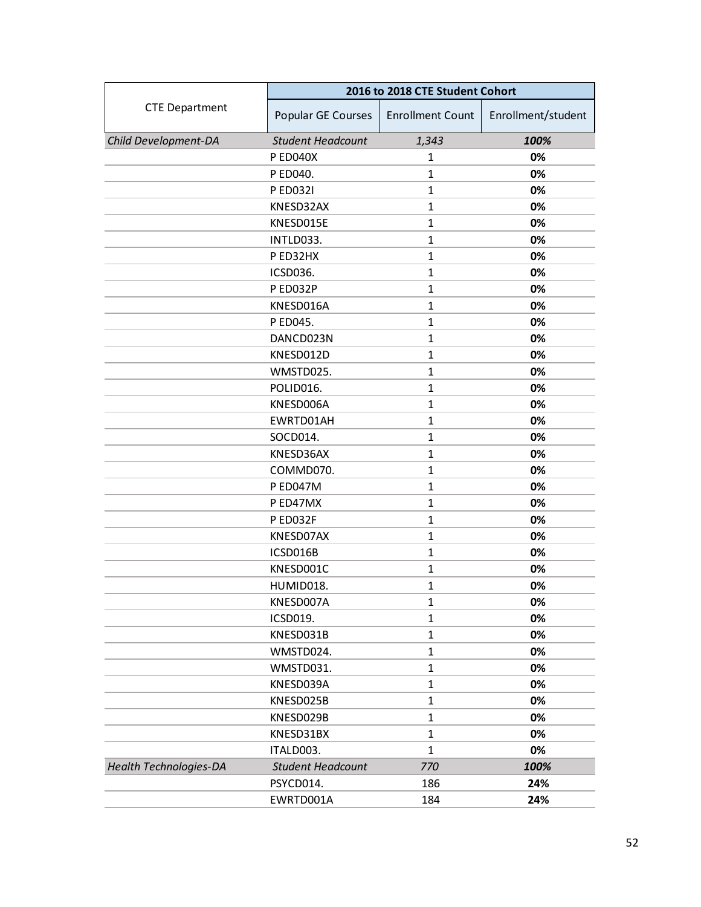|                               | 2016 to 2018 CTE Student Cohort |                         |                    |
|-------------------------------|---------------------------------|-------------------------|--------------------|
| <b>CTE Department</b>         | Popular GE Courses              | <b>Enrollment Count</b> | Enrollment/student |
| Child Development-DA          | <b>Student Headcount</b>        | 1,343                   | 100%               |
|                               | <b>PED040X</b>                  | 1                       | 0%                 |
|                               | P ED040.                        | $\mathbf{1}$            | 0%                 |
|                               | P ED032I                        | $\mathbf{1}$            | 0%                 |
|                               | KNESD32AX                       | $\mathbf{1}$            | 0%                 |
|                               | KNESD015E                       | $\mathbf{1}$            | 0%                 |
|                               | INTLD033.                       | $\mathbf{1}$            | 0%                 |
|                               | P ED32HX                        | $\mathbf{1}$            | 0%                 |
|                               | ICSD036.                        | $\mathbf{1}$            | 0%                 |
|                               | PED032P                         | $\mathbf{1}$            | 0%                 |
|                               | KNESD016A                       | $\mathbf{1}$            | 0%                 |
|                               | P ED045.                        | $\mathbf{1}$            | 0%                 |
|                               | DANCD023N                       | $\mathbf{1}$            | 0%                 |
|                               | KNESD012D                       | $\mathbf{1}$            | 0%                 |
|                               | WMSTD025.                       | $\mathbf{1}$            | 0%                 |
|                               | POLID016.                       | $\mathbf{1}$            | 0%                 |
|                               | KNESD006A                       | $\mathbf{1}$            | 0%                 |
|                               | EWRTD01AH                       | $\mathbf{1}$            | 0%                 |
|                               | SOCD014.                        | $\mathbf{1}$            | 0%                 |
|                               | KNESD36AX                       | $\mathbf{1}$            | 0%                 |
|                               | COMMD070.                       | $\mathbf{1}$            | 0%                 |
|                               | P ED047M                        | $\mathbf{1}$            | 0%                 |
|                               | P ED47MX                        | $\mathbf{1}$            | 0%                 |
|                               | P ED032F                        | $\mathbf{1}$            | 0%                 |
|                               | KNESD07AX                       | $\mathbf{1}$            | 0%                 |
|                               | ICSD016B                        | $\mathbf{1}$            | 0%                 |
|                               | KNESD001C                       | $\mathbf{1}$            | 0%                 |
|                               | HUMID018.                       | $\mathbf{1}$            | 0%                 |
|                               | KNESD007A                       | 1                       | 0%                 |
|                               | ICSD019.                        | 1                       | 0%                 |
|                               | KNESD031B                       | $\mathbf{1}$            | 0%                 |
|                               | WMSTD024.                       | $\mathbf{1}$            | 0%                 |
|                               | WMSTD031.                       | $\mathbf{1}$            | 0%                 |
|                               | KNESD039A                       | $\mathbf{1}$            | 0%                 |
|                               | KNESD025B                       | $\mathbf{1}$            | 0%                 |
|                               | KNESD029B                       | $\mathbf{1}$            | 0%                 |
|                               | KNESD31BX                       | $\mathbf{1}$            | 0%                 |
|                               | ITALD003.                       | $\mathbf{1}$            | 0%                 |
| <b>Health Technologies-DA</b> | <b>Student Headcount</b>        | 770                     | 100%               |
|                               | PSYCD014.                       | 186                     | 24%                |
|                               | EWRTD001A                       | 184                     | 24%                |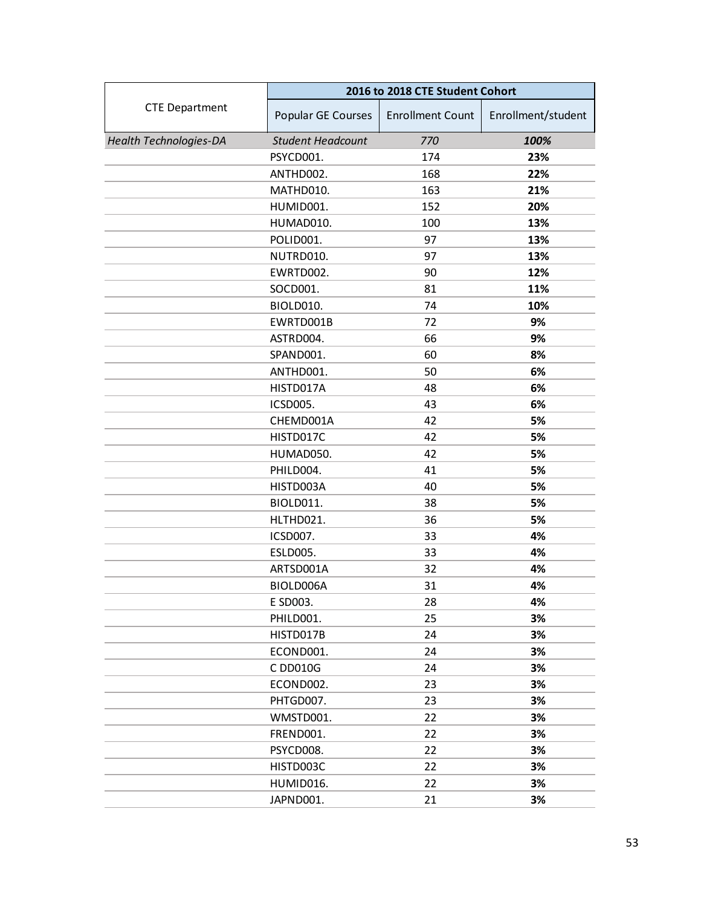|                               | 2016 to 2018 CTE Student Cohort |                         |                    |
|-------------------------------|---------------------------------|-------------------------|--------------------|
| <b>CTE Department</b>         | Popular GE Courses              | <b>Enrollment Count</b> | Enrollment/student |
| <b>Health Technologies-DA</b> | <b>Student Headcount</b>        | 770                     | 100%               |
|                               | PSYCD001.                       | 174                     | 23%                |
|                               | ANTHD002.                       | 168                     | 22%                |
|                               | MATHD010.                       | 163                     | 21%                |
|                               | HUMID001.                       | 152                     | 20%                |
|                               | HUMAD010.                       | 100                     | 13%                |
|                               | POLID001.                       | 97                      | 13%                |
|                               | NUTRD010.                       | 97                      | 13%                |
|                               | EWRTD002.                       | 90                      | 12%                |
|                               | SOCD001.                        | 81                      | 11%                |
|                               | BIOLD010.                       | 74                      | 10%                |
|                               | EWRTD001B                       | 72                      | 9%                 |
|                               | ASTRD004.                       | 66                      | 9%                 |
|                               | SPAND001.                       | 60                      | 8%                 |
|                               | ANTHD001.                       | 50                      | 6%                 |
|                               | HISTD017A                       | 48                      | 6%                 |
|                               | <b>ICSD005.</b>                 | 43                      | 6%                 |
|                               | CHEMD001A                       | 42                      | 5%                 |
|                               | HISTD017C                       | 42                      | 5%                 |
|                               | HUMAD050.                       | 42                      | 5%                 |
|                               | PHILD004.                       | 41                      | 5%                 |
|                               | HISTD003A                       | 40                      | 5%                 |
|                               | BIOLD011.                       | 38                      | 5%                 |
|                               | HLTHD021.                       | 36                      | 5%                 |
|                               | ICSD007.                        | 33                      | 4%                 |
|                               | <b>ESLD005.</b>                 | 33                      | 4%                 |
|                               | ARTSD001A                       | 32                      | 4%                 |
|                               | BIOLD006A                       | 31                      | 4%                 |
|                               | E SD003.                        | 28                      | 4%                 |
|                               | PHILD001.                       | 25                      | 3%                 |
|                               | HISTD017B                       | 24                      | 3%                 |
|                               | ECOND001.                       | 24                      | 3%                 |
|                               | C DD010G                        | 24                      | 3%                 |
|                               | ECOND002.                       | 23                      | 3%                 |
|                               | PHTGD007.                       | 23                      | 3%                 |
|                               | WMSTD001.                       | 22                      | 3%                 |
|                               | FREND001.                       | 22                      | 3%                 |
|                               | PSYCD008.                       | 22                      | 3%                 |
|                               | HISTD003C                       | 22                      | 3%                 |
|                               | HUMID016.                       | 22                      | 3%                 |
|                               | JAPND001.                       | 21                      | 3%                 |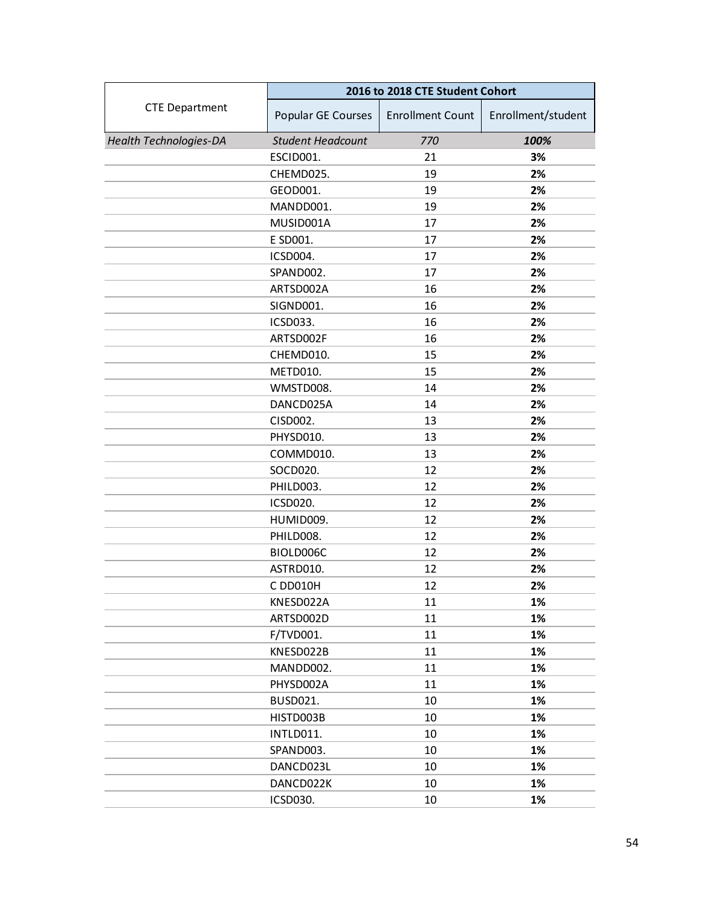|                               | 2016 to 2018 CTE Student Cohort |                         |                    |
|-------------------------------|---------------------------------|-------------------------|--------------------|
| <b>CTE Department</b>         | Popular GE Courses              | <b>Enrollment Count</b> | Enrollment/student |
| <b>Health Technologies-DA</b> | <b>Student Headcount</b>        | 770                     | 100%               |
|                               | ESCID001.                       | 21                      | 3%                 |
|                               | CHEMD025.                       | 19                      | 2%                 |
|                               | GEOD001.                        | 19                      | 2%                 |
|                               | MANDD001.                       | 19                      | 2%                 |
|                               | MUSID001A                       | 17                      | 2%                 |
|                               | E SD001.                        | 17                      | 2%                 |
|                               | ICSD004.                        | 17                      | 2%                 |
|                               | SPAND002.                       | 17                      | 2%                 |
|                               | ARTSD002A                       | 16                      | 2%                 |
|                               | SIGND001.                       | 16                      | 2%                 |
|                               | ICSD033.                        | 16                      | 2%                 |
|                               | ARTSD002F                       | 16                      | 2%                 |
|                               | CHEMD010.                       | 15                      | 2%                 |
|                               | <b>METD010.</b>                 | 15                      | 2%                 |
|                               | WMSTD008.                       | 14                      | 2%                 |
|                               | DANCD025A                       | 14                      | 2%                 |
|                               | CISD002.                        | 13                      | 2%                 |
|                               | PHYSD010.                       | 13                      | 2%                 |
|                               | COMMD010.                       | 13                      | 2%                 |
|                               | SOCD020.                        | 12                      | 2%                 |
|                               | PHILD003.                       | 12                      | 2%                 |
|                               | ICSD020.                        | 12                      | 2%                 |
|                               | HUMID009.                       | 12                      | 2%                 |
|                               | PHILD008.                       | 12                      | 2%                 |
|                               | BIOLD006C                       | 12                      | 2%                 |
|                               | ASTRD010.                       | 12                      | 2%                 |
|                               | C DD010H                        | 12                      | 2%                 |
|                               | KNESD022A                       | 11                      | 1%                 |
|                               | ARTSD002D                       | 11                      | 1%                 |
|                               | F/TVD001.                       | 11                      | 1%                 |
|                               | KNESD022B                       | 11                      | 1%                 |
|                               | MANDD002.                       | 11                      | 1%                 |
|                               | PHYSD002A                       | 11                      | 1%                 |
|                               | <b>BUSD021.</b>                 | 10                      | 1%                 |
|                               | HISTD003B                       | 10                      | 1%                 |
|                               | INTLD011.                       | 10                      | 1%                 |
|                               | SPAND003.                       | 10                      | 1%                 |
|                               | DANCD023L                       | 10                      | 1%                 |
|                               | DANCD022K                       | 10                      | 1%                 |
|                               | ICSD030.                        | 10                      | 1%                 |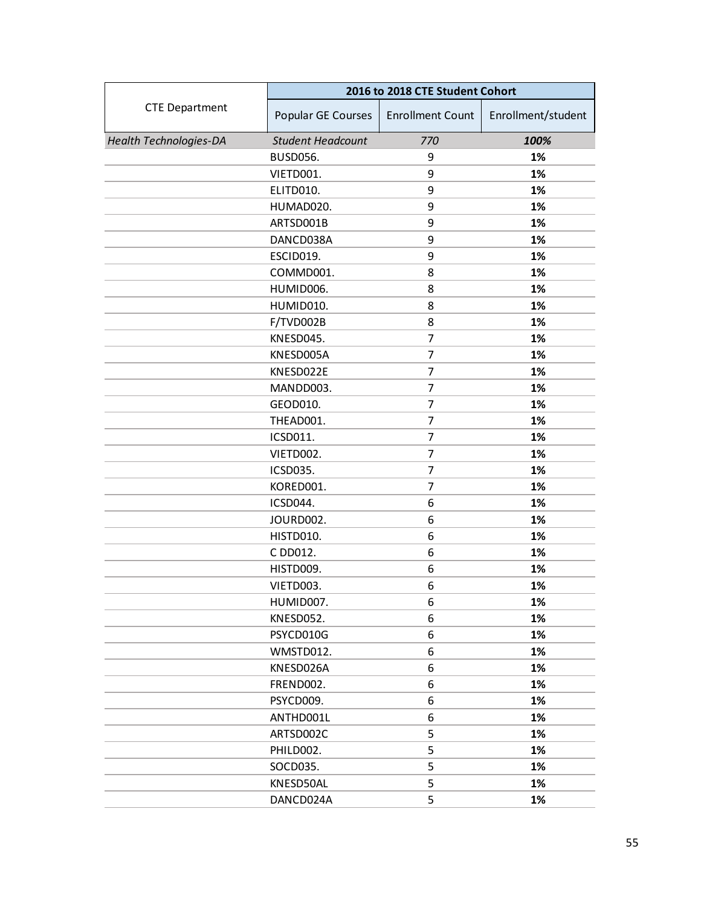|                               | 2016 to 2018 CTE Student Cohort |                         |                    |
|-------------------------------|---------------------------------|-------------------------|--------------------|
| <b>CTE Department</b>         | Popular GE Courses              | <b>Enrollment Count</b> | Enrollment/student |
| <b>Health Technologies-DA</b> | <b>Student Headcount</b>        | 770                     | 100%               |
|                               | <b>BUSD056.</b>                 | 9                       | 1%                 |
|                               | VIETD001.                       | 9                       | 1%                 |
|                               | ELITD010.                       | 9                       | 1%                 |
|                               | HUMAD020.                       | 9                       | 1%                 |
|                               | ARTSD001B                       | 9                       | 1%                 |
|                               | DANCD038A                       | 9                       | 1%                 |
|                               | ESCID019.                       | 9                       | 1%                 |
|                               | COMMD001.                       | 8                       | 1%                 |
|                               | HUMID006.                       | 8                       | 1%                 |
|                               | HUMID010.                       | 8                       | 1%                 |
|                               | F/TVD002B                       | 8                       | 1%                 |
|                               | KNESD045.                       | $\overline{7}$          | 1%                 |
|                               | KNESD005A                       | 7                       | 1%                 |
|                               | KNESD022E                       | 7                       | 1%                 |
|                               | MANDD003.                       | 7                       | 1%                 |
|                               | GEOD010.                        | 7                       | 1%                 |
|                               | THEAD001.                       | 7                       | 1%                 |
|                               | ICSD011.                        | 7                       | 1%                 |
|                               | VIETD002.                       | 7                       | 1%                 |
|                               | ICSD035.                        | 7                       | 1%                 |
|                               | KORED001.                       | 7                       | 1%                 |
|                               | ICSD044.                        | 6                       | 1%                 |
|                               | JOURD002.                       | 6                       | 1%                 |
|                               | <b>HISTD010.</b>                | 6                       | 1%                 |
|                               | C DD012.                        | 6                       | 1%                 |
|                               | HISTD009.                       | 6                       | 1%                 |
|                               | VIETD003.                       | 6                       | 1%                 |
|                               | HUMID007.                       | 6                       | 1%                 |
|                               | KNESD052.                       | 6                       | 1%                 |
|                               | PSYCD010G                       | 6                       | 1%                 |
|                               | WMSTD012.                       | 6                       | 1%                 |
|                               | KNESD026A                       | 6                       | 1%                 |
|                               | FREND002.                       | 6                       | 1%                 |
|                               | PSYCD009.                       | 6                       | 1%                 |
|                               | ANTHD001L                       | 6                       | 1%                 |
|                               | ARTSD002C                       | 5                       | 1%                 |
|                               | PHILD002.                       | 5                       | 1%                 |
|                               | SOCD035.                        | 5                       | 1%                 |
|                               | KNESD50AL                       | 5                       | 1%                 |
|                               | DANCD024A                       | 5                       | 1%                 |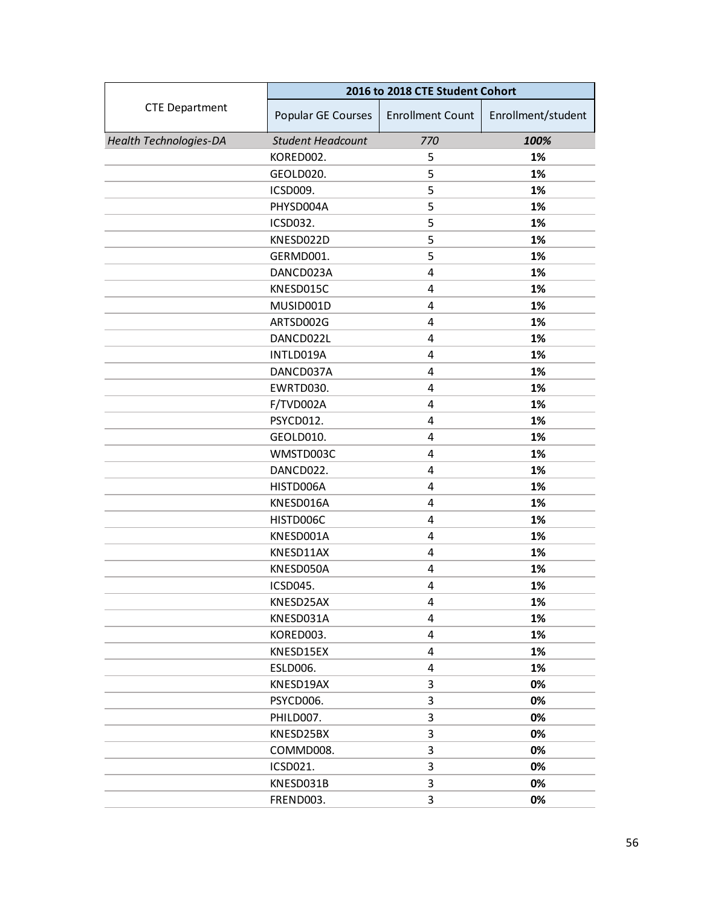|                               | 2016 to 2018 CTE Student Cohort |                         |                    |
|-------------------------------|---------------------------------|-------------------------|--------------------|
| <b>CTE Department</b>         | Popular GE Courses              | <b>Enrollment Count</b> | Enrollment/student |
| <b>Health Technologies-DA</b> | <b>Student Headcount</b>        | 770                     | 100%               |
|                               | KORED002.                       | 5                       | 1%                 |
|                               | GEOLD020.                       | 5                       | 1%                 |
|                               | ICSD009.                        | 5                       | 1%                 |
|                               | PHYSD004A                       | 5                       | 1%                 |
|                               | ICSD032.                        | 5                       | 1%                 |
|                               | KNESD022D                       | 5                       | 1%                 |
|                               | GERMD001.                       | 5                       | 1%                 |
|                               | DANCD023A                       | 4                       | 1%                 |
|                               | KNESD015C                       | 4                       | 1%                 |
|                               | MUSID001D                       | 4                       | 1%                 |
|                               | ARTSD002G                       | 4                       | 1%                 |
|                               | DANCD022L                       | 4                       | 1%                 |
|                               | INTLD019A                       | 4                       | 1%                 |
|                               | DANCD037A                       | 4                       | 1%                 |
|                               | EWRTD030.                       | 4                       | 1%                 |
|                               | F/TVD002A                       | 4                       | 1%                 |
|                               | PSYCD012.                       | 4                       | 1%                 |
|                               | GEOLD010.                       | 4                       | 1%                 |
|                               | WMSTD003C                       | 4                       | 1%                 |
|                               | DANCD022.                       | 4                       | 1%                 |
|                               | HISTD006A                       | 4                       | 1%                 |
|                               | KNESD016A                       | 4                       | 1%                 |
|                               | HISTD006C                       | 4                       | 1%                 |
|                               | KNESD001A                       | 4                       | 1%                 |
|                               | KNESD11AX                       | 4                       | 1%                 |
|                               | KNESD050A                       | 4                       | 1%                 |
|                               | ICSD045.                        | 4                       | 1%                 |
|                               | KNESD25AX                       | 4                       | 1%                 |
|                               | KNESD031A                       | 4                       | 1%                 |
|                               | KORED003.                       | 4                       | 1%                 |
|                               | KNESD15EX                       | 4                       | 1%                 |
|                               | <b>ESLD006.</b>                 | 4                       | 1%                 |
|                               | KNESD19AX                       | 3                       | 0%                 |
|                               | PSYCD006.                       | 3                       | 0%                 |
|                               | PHILD007.                       | 3                       | 0%                 |
|                               | KNESD25BX                       | 3                       | 0%                 |
|                               | COMMD008.                       | 3                       | 0%                 |
|                               | ICSD021.                        | 3                       | 0%                 |
|                               | KNESD031B                       | 3                       | 0%                 |
|                               | FREND003.                       | 3                       | 0%                 |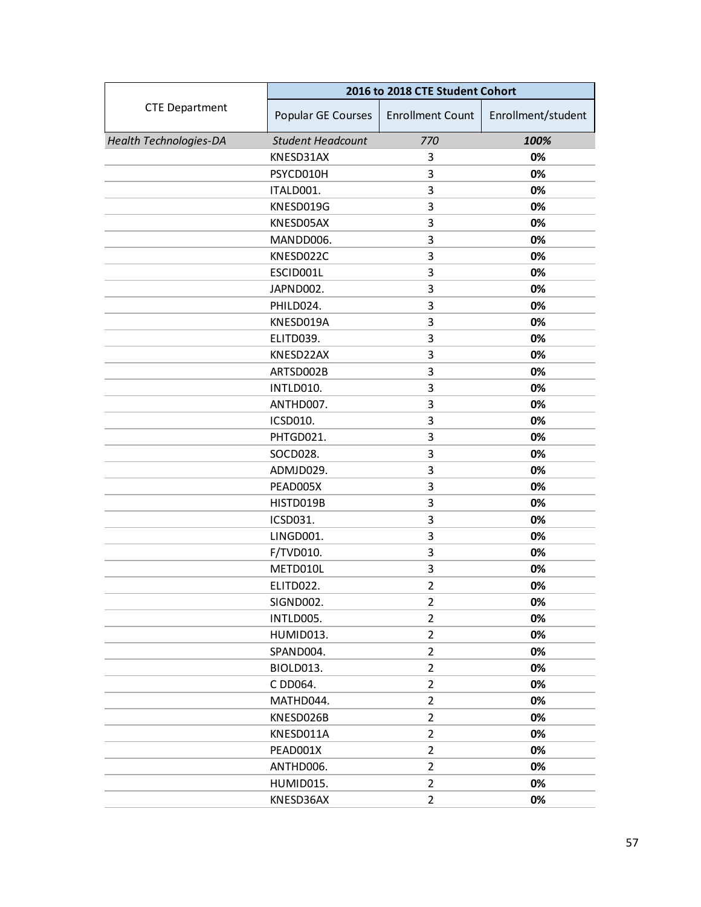|                               | 2016 to 2018 CTE Student Cohort |                         |                    |
|-------------------------------|---------------------------------|-------------------------|--------------------|
| <b>CTE Department</b>         | Popular GE Courses              | <b>Enrollment Count</b> | Enrollment/student |
| <b>Health Technologies-DA</b> | <b>Student Headcount</b>        | 770                     | 100%               |
|                               | KNESD31AX                       | 3                       | 0%                 |
|                               | PSYCD010H                       | 3                       | 0%                 |
|                               | ITALD001.                       | 3                       | 0%                 |
|                               | KNESD019G                       | 3                       | 0%                 |
|                               | KNESD05AX                       | 3                       | 0%                 |
|                               | MANDD006.                       | 3                       | 0%                 |
|                               | KNESD022C                       | 3                       | 0%                 |
|                               | ESCID001L                       | 3                       | 0%                 |
|                               | JAPND002.                       | 3                       | 0%                 |
|                               | PHILD024.                       | 3                       | 0%                 |
|                               | KNESD019A                       | 3                       | 0%                 |
|                               | ELITD039.                       | 3                       | 0%                 |
|                               | KNESD22AX                       | 3                       | 0%                 |
|                               | ARTSD002B                       | 3                       | 0%                 |
|                               | INTLD010.                       | 3                       | 0%                 |
|                               | ANTHD007.                       | 3                       | 0%                 |
|                               | ICSD010.                        | 3                       | 0%                 |
|                               | PHTGD021.                       | 3                       | 0%                 |
|                               | SOCD028.                        | 3                       | 0%                 |
|                               | ADMJD029.                       | 3                       | 0%                 |
|                               | PEAD005X                        | 3                       | 0%                 |
|                               | HISTD019B                       | 3                       | 0%                 |
|                               | ICSD031.                        | 3                       | 0%                 |
|                               | LINGD001.                       | 3                       | 0%                 |
|                               | F/TVD010.                       | 3                       | 0%                 |
|                               | METD010L                        | 3                       | 0%                 |
|                               | ELITD022.                       | $\overline{2}$          | 0%                 |
|                               | SIGND002.                       | $\overline{2}$          | 0%                 |
|                               | INTLD005.                       | 2                       | 0%                 |
|                               | HUMID013.                       | 2                       | 0%                 |
|                               | SPAND004.                       | $\overline{2}$          | 0%                 |
|                               | BIOLD013.                       | $\overline{2}$          | 0%                 |
|                               | C DD064.                        | $\overline{2}$          | 0%                 |
|                               | MATHD044.                       | $\overline{2}$          | 0%                 |
|                               | KNESD026B                       | $\overline{2}$          | 0%                 |
|                               | KNESD011A                       | $\overline{2}$          | 0%                 |
|                               | PEAD001X                        | $\overline{2}$          | 0%                 |
|                               | ANTHD006.                       | $\overline{2}$          | 0%                 |
|                               | HUMID015.                       | $\mathbf{2}$            | 0%                 |
|                               | KNESD36AX                       | $\overline{2}$          | 0%                 |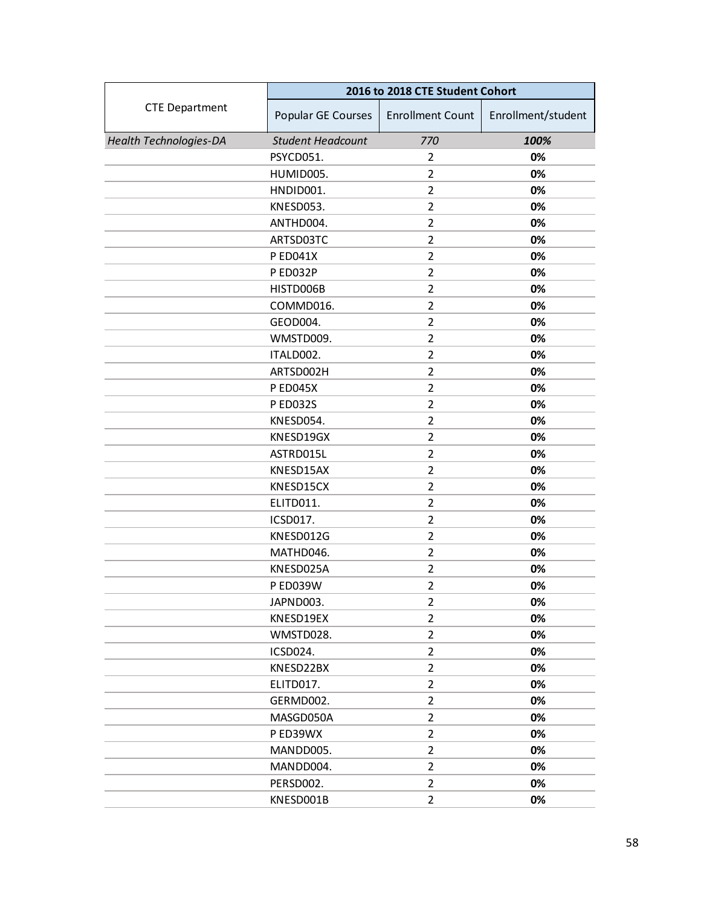|                               | 2016 to 2018 CTE Student Cohort |                         |                    |
|-------------------------------|---------------------------------|-------------------------|--------------------|
| <b>CTE Department</b>         | Popular GE Courses              | <b>Enrollment Count</b> | Enrollment/student |
| <b>Health Technologies-DA</b> | <b>Student Headcount</b>        | 770                     | 100%               |
|                               | PSYCD051.                       | 2                       | 0%                 |
|                               | HUMID005.                       | $\overline{2}$          | 0%                 |
|                               | HNDID001.                       | $\overline{2}$          | 0%                 |
|                               | KNESD053.                       | $\overline{2}$          | 0%                 |
|                               | ANTHD004.                       | $\overline{2}$          | 0%                 |
|                               | ARTSD03TC                       | $\overline{2}$          | 0%                 |
|                               | P ED041X                        | $\overline{2}$          | 0%                 |
|                               | P ED032P                        | $\overline{2}$          | 0%                 |
|                               | HISTD006B                       | $\overline{2}$          | 0%                 |
|                               | COMMD016.                       | $\overline{2}$          | 0%                 |
|                               | GEOD004.                        | $\overline{2}$          | 0%                 |
|                               | WMSTD009.                       | $\overline{2}$          | 0%                 |
|                               | ITALD002.                       | $\overline{2}$          | 0%                 |
|                               | ARTSD002H                       | $\overline{2}$          | 0%                 |
|                               | <b>PED045X</b>                  | $\overline{2}$          | 0%                 |
|                               | P ED032S                        | $\overline{2}$          | 0%                 |
|                               | KNESD054.                       | 2                       | 0%                 |
|                               | KNESD19GX                       | $\overline{2}$          | 0%                 |
|                               | ASTRD015L                       | $\overline{2}$          | 0%                 |
|                               | KNESD15AX                       | $\overline{2}$          | 0%                 |
|                               | KNESD15CX                       | $\overline{2}$          | 0%                 |
|                               | ELITD011.                       | 2                       | 0%                 |
|                               | ICSD017.                        | $\overline{2}$          | 0%                 |
|                               | KNESD012G                       | $\overline{2}$          | 0%                 |
|                               | MATHD046.                       | $\overline{2}$          | 0%                 |
|                               | KNESD025A                       | $\overline{2}$          | 0%                 |
|                               | <b>P ED039W</b>                 | $\overline{2}$          | 0%                 |
|                               | JAPND003.                       | 2                       | 0%                 |
|                               | KNESD19EX                       | $\overline{2}$          | 0%                 |
|                               | WMSTD028.                       | $\overline{2}$          | 0%                 |
|                               | ICSD024.                        | $\overline{2}$          | 0%                 |
|                               | KNESD22BX                       | $\overline{2}$          | 0%                 |
|                               | ELITD017.                       | $\overline{2}$          | 0%                 |
|                               | GERMD002.                       | $\overline{2}$          | 0%                 |
|                               | MASGD050A                       | $\overline{2}$          | 0%                 |
|                               | P ED39WX                        | $\overline{2}$          | 0%                 |
|                               | MANDD005.                       | $\overline{2}$          | 0%                 |
|                               | MANDD004.                       | $\overline{2}$          | 0%                 |
|                               | PERSD002.                       | $\overline{2}$          | 0%                 |
|                               | KNESD001B                       | $\overline{2}$          | 0%                 |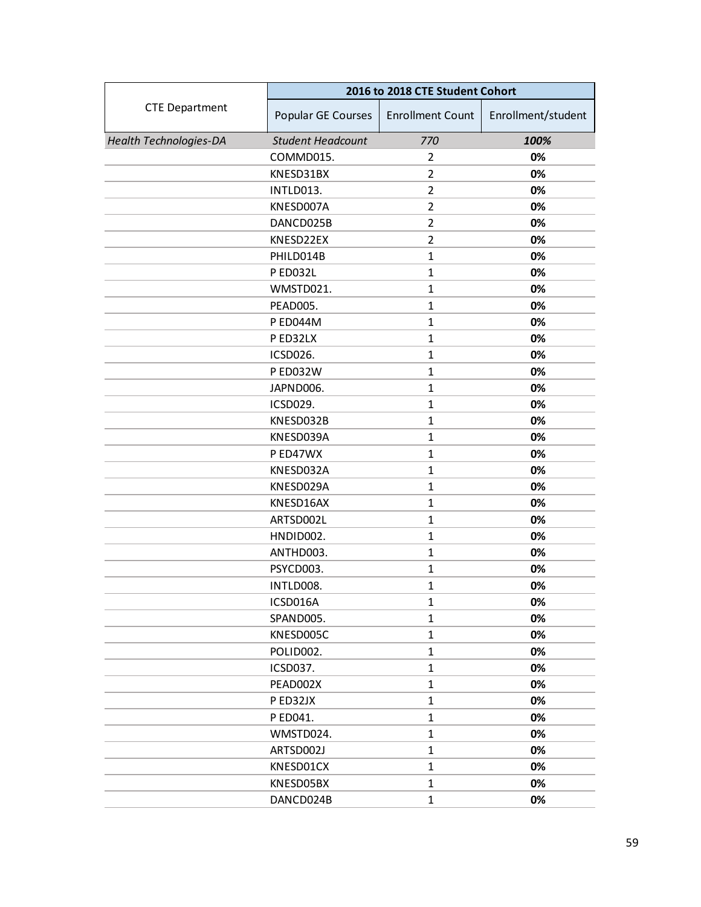|                               | 2016 to 2018 CTE Student Cohort |                         |                    |
|-------------------------------|---------------------------------|-------------------------|--------------------|
| <b>CTE Department</b>         | Popular GE Courses              | <b>Enrollment Count</b> | Enrollment/student |
| <b>Health Technologies-DA</b> | <b>Student Headcount</b>        | 770                     | 100%               |
|                               | COMMD015.                       | 2                       | 0%                 |
|                               | KNESD31BX                       | $\overline{2}$          | 0%                 |
|                               | INTLD013.                       | $\overline{2}$          | 0%                 |
|                               | KNESD007A                       | $\overline{2}$          | 0%                 |
|                               | DANCD025B                       | $\overline{2}$          | 0%                 |
|                               | KNESD22EX                       | $\overline{2}$          | 0%                 |
|                               | PHILD014B                       | $\mathbf{1}$            | 0%                 |
|                               | <b>PED032L</b>                  | $\mathbf{1}$            | 0%                 |
|                               | WMSTD021.                       | $\mathbf{1}$            | 0%                 |
|                               | PEAD005.                        | $\mathbf{1}$            | 0%                 |
|                               | P ED044M                        | $\mathbf{1}$            | 0%                 |
|                               | P ED32LX                        | $\mathbf{1}$            | 0%                 |
|                               | ICSD026.                        | $\mathbf{1}$            | 0%                 |
|                               | P ED032W                        | $\mathbf{1}$            | 0%                 |
|                               | JAPND006.                       | $\mathbf{1}$            | 0%                 |
|                               | ICSD029.                        | $\mathbf{1}$            | 0%                 |
|                               | KNESD032B                       | $\mathbf{1}$            | 0%                 |
|                               | KNESD039A                       | $\mathbf{1}$            | 0%                 |
|                               | P ED47WX                        | $\mathbf{1}$            | 0%                 |
|                               | KNESD032A                       | $\mathbf{1}$            | 0%                 |
|                               | KNESD029A                       | $\mathbf{1}$            | 0%                 |
|                               | KNESD16AX                       | $\mathbf{1}$            | 0%                 |
|                               | ARTSD002L                       | $\mathbf{1}$            | 0%                 |
|                               | HNDID002.                       | $\mathbf{1}$            | 0%                 |
|                               | ANTHD003.                       | $\mathbf{1}$            | 0%                 |
|                               | PSYCD003.                       | $\mathbf{1}$            | 0%                 |
|                               | INTLD008.                       | $\mathbf{1}$            | 0%                 |
|                               | ICSD016A                        | $\mathbf{1}$            | 0%                 |
|                               | SPAND005.                       | $\mathbf{1}$            | 0%                 |
|                               | KNESD005C                       | $\mathbf{1}$            | 0%                 |
|                               | POLID002.                       | $\mathbf{1}$            | 0%                 |
|                               | ICSD037.                        | $\mathbf{1}$            | 0%                 |
|                               | PEAD002X                        | $\mathbf{1}$            | 0%                 |
|                               | P ED32JX                        | $\mathbf{1}$            | 0%                 |
|                               | P ED041.                        | $\mathbf{1}$            | 0%                 |
|                               | WMSTD024.                       | $\mathbf{1}$            | 0%                 |
|                               | ARTSD002J                       | $\mathbf{1}$            | 0%                 |
|                               | KNESD01CX                       | $\mathbf{1}$            | 0%                 |
|                               | KNESD05BX                       | $\mathbf{1}$            | 0%                 |
|                               | DANCD024B                       | $\mathbf{1}$            | 0%                 |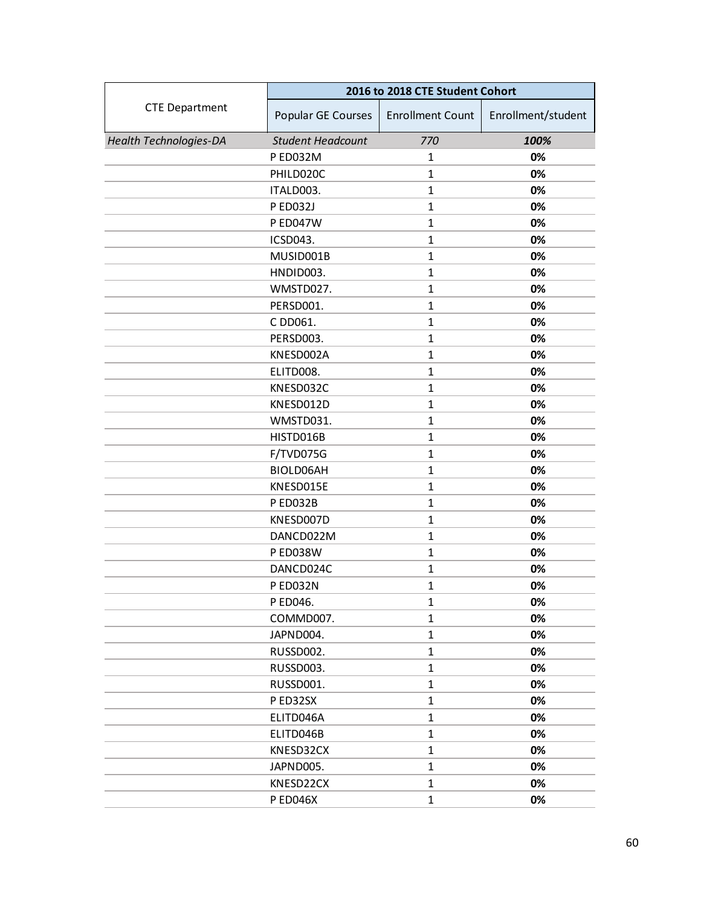|                               | 2016 to 2018 CTE Student Cohort |                         |                    |
|-------------------------------|---------------------------------|-------------------------|--------------------|
| <b>CTE Department</b>         | Popular GE Courses              | <b>Enrollment Count</b> | Enrollment/student |
| <b>Health Technologies-DA</b> | <b>Student Headcount</b>        | 770                     | 100%               |
|                               | P ED032M                        | 1                       | 0%                 |
|                               | PHILD020C                       | $\mathbf{1}$            | 0%                 |
|                               | ITALD003.                       | $\mathbf{1}$            | 0%                 |
|                               | P ED032J                        | $\mathbf{1}$            | 0%                 |
|                               | P ED047W                        | $\mathbf{1}$            | 0%                 |
|                               | ICSD043.                        | $\mathbf{1}$            | 0%                 |
|                               | MUSID001B                       | $\mathbf{1}$            | 0%                 |
|                               | HNDID003.                       | $\mathbf{1}$            | 0%                 |
|                               | WMSTD027.                       | $\mathbf{1}$            | 0%                 |
|                               | PERSD001.                       | $\mathbf{1}$            | 0%                 |
|                               | C DD061.                        | $\mathbf{1}$            | 0%                 |
|                               | PERSD003.                       | $\mathbf{1}$            | 0%                 |
|                               | KNESD002A                       | $\mathbf{1}$            | 0%                 |
|                               | ELITD008.                       | $\mathbf{1}$            | 0%                 |
|                               | KNESD032C                       | $\mathbf{1}$            | 0%                 |
|                               | KNESD012D                       | $\mathbf{1}$            | 0%                 |
|                               | WMSTD031.                       | $\mathbf{1}$            | 0%                 |
|                               | HISTD016B                       | $\mathbf{1}$            | 0%                 |
|                               | F/TVD075G                       | $\mathbf{1}$            | 0%                 |
|                               | BIOLD06AH                       | $\mathbf{1}$            | 0%                 |
|                               | KNESD015E                       | $\mathbf{1}$            | 0%                 |
|                               | P ED032B                        | $\mathbf{1}$            | 0%                 |
|                               | KNESD007D                       | $\mathbf{1}$            | 0%                 |
|                               | DANCD022M                       | $\mathbf{1}$            | 0%                 |
|                               | <b>P ED038W</b>                 | $\mathbf{1}$            | 0%                 |
|                               | DANCD024C                       | $\mathbf{1}$            | 0%                 |
|                               | P ED032N                        | $\mathbf{1}$            | 0%                 |
|                               | P ED046.                        | 1                       | 0%                 |
|                               | COMMD007.                       | $\mathbf{1}$            | 0%                 |
|                               | JAPND004.                       | $\mathbf{1}$            | 0%                 |
|                               | RUSSD002.                       | $\mathbf{1}$            | 0%                 |
|                               | RUSSD003.                       | $\mathbf{1}$            | 0%                 |
|                               | RUSSD001.                       | $\mathbf{1}$            | 0%                 |
|                               | PED32SX                         | $\mathbf{1}$            | 0%                 |
|                               | ELITD046A                       | $\mathbf{1}$            | 0%                 |
|                               | ELITD046B                       | $\mathbf{1}$            | 0%                 |
|                               | KNESD32CX                       | $\mathbf{1}$            | 0%                 |
|                               | JAPND005.                       | $\mathbf{1}$            | 0%                 |
|                               | KNESD22CX                       | $\mathbf{1}$            | 0%                 |
|                               | <b>PED046X</b>                  | $\mathbf{1}$            | 0%                 |
|                               |                                 |                         |                    |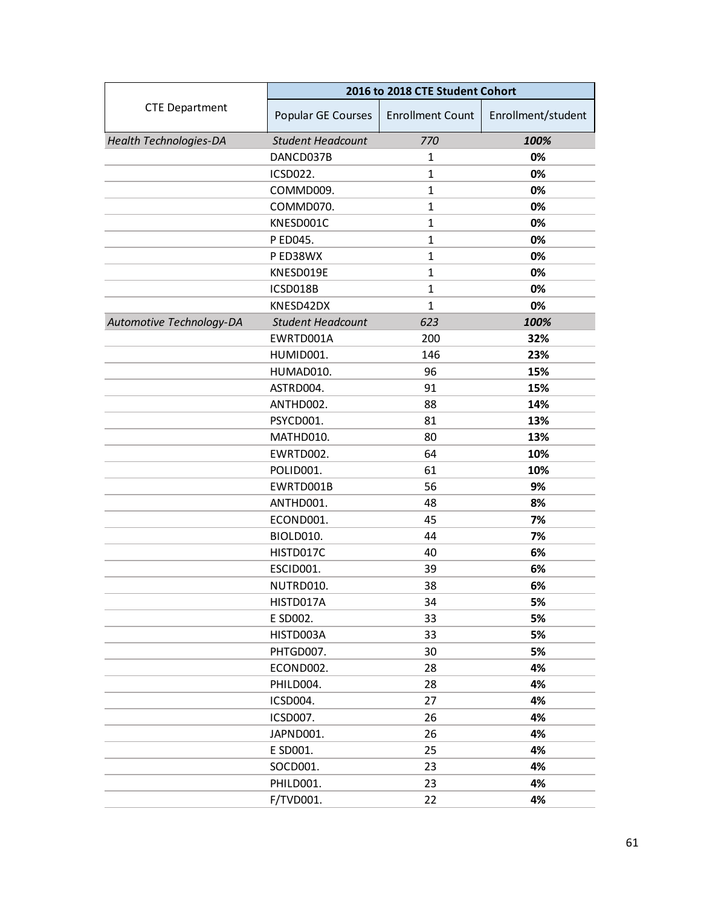|                               | 2016 to 2018 CTE Student Cohort |                         |                    |  |
|-------------------------------|---------------------------------|-------------------------|--------------------|--|
| <b>CTE Department</b>         | Popular GE Courses              | <b>Enrollment Count</b> | Enrollment/student |  |
| <b>Health Technologies-DA</b> | <b>Student Headcount</b>        | 770                     | 100%               |  |
|                               | DANCD037B                       | 1                       | 0%                 |  |
|                               | <b>ICSD022.</b>                 | $\mathbf{1}$            | 0%                 |  |
|                               | COMMD009.                       | $\mathbf{1}$            | 0%                 |  |
|                               | COMMD070.                       | $\mathbf{1}$            | 0%                 |  |
|                               | KNESD001C                       | $\mathbf{1}$            | 0%                 |  |
|                               | P ED045.                        | $\mathbf{1}$            | 0%                 |  |
|                               | P ED38WX                        | $\mathbf{1}$            | 0%                 |  |
|                               | KNESD019E                       | $\mathbf{1}$            | 0%                 |  |
|                               | ICSD018B                        | $\mathbf{1}$            | 0%                 |  |
|                               | KNESD42DX                       | $\mathbf{1}$            | 0%                 |  |
| Automotive Technology-DA      | <b>Student Headcount</b>        | 623                     | 100%               |  |
|                               | EWRTD001A                       | 200                     | 32%                |  |
|                               | HUMID001.                       | 146                     | 23%                |  |
|                               | HUMAD010.                       | 96                      | 15%                |  |
|                               | ASTRD004.                       | 91                      | 15%                |  |
|                               | ANTHD002.                       | 88                      | 14%                |  |
|                               | PSYCD001.                       | 81                      | 13%                |  |
|                               | MATHD010.                       | 80                      | 13%                |  |
|                               | EWRTD002.                       | 64                      | 10%                |  |
|                               | POLID001.                       | 61                      | 10%                |  |
|                               | EWRTD001B                       | 56                      | 9%                 |  |
|                               | ANTHD001.                       | 48                      | 8%                 |  |
|                               | ECOND001.                       | 45                      | 7%                 |  |
|                               | BIOLD010.                       | 44                      | 7%                 |  |
|                               | HISTD017C                       | 40                      | 6%                 |  |
|                               | ESCID001.                       | 39                      | 6%                 |  |
|                               | NUTRD010.                       | 38                      | 6%                 |  |
|                               | HISTD017A                       | 34                      | 5%                 |  |
|                               | E SD002.                        | 33                      | 5%                 |  |
|                               | HISTD003A                       | 33                      | 5%                 |  |
|                               | PHTGD007.                       | 30                      | 5%                 |  |
|                               | ECOND002.                       | 28                      | 4%                 |  |
|                               | PHILD004.                       | 28                      | 4%                 |  |
|                               | ICSD004.                        | 27                      | 4%                 |  |
|                               | ICSD007.                        | 26                      | 4%                 |  |
|                               | JAPND001.                       | 26                      | 4%                 |  |
|                               | E SD001.                        | 25                      | 4%                 |  |
|                               | SOCD001.                        | 23                      | 4%                 |  |
|                               | PHILD001.                       | 23                      | 4%                 |  |
|                               | F/TVD001.                       | 22                      | 4%                 |  |
|                               |                                 |                         |                    |  |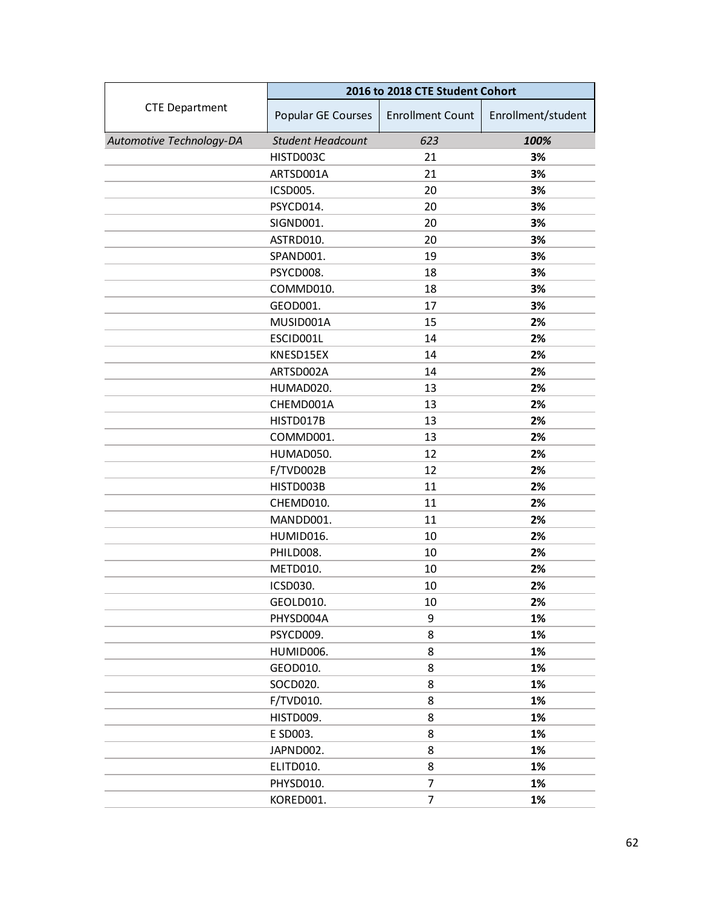|                          | 2016 to 2018 CTE Student Cohort |                         |                    |  |
|--------------------------|---------------------------------|-------------------------|--------------------|--|
| <b>CTE Department</b>    | Popular GE Courses              | <b>Enrollment Count</b> | Enrollment/student |  |
| Automotive Technology-DA | <b>Student Headcount</b>        | 623                     | 100%               |  |
|                          | HISTD003C                       | 21                      | 3%                 |  |
|                          | ARTSD001A                       | 21                      | 3%                 |  |
|                          | ICSD005.                        | 20                      | 3%                 |  |
|                          | PSYCD014.                       | 20                      | 3%                 |  |
|                          | SIGND001.                       | 20                      | 3%                 |  |
|                          | ASTRD010.                       | 20                      | 3%                 |  |
|                          | SPAND001.                       | 19                      | 3%                 |  |
|                          | PSYCD008.                       | 18                      | 3%                 |  |
|                          | COMMD010.                       | 18                      | 3%                 |  |
|                          | GEOD001.                        | 17                      | 3%                 |  |
|                          | MUSID001A                       | 15                      | 2%                 |  |
|                          | ESCID001L                       | 14                      | 2%                 |  |
|                          | KNESD15EX                       | 14                      | 2%                 |  |
|                          | ARTSD002A                       | 14                      | 2%                 |  |
|                          | HUMAD020.                       | 13                      | 2%                 |  |
|                          | CHEMD001A                       | 13                      | 2%                 |  |
|                          | HISTD017B                       | 13                      | 2%                 |  |
|                          | COMMD001.                       | 13                      | 2%                 |  |
|                          | HUMAD050.                       | 12                      | 2%                 |  |
|                          | F/TVD002B                       | 12                      | 2%                 |  |
|                          | HISTD003B                       | 11                      | 2%                 |  |
|                          | CHEMD010.                       | 11                      | 2%                 |  |
|                          | MANDD001.                       | 11                      | 2%                 |  |
|                          | HUMID016.                       | 10                      | 2%                 |  |
|                          | PHILD008.                       | 10                      | 2%                 |  |
|                          | METD010.                        | 10                      | 2%                 |  |
|                          | ICSD030.                        | 10                      | 2%                 |  |
|                          | GEOLD010.                       | 10                      | 2%                 |  |
|                          | PHYSD004A                       | 9                       | 1%                 |  |
|                          | PSYCD009.                       | 8                       | 1%                 |  |
|                          | HUMID006.                       | 8                       | 1%                 |  |
|                          | GEOD010.                        | 8                       | 1%                 |  |
|                          | SOCD020.                        | 8                       | 1%                 |  |
|                          | F/TVD010.                       | 8                       | 1%                 |  |
|                          | HISTD009.                       | 8                       | 1%                 |  |
|                          | E SD003.                        | 8                       | 1%                 |  |
|                          | JAPND002.                       | 8                       | 1%                 |  |
|                          | ELITD010.                       | 8                       | 1%                 |  |
|                          | PHYSD010.                       | 7                       | 1%                 |  |
|                          | KORED001.                       | $\overline{7}$          | 1%                 |  |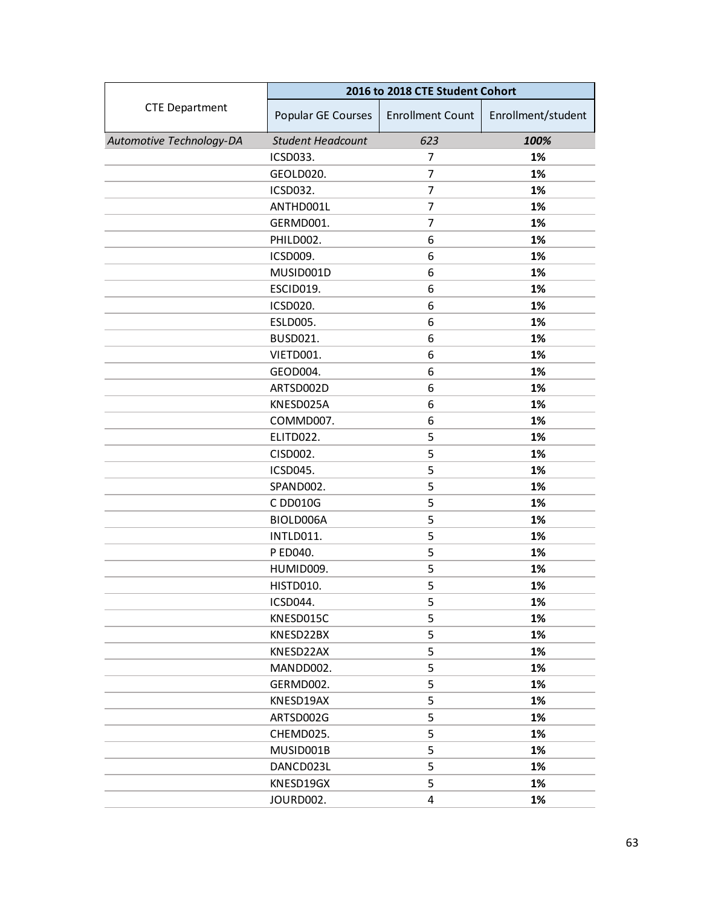|                          | 2016 to 2018 CTE Student Cohort |                         |                    |  |
|--------------------------|---------------------------------|-------------------------|--------------------|--|
| <b>CTE Department</b>    | Popular GE Courses              | <b>Enrollment Count</b> | Enrollment/student |  |
| Automotive Technology-DA | <b>Student Headcount</b>        | 623                     | 100%               |  |
|                          | ICSD033.                        | 7                       | 1%                 |  |
|                          | GEOLD020.                       | 7                       | 1%                 |  |
|                          | <b>ICSD032.</b>                 | 7                       | 1%                 |  |
|                          | ANTHD001L                       | 7                       | 1%                 |  |
|                          | GERMD001.                       | 7                       | 1%                 |  |
|                          | PHILD002.                       | 6                       | 1%                 |  |
|                          | ICSD009.                        | 6                       | 1%                 |  |
|                          | MUSID001D                       | 6                       | 1%                 |  |
|                          | ESCID019.                       | 6                       | 1%                 |  |
|                          | ICSD020.                        | 6                       | 1%                 |  |
|                          | ESLD005.                        | 6                       | 1%                 |  |
|                          | <b>BUSD021.</b>                 | 6                       | 1%                 |  |
|                          | VIETD001.                       | 6                       | 1%                 |  |
|                          | GEOD004.                        | 6                       | 1%                 |  |
|                          | ARTSD002D                       | 6                       | 1%                 |  |
|                          | KNESD025A                       | 6                       | 1%                 |  |
|                          | COMMD007.                       | 6                       | 1%                 |  |
|                          | ELITD022.                       | 5                       | 1%                 |  |
|                          | CISD002.                        | 5                       | 1%                 |  |
|                          | ICSD045.                        | 5                       | 1%                 |  |
|                          | SPAND002.                       | 5                       | 1%                 |  |
|                          | C DD010G                        | 5                       | 1%                 |  |
|                          | BIOLD006A                       | 5                       | 1%                 |  |
|                          | INTLD011.                       | 5                       | 1%                 |  |
|                          | P ED040.                        | 5                       | 1%                 |  |
|                          | HUMID009.                       | 5                       | 1%                 |  |
|                          | HISTD010.                       | 5                       | 1%                 |  |
|                          | ICSD044.                        | 5                       | 1%                 |  |
|                          | KNESD015C                       | 5                       | 1%                 |  |
|                          | KNESD22BX                       | 5                       | 1%                 |  |
|                          | KNESD22AX                       | 5                       | 1%                 |  |
|                          | MANDD002.                       | 5                       | 1%                 |  |
|                          | GERMD002.                       | 5                       | 1%                 |  |
|                          | KNESD19AX                       | 5                       | 1%                 |  |
|                          | ARTSD002G                       | 5                       | 1%                 |  |
|                          | CHEMD025.                       | 5                       | 1%                 |  |
|                          | MUSID001B                       | 5                       | 1%                 |  |
|                          | DANCD023L                       | 5                       | 1%                 |  |
|                          | KNESD19GX                       | 5                       | 1%                 |  |
|                          | JOURD002.                       | $\overline{4}$          | 1%                 |  |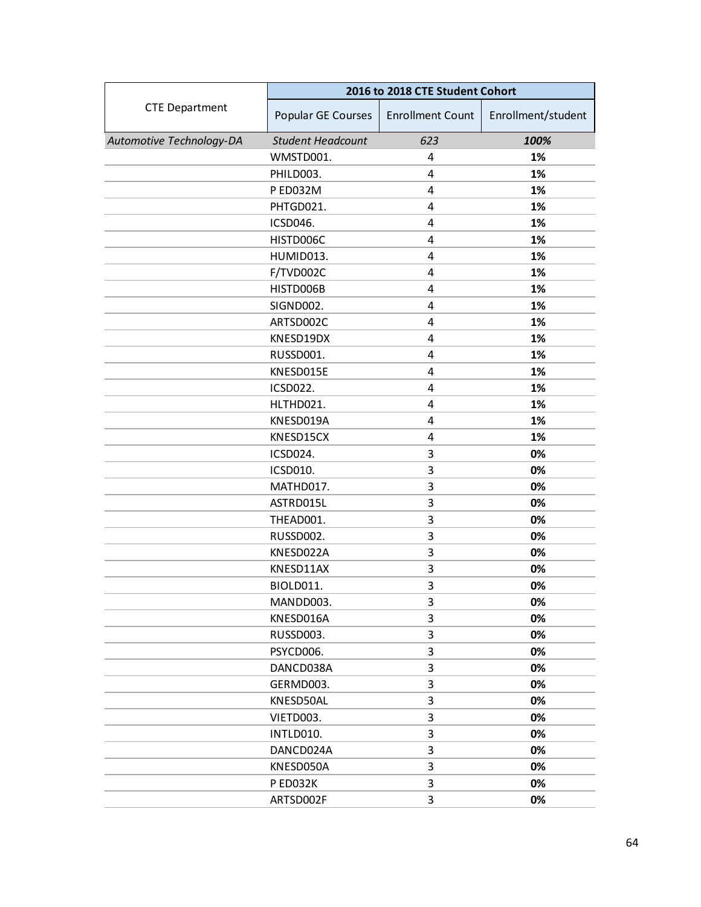|                          | 2016 to 2018 CTE Student Cohort |                         |                    |  |
|--------------------------|---------------------------------|-------------------------|--------------------|--|
| <b>CTE Department</b>    | Popular GE Courses              | <b>Enrollment Count</b> | Enrollment/student |  |
| Automotive Technology-DA | <b>Student Headcount</b>        | 623                     | 100%               |  |
|                          | WMSTD001.                       | 4                       | 1%                 |  |
|                          | PHILD003.                       | 4                       | 1%                 |  |
|                          | P ED032M                        | 4                       | 1%                 |  |
|                          | PHTGD021.                       | 4                       | 1%                 |  |
|                          | ICSD046.                        | 4                       | 1%                 |  |
|                          | HISTD006C                       | 4                       | 1%                 |  |
|                          | HUMID013.                       | 4                       | 1%                 |  |
|                          | F/TVD002C                       | 4                       | 1%                 |  |
|                          | HISTD006B                       | 4                       | 1%                 |  |
|                          | SIGND002.                       | 4                       | 1%                 |  |
|                          | ARTSD002C                       | 4                       | 1%                 |  |
|                          | KNESD19DX                       | 4                       | 1%                 |  |
|                          | RUSSD001.                       | 4                       | 1%                 |  |
|                          | KNESD015E                       | 4                       | 1%                 |  |
|                          | ICSD022.                        | 4                       | 1%                 |  |
|                          | HLTHD021.                       | 4                       | 1%                 |  |
|                          | KNESD019A                       | 4                       | 1%                 |  |
|                          | KNESD15CX                       | 4                       | 1%                 |  |
|                          | ICSD024.                        | 3                       | 0%                 |  |
|                          | ICSD010.                        | 3                       | 0%                 |  |
|                          | MATHD017.                       | 3                       | 0%                 |  |
|                          | ASTRD015L                       | 3                       | 0%                 |  |
|                          | THEAD001.                       | 3                       | 0%                 |  |
|                          | RUSSD002.                       | 3                       | 0%                 |  |
|                          | KNESD022A                       | 3                       | 0%                 |  |
|                          | KNESD11AX                       | 3                       | 0%                 |  |
|                          | BIOLD011.                       | 3                       | 0%                 |  |
|                          | MANDD003.                       | 3                       | 0%                 |  |
|                          | KNESD016A                       | 3                       | 0%                 |  |
|                          | RUSSD003.                       | 3                       | 0%                 |  |
|                          | PSYCD006.                       | 3                       | 0%                 |  |
|                          | DANCD038A                       | 3                       | 0%                 |  |
|                          | GERMD003.                       | 3                       | 0%                 |  |
|                          | KNESD50AL                       | 3                       | 0%                 |  |
|                          | VIETD003.                       | 3                       | 0%                 |  |
|                          | INTLD010.                       | 3                       | 0%                 |  |
|                          | DANCD024A                       | 3                       | 0%                 |  |
|                          | KNESD050A                       | 3                       | 0%                 |  |
|                          | P ED032K                        | 3                       | 0%                 |  |
|                          | ARTSD002F                       | 3                       | 0%                 |  |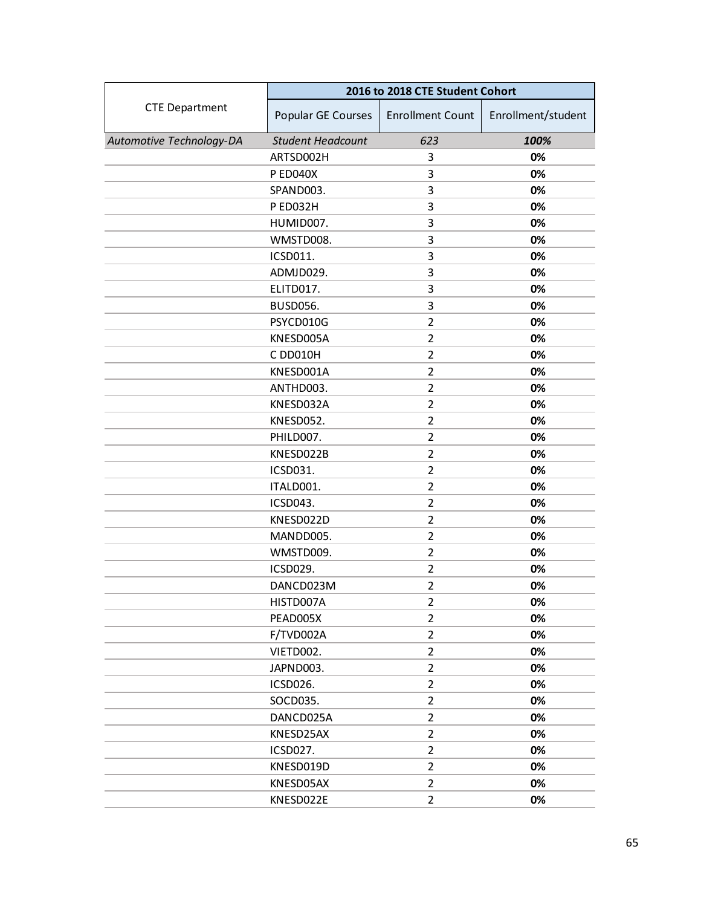|                          | 2016 to 2018 CTE Student Cohort |                         |                    |  |
|--------------------------|---------------------------------|-------------------------|--------------------|--|
| <b>CTE Department</b>    | Popular GE Courses              | <b>Enrollment Count</b> | Enrollment/student |  |
| Automotive Technology-DA | <b>Student Headcount</b>        | 623                     | 100%               |  |
|                          | ARTSD002H                       | 3                       | 0%                 |  |
|                          | P ED040X                        | 3                       | 0%                 |  |
|                          | SPAND003.                       | 3                       | 0%                 |  |
|                          | P ED032H                        | 3                       | 0%                 |  |
|                          | HUMID007.                       | 3                       | 0%                 |  |
|                          | WMSTD008.                       | 3                       | 0%                 |  |
|                          | ICSD011.                        | 3                       | 0%                 |  |
|                          | ADMJD029.                       | 3                       | 0%                 |  |
|                          | ELITD017.                       | 3                       | 0%                 |  |
|                          | <b>BUSD056.</b>                 | 3                       | 0%                 |  |
|                          | PSYCD010G                       | $\overline{2}$          | 0%                 |  |
|                          | KNESD005A                       | $\overline{2}$          | 0%                 |  |
|                          | C DD010H                        | $\overline{2}$          | 0%                 |  |
|                          | KNESD001A                       | $\overline{2}$          | 0%                 |  |
|                          | ANTHD003.                       | $\overline{2}$          | 0%                 |  |
|                          | KNESD032A                       | $\overline{2}$          | 0%                 |  |
|                          | KNESD052.                       | 2                       | 0%                 |  |
|                          | PHILD007.                       | $\overline{2}$          | 0%                 |  |
|                          | KNESD022B                       | $\overline{2}$          | 0%                 |  |
|                          | ICSD031.                        | $\overline{2}$          | 0%                 |  |
|                          | ITALD001.                       | $\overline{2}$          | 0%                 |  |
|                          | ICSD043.                        | 2                       | 0%                 |  |
|                          | KNESD022D                       | $\overline{2}$          | 0%                 |  |
|                          | MANDD005.                       | $\overline{2}$          | 0%                 |  |
|                          | WMSTD009.                       | $\overline{2}$          | 0%                 |  |
|                          | ICSD029.                        | $\overline{2}$          | 0%                 |  |
|                          | DANCD023M                       | $\overline{2}$          | 0%                 |  |
|                          | HISTD007A                       | $\overline{2}$          | 0%                 |  |
|                          | PEAD005X                        | $\overline{2}$          | 0%                 |  |
|                          | F/TVD002A                       | $\overline{2}$          | 0%                 |  |
|                          | VIETD002.                       | $\overline{2}$          | 0%                 |  |
|                          | JAPND003.                       | $\overline{2}$          | 0%                 |  |
|                          | ICSD026.                        | $\overline{2}$          | 0%                 |  |
|                          | SOCD035.                        | $\overline{2}$          | 0%                 |  |
|                          | DANCD025A                       | $\overline{2}$          | 0%                 |  |
|                          | KNESD25AX                       | $\overline{2}$          | 0%                 |  |
|                          | ICSD027.                        | $\overline{2}$          | 0%                 |  |
|                          | KNESD019D                       | $\overline{2}$          | 0%                 |  |
|                          | KNESD05AX                       | $\overline{2}$          | 0%                 |  |
|                          | KNESD022E                       | $\overline{2}$          | 0%                 |  |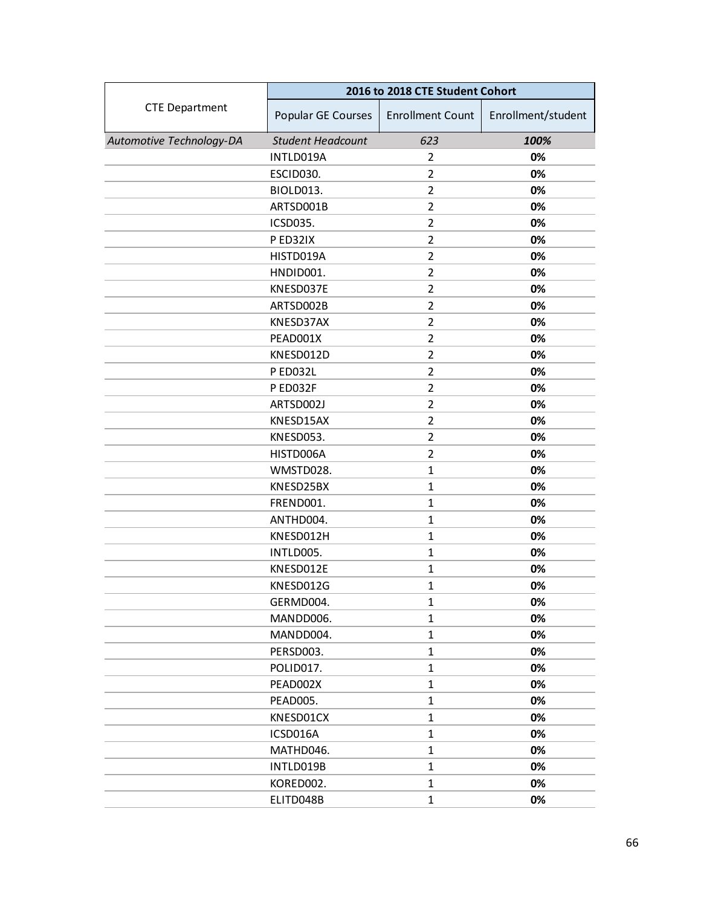|                          | 2016 to 2018 CTE Student Cohort |                         |                    |  |
|--------------------------|---------------------------------|-------------------------|--------------------|--|
| <b>CTE Department</b>    | Popular GE Courses              | <b>Enrollment Count</b> | Enrollment/student |  |
| Automotive Technology-DA | <b>Student Headcount</b>        | 623                     | 100%               |  |
|                          | INTLD019A                       | 2                       | 0%                 |  |
|                          | ESCID030.                       | $\overline{2}$          | 0%                 |  |
|                          | BIOLD013.                       | $\overline{2}$          | 0%                 |  |
|                          | ARTSD001B                       | $\overline{2}$          | 0%                 |  |
|                          | ICSD035.                        | $\overline{2}$          | 0%                 |  |
|                          | P ED32IX                        | $\overline{2}$          | 0%                 |  |
|                          | HISTD019A                       | $\overline{2}$          | 0%                 |  |
|                          | HNDID001.                       | $\overline{2}$          | 0%                 |  |
|                          | KNESD037E                       | $\overline{2}$          | 0%                 |  |
|                          | ARTSD002B                       | $\overline{2}$          | 0%                 |  |
|                          | KNESD37AX                       | $\overline{2}$          | 0%                 |  |
|                          | PEAD001X                        | $\overline{2}$          | 0%                 |  |
|                          | KNESD012D                       | $\overline{2}$          | 0%                 |  |
|                          | <b>PED032L</b>                  | $\overline{2}$          | 0%                 |  |
|                          | P ED032F                        | $\overline{2}$          | 0%                 |  |
|                          | ARTSD002J                       | $\overline{2}$          | 0%                 |  |
|                          | KNESD15AX                       | 2                       | 0%                 |  |
|                          | KNESD053.                       | $\overline{2}$          | 0%                 |  |
|                          | HISTD006A                       | $\overline{2}$          | 0%                 |  |
|                          | WMSTD028.                       | $\mathbf{1}$            | 0%                 |  |
|                          | KNESD25BX                       | $\mathbf{1}$            | 0%                 |  |
|                          | FREND001.                       | $\mathbf{1}$            | 0%                 |  |
|                          | ANTHD004.                       | $\mathbf{1}$            | 0%                 |  |
|                          | KNESD012H                       | $\mathbf{1}$            | 0%                 |  |
|                          | INTLD005.                       | $\mathbf{1}$            | 0%                 |  |
|                          | KNESD012E                       | $\mathbf{1}$            | 0%                 |  |
|                          | KNESD012G                       | $\mathbf{1}$            | 0%                 |  |
|                          | GERMD004.                       | $\mathbf{1}$            | 0%                 |  |
|                          | MANDD006.                       | $\mathbf{1}$            | 0%                 |  |
|                          | MANDD004.                       | $\mathbf{1}$            | 0%                 |  |
|                          | PERSD003.                       | $\mathbf{1}$            | 0%                 |  |
|                          | POLID017.                       | $\mathbf{1}$            | 0%                 |  |
|                          | PEAD002X                        | $\mathbf{1}$            | 0%                 |  |
|                          | PEAD005.                        | $\mathbf{1}$            | 0%                 |  |
|                          | KNESD01CX                       | $\mathbf{1}$            | 0%                 |  |
|                          | ICSD016A                        | $\mathbf{1}$            | 0%                 |  |
|                          | MATHD046.                       | $\mathbf{1}$            | 0%                 |  |
|                          | INTLD019B                       | $\mathbf{1}$            | 0%                 |  |
|                          | KORED002.                       | $\mathbf{1}$            | 0%                 |  |
|                          | ELITD048B                       | $\mathbf{1}$            | 0%                 |  |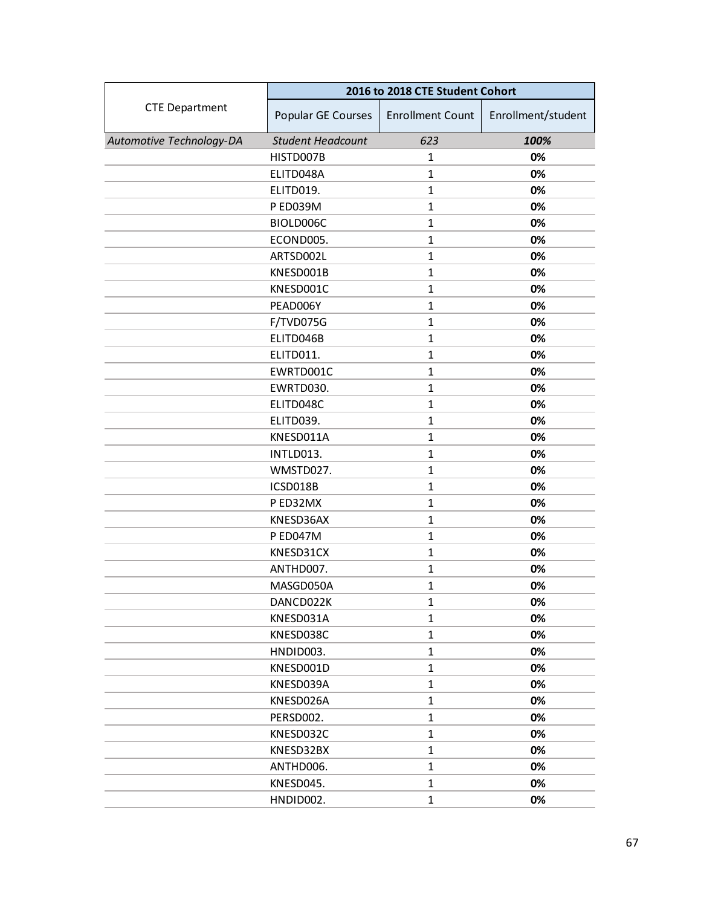|                          | 2016 to 2018 CTE Student Cohort |                         |                    |  |
|--------------------------|---------------------------------|-------------------------|--------------------|--|
| <b>CTE Department</b>    | Popular GE Courses              | <b>Enrollment Count</b> | Enrollment/student |  |
| Automotive Technology-DA | <b>Student Headcount</b>        | 623                     | 100%               |  |
|                          | HISTD007B                       | 1                       | 0%                 |  |
|                          | ELITD048A                       | $\mathbf{1}$            | 0%                 |  |
|                          | ELITD019.                       | $\mathbf{1}$            | 0%                 |  |
|                          | P ED039M                        | $\mathbf{1}$            | 0%                 |  |
|                          | BIOLD006C                       | $\mathbf{1}$            | 0%                 |  |
|                          | ECOND005.                       | $\mathbf{1}$            | 0%                 |  |
|                          | ARTSD002L                       | $\mathbf{1}$            | 0%                 |  |
|                          | KNESD001B                       | $\mathbf{1}$            | 0%                 |  |
|                          | KNESD001C                       | $\mathbf{1}$            | 0%                 |  |
|                          | PEAD006Y                        | $\mathbf{1}$            | 0%                 |  |
|                          | F/TVD075G                       | $\mathbf{1}$            | 0%                 |  |
|                          | ELITD046B                       | $\mathbf{1}$            | 0%                 |  |
|                          | ELITD011.                       | $\mathbf{1}$            | 0%                 |  |
|                          | EWRTD001C                       | $\mathbf{1}$            | 0%                 |  |
|                          | EWRTD030.                       | $\mathbf{1}$            | 0%                 |  |
|                          | ELITD048C                       | $\mathbf{1}$            | 0%                 |  |
|                          | ELITD039.                       | $\mathbf{1}$            | 0%                 |  |
|                          | KNESD011A                       | $\mathbf{1}$            | 0%                 |  |
|                          | INTLD013.                       | $\mathbf{1}$            | 0%                 |  |
|                          | WMSTD027.                       | $\mathbf{1}$            | 0%                 |  |
|                          | ICSD018B                        | $\mathbf{1}$            | 0%                 |  |
|                          | P ED32MX                        | $\mathbf{1}$            | 0%                 |  |
|                          | KNESD36AX                       | $\mathbf{1}$            | 0%                 |  |
|                          | P ED047M                        | $\mathbf{1}$            | 0%                 |  |
|                          | KNESD31CX                       | $\mathbf{1}$            | 0%                 |  |
|                          | ANTHD007.                       | $\mathbf{1}$            | 0%                 |  |
|                          | MASGD050A                       | $\mathbf{1}$            | 0%                 |  |
|                          | DANCD022K                       | $\mathbf{1}$            | 0%                 |  |
|                          | KNESD031A                       | $\mathbf{1}$            | 0%                 |  |
|                          | KNESD038C                       | $\mathbf{1}$            | 0%                 |  |
|                          | HNDID003.                       | $\mathbf{1}$            | 0%                 |  |
|                          | KNESD001D                       | $\mathbf{1}$            | 0%                 |  |
|                          | KNESD039A                       | $\mathbf{1}$            | 0%                 |  |
|                          | KNESD026A                       | $\mathbf{1}$            | 0%                 |  |
|                          | PERSD002.                       | $\mathbf{1}$            | 0%                 |  |
|                          | KNESD032C                       | $\mathbf{1}$            | 0%                 |  |
|                          | KNESD32BX                       | $\mathbf{1}$            | 0%                 |  |
|                          | ANTHD006.                       | $\mathbf{1}$            | 0%                 |  |
|                          | KNESD045.                       | $\mathbf{1}$            | 0%                 |  |
|                          | HNDID002.                       | $\mathbf{1}$            | 0%                 |  |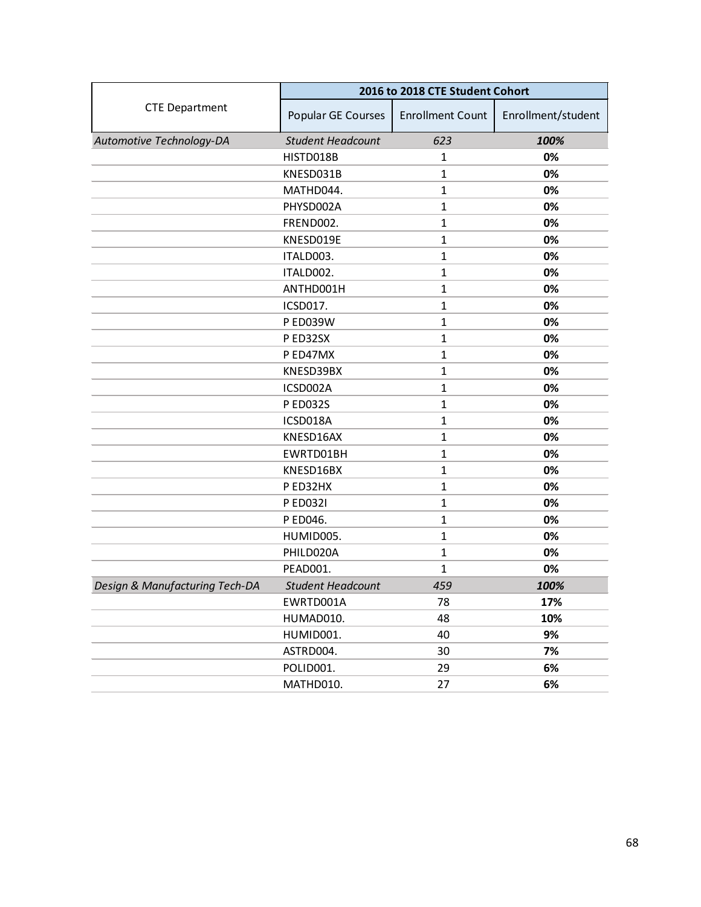|                                | 2016 to 2018 CTE Student Cohort |                         |                    |
|--------------------------------|---------------------------------|-------------------------|--------------------|
| <b>CTE Department</b>          | Popular GE Courses              | <b>Enrollment Count</b> | Enrollment/student |
| Automotive Technology-DA       | <b>Student Headcount</b>        | 623                     | 100%               |
|                                | HISTD018B                       | 1                       | 0%                 |
|                                | KNESD031B                       | $\mathbf{1}$            | 0%                 |
|                                | MATHD044.                       | $\mathbf{1}$            | 0%                 |
|                                | PHYSD002A                       | $\mathbf{1}$            | 0%                 |
|                                | FREND002.                       | $\mathbf{1}$            | 0%                 |
|                                | KNESD019E                       | $\mathbf{1}$            | 0%                 |
|                                | ITALD003.                       | $\mathbf{1}$            | 0%                 |
|                                | ITALD002.                       | $\mathbf{1}$            | 0%                 |
|                                | ANTHD001H                       | $\mathbf{1}$            | 0%                 |
|                                | ICSD017.                        | $\mathbf{1}$            | 0%                 |
|                                | P ED039W                        | $\mathbf{1}$            | 0%                 |
|                                | PED32SX                         | $\mathbf{1}$            | 0%                 |
|                                | P ED47MX                        | $\mathbf{1}$            | 0%                 |
|                                | KNESD39BX                       | $\mathbf{1}$            | 0%                 |
|                                | ICSD002A                        | $\mathbf{1}$            | 0%                 |
|                                | P ED032S                        | $\mathbf{1}$            | 0%                 |
|                                | ICSD018A                        | $\mathbf{1}$            | 0%                 |
|                                | KNESD16AX                       | $\mathbf{1}$            | 0%                 |
|                                | EWRTD01BH                       | $\mathbf{1}$            | 0%                 |
|                                | KNESD16BX                       | $\mathbf{1}$            | 0%                 |
|                                | P ED32HX                        | $\mathbf{1}$            | 0%                 |
|                                | P ED032I                        | $\mathbf{1}$            | 0%                 |
|                                | P ED046.                        | $\mathbf{1}$            | 0%                 |
|                                | HUMID005.                       | $\mathbf{1}$            | 0%                 |
|                                | PHILD020A                       | $\mathbf 1$             | 0%                 |
|                                | PEAD001.                        | 1                       | 0%                 |
| Design & Manufacturing Tech-DA | <b>Student Headcount</b>        | 459                     | 100%               |
|                                | EWRTD001A                       | 78                      | 17%                |
|                                | HUMAD010.                       | 48                      | 10%                |
|                                | HUMID001.                       | 40                      | 9%                 |
|                                | ASTRD004.                       | 30                      | 7%                 |
|                                | POLID001.                       | 29                      | 6%                 |
|                                | MATHD010.                       | 27                      | 6%                 |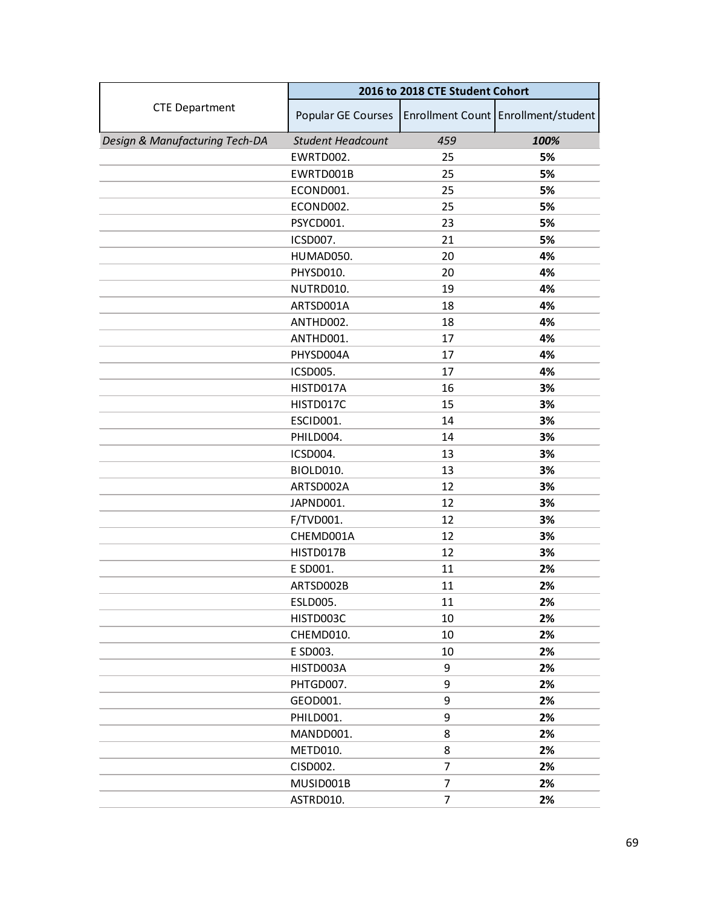|                                | 2016 to 2018 CTE Student Cohort |                |                                     |
|--------------------------------|---------------------------------|----------------|-------------------------------------|
| <b>CTE Department</b>          | Popular GE Courses              |                | Enrollment Count Enrollment/student |
| Design & Manufacturing Tech-DA | <b>Student Headcount</b>        | 459            | 100%                                |
|                                | EWRTD002.                       | 25             | 5%                                  |
|                                | EWRTD001B                       | 25             | 5%                                  |
|                                | ECOND001.                       | 25             | 5%                                  |
|                                | ECOND002.                       | 25             | 5%                                  |
|                                | PSYCD001.                       | 23             | 5%                                  |
|                                | ICSD007.                        | 21             | 5%                                  |
|                                | HUMAD050.                       | 20             | 4%                                  |
|                                | PHYSD010.                       | 20             | 4%                                  |
|                                | NUTRD010.                       | 19             | 4%                                  |
|                                | ARTSD001A                       | 18             | 4%                                  |
|                                | ANTHD002.                       | 18             | 4%                                  |
|                                | ANTHD001.                       | 17             | 4%                                  |
|                                | PHYSD004A                       | 17             | 4%                                  |
|                                | ICSD005.                        | 17             | 4%                                  |
|                                | HISTD017A                       | 16             | 3%                                  |
|                                | HISTD017C                       | 15             | 3%                                  |
|                                | ESCID001.                       | 14             | 3%                                  |
|                                | PHILD004.                       | 14             | 3%                                  |
|                                | ICSD004.                        | 13             | 3%                                  |
|                                | BIOLD010.                       | 13             | 3%                                  |
|                                | ARTSD002A                       | 12             | 3%                                  |
|                                | JAPND001.                       | 12             | 3%                                  |
|                                | F/TVD001.                       | 12             | 3%                                  |
|                                | CHEMD001A                       | 12             | 3%                                  |
|                                | HISTD017B                       | 12             | 3%                                  |
|                                | E SD001.                        | 11             | 2%                                  |
|                                | ARTSD002B                       | 11             | 2%                                  |
|                                | ESLD005.                        | 11             | 2%                                  |
|                                | HISTD003C                       | 10             | 2%                                  |
|                                | CHEMD010.                       | 10             | 2%                                  |
|                                | E SD003.                        | 10             | 2%                                  |
|                                | HISTD003A                       | 9              | 2%                                  |
|                                | PHTGD007.                       | 9              | 2%                                  |
|                                | GEOD001.                        | 9              | 2%                                  |
|                                | PHILD001.                       | 9              | 2%                                  |
|                                | MANDD001.                       | 8              | 2%                                  |
|                                | METD010.                        | 8              | 2%                                  |
|                                | CISD002.                        | $\overline{7}$ | 2%                                  |
|                                | MUSID001B                       | 7              | 2%                                  |
|                                | ASTRD010.                       | 7              | 2%                                  |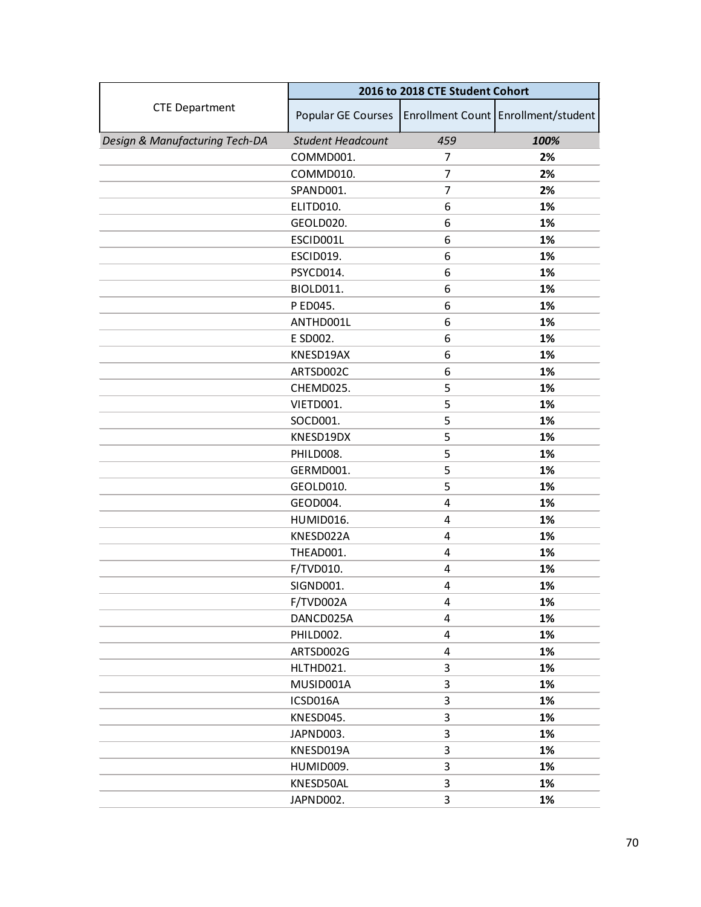|                                | 2016 to 2018 CTE Student Cohort |                |                                     |
|--------------------------------|---------------------------------|----------------|-------------------------------------|
| <b>CTE Department</b>          | Popular GE Courses              |                | Enrollment Count Enrollment/student |
| Design & Manufacturing Tech-DA | <b>Student Headcount</b>        | 459            | 100%                                |
|                                | COMMD001.                       | 7              | 2%                                  |
|                                | COMMD010.                       | 7              | 2%                                  |
|                                | SPAND001.                       | $\overline{7}$ | 2%                                  |
|                                | ELITD010.                       | 6              | 1%                                  |
|                                | GEOLD020.                       | 6              | 1%                                  |
|                                | ESCID001L                       | 6              | 1%                                  |
|                                | ESCID019.                       | 6              | 1%                                  |
|                                | PSYCD014.                       | 6              | 1%                                  |
|                                | BIOLD011.                       | 6              | 1%                                  |
|                                | P ED045.                        | 6              | 1%                                  |
|                                | ANTHD001L                       | 6              | 1%                                  |
|                                | E SD002.                        | 6              | 1%                                  |
|                                | KNESD19AX                       | 6              | 1%                                  |
|                                | ARTSD002C                       | 6              | 1%                                  |
|                                | CHEMD025.                       | 5              | 1%                                  |
|                                | VIETD001.                       | 5              | 1%                                  |
|                                | SOCD001.                        | 5              | 1%                                  |
|                                | KNESD19DX                       | 5              | 1%                                  |
|                                | PHILD008.                       | 5              | 1%                                  |
|                                | GERMD001.                       | 5              | 1%                                  |
|                                | GEOLD010.                       | 5              | 1%                                  |
|                                | GEOD004.                        | 4              | 1%                                  |
|                                | HUMID016.                       | 4              | 1%                                  |
|                                | KNESD022A                       | 4              | 1%                                  |
|                                | THEAD001.                       | 4              | 1%                                  |
|                                | F/TVD010.                       | 4              | 1%                                  |
|                                | SIGND001.                       | 4              | 1%                                  |
|                                | F/TVD002A                       | 4              | 1%                                  |
|                                | DANCD025A                       | 4              | 1%                                  |
|                                | PHILD002.                       | 4              | 1%                                  |
|                                | ARTSD002G                       | 4              | 1%                                  |
|                                | HLTHD021.                       | 3              | 1%                                  |
|                                | MUSID001A                       | 3              | 1%                                  |
|                                | ICSD016A                        | 3              | 1%                                  |
|                                | KNESD045.                       | 3              | 1%                                  |
|                                | JAPND003.                       | 3              | 1%                                  |
|                                | KNESD019A                       | 3              | 1%                                  |
|                                | HUMID009.                       | 3              | 1%                                  |
|                                | KNESD50AL                       | 3              | 1%                                  |
|                                | JAPND002.                       | 3              | 1%                                  |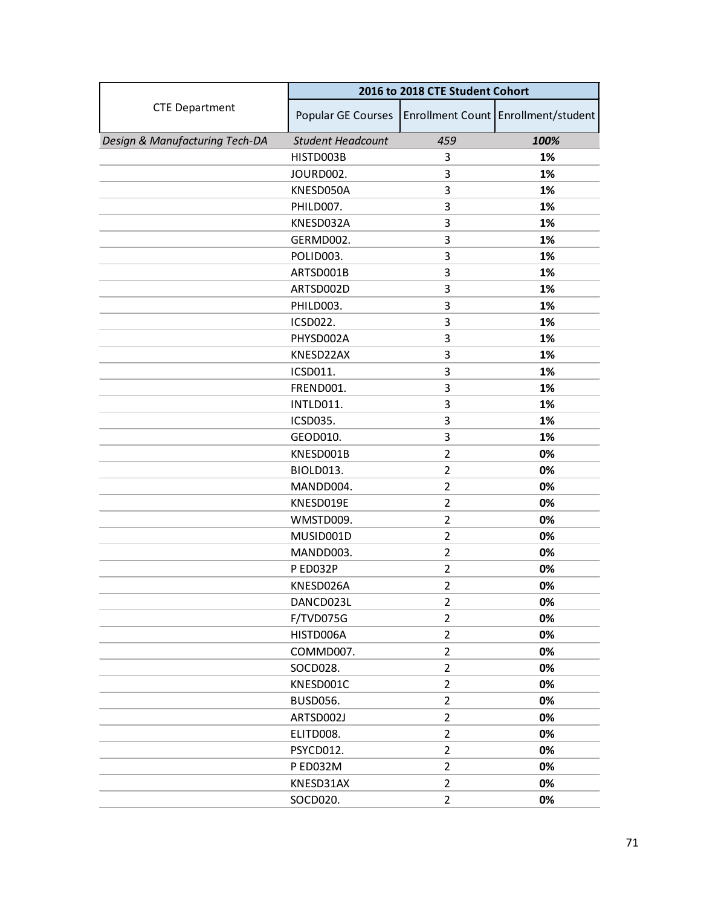|                                | 2016 to 2018 CTE Student Cohort |                |                                     |
|--------------------------------|---------------------------------|----------------|-------------------------------------|
| <b>CTE Department</b>          | Popular GE Courses              |                | Enrollment Count Enrollment/student |
| Design & Manufacturing Tech-DA | <b>Student Headcount</b>        | 459            | 100%                                |
|                                | HISTD003B                       | 3              | 1%                                  |
|                                | JOURD002.                       | 3              | 1%                                  |
|                                | KNESD050A                       | 3              | 1%                                  |
|                                | PHILD007.                       | 3              | 1%                                  |
|                                | KNESD032A                       | 3              | 1%                                  |
|                                | GERMD002.                       | 3              | 1%                                  |
|                                | POLID003.                       | 3              | 1%                                  |
|                                | ARTSD001B                       | 3              | 1%                                  |
|                                | ARTSD002D                       | 3              | 1%                                  |
|                                | PHILD003.                       | 3              | 1%                                  |
|                                | <b>ICSD022.</b>                 | 3              | 1%                                  |
|                                | PHYSD002A                       | 3              | 1%                                  |
|                                | KNESD22AX                       | 3              | 1%                                  |
|                                | ICSD011.                        | 3              | 1%                                  |
|                                | FREND001.                       | 3              | 1%                                  |
|                                | INTLD011.                       | 3              | 1%                                  |
|                                | ICSD035.                        | 3              | 1%                                  |
|                                | GEOD010.                        | 3              | 1%                                  |
|                                | KNESD001B                       | $\overline{2}$ | 0%                                  |
|                                | BIOLD013.                       | $\overline{2}$ | 0%                                  |
|                                | MANDD004.                       | $\overline{2}$ | 0%                                  |
|                                | KNESD019E                       | 2              | 0%                                  |
|                                | WMSTD009.                       | $\overline{2}$ | 0%                                  |
|                                | MUSID001D                       | $\overline{2}$ | 0%                                  |
|                                | MANDD003.                       | $\overline{2}$ | 0%                                  |
|                                | P ED032P                        | $\overline{2}$ | 0%                                  |
|                                | KNESD026A                       | $\overline{2}$ | 0%                                  |
|                                | DANCD023L                       | $\overline{2}$ | 0%                                  |
|                                | F/TVD075G                       | $\overline{2}$ | 0%                                  |
|                                | HISTD006A                       | $\overline{2}$ | 0%                                  |
|                                | COMMD007.                       | $\overline{2}$ | 0%                                  |
|                                | SOCD028.                        | $\overline{2}$ | 0%                                  |
|                                | KNESD001C                       | $\overline{2}$ | 0%                                  |
|                                | <b>BUSD056.</b>                 | $\overline{2}$ | 0%                                  |
|                                | ARTSD002J                       | $\overline{2}$ | 0%                                  |
|                                | ELITD008.                       | $\overline{2}$ | 0%                                  |
|                                | PSYCD012.                       | $\overline{2}$ | 0%                                  |
|                                | P ED032M                        | $\overline{2}$ | 0%                                  |
|                                | KNESD31AX                       | $\overline{2}$ | 0%                                  |
|                                | SOCD020.                        | $\overline{2}$ | 0%                                  |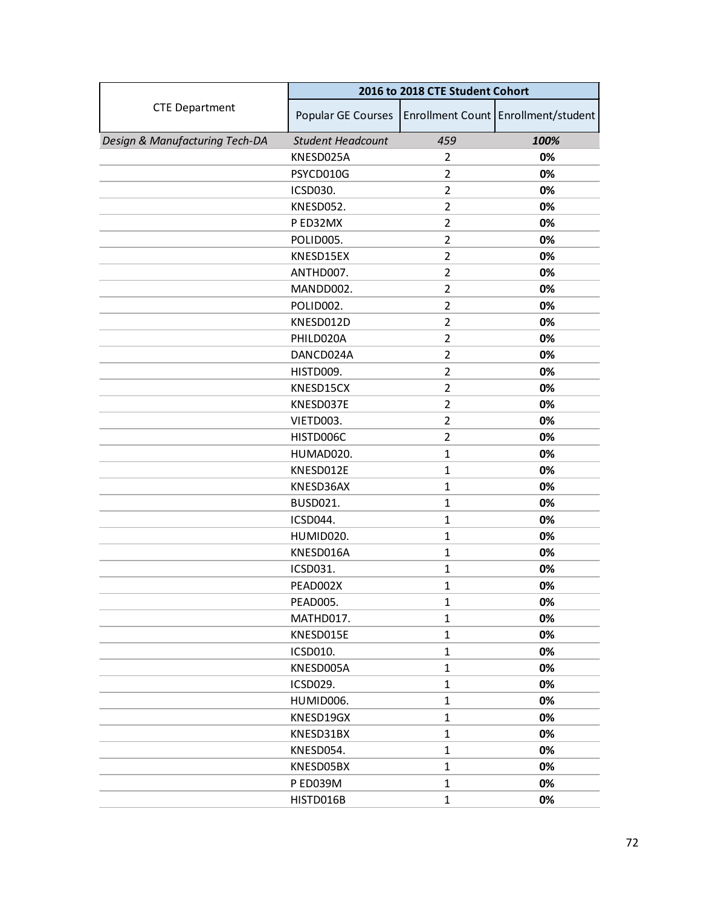|                                | 2016 to 2018 CTE Student Cohort |                |                                     |
|--------------------------------|---------------------------------|----------------|-------------------------------------|
| <b>CTE Department</b>          | Popular GE Courses              |                | Enrollment Count Enrollment/student |
| Design & Manufacturing Tech-DA | <b>Student Headcount</b>        | 459            | 100%                                |
|                                | KNESD025A                       | $\overline{2}$ | 0%                                  |
|                                | PSYCD010G                       | $\overline{2}$ | 0%                                  |
|                                | ICSD030.                        | $\overline{2}$ | 0%                                  |
|                                | KNESD052.                       | $\overline{2}$ | 0%                                  |
|                                | PED32MX                         | $\overline{2}$ | 0%                                  |
|                                | POLID005.                       | $\overline{2}$ | 0%                                  |
|                                | KNESD15EX                       | $\mathbf{2}$   | 0%                                  |
|                                | ANTHD007.                       | $\overline{2}$ | 0%                                  |
|                                | MANDD002.                       | $\overline{2}$ | 0%                                  |
|                                | POLID002.                       | $\overline{2}$ | 0%                                  |
|                                | KNESD012D                       | $\overline{2}$ | 0%                                  |
|                                | PHILD020A                       | $\overline{2}$ | 0%                                  |
|                                | DANCD024A                       | $\overline{2}$ | 0%                                  |
|                                | HISTD009.                       | $\overline{2}$ | 0%                                  |
|                                | KNESD15CX                       | $\overline{2}$ | 0%                                  |
|                                | KNESD037E                       | $\overline{2}$ | 0%                                  |
|                                | VIETD003.                       | 2              | 0%                                  |
|                                | HISTD006C                       | $\overline{2}$ | 0%                                  |
|                                | HUMAD020.                       | $\mathbf{1}$   | 0%                                  |
|                                | KNESD012E                       | $\mathbf{1}$   | 0%                                  |
|                                | KNESD36AX                       | $\mathbf{1}$   | 0%                                  |
|                                | <b>BUSD021.</b>                 | 1              | 0%                                  |
|                                | ICSD044.                        | $\mathbf{1}$   | 0%                                  |
|                                | HUMID020.                       | $\mathbf{1}$   | 0%                                  |
|                                | KNESD016A                       | $\mathbf{1}$   | 0%                                  |
|                                | ICSD031.                        | $\mathbf{1}$   | 0%                                  |
|                                | PEAD002X                        | 1              | 0%                                  |
|                                | PEAD005.                        | $\mathbf{1}$   | 0%                                  |
|                                | MATHD017.                       | $\mathbf{1}$   | 0%                                  |
|                                | KNESD015E                       | $\mathbf{1}$   | 0%                                  |
|                                | ICSD010.                        | $\mathbf{1}$   | 0%                                  |
|                                | KNESD005A                       | $\mathbf{1}$   | 0%                                  |
|                                | ICSD029.                        | $\mathbf{1}$   | 0%                                  |
|                                | HUMID006.                       | $\mathbf{1}$   | 0%                                  |
|                                | KNESD19GX                       | $\mathbf{1}$   | 0%                                  |
|                                | KNESD31BX                       | $\mathbf{1}$   | 0%                                  |
|                                | KNESD054.                       | $\mathbf{1}$   | 0%                                  |
|                                | KNESD05BX                       | $\mathbf{1}$   | 0%                                  |
|                                | P ED039M                        | $\mathbf{1}$   | 0%                                  |
|                                | HISTD016B                       | $\mathbf{1}$   | 0%                                  |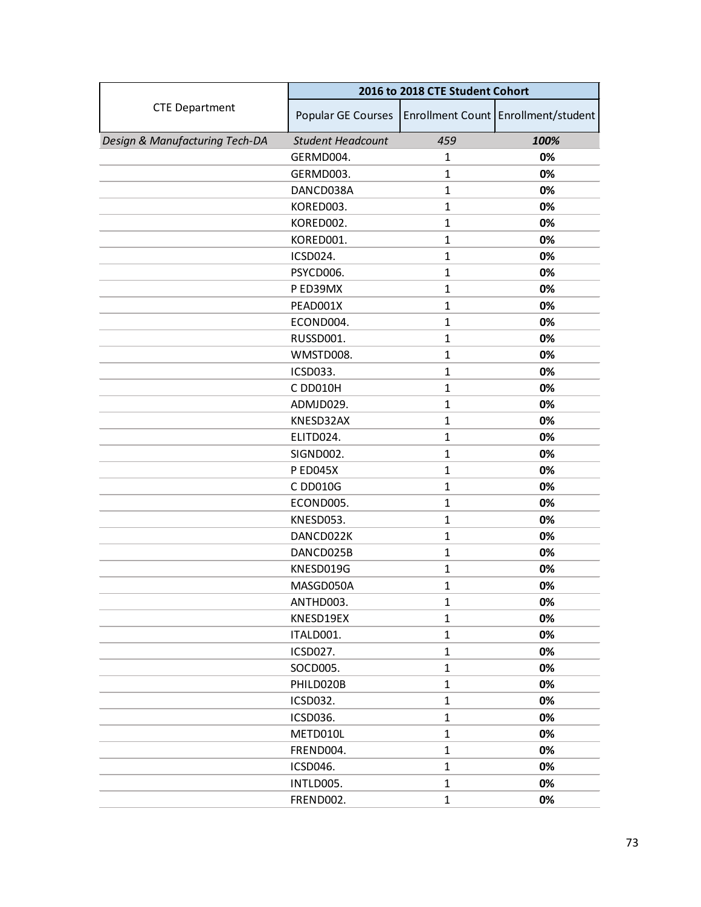|                                | 2016 to 2018 CTE Student Cohort |              |                                     |
|--------------------------------|---------------------------------|--------------|-------------------------------------|
| <b>CTE Department</b>          | Popular GE Courses              |              | Enrollment Count Enrollment/student |
| Design & Manufacturing Tech-DA | <b>Student Headcount</b>        | 459          | 100%                                |
|                                | GERMD004.                       | 1            | 0%                                  |
|                                | GERMD003.                       | $\mathbf{1}$ | 0%                                  |
|                                | DANCD038A                       | $\mathbf{1}$ | 0%                                  |
|                                | KORED003.                       | $\mathbf{1}$ | 0%                                  |
|                                | KORED002.                       | $\mathbf{1}$ | 0%                                  |
|                                | KORED001.                       | $\mathbf{1}$ | 0%                                  |
|                                | ICSD024.                        | $\mathbf{1}$ | 0%                                  |
|                                | PSYCD006.                       | $\mathbf{1}$ | 0%                                  |
|                                | P ED39MX                        | $\mathbf{1}$ | 0%                                  |
|                                | PEAD001X                        | $\mathbf{1}$ | 0%                                  |
|                                | ECOND004.                       | $\mathbf{1}$ | 0%                                  |
|                                | RUSSD001.                       | $\mathbf{1}$ | 0%                                  |
|                                | WMSTD008.                       | $\mathbf{1}$ | 0%                                  |
|                                | <b>ICSD033.</b>                 | 1            | 0%                                  |
|                                | C DD010H                        | $\mathbf{1}$ | 0%                                  |
|                                | ADMJD029.                       | $\mathbf{1}$ | 0%                                  |
|                                | KNESD32AX                       | 1            | 0%                                  |
|                                | ELITD024.                       | $\mathbf{1}$ | 0%                                  |
|                                | SIGND002.                       | $\mathbf{1}$ | 0%                                  |
|                                | <b>P ED045X</b>                 | $\mathbf{1}$ | 0%                                  |
|                                | C DD010G                        | $\mathbf{1}$ | 0%                                  |
|                                | ECOND005.                       | 1            | 0%                                  |
|                                | KNESD053.                       | $\mathbf{1}$ | 0%                                  |
|                                | DANCD022K                       | $\mathbf{1}$ | 0%                                  |
|                                | DANCD025B                       | $\mathbf{1}$ | 0%                                  |
|                                | KNESD019G                       | $\mathbf{1}$ | 0%                                  |
|                                | MASGD050A                       | 1            | 0%                                  |
|                                | ANTHD003.                       | $\mathbf{1}$ | 0%                                  |
|                                | KNESD19EX                       | $\mathbf{1}$ | 0%                                  |
|                                | ITALD001.                       | $\mathbf{1}$ | 0%                                  |
|                                | ICSD027.                        | $\mathbf{1}$ | 0%                                  |
|                                | SOCD005.                        | $\mathbf{1}$ | 0%                                  |
|                                | PHILD020B                       | $\mathbf{1}$ | 0%                                  |
|                                | ICSD032.                        | $\mathbf{1}$ | 0%                                  |
|                                | ICSD036.                        | $\mathbf{1}$ | 0%                                  |
|                                | METD010L                        | $\mathbf{1}$ | 0%                                  |
|                                | FREND004.                       | $\mathbf{1}$ | 0%                                  |
|                                | ICSD046.                        | $\mathbf{1}$ | 0%                                  |
|                                | INTLD005.                       | $\mathbf{1}$ | 0%                                  |
|                                | FREND002.                       | $\mathbf{1}$ | 0%                                  |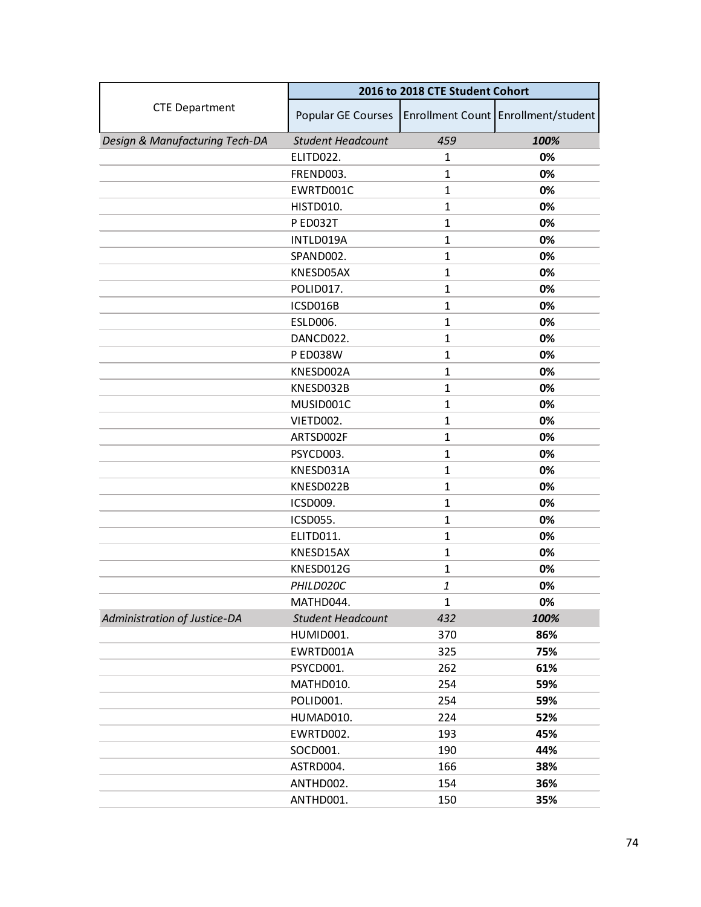|                                | 2016 to 2018 CTE Student Cohort |              |                                     |
|--------------------------------|---------------------------------|--------------|-------------------------------------|
| <b>CTE Department</b>          | Popular GE Courses              |              | Enrollment Count Enrollment/student |
| Design & Manufacturing Tech-DA | <b>Student Headcount</b>        | 459          | 100%                                |
|                                | ELITD022.                       | $\mathbf{1}$ | 0%                                  |
|                                | FREND003.                       | $\mathbf{1}$ | 0%                                  |
|                                | EWRTD001C                       | $\mathbf{1}$ | 0%                                  |
|                                | HISTD010.                       | $\mathbf{1}$ | 0%                                  |
|                                | P ED032T                        | $\mathbf{1}$ | 0%                                  |
|                                | INTLD019A                       | $\mathbf{1}$ | 0%                                  |
|                                | SPAND002.                       | $\mathbf{1}$ | 0%                                  |
|                                | KNESD05AX                       | $\mathbf{1}$ | 0%                                  |
|                                | POLID017.                       | $\mathbf{1}$ | 0%                                  |
|                                | ICSD016B                        | $\mathbf{1}$ | 0%                                  |
|                                | ESLD006.                        | $\mathbf{1}$ | 0%                                  |
|                                | DANCD022.                       | $\mathbf{1}$ | 0%                                  |
|                                | <b>P ED038W</b>                 | $\mathbf{1}$ | 0%                                  |
|                                | KNESD002A                       | 1            | 0%                                  |
|                                | KNESD032B                       | $\mathbf{1}$ | 0%                                  |
|                                | MUSID001C                       | $\mathbf{1}$ | 0%                                  |
|                                | VIETD002.                       | 1            | 0%                                  |
|                                | ARTSD002F                       | $\mathbf{1}$ | 0%                                  |
|                                | PSYCD003.                       | $\mathbf{1}$ | 0%                                  |
|                                | KNESD031A                       | $\mathbf{1}$ | 0%                                  |
|                                | KNESD022B                       | $\mathbf{1}$ | 0%                                  |
|                                | ICSD009.                        | 1            | 0%                                  |
|                                | ICSD055.                        | $\mathbf{1}$ | 0%                                  |
|                                | ELITD011.                       | $\mathbf{1}$ | 0%                                  |
|                                | KNESD15AX                       | $\mathbf{1}$ | 0%                                  |
|                                | KNESD012G                       | $\mathbf{1}$ | 0%                                  |
|                                | PHILD020C                       | 1            | 0%                                  |
|                                | MATHD044.                       | 1            | 0%                                  |
| Administration of Justice-DA   | <b>Student Headcount</b>        | 432          | 100%                                |
|                                | HUMID001.                       | 370          | 86%                                 |
|                                | EWRTD001A                       | 325          | 75%                                 |
|                                | PSYCD001.                       | 262          | 61%                                 |
|                                | MATHD010.                       | 254          | 59%                                 |
|                                | POLID001.                       | 254          | 59%                                 |
|                                | HUMAD010.                       | 224          | 52%                                 |
|                                | EWRTD002.                       | 193          | 45%                                 |
|                                | SOCD001.                        | 190          | 44%                                 |
|                                | ASTRD004.                       | 166          | 38%                                 |
|                                | ANTHD002.                       | 154          | 36%                                 |
|                                | ANTHD001.                       | 150          | 35%                                 |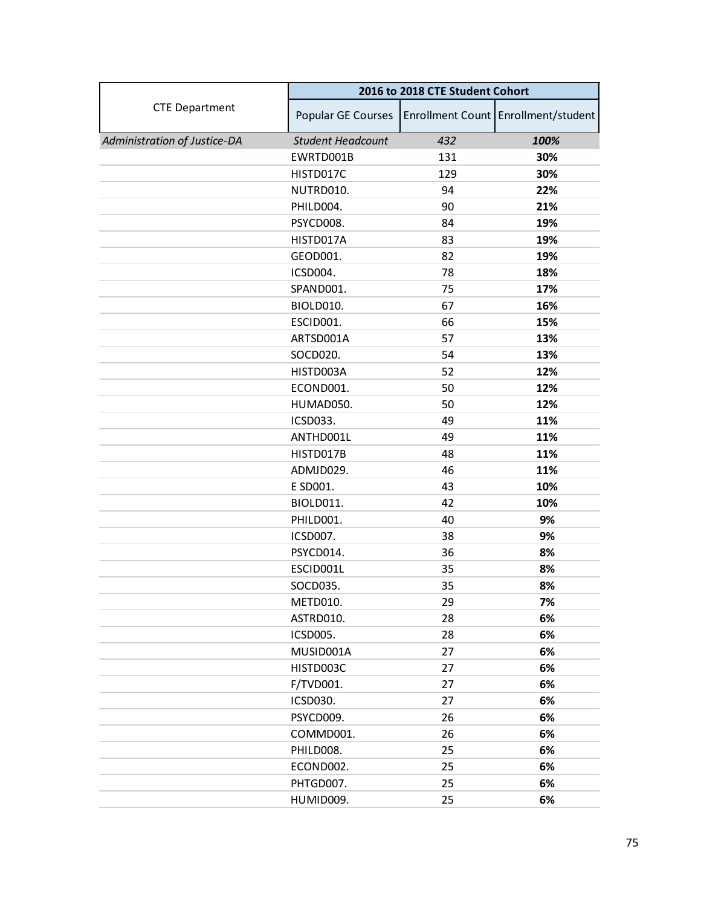|                              | 2016 to 2018 CTE Student Cohort |     |                                     |
|------------------------------|---------------------------------|-----|-------------------------------------|
| <b>CTE Department</b>        | Popular GE Courses              |     | Enrollment Count Enrollment/student |
| Administration of Justice-DA | <b>Student Headcount</b>        | 432 | 100%                                |
|                              | EWRTD001B                       | 131 | 30%                                 |
|                              | HISTD017C                       | 129 | 30%                                 |
|                              | NUTRD010.                       | 94  | 22%                                 |
|                              | PHILD004.                       | 90  | 21%                                 |
|                              | PSYCD008.                       | 84  | 19%                                 |
|                              | HISTD017A                       | 83  | 19%                                 |
|                              | GEOD001.                        | 82  | 19%                                 |
|                              | ICSD004.                        | 78  | 18%                                 |
|                              | SPAND001.                       | 75  | 17%                                 |
|                              | BIOLD010.                       | 67  | 16%                                 |
|                              | ESCID001.                       | 66  | 15%                                 |
|                              | ARTSD001A                       | 57  | 13%                                 |
|                              | SOCD020.                        | 54  | 13%                                 |
|                              | HISTD003A                       | 52  | 12%                                 |
|                              | ECOND001.                       | 50  | 12%                                 |
|                              | HUMAD050.                       | 50  | 12%                                 |
|                              | ICSD033.                        | 49  | 11%                                 |
|                              | ANTHD001L                       | 49  | 11%                                 |
|                              | HISTD017B                       | 48  | 11%                                 |
|                              | ADMJD029.                       | 46  | 11%                                 |
|                              | E SD001.                        | 43  | 10%                                 |
|                              | BIOLD011.                       | 42  | 10%                                 |
|                              | PHILD001.                       | 40  | 9%                                  |
|                              | ICSD007.                        | 38  | 9%                                  |
|                              | PSYCD014.                       | 36  | 8%                                  |
|                              | ESCID001L                       | 35  | 8%                                  |
|                              | SOCD035.                        | 35  | 8%                                  |
|                              | METD010.                        | 29  | 7%                                  |
|                              | ASTRD010.                       | 28  | 6%                                  |
|                              | ICSD005.                        | 28  | 6%                                  |
|                              | MUSID001A                       | 27  | 6%                                  |
|                              | HISTD003C                       | 27  | 6%                                  |
|                              | F/TVD001.                       | 27  | 6%                                  |
|                              | ICSD030.                        | 27  | 6%                                  |
|                              | PSYCD009.                       | 26  | 6%                                  |
|                              | COMMD001.                       | 26  | 6%                                  |
|                              | PHILD008.                       | 25  | 6%                                  |
|                              | ECOND002.                       | 25  | 6%                                  |
|                              | PHTGD007.                       | 25  | 6%                                  |
|                              | HUMID009.                       | 25  | 6%                                  |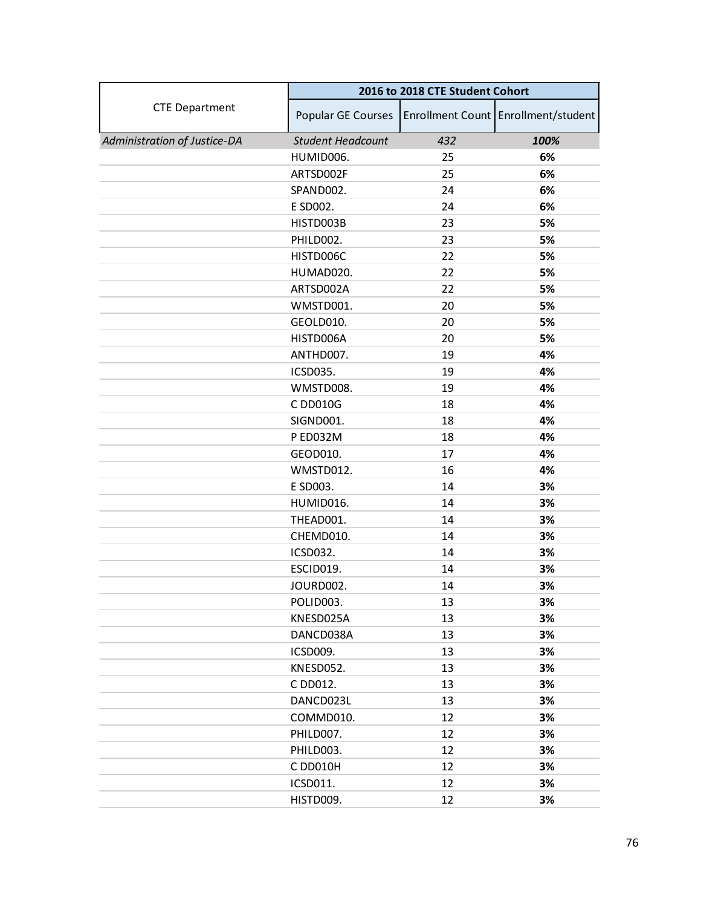|                              | 2016 to 2018 CTE Student Cohort |     |                                     |
|------------------------------|---------------------------------|-----|-------------------------------------|
| <b>CTE Department</b>        | Popular GE Courses              |     | Enrollment Count Enrollment/student |
| Administration of Justice-DA | <b>Student Headcount</b>        | 432 | 100%                                |
|                              | HUMID006.                       | 25  | 6%                                  |
|                              | ARTSD002F                       | 25  | 6%                                  |
|                              | SPAND002.                       | 24  | 6%                                  |
|                              | E SD002.                        | 24  | 6%                                  |
|                              | HISTD003B                       | 23  | 5%                                  |
|                              | PHILD002.                       | 23  | 5%                                  |
|                              | HISTD006C                       | 22  | 5%                                  |
|                              | HUMAD020.                       | 22  | 5%                                  |
|                              | ARTSD002A                       | 22  | 5%                                  |
|                              | WMSTD001.                       | 20  | 5%                                  |
|                              | GEOLD010.                       | 20  | 5%                                  |
|                              | HISTD006A                       | 20  | 5%                                  |
|                              | ANTHD007.                       | 19  | 4%                                  |
|                              | ICSD035.                        | 19  | 4%                                  |
|                              | WMSTD008.                       | 19  | 4%                                  |
|                              | C DD010G                        | 18  | 4%                                  |
|                              | SIGND001.                       | 18  | 4%                                  |
|                              | P ED032M                        | 18  | 4%                                  |
|                              | GEOD010.                        | 17  | 4%                                  |
|                              | WMSTD012.                       | 16  | 4%                                  |
|                              | E SD003.                        | 14  | 3%                                  |
|                              | HUMID016.                       | 14  | 3%                                  |
|                              | THEAD001.                       | 14  | 3%                                  |
|                              | CHEMD010.                       | 14  | 3%                                  |
|                              | <b>ICSD032.</b>                 | 14  | 3%                                  |
|                              | ESCID019.                       | 14  | 3%                                  |
|                              | JOURD002.                       | 14  | 3%                                  |
|                              | POLID003.                       | 13  | 3%                                  |
|                              | KNESD025A                       | 13  | 3%                                  |
|                              | DANCD038A                       | 13  | 3%                                  |
|                              | ICSD009.                        | 13  | 3%                                  |
|                              | KNESD052.                       | 13  | 3%                                  |
|                              | C DD012.                        | 13  | 3%                                  |
|                              | DANCD023L                       | 13  | 3%                                  |
|                              | COMMD010.                       | 12  | 3%                                  |
|                              | PHILD007.                       | 12  | 3%                                  |
|                              | PHILD003.                       | 12  | 3%                                  |
|                              | C DD010H                        | 12  | 3%                                  |
|                              | ICSD011.                        | 12  | 3%                                  |
|                              | HISTD009.                       | 12  | 3%                                  |
|                              |                                 |     |                                     |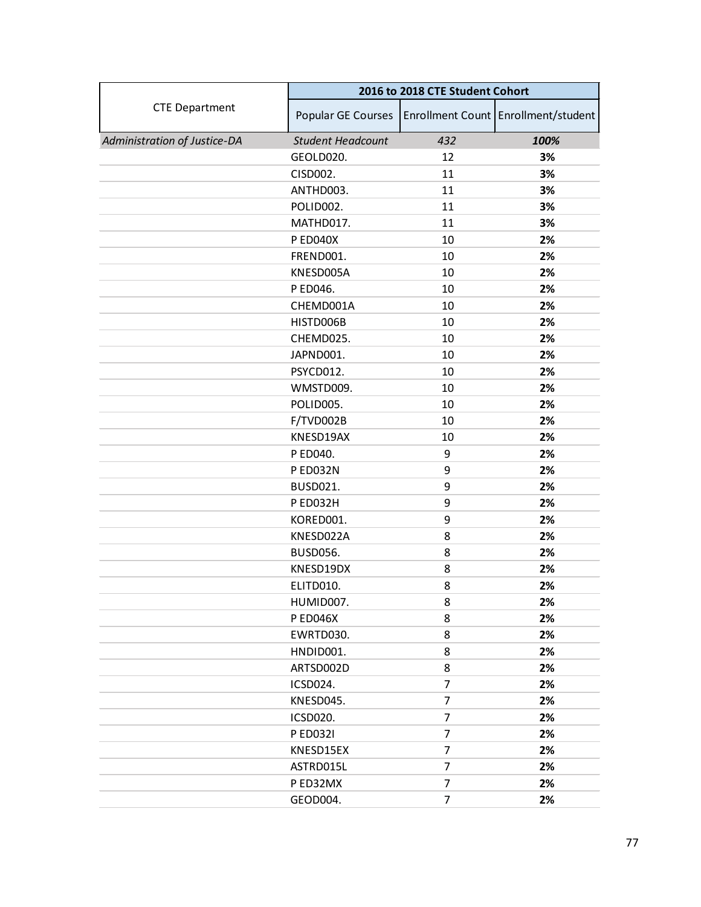|                              | 2016 to 2018 CTE Student Cohort |                |                                     |
|------------------------------|---------------------------------|----------------|-------------------------------------|
| <b>CTE Department</b>        | Popular GE Courses              |                | Enrollment Count Enrollment/student |
| Administration of Justice-DA | <b>Student Headcount</b>        | 432            | 100%                                |
|                              | GEOLD020.                       | 12             | 3%                                  |
|                              | CISD002.                        | 11             | 3%                                  |
|                              | ANTHD003.                       | 11             | 3%                                  |
|                              | POLID002.                       | 11             | 3%                                  |
|                              | MATHD017.                       | 11             | 3%                                  |
|                              | P ED040X                        | 10             | 2%                                  |
|                              | FREND001.                       | 10             | 2%                                  |
|                              | KNESD005A                       | 10             | 2%                                  |
|                              | P ED046.                        | 10             | 2%                                  |
|                              | CHEMD001A                       | 10             | 2%                                  |
|                              | HISTD006B                       | 10             | 2%                                  |
|                              | CHEMD025.                       | 10             | 2%                                  |
|                              | JAPND001.                       | 10             | 2%                                  |
|                              | PSYCD012.                       | 10             | 2%                                  |
|                              | WMSTD009.                       | 10             | 2%                                  |
|                              | POLID005.                       | 10             | 2%                                  |
|                              | F/TVD002B                       | 10             | 2%                                  |
|                              | KNESD19AX                       | 10             | 2%                                  |
|                              | P ED040.                        | 9              | 2%                                  |
|                              | P ED032N                        | 9              | 2%                                  |
|                              | <b>BUSD021.</b>                 | 9              | 2%                                  |
|                              | P ED032H                        | 9              | 2%                                  |
|                              | KORED001.                       | 9              | 2%                                  |
|                              | KNESD022A                       | 8              | 2%                                  |
|                              | <b>BUSD056.</b>                 | 8              | 2%                                  |
|                              | KNESD19DX                       | 8              | 2%                                  |
|                              | ELITD010.                       | 8              | 2%                                  |
|                              | HUMID007.                       | 8              | 2%                                  |
|                              | <b>PED046X</b>                  | 8              | 2%                                  |
|                              | EWRTD030.                       | 8              | 2%                                  |
|                              | HNDID001.                       | 8              | 2%                                  |
|                              | ARTSD002D                       | 8              | 2%                                  |
|                              | ICSD024.                        | $\overline{7}$ | 2%                                  |
|                              | KNESD045.                       | $\overline{7}$ | 2%                                  |
|                              | ICSD020.                        | 7              | 2%                                  |
|                              | <b>PED0321</b>                  | 7              | 2%                                  |
|                              | KNESD15EX                       | 7              | 2%                                  |
|                              | ASTRD015L                       | $\overline{7}$ | 2%                                  |
|                              | P ED32MX                        | 7              | 2%                                  |
|                              | GEOD004.                        | 7              | 2%                                  |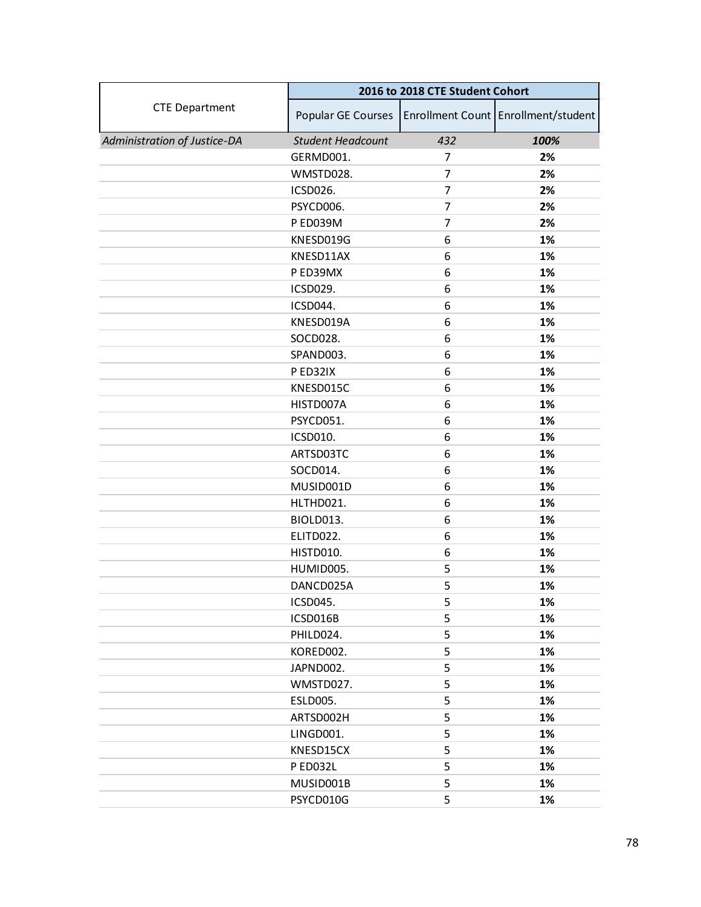|                              | 2016 to 2018 CTE Student Cohort |                |                                     |
|------------------------------|---------------------------------|----------------|-------------------------------------|
| <b>CTE Department</b>        | Popular GE Courses              |                | Enrollment Count Enrollment/student |
| Administration of Justice-DA | <b>Student Headcount</b>        | 432            | 100%                                |
|                              | GERMD001.                       | 7              | 2%                                  |
|                              | WMSTD028.                       | 7              | 2%                                  |
|                              | ICSD026.                        | 7              | 2%                                  |
|                              | PSYCD006.                       | 7              | 2%                                  |
|                              | P ED039M                        | $\overline{7}$ | 2%                                  |
|                              | KNESD019G                       | 6              | 1%                                  |
|                              | KNESD11AX                       | 6              | 1%                                  |
|                              | P ED39MX                        | 6              | 1%                                  |
|                              | ICSD029.                        | 6              | 1%                                  |
|                              | ICSD044.                        | 6              | 1%                                  |
|                              | KNESD019A                       | 6              | 1%                                  |
|                              | SOCD028.                        | 6              | 1%                                  |
|                              | SPAND003.                       | 6              | 1%                                  |
|                              | P ED32IX                        | 6              | 1%                                  |
|                              | KNESD015C                       | 6              | 1%                                  |
|                              | HISTD007A                       | 6              | 1%                                  |
|                              | PSYCD051.                       | 6              | 1%                                  |
|                              | ICSD010.                        | 6              | 1%                                  |
|                              | ARTSD03TC                       | 6              | 1%                                  |
|                              | SOCD014.                        | 6              | 1%                                  |
|                              | MUSID001D                       | 6              | 1%                                  |
|                              | HLTHD021.                       | 6              | 1%                                  |
|                              | BIOLD013.                       | 6              | 1%                                  |
|                              | ELITD022.                       | 6              | 1%                                  |
|                              | HISTD010.                       | 6              | 1%                                  |
|                              | HUMID005.                       | 5              | 1%                                  |
|                              | DANCD025A                       | 5              | 1%                                  |
|                              | ICSD045.                        | 5              | 1%                                  |
|                              | ICSD016B                        | 5              | 1%                                  |
|                              | PHILD024.                       | 5              | 1%                                  |
|                              | KORED002.                       | 5              | 1%                                  |
|                              | JAPND002.                       | 5              | 1%                                  |
|                              | WMSTD027.                       | 5              | 1%                                  |
|                              | <b>ESLD005.</b>                 | 5              | 1%                                  |
|                              | ARTSD002H                       | 5              | 1%                                  |
|                              | LINGD001.                       | 5              | 1%                                  |
|                              | KNESD15CX                       | 5              | 1%                                  |
|                              | P ED032L                        | 5              | 1%                                  |
|                              | MUSID001B                       | 5              | 1%                                  |
|                              | PSYCD010G                       | 5              | 1%                                  |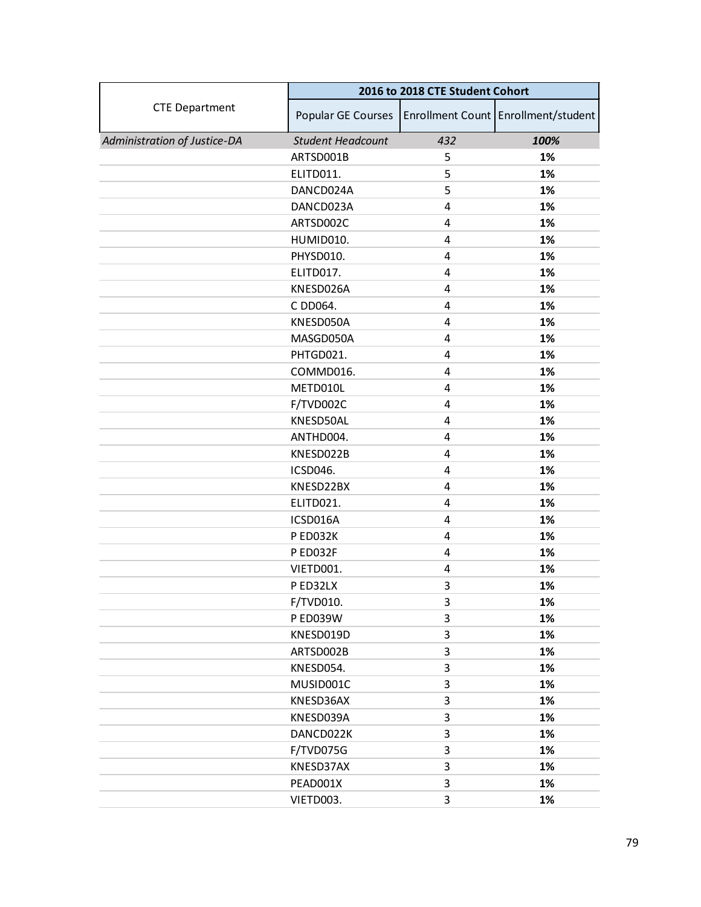|                              | 2016 to 2018 CTE Student Cohort |     |                                     |
|------------------------------|---------------------------------|-----|-------------------------------------|
| <b>CTE Department</b>        | Popular GE Courses              |     | Enrollment Count Enrollment/student |
| Administration of Justice-DA | <b>Student Headcount</b>        | 432 | 100%                                |
|                              | ARTSD001B                       | 5   | 1%                                  |
|                              | ELITD011.                       | 5   | 1%                                  |
|                              | DANCD024A                       | 5   | 1%                                  |
|                              | DANCD023A                       | 4   | 1%                                  |
|                              | ARTSD002C                       | 4   | 1%                                  |
|                              | HUMID010.                       | 4   | 1%                                  |
|                              | PHYSD010.                       | 4   | 1%                                  |
|                              | ELITD017.                       | 4   | 1%                                  |
|                              | KNESD026A                       | 4   | 1%                                  |
|                              | C DD064.                        | 4   | 1%                                  |
|                              | KNESD050A                       | 4   | 1%                                  |
|                              | MASGD050A                       | 4   | 1%                                  |
|                              | PHTGD021.                       | 4   | 1%                                  |
|                              | COMMD016.                       | 4   | 1%                                  |
|                              | METD010L                        | 4   | 1%                                  |
|                              | F/TVD002C                       | 4   | 1%                                  |
|                              | KNESD50AL                       | 4   | 1%                                  |
|                              | ANTHD004.                       | 4   | 1%                                  |
|                              | KNESD022B                       | 4   | 1%                                  |
|                              | ICSD046.                        | 4   | 1%                                  |
|                              | KNESD22BX                       | 4   | 1%                                  |
|                              | ELITD021.                       | 4   | 1%                                  |
|                              | ICSD016A                        | 4   | 1%                                  |
|                              | P ED032K                        | 4   | 1%                                  |
|                              | P ED032F                        | 4   | 1%                                  |
|                              | VIETD001.                       | 4   | 1%                                  |
|                              | P ED32LX                        | 3   | 1%                                  |
|                              | F/TVD010.                       | 3   | 1%                                  |
|                              | P ED039W                        | 3   | 1%                                  |
|                              | KNESD019D                       | 3   | 1%                                  |
|                              | ARTSD002B                       | 3   | 1%                                  |
|                              | KNESD054.                       | 3   | 1%                                  |
|                              | MUSID001C                       | 3   | 1%                                  |
|                              | KNESD36AX                       | 3   | 1%                                  |
|                              | KNESD039A                       | 3   | 1%                                  |
|                              | DANCD022K                       | 3   | 1%                                  |
|                              | F/TVD075G                       | 3   | 1%                                  |
|                              | KNESD37AX                       | 3   | 1%                                  |
|                              | PEAD001X                        | 3   | 1%                                  |
|                              | VIETD003.                       | 3   | 1%                                  |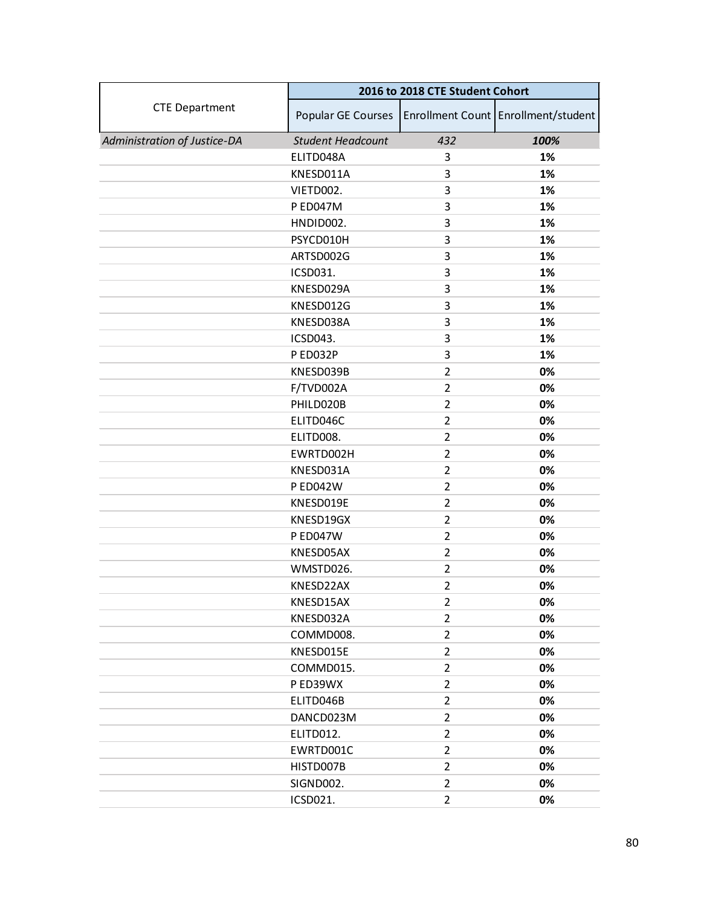|                              | 2016 to 2018 CTE Student Cohort |                |                                     |
|------------------------------|---------------------------------|----------------|-------------------------------------|
| <b>CTE Department</b>        | Popular GE Courses              |                | Enrollment Count Enrollment/student |
| Administration of Justice-DA | <b>Student Headcount</b>        | 432            | 100%                                |
|                              | ELITD048A                       | 3              | 1%                                  |
|                              | KNESD011A                       | 3              | 1%                                  |
|                              | VIETD002.                       | 3              | 1%                                  |
|                              | P ED047M                        | 3              | 1%                                  |
|                              | HNDID002.                       | 3              | 1%                                  |
|                              | PSYCD010H                       | 3              | 1%                                  |
|                              | ARTSD002G                       | 3              | 1%                                  |
|                              | ICSD031.                        | 3              | 1%                                  |
|                              | KNESD029A                       | 3              | 1%                                  |
|                              | KNESD012G                       | 3              | 1%                                  |
|                              | KNESD038A                       | 3              | 1%                                  |
|                              | ICSD043.                        | 3              | 1%                                  |
|                              | PED032P                         | 3              | 1%                                  |
|                              | KNESD039B                       | $\overline{2}$ | 0%                                  |
|                              | F/TVD002A                       | $\overline{2}$ | 0%                                  |
|                              | PHILD020B                       | $\overline{2}$ | 0%                                  |
|                              | ELITD046C                       | 2              | 0%                                  |
|                              | ELITD008.                       | $\overline{2}$ | 0%                                  |
|                              | EWRTD002H                       | $\overline{2}$ | 0%                                  |
|                              | KNESD031A                       | $\overline{2}$ | 0%                                  |
|                              | <b>PED042W</b>                  | $\overline{2}$ | 0%                                  |
|                              | KNESD019E                       | 2              | 0%                                  |
|                              | KNESD19GX                       | $\overline{2}$ | 0%                                  |
|                              | <b>P ED047W</b>                 | $\overline{2}$ | 0%                                  |
|                              | KNESD05AX                       | $\overline{2}$ | 0%                                  |
|                              | WMSTD026.                       | $\overline{2}$ | 0%                                  |
|                              | KNESD22AX                       | $\overline{2}$ | 0%                                  |
|                              | KNESD15AX                       | $\overline{2}$ | 0%                                  |
|                              | KNESD032A                       | $\overline{2}$ | 0%                                  |
|                              | COMMD008.                       | $\overline{2}$ | 0%                                  |
|                              | KNESD015E                       | $\overline{2}$ | 0%                                  |
|                              | COMMD015.                       | $\overline{2}$ | 0%                                  |
|                              | P ED39WX                        | $\overline{2}$ | 0%                                  |
|                              | ELITD046B                       | $\overline{2}$ | 0%                                  |
|                              | DANCD023M                       | $\overline{2}$ | 0%                                  |
|                              | ELITD012.                       | $\overline{2}$ | 0%                                  |
|                              | EWRTD001C                       | $\overline{2}$ | 0%                                  |
|                              | HISTD007B                       | $\overline{2}$ | 0%                                  |
|                              | SIGND002.                       | $\overline{2}$ | 0%                                  |
|                              | ICSD021.                        | $\overline{2}$ | 0%                                  |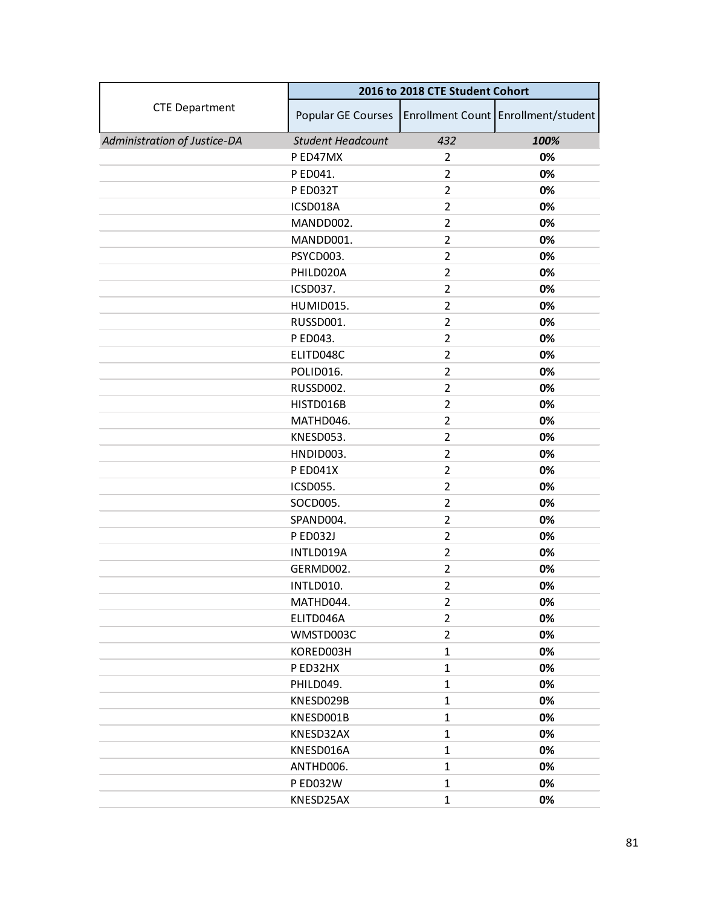|                              | 2016 to 2018 CTE Student Cohort |                |                                     |
|------------------------------|---------------------------------|----------------|-------------------------------------|
| <b>CTE Department</b>        | Popular GE Courses              |                | Enrollment Count Enrollment/student |
| Administration of Justice-DA | <b>Student Headcount</b>        | 432            | 100%                                |
|                              | P ED47MX                        | $\overline{2}$ | 0%                                  |
|                              | P ED041.                        | $\overline{2}$ | 0%                                  |
|                              | P ED032T                        | $\overline{2}$ | 0%                                  |
|                              | ICSD018A                        | $\overline{2}$ | 0%                                  |
|                              | MANDD002.                       | $\overline{2}$ | 0%                                  |
|                              | MANDD001.                       | $\overline{2}$ | 0%                                  |
|                              | PSYCD003.                       | $\overline{2}$ | 0%                                  |
|                              | PHILD020A                       | $\overline{2}$ | 0%                                  |
|                              | ICSD037.                        | $\overline{2}$ | 0%                                  |
|                              | HUMID015.                       | $\overline{2}$ | 0%                                  |
|                              | RUSSD001.                       | $\overline{2}$ | 0%                                  |
|                              | P ED043.                        | $\overline{2}$ | 0%                                  |
|                              | ELITD048C                       | $\overline{2}$ | 0%                                  |
|                              | POLID016.                       | $\overline{2}$ | 0%                                  |
|                              | RUSSD002.                       | $\overline{2}$ | 0%                                  |
|                              | HISTD016B                       | $\overline{2}$ | 0%                                  |
|                              | MATHD046.                       | $\overline{2}$ | 0%                                  |
|                              | KNESD053.                       | $\overline{2}$ | 0%                                  |
|                              | HNDID003.                       | $\overline{2}$ | 0%                                  |
|                              | P ED041X                        | $\overline{2}$ | 0%                                  |
|                              | ICSD055.                        | $\overline{2}$ | 0%                                  |
|                              | SOCD005.                        | $\overline{2}$ | 0%                                  |
|                              | SPAND004.                       | $\overline{2}$ | 0%                                  |
|                              | <b>P ED032J</b>                 | $\overline{2}$ | 0%                                  |
|                              | INTLD019A                       | $\overline{2}$ | 0%                                  |
|                              | GERMD002.                       | $\overline{2}$ | 0%                                  |
|                              | INTLD010.                       | $\overline{2}$ | 0%                                  |
|                              | MATHD044.                       | $\overline{2}$ | 0%                                  |
|                              | ELITD046A                       | $\overline{2}$ | 0%                                  |
|                              | WMSTD003C                       | $\overline{2}$ | 0%                                  |
|                              | KORED003H                       | $\mathbf{1}$   | 0%                                  |
|                              | PED32HX                         | $\mathbf{1}$   | 0%                                  |
|                              | PHILD049.                       | $\mathbf{1}$   | 0%                                  |
|                              | KNESD029B                       | $\mathbf{1}$   | 0%                                  |
|                              | KNESD001B                       | $\mathbf{1}$   | 0%                                  |
|                              | KNESD32AX                       | $\mathbf{1}$   | 0%                                  |
|                              | KNESD016A                       | $\mathbf{1}$   | 0%                                  |
|                              | ANTHD006.                       | $\mathbf{1}$   | 0%                                  |
|                              | P ED032W                        | $\mathbf{1}$   | 0%                                  |
|                              | KNESD25AX                       | $\mathbf{1}$   | 0%                                  |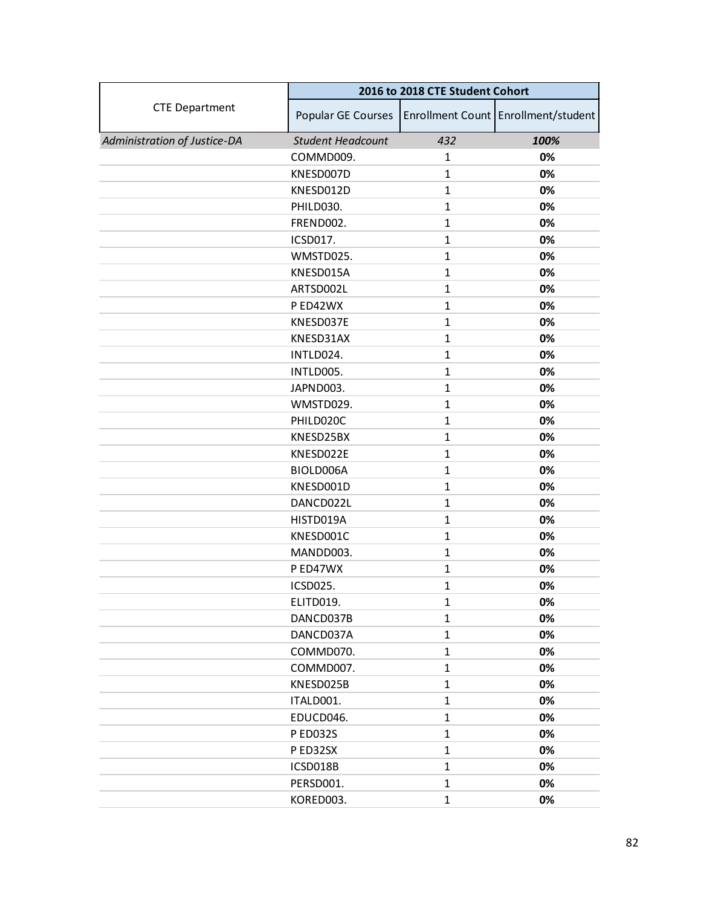|                              | 2016 to 2018 CTE Student Cohort |              |                                     |
|------------------------------|---------------------------------|--------------|-------------------------------------|
| <b>CTE Department</b>        | Popular GE Courses              |              | Enrollment Count Enrollment/student |
| Administration of Justice-DA | <b>Student Headcount</b>        | 432          | 100%                                |
|                              | COMMD009.                       | $\mathbf{1}$ | 0%                                  |
|                              | KNESD007D                       | $\mathbf{1}$ | 0%                                  |
|                              | KNESD012D                       | $\mathbf{1}$ | 0%                                  |
|                              | PHILD030.                       | $\mathbf{1}$ | 0%                                  |
|                              | FREND002.                       | $\mathbf{1}$ | 0%                                  |
|                              | ICSD017.                        | $\mathbf{1}$ | 0%                                  |
|                              | WMSTD025.                       | $\mathbf{1}$ | 0%                                  |
|                              | KNESD015A                       | $\mathbf{1}$ | 0%                                  |
|                              | ARTSD002L                       | $\mathbf{1}$ | 0%                                  |
|                              | PED42WX                         | $\mathbf{1}$ | 0%                                  |
|                              | KNESD037E                       | $\mathbf{1}$ | 0%                                  |
|                              | KNESD31AX                       | $\mathbf{1}$ | 0%                                  |
|                              | INTLD024.                       | $\mathbf{1}$ | 0%                                  |
|                              | INTLD005.                       | $\mathbf{1}$ | 0%                                  |
|                              | JAPND003.                       | $\mathbf{1}$ | 0%                                  |
|                              | WMSTD029.                       | $\mathbf{1}$ | 0%                                  |
|                              | PHILD020C                       | 1            | 0%                                  |
|                              | KNESD25BX                       | $\mathbf{1}$ | 0%                                  |
|                              | KNESD022E                       | $\mathbf{1}$ | 0%                                  |
|                              | BIOLD006A                       | $\mathbf{1}$ | 0%                                  |
|                              | KNESD001D                       | $\mathbf{1}$ | 0%                                  |
|                              | DANCD022L                       | 1            | 0%                                  |
|                              | HISTD019A                       | $\mathbf{1}$ | 0%                                  |
|                              | KNESD001C                       | $\mathbf{1}$ | 0%                                  |
|                              | MANDD003.                       | $\mathbf{1}$ | 0%                                  |
|                              | P ED47WX                        | $\mathbf{1}$ | 0%                                  |
|                              | ICSD025.                        | 1            | 0%                                  |
|                              | ELITD019.                       | $\mathbf{1}$ | 0%                                  |
|                              | DANCD037B                       | $\mathbf{1}$ | 0%                                  |
|                              | DANCD037A                       | $\mathbf{1}$ | 0%                                  |
|                              | COMMD070.                       | $\mathbf{1}$ | 0%                                  |
|                              | COMMD007.                       | $\mathbf{1}$ | 0%                                  |
|                              | KNESD025B                       | $\mathbf{1}$ | 0%                                  |
|                              | ITALD001.                       | $\mathbf{1}$ | 0%                                  |
|                              | EDUCD046.                       | $\mathbf{1}$ | 0%                                  |
|                              | P ED032S                        | $\mathbf{1}$ | 0%                                  |
|                              | P ED32SX                        | $\mathbf{1}$ | 0%                                  |
|                              | ICSD018B                        | $\mathbf{1}$ | 0%                                  |
|                              | PERSD001.                       | $\mathbf{1}$ | 0%                                  |
|                              | KORED003.                       | $\mathbf{1}$ | 0%                                  |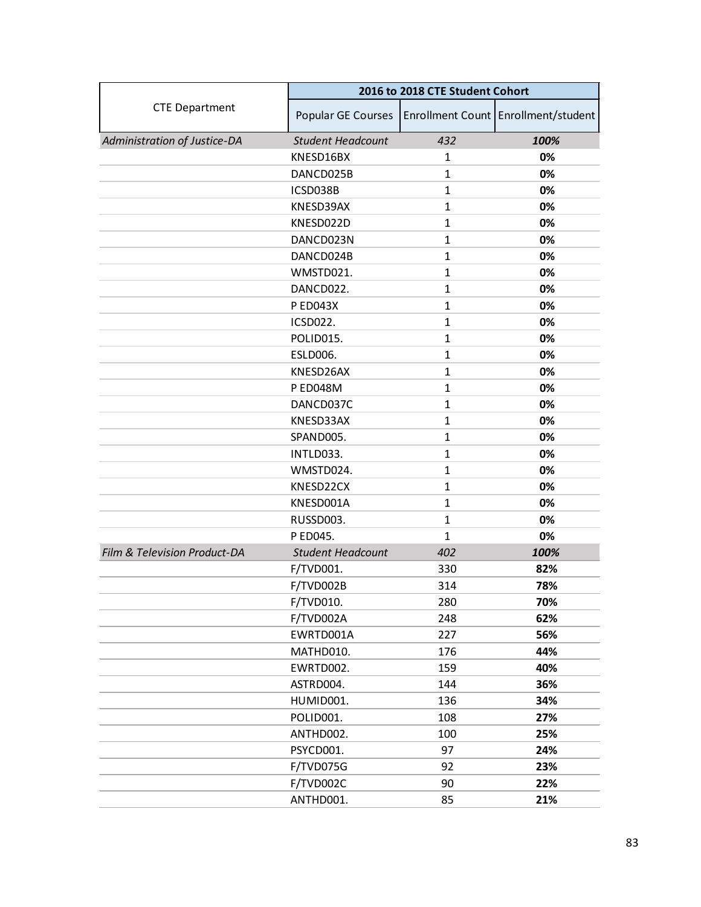|                              | 2016 to 2018 CTE Student Cohort |              |                                     |
|------------------------------|---------------------------------|--------------|-------------------------------------|
| <b>CTE Department</b>        | Popular GE Courses              |              | Enrollment Count Enrollment/student |
| Administration of Justice-DA | <b>Student Headcount</b>        | 432          | 100%                                |
|                              | KNESD16BX                       | $\mathbf{1}$ | 0%                                  |
|                              | DANCD025B                       | $\mathbf{1}$ | 0%                                  |
|                              | ICSD038B                        | $\mathbf{1}$ | 0%                                  |
|                              | KNESD39AX                       | $\mathbf{1}$ | 0%                                  |
|                              | KNESD022D                       | $\mathbf{1}$ | 0%                                  |
|                              | DANCD023N                       | $\mathbf{1}$ | 0%                                  |
|                              | DANCD024B                       | $\mathbf{1}$ | 0%                                  |
|                              | WMSTD021.                       | $\mathbf{1}$ | 0%                                  |
|                              | DANCD022.                       | $\mathbf{1}$ | 0%                                  |
|                              | <b>PED043X</b>                  | $\mathbf{1}$ | 0%                                  |
|                              | <b>ICSD022.</b>                 | $\mathbf{1}$ | 0%                                  |
|                              | POLID015.                       | $\mathbf{1}$ | 0%                                  |
|                              | <b>ESLD006.</b>                 | $\mathbf{1}$ | 0%                                  |
|                              | KNESD26AX                       | $\mathbf{1}$ | 0%                                  |
|                              | <b>PED048M</b>                  | $\mathbf{1}$ | 0%                                  |
|                              | DANCD037C                       | $\mathbf{1}$ | 0%                                  |
|                              | KNESD33AX                       | 1            | 0%                                  |
|                              | SPAND005.                       | $\mathbf{1}$ | 0%                                  |
|                              | INTLD033.                       | $\mathbf{1}$ | 0%                                  |
|                              | WMSTD024.                       | $\mathbf{1}$ | 0%                                  |
|                              | KNESD22CX                       | $\mathbf{1}$ | 0%                                  |
|                              | KNESD001A                       | 1            | 0%                                  |
|                              | RUSSD003.                       | $\mathbf{1}$ | 0%                                  |
|                              | P ED045.                        | $\mathbf{1}$ | 0%                                  |
| Film & Television Product-DA | <b>Student Headcount</b>        | 402          | 100%                                |
|                              | F/TVD001.                       | 330          | 82%                                 |
|                              | F/TVD002B                       | 314          | 78%                                 |
|                              | F/TVD010.                       | 280          | 70%                                 |
|                              | F/TVD002A                       | 248          | 62%                                 |
|                              | EWRTD001A                       | 227          | 56%                                 |
|                              | MATHD010.                       | 176          | 44%                                 |
|                              | EWRTD002.                       | 159          | 40%                                 |
|                              | ASTRD004.                       | 144          | 36%                                 |
|                              | HUMID001.                       | 136          | 34%                                 |
|                              | POLID001.                       | 108          | 27%                                 |
|                              | ANTHD002.                       | 100          | 25%                                 |
|                              | PSYCD001.                       | 97           | 24%                                 |
|                              | F/TVD075G                       | 92           | 23%                                 |
|                              | F/TVD002C                       | 90           | 22%                                 |
|                              | ANTHD001.                       | 85           | 21%                                 |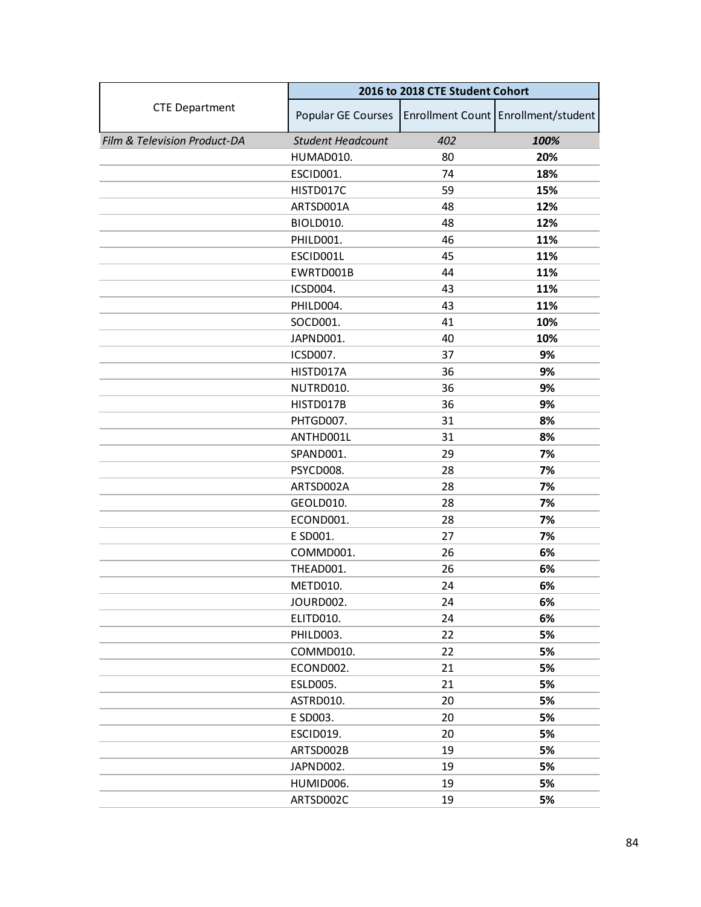|                              | 2016 to 2018 CTE Student Cohort |     |                                     |
|------------------------------|---------------------------------|-----|-------------------------------------|
| <b>CTE Department</b>        | Popular GE Courses              |     | Enrollment Count Enrollment/student |
| Film & Television Product-DA | <b>Student Headcount</b>        | 402 | 100%                                |
|                              | HUMAD010.                       | 80  | 20%                                 |
|                              | ESCID001.                       | 74  | 18%                                 |
|                              | HISTD017C                       | 59  | 15%                                 |
|                              | ARTSD001A                       | 48  | 12%                                 |
|                              | BIOLD010.                       | 48  | 12%                                 |
|                              | PHILD001.                       | 46  | 11%                                 |
|                              | ESCID001L                       | 45  | 11%                                 |
|                              | EWRTD001B                       | 44  | 11%                                 |
|                              | ICSD004.                        | 43  | 11%                                 |
|                              | PHILD004.                       | 43  | 11%                                 |
|                              | SOCD001.                        | 41  | 10%                                 |
|                              | JAPND001.                       | 40  | 10%                                 |
|                              | ICSD007.                        | 37  | 9%                                  |
|                              | HISTD017A                       | 36  | 9%                                  |
|                              | NUTRD010.                       | 36  | 9%                                  |
|                              | HISTD017B                       | 36  | 9%                                  |
|                              | PHTGD007.                       | 31  | 8%                                  |
|                              | ANTHD001L                       | 31  | 8%                                  |
|                              | SPAND001.                       | 29  | 7%                                  |
|                              | PSYCD008.                       | 28  | 7%                                  |
|                              | ARTSD002A                       | 28  | 7%                                  |
|                              | GEOLD010.                       | 28  | 7%                                  |
|                              | ECOND001.                       | 28  | 7%                                  |
|                              | E SD001.                        | 27  | 7%                                  |
|                              | COMMD001.                       | 26  | 6%                                  |
|                              | THEAD001.                       | 26  | 6%                                  |
|                              | METD010.                        | 24  | 6%                                  |
|                              | JOURD002.                       | 24  | 6%                                  |
|                              | ELITD010.                       | 24  | 6%                                  |
|                              | PHILD003.                       | 22  | 5%                                  |
|                              | COMMD010.                       | 22  | 5%                                  |
|                              | ECOND002.                       | 21  | 5%                                  |
|                              | ESLD005.                        | 21  | 5%                                  |
|                              | ASTRD010.                       | 20  | 5%                                  |
|                              | E SD003.                        | 20  | 5%                                  |
|                              | ESCID019.                       | 20  | 5%                                  |
|                              | ARTSD002B                       | 19  | 5%                                  |
|                              | JAPND002.                       | 19  | 5%                                  |
|                              | HUMID006.                       | 19  | 5%                                  |
|                              | ARTSD002C                       | 19  | 5%                                  |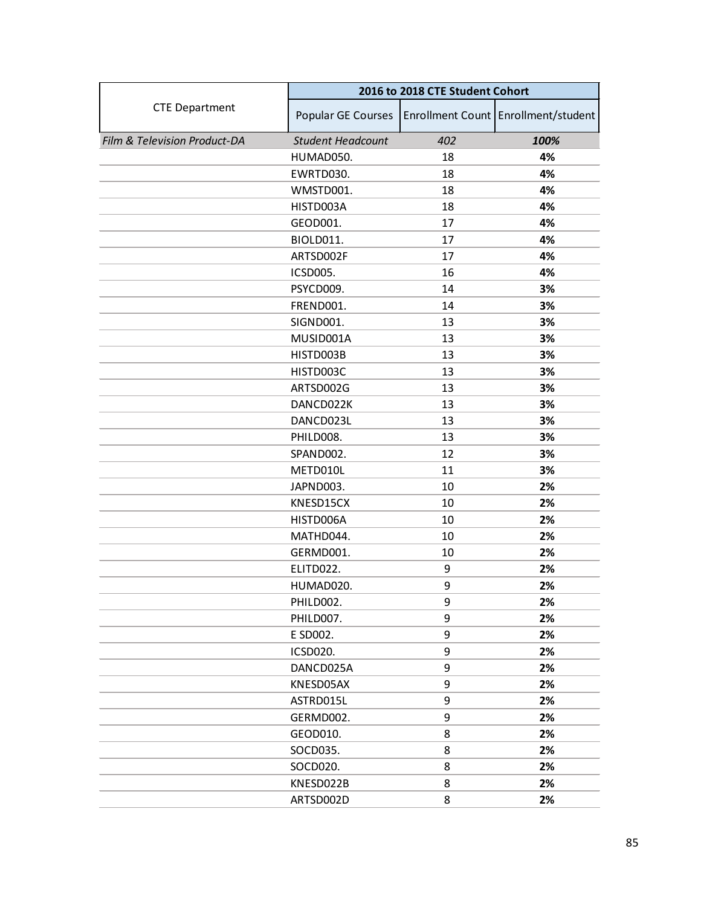|                              | 2016 to 2018 CTE Student Cohort |     |                                     |
|------------------------------|---------------------------------|-----|-------------------------------------|
| <b>CTE Department</b>        | Popular GE Courses              |     | Enrollment Count Enrollment/student |
| Film & Television Product-DA | <b>Student Headcount</b>        | 402 | 100%                                |
|                              | HUMAD050.                       | 18  | 4%                                  |
|                              | EWRTD030.                       | 18  | 4%                                  |
|                              | WMSTD001.                       | 18  | 4%                                  |
|                              | HISTD003A                       | 18  | 4%                                  |
|                              | GEOD001.                        | 17  | 4%                                  |
|                              | <b>BIOLD011.</b>                | 17  | 4%                                  |
|                              | ARTSD002F                       | 17  | 4%                                  |
|                              | <b>ICSD005.</b>                 | 16  | 4%                                  |
|                              | PSYCD009.                       | 14  | 3%                                  |
|                              | FREND001.                       | 14  | 3%                                  |
|                              | SIGND001.                       | 13  | 3%                                  |
|                              | MUSID001A                       | 13  | 3%                                  |
|                              | HISTD003B                       | 13  | 3%                                  |
|                              | HISTD003C                       | 13  | 3%                                  |
|                              | ARTSD002G                       | 13  | 3%                                  |
|                              | DANCD022K                       | 13  | 3%                                  |
|                              | DANCD023L                       | 13  | 3%                                  |
|                              | PHILD008.                       | 13  | 3%                                  |
|                              | SPAND002.                       | 12  | 3%                                  |
|                              | METD010L                        | 11  | 3%                                  |
|                              | JAPND003.                       | 10  | 2%                                  |
|                              | KNESD15CX                       | 10  | 2%                                  |
|                              | HISTD006A                       | 10  | 2%                                  |
|                              | MATHD044.                       | 10  | 2%                                  |
|                              | GERMD001.                       | 10  | 2%                                  |
|                              | ELITD022.                       | 9   | 2%                                  |
|                              | HUMAD020.                       | 9   | 2%                                  |
|                              | PHILD002.                       | 9   | 2%                                  |
|                              | PHILD007.                       | 9   | 2%                                  |
|                              | E SD002.                        | 9   | 2%                                  |
|                              | <b>ICSD020.</b>                 | 9   | 2%                                  |
|                              | DANCD025A                       | 9   | 2%                                  |
|                              | KNESD05AX                       | 9   | 2%                                  |
|                              | ASTRD015L                       | 9   | 2%                                  |
|                              | GERMD002.                       | 9   | 2%                                  |
|                              | GEOD010.                        | 8   | 2%                                  |
|                              | SOCD035.                        | 8   | 2%                                  |
|                              | SOCD020.                        | 8   | 2%                                  |
|                              | KNESD022B                       | 8   | 2%                                  |
|                              | ARTSD002D                       | 8   | 2%                                  |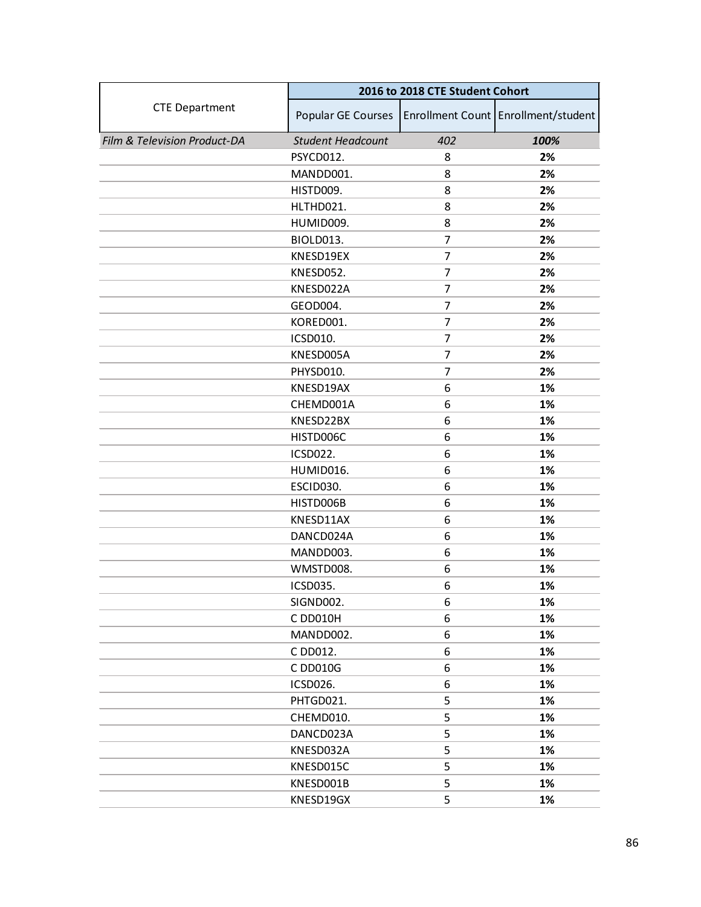|                              | 2016 to 2018 CTE Student Cohort |                |                                     |
|------------------------------|---------------------------------|----------------|-------------------------------------|
| <b>CTE Department</b>        | Popular GE Courses              |                | Enrollment Count Enrollment/student |
| Film & Television Product-DA | <b>Student Headcount</b>        | 402            | 100%                                |
|                              | PSYCD012.                       | 8              | 2%                                  |
|                              | MANDD001.                       | 8              | 2%                                  |
|                              | HISTD009.                       | 8              | 2%                                  |
|                              | HLTHD021.                       | 8              | 2%                                  |
|                              | HUMID009.                       | 8              | 2%                                  |
|                              | BIOLD013.                       | 7              | 2%                                  |
|                              | KNESD19EX                       | 7              | 2%                                  |
|                              | KNESD052.                       | $\overline{7}$ | 2%                                  |
|                              | KNESD022A                       | 7              | 2%                                  |
|                              | GEOD004.                        | $\overline{7}$ | 2%                                  |
|                              | KORED001.                       | 7              | 2%                                  |
|                              | ICSD010.                        | 7              | 2%                                  |
|                              | KNESD005A                       | $\overline{7}$ | 2%                                  |
|                              | PHYSD010.                       | 7              | 2%                                  |
|                              | KNESD19AX                       | 6              | 1%                                  |
|                              | CHEMD001A                       | 6              | 1%                                  |
|                              | KNESD22BX                       | 6              | 1%                                  |
|                              | HISTD006C                       | 6              | 1%                                  |
|                              | <b>ICSD022.</b>                 | 6              | 1%                                  |
|                              | HUMID016.                       | 6              | 1%                                  |
|                              | ESCID030.                       | 6              | 1%                                  |
|                              | HISTD006B                       | 6              | 1%                                  |
|                              | KNESD11AX                       | 6              | 1%                                  |
|                              | DANCD024A                       | 6              | 1%                                  |
|                              | MANDD003.                       | 6              | 1%                                  |
|                              | WMSTD008.                       | 6              | 1%                                  |
|                              | ICSD035.                        | 6              | 1%                                  |
|                              | SIGND002.                       | 6              | 1%                                  |
|                              | C DD010H                        | 6              | 1%                                  |
|                              | MANDD002.                       | 6              | 1%                                  |
|                              | C DD012.                        | 6              | 1%                                  |
|                              | C DD010G                        | 6              | 1%                                  |
|                              | ICSD026.                        | 6              | 1%                                  |
|                              | PHTGD021.                       | 5              | 1%                                  |
|                              | CHEMD010.                       | 5              | 1%                                  |
|                              | DANCD023A                       | 5              | 1%                                  |
|                              | KNESD032A                       | 5              | 1%                                  |
|                              | KNESD015C                       | 5              | 1%                                  |
|                              | KNESD001B                       | 5              | 1%                                  |
|                              | KNESD19GX                       | 5              | 1%                                  |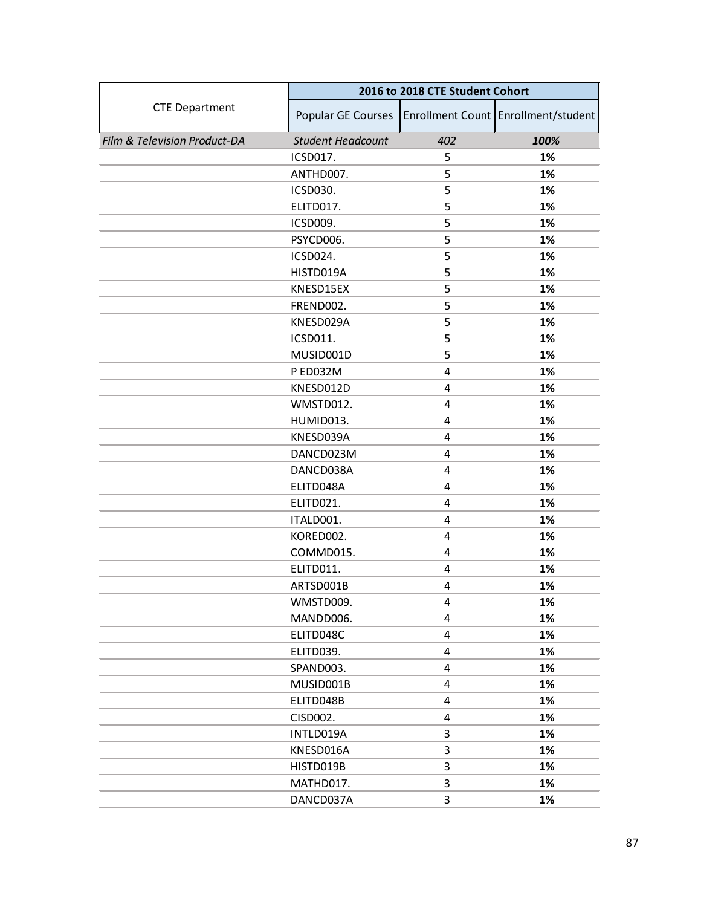|                              | 2016 to 2018 CTE Student Cohort |     |                                     |
|------------------------------|---------------------------------|-----|-------------------------------------|
| <b>CTE Department</b>        | Popular GE Courses              |     | Enrollment Count Enrollment/student |
| Film & Television Product-DA | <b>Student Headcount</b>        | 402 | 100%                                |
|                              | ICSD017.                        | 5   | 1%                                  |
|                              | ANTHD007.                       | 5   | 1%                                  |
|                              | ICSD030.                        | 5   | 1%                                  |
|                              | ELITD017.                       | 5   | 1%                                  |
|                              | ICSD009.                        | 5   | 1%                                  |
|                              | PSYCD006.                       | 5   | 1%                                  |
|                              | ICSD024.                        | 5   | 1%                                  |
|                              | HISTD019A                       | 5   | 1%                                  |
|                              | KNESD15EX                       | 5   | 1%                                  |
|                              | FREND002.                       | 5   | 1%                                  |
|                              | KNESD029A                       | 5   | 1%                                  |
|                              | ICSD011.                        | 5   | 1%                                  |
|                              | MUSID001D                       | 5   | 1%                                  |
|                              | P ED032M                        | 4   | 1%                                  |
|                              | KNESD012D                       | 4   | 1%                                  |
|                              | WMSTD012.                       | 4   | 1%                                  |
|                              | HUMID013.                       | 4   | 1%                                  |
|                              | KNESD039A                       | 4   | 1%                                  |
|                              | DANCD023M                       | 4   | 1%                                  |
|                              | DANCD038A                       | 4   | 1%                                  |
|                              | ELITD048A                       | 4   | 1%                                  |
|                              | ELITD021.                       | 4   | 1%                                  |
|                              | ITALD001.                       | 4   | 1%                                  |
|                              | KORED002.                       | 4   | 1%                                  |
|                              | COMMD015.                       | 4   | 1%                                  |
|                              | ELITD011.                       | 4   | 1%                                  |
|                              | ARTSD001B                       | 4   | 1%                                  |
|                              | WMSTD009.                       | 4   | 1%                                  |
|                              | MANDD006.                       | 4   | 1%                                  |
|                              | ELITD048C                       | 4   | 1%                                  |
|                              | ELITD039.                       | 4   | 1%                                  |
|                              | SPAND003.                       | 4   | 1%                                  |
|                              | MUSID001B                       | 4   | 1%                                  |
|                              | ELITD048B                       | 4   | 1%                                  |
|                              | CISD002.                        | 4   | 1%                                  |
|                              | INTLD019A                       | 3   | 1%                                  |
|                              | KNESD016A                       | 3   | 1%                                  |
|                              | HISTD019B                       | 3   | 1%                                  |
|                              | MATHD017.                       | 3   | 1%                                  |
|                              | DANCD037A                       | 3   | 1%                                  |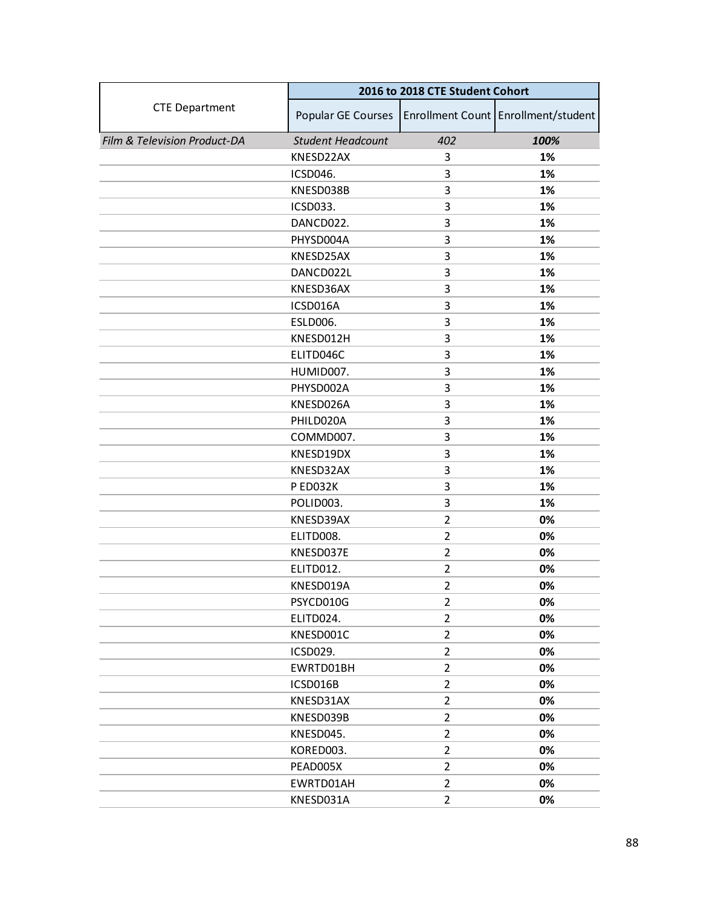|                              | 2016 to 2018 CTE Student Cohort |                |                                     |
|------------------------------|---------------------------------|----------------|-------------------------------------|
| <b>CTE Department</b>        | Popular GE Courses              |                | Enrollment Count Enrollment/student |
| Film & Television Product-DA | <b>Student Headcount</b>        | 402            | 100%                                |
|                              | KNESD22AX                       | 3              | 1%                                  |
|                              | ICSD046.                        | 3              | 1%                                  |
|                              | KNESD038B                       | 3              | 1%                                  |
|                              | ICSD033.                        | 3              | 1%                                  |
|                              | DANCD022.                       | 3              | 1%                                  |
|                              | PHYSD004A                       | 3              | 1%                                  |
|                              | KNESD25AX                       | 3              | 1%                                  |
|                              | DANCD022L                       | 3              | 1%                                  |
|                              | KNESD36AX                       | 3              | 1%                                  |
|                              | ICSD016A                        | 3              | 1%                                  |
|                              | ESLD006.                        | 3              | 1%                                  |
|                              | KNESD012H                       | 3              | 1%                                  |
|                              | ELITD046C                       | 3              | 1%                                  |
|                              | HUMID007.                       | 3              | 1%                                  |
|                              | PHYSD002A                       | 3              | 1%                                  |
|                              | KNESD026A                       | 3              | 1%                                  |
|                              | PHILD020A                       | 3              | 1%                                  |
|                              | COMMD007.                       | 3              | 1%                                  |
|                              | KNESD19DX                       | 3              | 1%                                  |
|                              | KNESD32AX                       | 3              | 1%                                  |
|                              | PED032K                         | 3              | 1%                                  |
|                              | POLID003.                       | 3              | 1%                                  |
|                              | KNESD39AX                       | $\overline{2}$ | 0%                                  |
|                              | ELITD008.                       | $\overline{2}$ | 0%                                  |
|                              | KNESD037E                       | $\overline{2}$ | 0%                                  |
|                              | ELITD012.                       | $\overline{2}$ | 0%                                  |
|                              | KNESD019A                       | $\overline{2}$ | 0%                                  |
|                              | PSYCD010G                       | $\overline{2}$ | 0%                                  |
|                              | ELITD024.                       | $\overline{2}$ | 0%                                  |
|                              | KNESD001C                       | $\overline{2}$ | 0%                                  |
|                              | ICSD029.                        | $\overline{2}$ | 0%                                  |
|                              | EWRTD01BH                       | $\overline{2}$ | 0%                                  |
|                              | ICSD016B                        | $\overline{2}$ | 0%                                  |
|                              | KNESD31AX                       | $\overline{2}$ | 0%                                  |
|                              | KNESD039B                       | $\overline{2}$ | 0%                                  |
|                              | KNESD045.                       | $\overline{2}$ | 0%                                  |
|                              | KORED003.                       | $\overline{2}$ | 0%                                  |
|                              | PEAD005X                        | $\overline{2}$ | 0%                                  |
|                              | EWRTD01AH                       | $\overline{2}$ | 0%                                  |
|                              | KNESD031A                       | $\overline{2}$ | 0%                                  |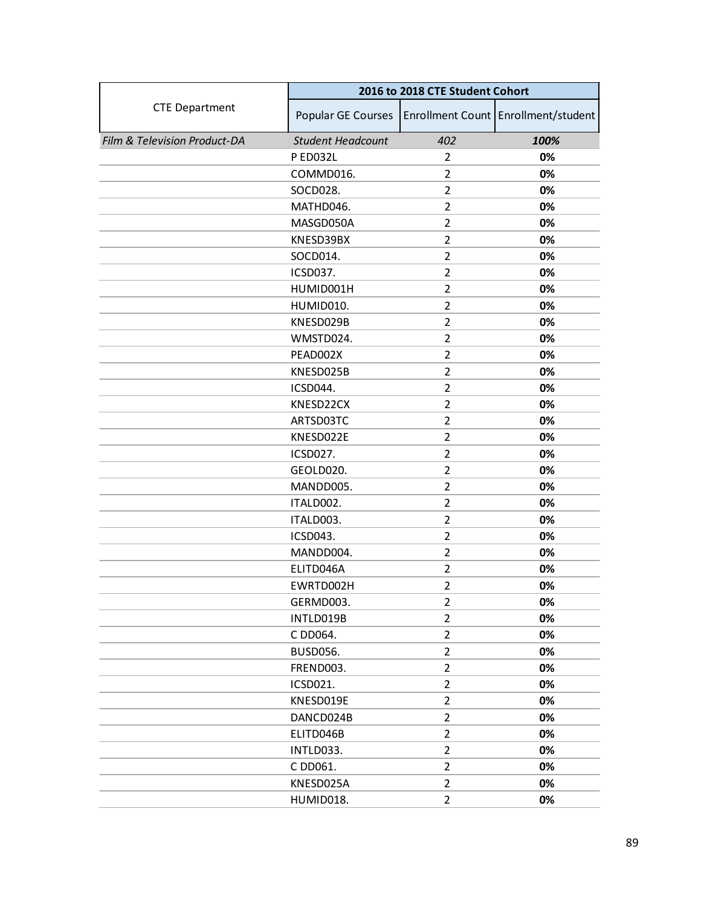|                              | 2016 to 2018 CTE Student Cohort |                |                                     |
|------------------------------|---------------------------------|----------------|-------------------------------------|
| <b>CTE Department</b>        | Popular GE Courses              |                | Enrollment Count Enrollment/student |
| Film & Television Product-DA | <b>Student Headcount</b>        | 402            | 100%                                |
|                              | P ED032L                        | $\overline{2}$ | 0%                                  |
|                              | COMMD016.                       | $\overline{2}$ | 0%                                  |
|                              | SOCD028.                        | $\overline{2}$ | 0%                                  |
|                              | MATHD046.                       | $\overline{2}$ | 0%                                  |
|                              | MASGD050A                       | $\overline{2}$ | 0%                                  |
|                              | KNESD39BX                       | $\overline{2}$ | 0%                                  |
|                              | SOCD014.                        | $\overline{2}$ | 0%                                  |
|                              | ICSD037.                        | $\overline{2}$ | 0%                                  |
|                              | HUMID001H                       | $\overline{2}$ | 0%                                  |
|                              | HUMID010.                       | $\overline{2}$ | 0%                                  |
|                              | KNESD029B                       | $\overline{2}$ | 0%                                  |
|                              | WMSTD024.                       | $\overline{2}$ | 0%                                  |
|                              | PEAD002X                        | $\overline{2}$ | 0%                                  |
|                              | KNESD025B                       | $\overline{2}$ | 0%                                  |
|                              | ICSD044.                        | $\overline{2}$ | 0%                                  |
|                              | KNESD22CX                       | $\overline{2}$ | 0%                                  |
|                              | ARTSD03TC                       | 2              | 0%                                  |
|                              | KNESD022E                       | $\overline{2}$ | 0%                                  |
|                              | ICSD027.                        | $\overline{2}$ | 0%                                  |
|                              | GEOLD020.                       | $\overline{2}$ | 0%                                  |
|                              | MANDD005.                       | $\overline{2}$ | 0%                                  |
|                              | ITALD002.                       | 2              | 0%                                  |
|                              | ITALD003.                       | $\overline{2}$ | 0%                                  |
|                              | ICSD043.                        | $\overline{2}$ | 0%                                  |
|                              | MANDD004.                       | $\overline{2}$ | 0%                                  |
|                              | ELITD046A                       | $\overline{2}$ | 0%                                  |
|                              | EWRTD002H                       | $\overline{2}$ | 0%                                  |
|                              | GERMD003.                       | $\overline{2}$ | 0%                                  |
|                              | INTLD019B                       | $\overline{2}$ | 0%                                  |
|                              | C DD064.                        | $\overline{2}$ | 0%                                  |
|                              | <b>BUSD056.</b>                 | $\overline{2}$ | 0%                                  |
|                              | FREND003.                       | $\overline{2}$ | 0%                                  |
|                              | ICSD021.                        | $\overline{2}$ | 0%                                  |
|                              | KNESD019E                       | $\overline{2}$ | 0%                                  |
|                              | DANCD024B                       | $\overline{2}$ | 0%                                  |
|                              | ELITD046B                       | $\overline{2}$ | 0%                                  |
|                              | INTLD033.                       | $\overline{2}$ | 0%                                  |
|                              | C DD061.                        | $\overline{2}$ | 0%                                  |
|                              | KNESD025A                       | $\overline{2}$ | 0%                                  |
|                              | HUMID018.                       | $\overline{2}$ | 0%                                  |
|                              |                                 |                |                                     |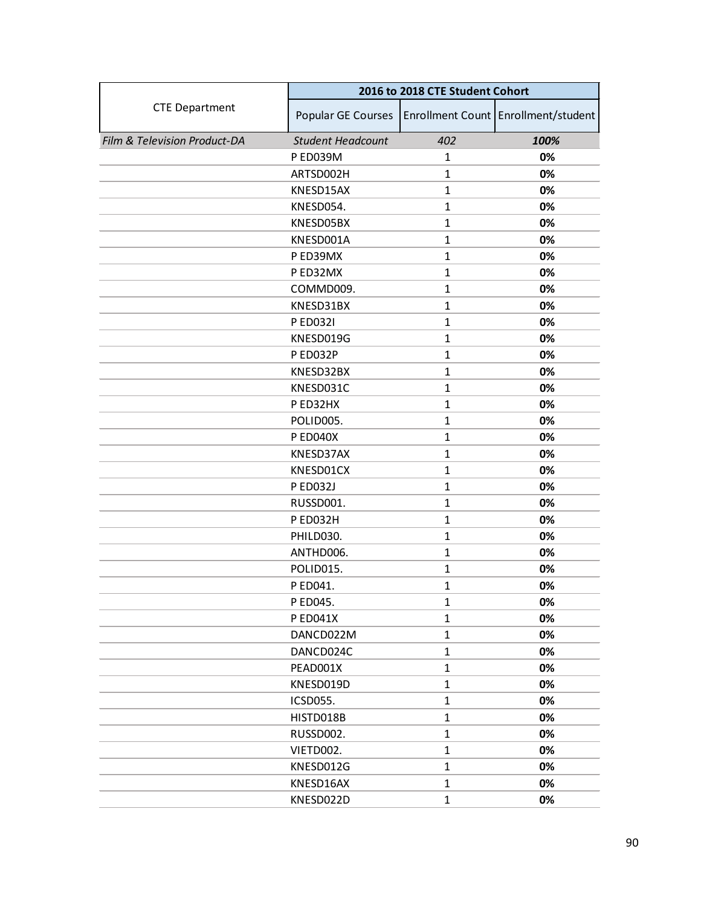|                              | 2016 to 2018 CTE Student Cohort |              |                                     |
|------------------------------|---------------------------------|--------------|-------------------------------------|
| <b>CTE Department</b>        | Popular GE Courses              |              | Enrollment Count Enrollment/student |
| Film & Television Product-DA | <b>Student Headcount</b>        | 402          | 100%                                |
|                              | P ED039M                        | $\mathbf{1}$ | 0%                                  |
|                              | ARTSD002H                       | $\mathbf{1}$ | 0%                                  |
|                              | KNESD15AX                       | $\mathbf{1}$ | 0%                                  |
|                              | KNESD054.                       | $\mathbf{1}$ | 0%                                  |
|                              | KNESD05BX                       | $\mathbf{1}$ | 0%                                  |
|                              | KNESD001A                       | $\mathbf{1}$ | 0%                                  |
|                              | P ED39MX                        | $\mathbf{1}$ | 0%                                  |
|                              | P ED32MX                        | $\mathbf{1}$ | 0%                                  |
|                              | COMMD009.                       | $\mathbf{1}$ | 0%                                  |
|                              | KNESD31BX                       | $\mathbf{1}$ | 0%                                  |
|                              | P ED0321                        | $\mathbf{1}$ | 0%                                  |
|                              | KNESD019G                       | $\mathbf{1}$ | 0%                                  |
|                              | P ED032P                        | $\mathbf{1}$ | 0%                                  |
|                              | KNESD32BX                       | $\mathbf{1}$ | 0%                                  |
|                              | KNESD031C                       | $\mathbf 1$  | 0%                                  |
|                              | P ED32HX                        | $\mathbf{1}$ | 0%                                  |
|                              | POLID005.                       | 1            | 0%                                  |
|                              | <b>P ED040X</b>                 | $\mathbf{1}$ | 0%                                  |
|                              | KNESD37AX                       | $\mathbf{1}$ | 0%                                  |
|                              | KNESD01CX                       | $\mathbf{1}$ | 0%                                  |
|                              | P ED032J                        | $\mathbf{1}$ | 0%                                  |
|                              | RUSSD001.                       | 1            | 0%                                  |
|                              | P ED032H                        | $\mathbf{1}$ | 0%                                  |
|                              | PHILD030.                       | $\mathbf{1}$ | 0%                                  |
|                              | ANTHD006.                       | $\mathbf{1}$ | 0%                                  |
|                              | POLID015.                       | $\mathbf{1}$ | 0%                                  |
|                              | P ED041.                        | 1            | 0%                                  |
|                              | P ED045.                        | $\mathbf{1}$ | 0%                                  |
|                              | <b>PED041X</b>                  | $\mathbf{1}$ | 0%                                  |
|                              | DANCD022M                       | $\mathbf{1}$ | 0%                                  |
|                              | DANCD024C                       | $\mathbf{1}$ | 0%                                  |
|                              | PEAD001X                        | $\mathbf{1}$ | 0%                                  |
|                              | KNESD019D                       | $\mathbf{1}$ | 0%                                  |
|                              | ICSD055.                        | $\mathbf{1}$ | 0%                                  |
|                              | HISTD018B                       | $\mathbf{1}$ | 0%                                  |
|                              | RUSSD002.                       | $\mathbf{1}$ | 0%                                  |
|                              | VIETD002.                       | $\mathbf{1}$ | 0%                                  |
|                              | KNESD012G                       | $\mathbf{1}$ | 0%                                  |
|                              | KNESD16AX                       | $\mathbf{1}$ | 0%                                  |
|                              | KNESD022D                       | $\mathbf{1}$ | 0%                                  |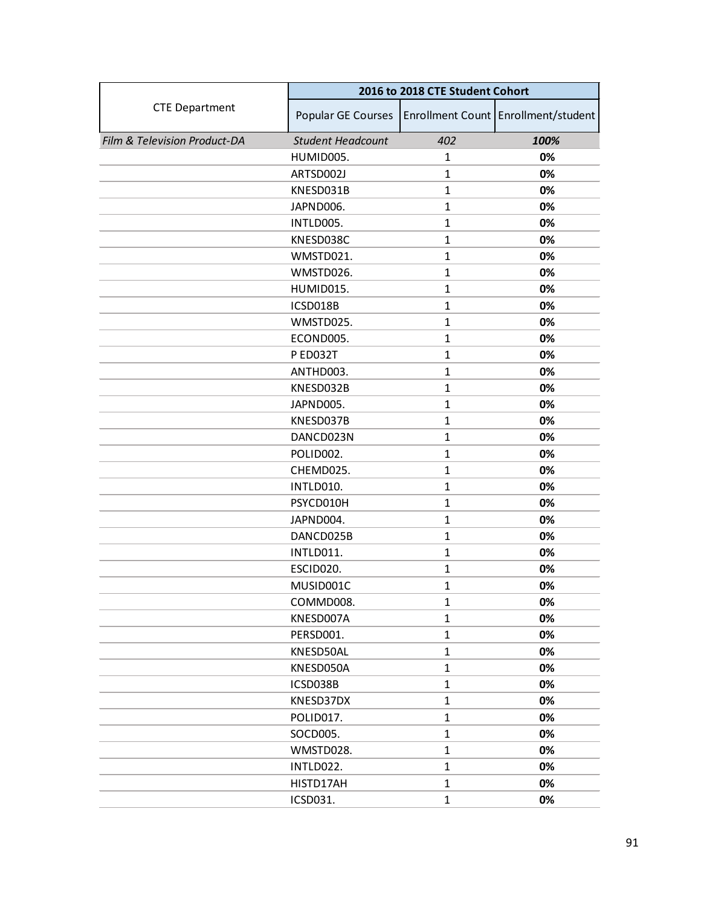|                              |                          | 2016 to 2018 CTE Student Cohort |                                     |  |
|------------------------------|--------------------------|---------------------------------|-------------------------------------|--|
| <b>CTE Department</b>        | Popular GE Courses       |                                 | Enrollment Count Enrollment/student |  |
| Film & Television Product-DA | <b>Student Headcount</b> | 402                             | 100%                                |  |
|                              | HUMID005.                | $\mathbf{1}$                    | 0%                                  |  |
|                              | ARTSD002J                | $\mathbf{1}$                    | 0%                                  |  |
|                              | KNESD031B                | $\mathbf{1}$                    | 0%                                  |  |
|                              | JAPND006.                | $\mathbf{1}$                    | 0%                                  |  |
|                              | INTLD005.                | $\mathbf{1}$                    | 0%                                  |  |
|                              | KNESD038C                | $\mathbf{1}$                    | 0%                                  |  |
|                              | WMSTD021.                | $\mathbf{1}$                    | 0%                                  |  |
|                              | WMSTD026.                | $\mathbf{1}$                    | 0%                                  |  |
|                              | HUMID015.                | $\mathbf{1}$                    | 0%                                  |  |
|                              | ICSD018B                 | $\mathbf{1}$                    | 0%                                  |  |
|                              | WMSTD025.                | $\mathbf{1}$                    | 0%                                  |  |
|                              | ECOND005.                | $\mathbf{1}$                    | 0%                                  |  |
|                              | <b>P ED032T</b>          | $\mathbf{1}$                    | 0%                                  |  |
|                              | ANTHD003.                | $\mathbf{1}$                    | 0%                                  |  |
|                              | KNESD032B                | $\mathbf{1}$                    | 0%                                  |  |
|                              | JAPND005.                | $\mathbf{1}$                    | 0%                                  |  |
|                              | KNESD037B                | 1                               | 0%                                  |  |
|                              | DANCD023N                | $\mathbf{1}$                    | 0%                                  |  |
|                              | POLID002.                | $\mathbf{1}$                    | 0%                                  |  |
|                              | CHEMD025.                | $\mathbf{1}$                    | 0%                                  |  |
|                              | INTLD010.                | $\mathbf{1}$                    | 0%                                  |  |
|                              | PSYCD010H                | 1                               | 0%                                  |  |
|                              | JAPND004.                | $\mathbf{1}$                    | 0%                                  |  |
|                              | DANCD025B                | $\mathbf{1}$                    | 0%                                  |  |
|                              | INTLD011.                | $\mathbf{1}$                    | 0%                                  |  |
|                              | ESCID020.                | $\mathbf{1}$                    | 0%                                  |  |
|                              | MUSID001C                | 1                               | 0%                                  |  |
|                              | COMMD008.                | $\mathbf{1}$                    | 0%                                  |  |
|                              | KNESD007A                | $\mathbf{1}$                    | 0%                                  |  |
|                              | PERSD001.                | $\mathbf{1}$                    | 0%                                  |  |
|                              | KNESD50AL                | $\mathbf{1}$                    | 0%                                  |  |
|                              | KNESD050A                | $\mathbf{1}$                    | 0%                                  |  |
|                              | ICSD038B                 | $\mathbf{1}$                    | 0%                                  |  |
|                              | KNESD37DX                | $\mathbf{1}$                    | 0%                                  |  |
|                              | POLID017.                | $\mathbf{1}$                    | 0%                                  |  |
|                              | SOCD005.                 | $\mathbf{1}$                    | 0%                                  |  |
|                              | WMSTD028.                | $\mathbf{1}$                    | 0%                                  |  |
|                              | INTLD022.                | $\mathbf{1}$                    | 0%                                  |  |
|                              | HISTD17AH                | $\mathbf{1}$                    | 0%                                  |  |
|                              | ICSD031.                 | $\mathbf{1}$                    | 0%                                  |  |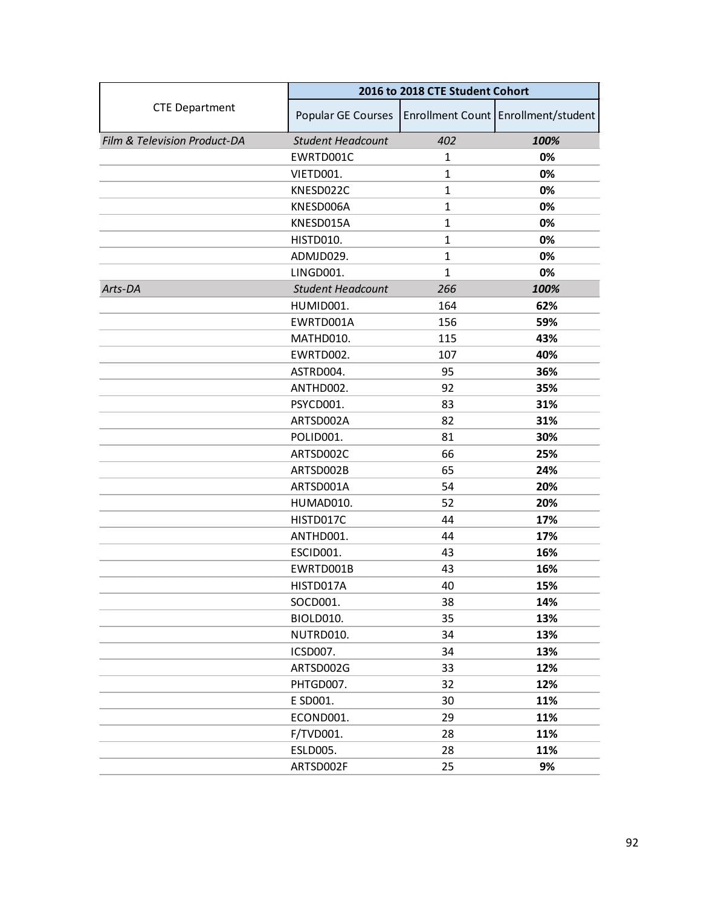|                              | 2016 to 2018 CTE Student Cohort |              |                                     |
|------------------------------|---------------------------------|--------------|-------------------------------------|
| <b>CTE Department</b>        | Popular GE Courses              |              | Enrollment Count Enrollment/student |
| Film & Television Product-DA | <b>Student Headcount</b>        | 402          | 100%                                |
|                              | EWRTD001C                       | $\mathbf{1}$ | 0%                                  |
|                              | VIETD001.                       | $\mathbf{1}$ | 0%                                  |
|                              | KNESD022C                       | $\mathbf{1}$ | 0%                                  |
|                              | KNESD006A                       | $\mathbf{1}$ | 0%                                  |
|                              | KNESD015A                       | $\mathbf{1}$ | 0%                                  |
|                              | HISTD010.                       | $\mathbf{1}$ | 0%                                  |
|                              | ADMJD029.                       | $\mathbf{1}$ | 0%                                  |
|                              | LINGD001.                       | $\mathbf{1}$ | 0%                                  |
| Arts-DA                      | <b>Student Headcount</b>        | 266          | 100%                                |
|                              | HUMID001.                       | 164          | 62%                                 |
|                              | EWRTD001A                       | 156          | 59%                                 |
|                              | MATHD010.                       | 115          | 43%                                 |
|                              | EWRTD002.                       | 107          | 40%                                 |
|                              | ASTRD004.                       | 95           | 36%                                 |
|                              | ANTHD002.                       | 92           | 35%                                 |
|                              | PSYCD001.                       | 83           | 31%                                 |
|                              | ARTSD002A                       | 82           | 31%                                 |
|                              | POLID001.                       | 81           | 30%                                 |
|                              | ARTSD002C                       | 66           | 25%                                 |
|                              | ARTSD002B                       | 65           | 24%                                 |
|                              | ARTSD001A                       | 54           | 20%                                 |
|                              | HUMAD010.                       | 52           | 20%                                 |
|                              | HISTD017C                       | 44           | 17%                                 |
|                              | ANTHD001.                       | 44           | 17%                                 |
|                              | ESCID001.                       | 43           | 16%                                 |
|                              | EWRTD001B                       | 43           | 16%                                 |
|                              | HISTD017A                       | 40           | 15%                                 |
|                              | SOCD001.                        | 38           | 14%                                 |
|                              | <b>BIOLD010.</b>                | 35           | 13%                                 |
|                              | NUTRD010.                       | 34           | 13%                                 |
|                              | ICSD007.                        | 34           | 13%                                 |
|                              | ARTSD002G                       | 33           | 12%                                 |
|                              | PHTGD007.                       | 32           | 12%                                 |
|                              | E SD001.                        | 30           | 11%                                 |
|                              | ECOND001.                       | 29           | 11%                                 |
|                              | F/TVD001.                       | 28           | 11%                                 |
|                              | <b>ESLD005.</b>                 | 28           | 11%                                 |
|                              | ARTSD002F                       | 25           | 9%                                  |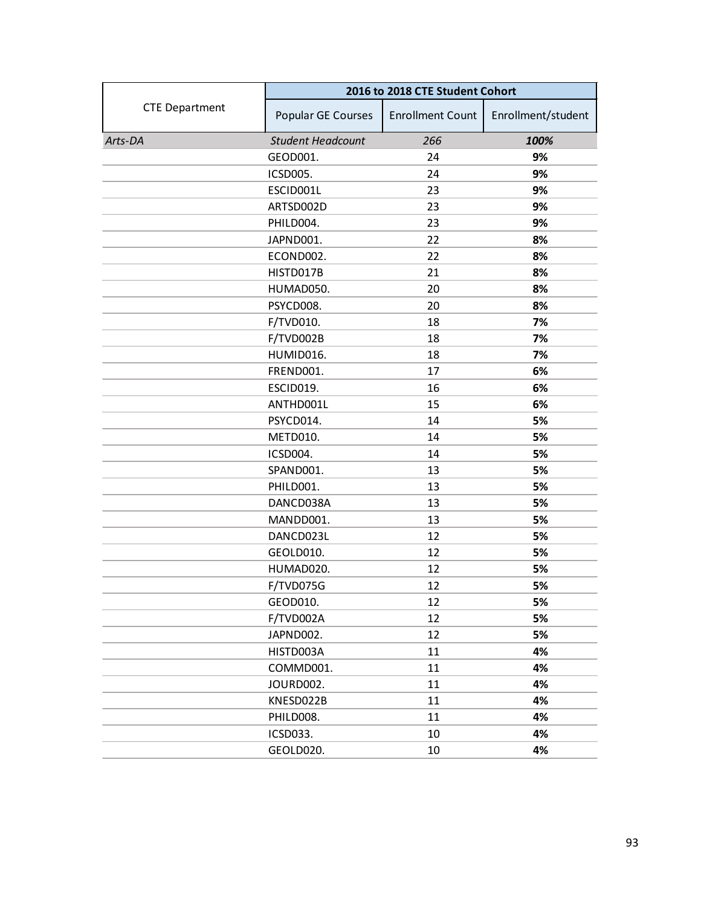|                       | 2016 to 2018 CTE Student Cohort |                         |                    |
|-----------------------|---------------------------------|-------------------------|--------------------|
| <b>CTE Department</b> | Popular GE Courses              | <b>Enrollment Count</b> | Enrollment/student |
| Arts-DA               | <b>Student Headcount</b>        | 266                     | 100%               |
|                       | GEOD001.                        | 24                      | 9%                 |
|                       | <b>ICSD005.</b>                 | 24                      | 9%                 |
|                       | ESCID001L                       | 23                      | 9%                 |
|                       | ARTSD002D                       | 23                      | 9%                 |
|                       | PHILD004.                       | 23                      | 9%                 |
|                       | JAPND001.                       | 22                      | 8%                 |
|                       | ECOND002.                       | 22                      | 8%                 |
|                       | HISTD017B                       | 21                      | 8%                 |
|                       | HUMAD050.                       | 20                      | 8%                 |
|                       | PSYCD008.                       | 20                      | 8%                 |
|                       | F/TVD010.                       | 18                      | 7%                 |
|                       | F/TVD002B                       | 18                      | 7%                 |
|                       | HUMID016.                       | 18                      | 7%                 |
|                       | FREND001.                       | 17                      | 6%                 |
|                       | <b>ESCID019.</b>                | 16                      | 6%                 |
|                       | ANTHD001L                       | 15                      | 6%                 |
|                       | PSYCD014.                       | 14                      | 5%                 |
|                       | METD010.                        | 14                      | 5%                 |
|                       | ICSD004.                        | 14                      | 5%                 |
|                       | SPAND001.                       | 13                      | 5%                 |
|                       | PHILD001.                       | 13                      | 5%                 |
|                       | DANCD038A                       | 13                      | 5%                 |
|                       | MANDD001.                       | 13                      | 5%                 |
|                       | DANCD023L                       | 12                      | 5%                 |
|                       | GEOLD010.                       | 12                      | 5%                 |
|                       | HUMAD020.                       | 12                      | 5%                 |
|                       | F/TVD075G                       | 12                      | 5%                 |
|                       | GEOD010.                        | 12                      | 5%                 |
|                       | F/TVD002A                       | 12                      | 5%                 |
|                       | JAPND002.                       | 12                      | 5%                 |
|                       | HISTD003A                       | 11                      | 4%                 |
|                       | COMMD001.                       | 11                      | 4%                 |
|                       | JOURD002.                       | 11                      | 4%                 |
|                       | KNESD022B                       | 11                      | 4%                 |
|                       | PHILD008.                       | 11                      | 4%                 |
|                       | ICSD033.                        | 10                      | 4%                 |
|                       | GEOLD020.                       | 10                      | 4%                 |
|                       |                                 |                         |                    |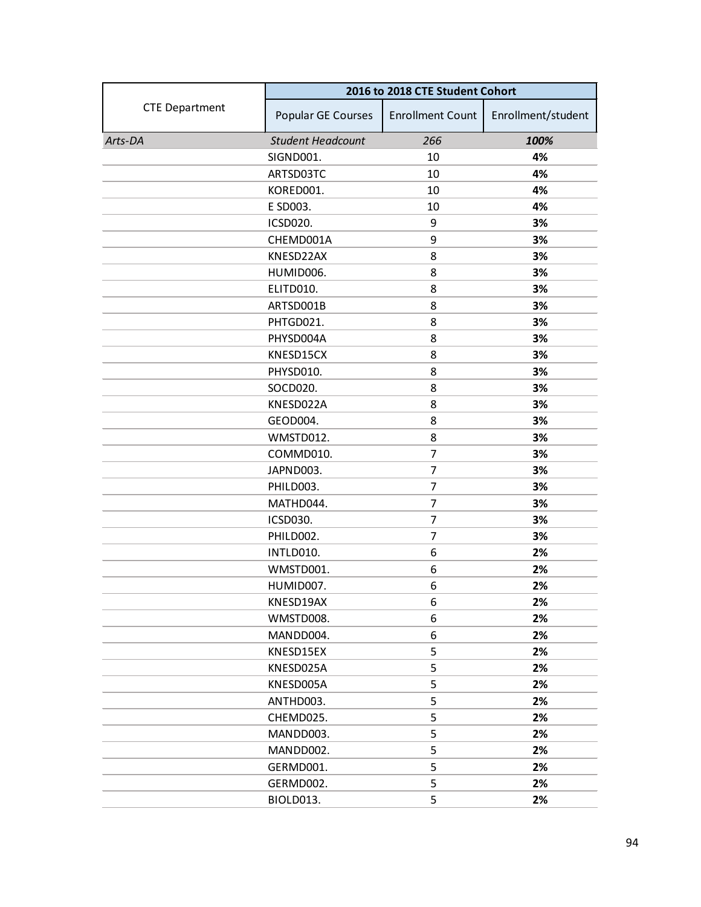|                       |                          | 2016 to 2018 CTE Student Cohort |                    |
|-----------------------|--------------------------|---------------------------------|--------------------|
| <b>CTE Department</b> | Popular GE Courses       | <b>Enrollment Count</b>         | Enrollment/student |
| Arts-DA               | <b>Student Headcount</b> | 266                             | 100%               |
|                       | SIGND001.                | 10                              | 4%                 |
|                       | ARTSD03TC                | 10                              | 4%                 |
|                       | KORED001.                | 10                              | 4%                 |
|                       | E SD003.                 | 10                              | 4%                 |
|                       | <b>ICSD020.</b>          | 9                               | 3%                 |
|                       | CHEMD001A                | 9                               | 3%                 |
|                       | KNESD22AX                | 8                               | 3%                 |
|                       | HUMID006.                | 8                               | 3%                 |
|                       | ELITD010.                | 8                               | 3%                 |
|                       | ARTSD001B                | 8                               | 3%                 |
|                       | PHTGD021.                | 8                               | 3%                 |
|                       | PHYSD004A                | 8                               | 3%                 |
|                       | KNESD15CX                | 8                               | 3%                 |
|                       | PHYSD010.                | 8                               | 3%                 |
|                       | SOCD020.                 | 8                               | 3%                 |
|                       | KNESD022A                | 8                               | 3%                 |
|                       | GEOD004.                 | 8                               | 3%                 |
|                       | WMSTD012.                | 8                               | 3%                 |
|                       | COMMD010.                | 7                               | 3%                 |
|                       | JAPND003.                | $\overline{7}$                  | 3%                 |
|                       | PHILD003.                | 7                               | 3%                 |
|                       | MATHD044.                | 7                               | 3%                 |
|                       | ICSD030.                 | 7                               | 3%                 |
|                       | PHILD002.                | 7                               | 3%                 |
|                       | INTLD010.                | 6                               | 2%                 |
|                       | WMSTD001.                | 6                               | 2%                 |
|                       | HUMID007.                | 6                               | 2%                 |
|                       | KNESD19AX                | 6                               | 2%                 |
|                       | WMSTD008.                | 6                               | 2%                 |
|                       | MANDD004.                | 6                               | 2%                 |
|                       | KNESD15EX                | 5                               | 2%                 |
|                       | KNESD025A                | 5                               | 2%                 |
|                       | KNESD005A                | 5                               | 2%                 |
|                       | ANTHD003.                | 5                               | 2%                 |
|                       | CHEMD025.                | 5                               | 2%                 |
|                       | MANDD003.                | 5                               | 2%                 |
|                       | MANDD002.                | 5                               | 2%                 |
|                       | GERMD001.                | 5                               | 2%                 |
|                       | GERMD002.                | 5                               | 2%                 |
|                       | BIOLD013.                | 5                               | 2%                 |
|                       |                          |                                 |                    |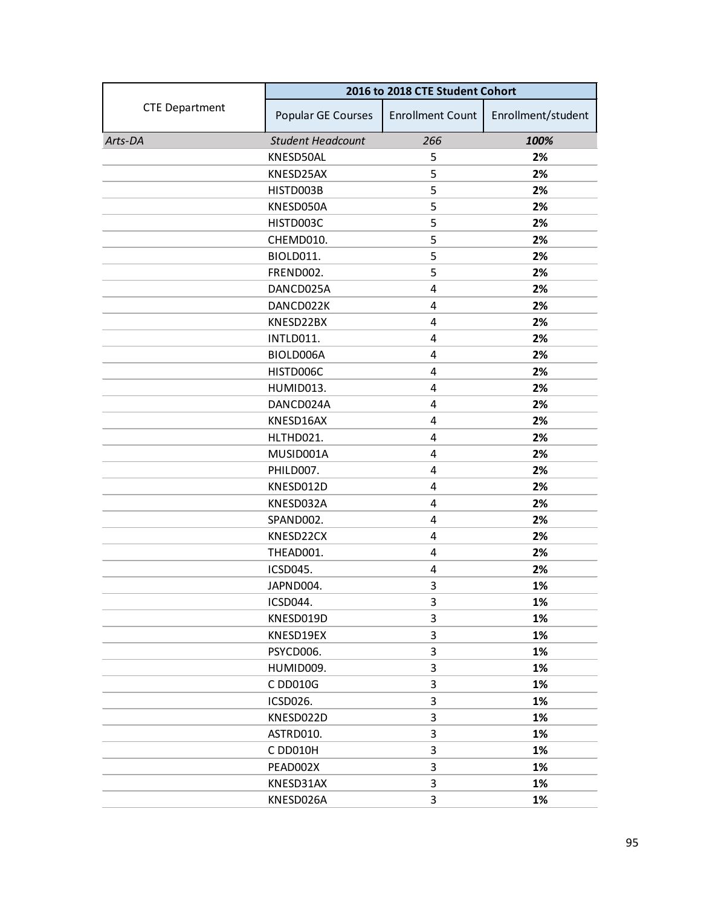|                       | 2016 to 2018 CTE Student Cohort |                         |                    |
|-----------------------|---------------------------------|-------------------------|--------------------|
| <b>CTE Department</b> | Popular GE Courses              | <b>Enrollment Count</b> | Enrollment/student |
| Arts-DA               | <b>Student Headcount</b>        | 266                     | 100%               |
|                       | KNESD50AL                       | 5                       | 2%                 |
|                       | KNESD25AX                       | 5                       | 2%                 |
|                       | HISTD003B                       | 5                       | 2%                 |
|                       | KNESD050A                       | 5                       | 2%                 |
|                       | HISTD003C                       | 5                       | 2%                 |
|                       | CHEMD010.                       | 5                       | 2%                 |
|                       | BIOLD011.                       | 5                       | 2%                 |
|                       | FREND002.                       | 5                       | 2%                 |
|                       | DANCD025A                       | 4                       | 2%                 |
|                       | DANCD022K                       | 4                       | 2%                 |
|                       | KNESD22BX                       | 4                       | 2%                 |
|                       | INTLD011.                       | 4                       | 2%                 |
|                       | BIOLD006A                       | 4                       | 2%                 |
|                       | HISTD006C                       | 4                       | 2%                 |
|                       | HUMID013.                       | 4                       | 2%                 |
|                       | DANCD024A                       | 4                       | 2%                 |
|                       | KNESD16AX                       | 4                       | 2%                 |
|                       | HLTHD021.                       | 4                       | 2%                 |
|                       | MUSID001A                       | 4                       | 2%                 |
|                       | PHILD007.                       | 4                       | 2%                 |
|                       | KNESD012D                       | 4                       | 2%                 |
|                       | KNESD032A                       | 4                       | 2%                 |
|                       | SPAND002.                       | 4                       | 2%                 |
|                       | KNESD22CX                       | 4                       | 2%                 |
|                       | THEAD001.                       | 4                       | 2%                 |
|                       | ICSD045.                        | 4                       | 2%                 |
|                       | JAPND004.                       | 3                       | 1%                 |
|                       | ICSD044.                        | 3                       | 1%                 |
|                       | KNESD019D                       | 3                       | 1%                 |
|                       | KNESD19EX                       | 3                       | 1%                 |
|                       | PSYCD006.                       | 3                       | 1%                 |
|                       | HUMID009.                       | 3                       | 1%                 |
|                       | C DD010G                        | 3                       | 1%                 |
|                       | ICSD026.                        | 3                       | 1%                 |
|                       | KNESD022D                       | 3                       | 1%                 |
|                       | ASTRD010.                       | 3                       | 1%                 |
|                       | C DD010H                        | 3                       | 1%                 |
|                       | PEAD002X                        | 3                       | 1%                 |
|                       | KNESD31AX                       | 3                       | 1%                 |
|                       | KNESD026A                       | 3                       | 1%                 |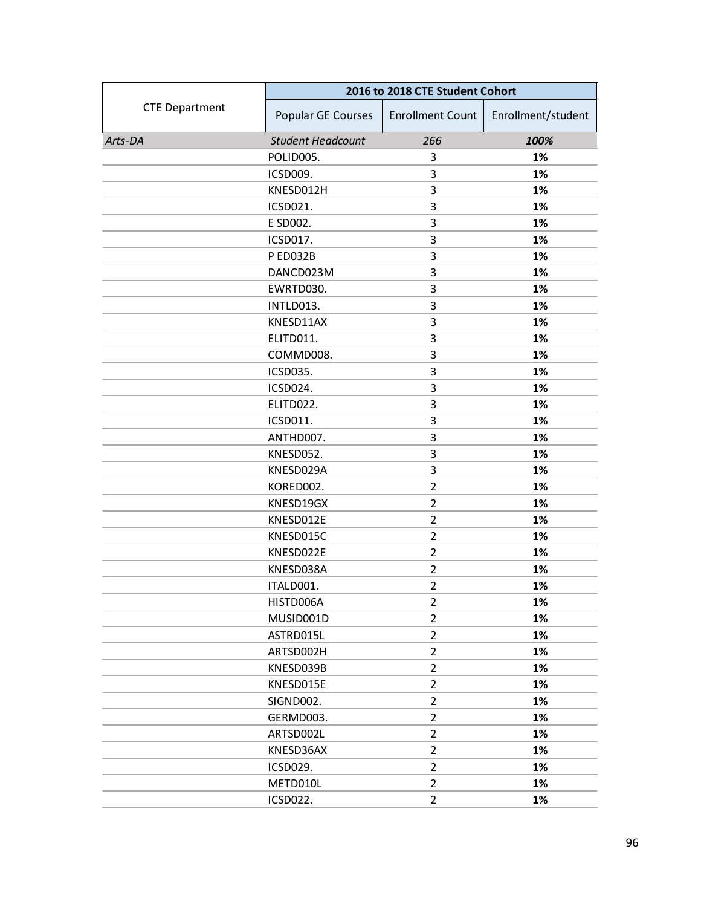|                       | 2016 to 2018 CTE Student Cohort |                         |                    |
|-----------------------|---------------------------------|-------------------------|--------------------|
| <b>CTE Department</b> | Popular GE Courses              | <b>Enrollment Count</b> | Enrollment/student |
| Arts-DA               | <b>Student Headcount</b>        | 266                     | 100%               |
|                       | POLID005.                       | 3                       | 1%                 |
|                       | ICSD009.                        | 3                       | 1%                 |
|                       | KNESD012H                       | 3                       | 1%                 |
|                       | ICSD021.                        | 3                       | 1%                 |
|                       | E SD002.                        | 3                       | 1%                 |
|                       | ICSD017.                        | 3                       | 1%                 |
|                       | P ED032B                        | 3                       | 1%                 |
|                       | DANCD023M                       | 3                       | 1%                 |
|                       | EWRTD030.                       | 3                       | 1%                 |
|                       | INTLD013.                       | 3                       | 1%                 |
|                       | KNESD11AX                       | 3                       | 1%                 |
|                       | ELITD011.                       | 3                       | 1%                 |
|                       | COMMD008.                       | 3                       | 1%                 |
|                       | ICSD035.                        | 3                       | 1%                 |
|                       | ICSD024.                        | 3                       | 1%                 |
|                       | ELITD022.                       | 3                       | 1%                 |
|                       | ICSD011.                        | 3                       | 1%                 |
|                       | ANTHD007.                       | 3                       | 1%                 |
|                       | KNESD052.                       | 3                       | 1%                 |
|                       | KNESD029A                       | 3                       | 1%                 |
|                       | KORED002.                       | $\overline{2}$          | 1%                 |
|                       | KNESD19GX                       | $\overline{2}$          | 1%                 |
|                       | KNESD012E                       | $\overline{2}$          | 1%                 |
|                       | KNESD015C                       | $\overline{2}$          | 1%                 |
|                       | KNESD022E                       | $\overline{2}$          | 1%                 |
|                       | KNESD038A                       | $\overline{2}$          | 1%                 |
|                       | ITALD001.                       | $\overline{2}$          | 1%                 |
|                       | HISTD006A                       | $\overline{2}$          | 1%                 |
|                       | MUSID001D                       | $\overline{2}$          | 1%                 |
|                       | ASTRD015L                       | $\overline{2}$          | 1%                 |
|                       | ARTSD002H                       | $\overline{2}$          | 1%                 |
|                       | KNESD039B                       | $\overline{2}$          | 1%                 |
|                       | KNESD015E                       | $\overline{2}$          | 1%                 |
|                       | SIGND002.                       | $\overline{2}$          | 1%                 |
|                       | GERMD003.                       | $\overline{2}$          | 1%                 |
|                       | ARTSD002L                       | $\overline{2}$          | 1%                 |
|                       | KNESD36AX                       | $\overline{2}$          | 1%                 |
|                       | ICSD029.                        | $\overline{2}$          | 1%                 |
|                       | METD010L                        | $\overline{2}$          | 1%                 |
|                       | ICSD022.                        | $\overline{2}$          | 1%                 |
|                       |                                 |                         |                    |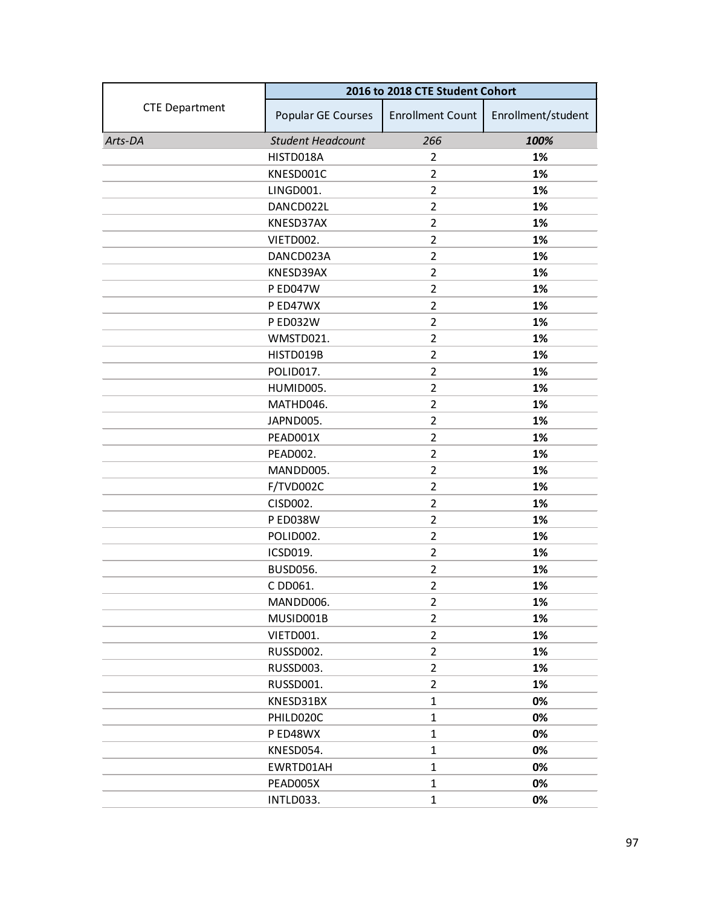|                       | 2016 to 2018 CTE Student Cohort |                         |                    |
|-----------------------|---------------------------------|-------------------------|--------------------|
| <b>CTE Department</b> | Popular GE Courses              | <b>Enrollment Count</b> | Enrollment/student |
| Arts-DA               | <b>Student Headcount</b>        | 266                     | 100%               |
|                       | HISTD018A                       | $\overline{2}$          | 1%                 |
|                       | KNESD001C                       | 2                       | 1%                 |
|                       | LINGD001.                       | $\overline{2}$          | 1%                 |
|                       | DANCD022L                       | $\overline{2}$          | 1%                 |
|                       | KNESD37AX                       | $\overline{2}$          | 1%                 |
|                       | VIETD002.                       | $\overline{2}$          | 1%                 |
|                       | DANCD023A                       | $\overline{2}$          | 1%                 |
|                       | KNESD39AX                       | $\overline{2}$          | 1%                 |
|                       | <b>P ED047W</b>                 | $\overline{2}$          | 1%                 |
|                       | P ED47WX                        | $\overline{2}$          | 1%                 |
|                       | <b>P ED032W</b>                 | $\overline{2}$          | 1%                 |
|                       | WMSTD021.                       | $\overline{2}$          | 1%                 |
|                       | HISTD019B                       | $\overline{2}$          | 1%                 |
|                       | POLID017.                       | $\overline{2}$          | 1%                 |
|                       | HUMID005.                       | $\overline{2}$          | 1%                 |
|                       | MATHD046.                       | $\overline{2}$          | 1%                 |
|                       | JAPND005.                       | $\overline{2}$          | 1%                 |
|                       | PEAD001X                        | $\overline{2}$          | 1%                 |
|                       | PEAD002.                        | $\overline{2}$          | 1%                 |
|                       | MANDD005.                       | $\overline{2}$          | 1%                 |
|                       | F/TVD002C                       | $\overline{2}$          | 1%                 |
|                       | CISD002.                        | $\overline{2}$          | 1%                 |
|                       | <b>P ED038W</b>                 | $\overline{2}$          | 1%                 |
|                       | POLID002.                       | $\overline{2}$          | 1%                 |
|                       | ICSD019.                        | $\overline{2}$          | 1%                 |
|                       | <b>BUSD056.</b>                 | $\overline{2}$          | 1%                 |
|                       | C DD061.                        | $\overline{2}$          | 1%                 |
|                       | MANDD006.                       | $\overline{2}$          | 1%                 |
|                       | MUSID001B                       | $\overline{2}$          | 1%                 |
|                       | VIETD001.                       | $\overline{2}$          | 1%                 |
|                       | RUSSD002.                       | $\overline{2}$          | 1%                 |
|                       | RUSSD003.                       | $\overline{2}$          | 1%                 |
|                       | RUSSD001.                       | $\overline{2}$          | 1%                 |
|                       | KNESD31BX                       | $\mathbf 1$             | 0%                 |
|                       | PHILD020C                       | $\mathbf{1}$            | 0%                 |
|                       | P ED48WX                        | $\mathbf{1}$            | 0%                 |
|                       | KNESD054.                       | 1                       | 0%                 |
|                       | EWRTD01AH                       | $\mathbf{1}$            | 0%                 |
|                       | PEAD005X                        | $\mathbf 1$             | 0%                 |
|                       | INTLD033.                       | $\mathbf{1}$            | 0%                 |
|                       |                                 |                         |                    |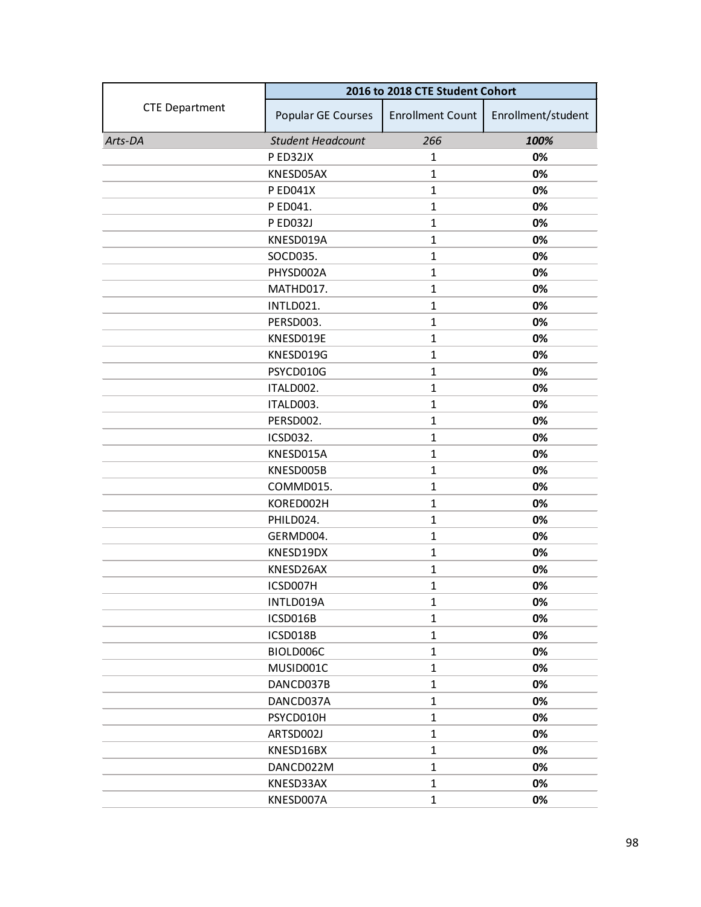|                       | 2016 to 2018 CTE Student Cohort |                         |                    |
|-----------------------|---------------------------------|-------------------------|--------------------|
| <b>CTE Department</b> | Popular GE Courses              | <b>Enrollment Count</b> | Enrollment/student |
| Arts-DA               | <b>Student Headcount</b>        | 266                     | 100%               |
|                       | P ED32JX                        | 1                       | 0%                 |
|                       | KNESD05AX                       | $\mathbf{1}$            | 0%                 |
|                       | <b>P ED041X</b>                 | $\mathbf{1}$            | 0%                 |
|                       | P ED041.                        | $\mathbf{1}$            | 0%                 |
|                       | P ED032J                        | $\mathbf{1}$            | 0%                 |
|                       | KNESD019A                       | $\mathbf{1}$            | 0%                 |
|                       | SOCD035.                        | $\mathbf{1}$            | 0%                 |
|                       | PHYSD002A                       | $\mathbf{1}$            | 0%                 |
|                       | MATHD017.                       | $\mathbf{1}$            | 0%                 |
|                       | INTLD021.                       | $\mathbf{1}$            | 0%                 |
|                       | PERSD003.                       | $\mathbf{1}$            | 0%                 |
|                       | KNESD019E                       | $\mathbf{1}$            | 0%                 |
|                       | KNESD019G                       | $\mathbf{1}$            | 0%                 |
|                       | PSYCD010G                       | $\mathbf{1}$            | 0%                 |
|                       | ITALD002.                       | $\mathbf{1}$            | 0%                 |
|                       | ITALD003.                       | $\mathbf{1}$            | 0%                 |
|                       | PERSD002.                       | $\mathbf{1}$            | 0%                 |
|                       | ICSD032.                        | $\mathbf{1}$            | 0%                 |
|                       | KNESD015A                       | $\mathbf{1}$            | 0%                 |
|                       | KNESD005B                       | $\mathbf{1}$            | 0%                 |
|                       | COMMD015.                       | $\mathbf{1}$            | 0%                 |
|                       | KORED002H                       | $\mathbf{1}$            | 0%                 |
|                       | PHILD024.                       | $\mathbf{1}$            | 0%                 |
|                       | GERMD004.                       | $\mathbf{1}$            | 0%                 |
|                       | KNESD19DX                       | $\mathbf{1}$            | 0%                 |
|                       | KNESD26AX                       | $\mathbf{1}$            | 0%                 |
|                       | ICSD007H                        | $\mathbf{1}$            | 0%                 |
|                       | INTLD019A                       | $\mathbf{1}$            | 0%                 |
|                       | ICSD016B                        | $\mathbf{1}$            | 0%                 |
|                       | ICSD018B                        | $\mathbf{1}$            | 0%                 |
|                       | BIOLD006C                       | $\mathbf{1}$            | 0%                 |
|                       | MUSID001C                       | $\mathbf{1}$            | 0%                 |
|                       | DANCD037B                       | $\mathbf{1}$            | 0%                 |
|                       | DANCD037A                       | $\mathbf{1}$            | 0%                 |
|                       | PSYCD010H                       | $\mathbf{1}$            | 0%                 |
|                       | ARTSD002J                       | $\mathbf{1}$            | 0%                 |
|                       | KNESD16BX                       | $\mathbf{1}$            | 0%                 |
|                       | DANCD022M                       | $\mathbf{1}$            | 0%                 |
|                       | KNESD33AX                       | $\mathbf{1}$            | 0%                 |
|                       | KNESD007A                       | $\mathbf{1}$            | 0%                 |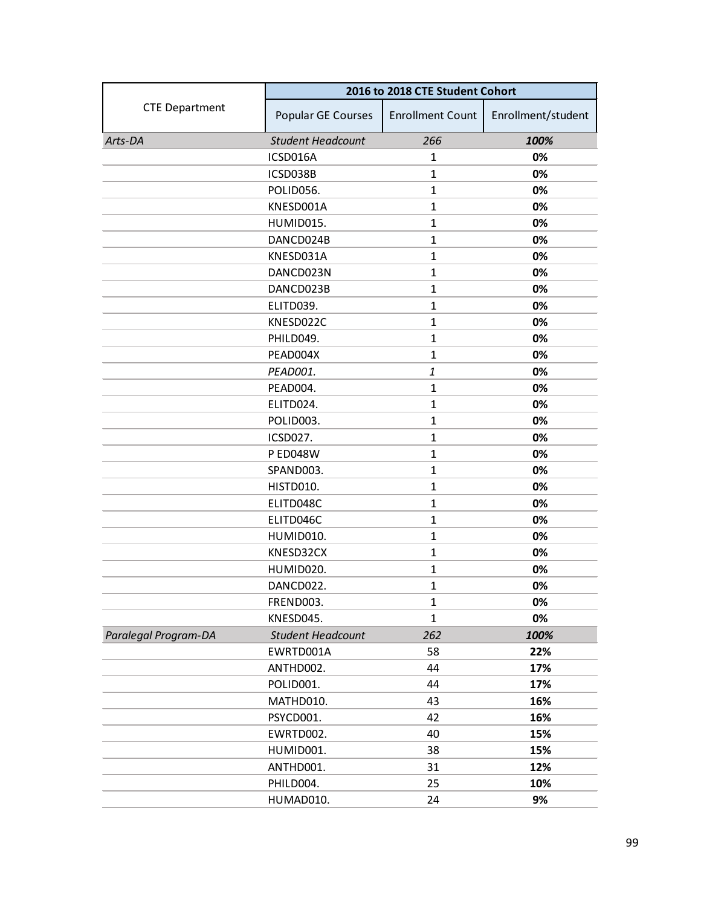|                       | 2016 to 2018 CTE Student Cohort |                         |                    |
|-----------------------|---------------------------------|-------------------------|--------------------|
| <b>CTE Department</b> | Popular GE Courses              | <b>Enrollment Count</b> | Enrollment/student |
| Arts-DA               | <b>Student Headcount</b>        | 266                     | 100%               |
|                       | ICSD016A                        | 1                       | 0%                 |
|                       | ICSD038B                        | $\mathbf{1}$            | 0%                 |
|                       | POLID056.                       | $\mathbf{1}$            | 0%                 |
|                       | KNESD001A                       | $\mathbf{1}$            | 0%                 |
|                       | HUMID015.                       | $\mathbf{1}$            | 0%                 |
|                       | DANCD024B                       | $\mathbf{1}$            | 0%                 |
|                       | KNESD031A                       | $\mathbf{1}$            | 0%                 |
|                       | DANCD023N                       | $\mathbf{1}$            | 0%                 |
|                       | DANCD023B                       | $\mathbf{1}$            | 0%                 |
|                       | ELITD039.                       | $\mathbf{1}$            | 0%                 |
|                       | KNESD022C                       | $\mathbf{1}$            | 0%                 |
|                       | PHILD049.                       | $\mathbf{1}$            | 0%                 |
|                       | PEAD004X                        | $\mathbf{1}$            | 0%                 |
|                       | PEAD001.                        | 1                       | 0%                 |
|                       | PEAD004.                        | $\mathbf{1}$            | 0%                 |
|                       | ELITD024.                       | $\mathbf{1}$            | 0%                 |
|                       | POLID003.                       | $\mathbf{1}$            | 0%                 |
|                       | ICSD027.                        | $\mathbf{1}$            | 0%                 |
|                       | <b>P ED048W</b>                 | $\mathbf{1}$            | 0%                 |
|                       | SPAND003.                       | $\mathbf{1}$            | 0%                 |
|                       | HISTD010.                       | $\mathbf{1}$            | 0%                 |
|                       | ELITD048C                       | $\mathbf{1}$            | 0%                 |
|                       | ELITD046C                       | $\mathbf{1}$            | 0%                 |
|                       | HUMID010.                       | $\mathbf{1}$            | 0%                 |
|                       | KNESD32CX                       | $\mathbf{1}$            | 0%                 |
|                       | HUMID020.                       | $\mathbf{1}$            | 0%                 |
|                       | DANCD022.                       | $\mathbf{1}$            | 0%                 |
|                       | FREND003.                       | $\mathbf{1}$            | 0%                 |
|                       | KNESD045.                       | $\mathbf{1}$            | 0%                 |
| Paralegal Program-DA  | <b>Student Headcount</b>        | 262                     | 100%               |
|                       | EWRTD001A                       | 58                      | 22%                |
|                       | ANTHD002.                       | 44                      | 17%                |
|                       | POLID001.                       | 44                      | 17%                |
|                       | MATHD010.                       | 43                      | 16%                |
|                       | PSYCD001.                       | 42                      | 16%                |
|                       | EWRTD002.                       | 40                      | 15%                |
|                       | HUMID001.                       | 38                      | 15%                |
|                       | ANTHD001.                       | 31                      | 12%                |
|                       | PHILD004.                       | 25                      | 10%                |
|                       | HUMAD010.                       | 24                      | 9%                 |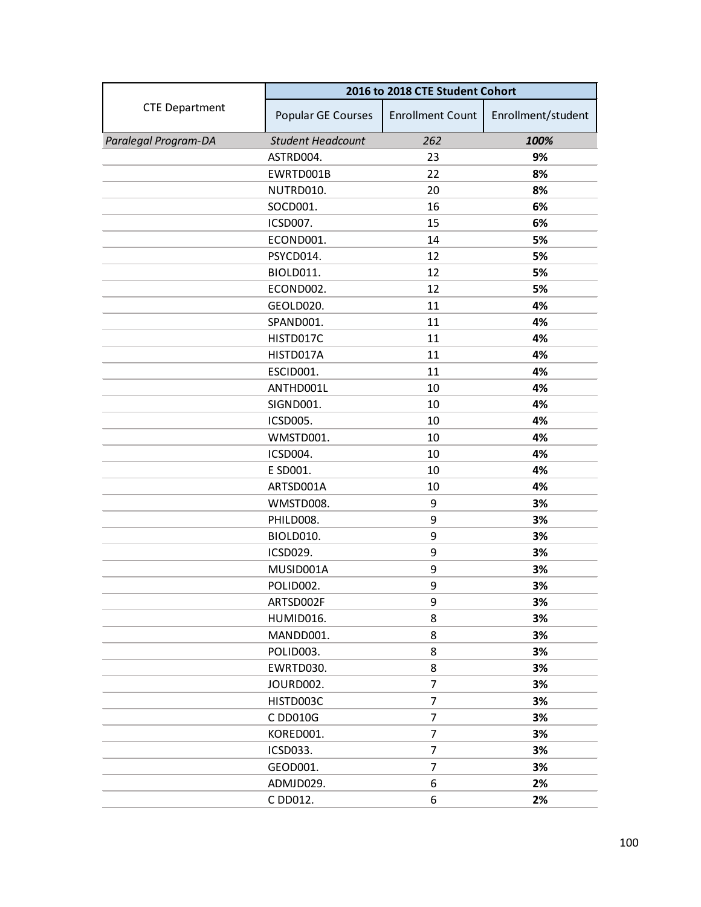|                       | 2016 to 2018 CTE Student Cohort |                         |                    |
|-----------------------|---------------------------------|-------------------------|--------------------|
| <b>CTE Department</b> | <b>Popular GE Courses</b>       | <b>Enrollment Count</b> | Enrollment/student |
| Paralegal Program-DA  | <b>Student Headcount</b>        | 262                     | 100%               |
|                       | ASTRD004.                       | 23                      | 9%                 |
|                       | EWRTD001B                       | 22                      | 8%                 |
|                       | NUTRD010.                       | 20                      | 8%                 |
|                       | SOCD001.                        | 16                      | 6%                 |
|                       | ICSD007.                        | 15                      | 6%                 |
|                       | ECOND001.                       | 14                      | 5%                 |
|                       | PSYCD014.                       | 12                      | 5%                 |
|                       | BIOLD011.                       | 12                      | 5%                 |
|                       | ECOND002.                       | 12                      | 5%                 |
|                       | GEOLD020.                       | 11                      | 4%                 |
|                       | SPAND001.                       | 11                      | 4%                 |
|                       | HISTD017C                       | 11                      | 4%                 |
|                       | HISTD017A                       | 11                      | 4%                 |
|                       | ESCID001.                       | 11                      | 4%                 |
|                       | ANTHD001L                       | 10                      | 4%                 |
|                       | SIGND001.                       | 10                      | 4%                 |
|                       | ICSD005.                        | 10                      | 4%                 |
|                       | WMSTD001.                       | 10                      | 4%                 |
|                       | ICSD004.                        | 10                      | 4%                 |
|                       | E SD001.                        | 10                      | 4%                 |
|                       | ARTSD001A                       | 10                      | 4%                 |
|                       | WMSTD008.                       | 9                       | 3%                 |
|                       | PHILD008.                       | 9                       | 3%                 |
|                       | BIOLD010.                       | 9                       | 3%                 |
|                       | <b>ICSD029.</b>                 | 9                       | 3%                 |
|                       | MUSID001A                       | 9                       | 3%                 |
|                       | POLID002.                       | 9                       | 3%                 |
|                       | ARTSD002F                       | 9                       | 3%                 |
|                       | HUMID016.                       | 8                       | 3%                 |
|                       | MANDD001.                       | 8                       | 3%                 |
|                       | POLID003.                       | 8                       | 3%                 |
|                       | EWRTD030.                       | 8                       | 3%                 |
|                       | JOURD002.                       | $\overline{7}$          | 3%                 |
|                       | HISTD003C                       | $\overline{7}$          | 3%                 |
|                       | C DD010G                        | $\overline{7}$          | 3%                 |
|                       | KORED001.                       | 7                       | 3%                 |
|                       | ICSD033.                        | $\overline{7}$          | 3%                 |
|                       | GEOD001.                        | $\overline{7}$          | 3%                 |
|                       | ADMJD029.                       | 6                       | 2%                 |
|                       | C DD012.                        | 6                       | 2%                 |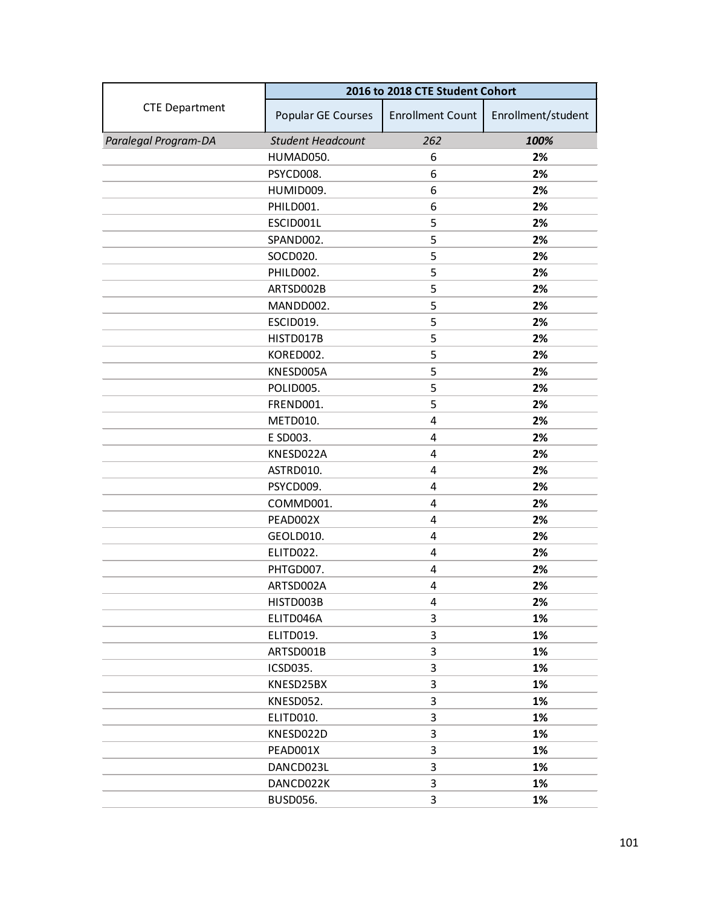|                       | 2016 to 2018 CTE Student Cohort |                         |                    |
|-----------------------|---------------------------------|-------------------------|--------------------|
| <b>CTE Department</b> | Popular GE Courses              | <b>Enrollment Count</b> | Enrollment/student |
| Paralegal Program-DA  | <b>Student Headcount</b>        | 262                     | 100%               |
|                       | HUMAD050.                       | 6                       | 2%                 |
|                       | PSYCD008.                       | 6                       | 2%                 |
|                       | HUMID009.                       | 6                       | 2%                 |
|                       | PHILD001.                       | 6                       | 2%                 |
|                       | ESCID001L                       | 5                       | 2%                 |
|                       | SPAND002.                       | 5                       | 2%                 |
|                       | SOCD020.                        | 5                       | 2%                 |
|                       | PHILD002.                       | 5                       | 2%                 |
|                       | ARTSD002B                       | 5                       | 2%                 |
|                       | MANDD002.                       | 5                       | 2%                 |
|                       | ESCID019.                       | 5                       | 2%                 |
|                       | HISTD017B                       | 5                       | 2%                 |
|                       | KORED002.                       | 5                       | 2%                 |
|                       | KNESD005A                       | 5                       | 2%                 |
|                       | POLID005.                       | 5                       | 2%                 |
|                       | FREND001.                       | 5                       | 2%                 |
|                       | METD010.                        | 4                       | 2%                 |
|                       | E SD003.                        | 4                       | 2%                 |
|                       | KNESD022A                       | 4                       | 2%                 |
|                       | ASTRD010.                       | 4                       | 2%                 |
|                       | PSYCD009.                       | 4                       | 2%                 |
|                       | COMMD001.                       | 4                       | 2%                 |
|                       | PEAD002X                        | 4                       | 2%                 |
|                       | GEOLD010.                       | 4                       | 2%                 |
|                       | ELITD022.                       | 4                       | 2%                 |
|                       | PHTGD007.                       | 4                       | 2%                 |
|                       | ARTSD002A                       | 4                       | 2%                 |
|                       | HISTD003B                       | 4                       | 2%                 |
|                       | ELITD046A                       | 3                       | 1%                 |
|                       | ELITD019.                       | 3                       | 1%                 |
|                       | ARTSD001B                       | 3                       | 1%                 |
|                       | <b>ICSD035.</b>                 | 3                       | 1%                 |
|                       | KNESD25BX                       | 3                       | 1%                 |
|                       | KNESD052.                       | 3                       | 1%                 |
|                       | ELITD010.                       | 3                       | 1%                 |
|                       | KNESD022D                       | 3                       | 1%                 |
|                       | PEAD001X                        | 3                       | 1%                 |
|                       | DANCD023L                       | 3                       | 1%                 |
|                       | DANCD022K                       | 3                       | 1%                 |
|                       | <b>BUSD056.</b>                 | 3                       | 1%                 |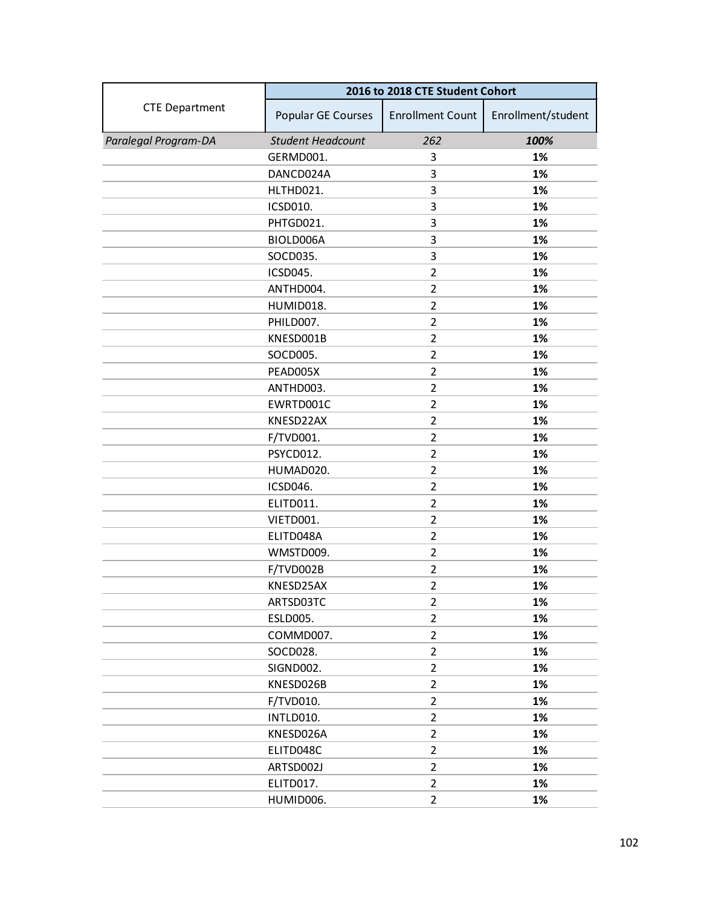|                       | 2016 to 2018 CTE Student Cohort |                         |                    |
|-----------------------|---------------------------------|-------------------------|--------------------|
| <b>CTE Department</b> | Popular GE Courses              | <b>Enrollment Count</b> | Enrollment/student |
| Paralegal Program-DA  | <b>Student Headcount</b>        | 262                     | 100%               |
|                       | GERMD001.                       | 3                       | 1%                 |
|                       | DANCD024A                       | 3                       | 1%                 |
|                       | HLTHD021.                       | 3                       | 1%                 |
|                       | ICSD010.                        | 3                       | 1%                 |
|                       | PHTGD021.                       | 3                       | 1%                 |
|                       | BIOLD006A                       | 3                       | 1%                 |
|                       | SOCD035.                        | 3                       | 1%                 |
|                       | ICSD045.                        | $\overline{2}$          | 1%                 |
|                       | ANTHD004.                       | $\overline{2}$          | 1%                 |
|                       | HUMID018.                       | $\overline{2}$          | 1%                 |
|                       | PHILD007.                       | $\overline{2}$          | 1%                 |
|                       | KNESD001B                       | $\overline{2}$          | 1%                 |
|                       | SOCD005.                        | $\overline{2}$          | 1%                 |
|                       | PEAD005X                        | $\overline{2}$          | 1%                 |
|                       | ANTHD003.                       | $\overline{2}$          | 1%                 |
|                       | EWRTD001C                       | $\overline{2}$          | 1%                 |
|                       | KNESD22AX                       | 2                       | 1%                 |
|                       | F/TVD001.                       | $\overline{2}$          | 1%                 |
|                       | PSYCD012.                       | $\overline{2}$          | 1%                 |
|                       | HUMAD020.                       | $\overline{2}$          | 1%                 |
|                       | ICSD046.                        | $\overline{2}$          | 1%                 |
|                       | ELITD011.                       | $\overline{2}$          | 1%                 |
|                       | VIETD001.                       | $\overline{2}$          | 1%                 |
|                       | ELITD048A                       | $\overline{2}$          | 1%                 |
|                       | WMSTD009.                       | $\overline{2}$          | 1%                 |
|                       | F/TVD002B                       | $\overline{2}$          | 1%                 |
|                       | KNESD25AX                       | $\overline{2}$          | 1%                 |
|                       | ARTSD03TC                       | $\overline{2}$          | 1%                 |
|                       | <b>ESLD005.</b>                 | $\overline{2}$          | 1%                 |
|                       | COMMD007.                       | $\overline{2}$          | 1%                 |
|                       | SOCD028.                        | $\overline{2}$          | 1%                 |
|                       | SIGND002.                       | $\overline{2}$          | 1%                 |
|                       | KNESD026B                       | $\overline{2}$          | 1%                 |
|                       | F/TVD010.                       | $\overline{2}$          | 1%                 |
|                       | INTLD010.                       | $\overline{2}$          | 1%                 |
|                       | KNESD026A                       | $\overline{2}$          | 1%                 |
|                       | ELITD048C                       | $\overline{2}$          | 1%                 |
|                       | ARTSD002J                       | $\overline{2}$          | 1%                 |
|                       | ELITD017.                       | $\overline{2}$          | 1%                 |
|                       | HUMID006.                       | $\overline{2}$          | 1%                 |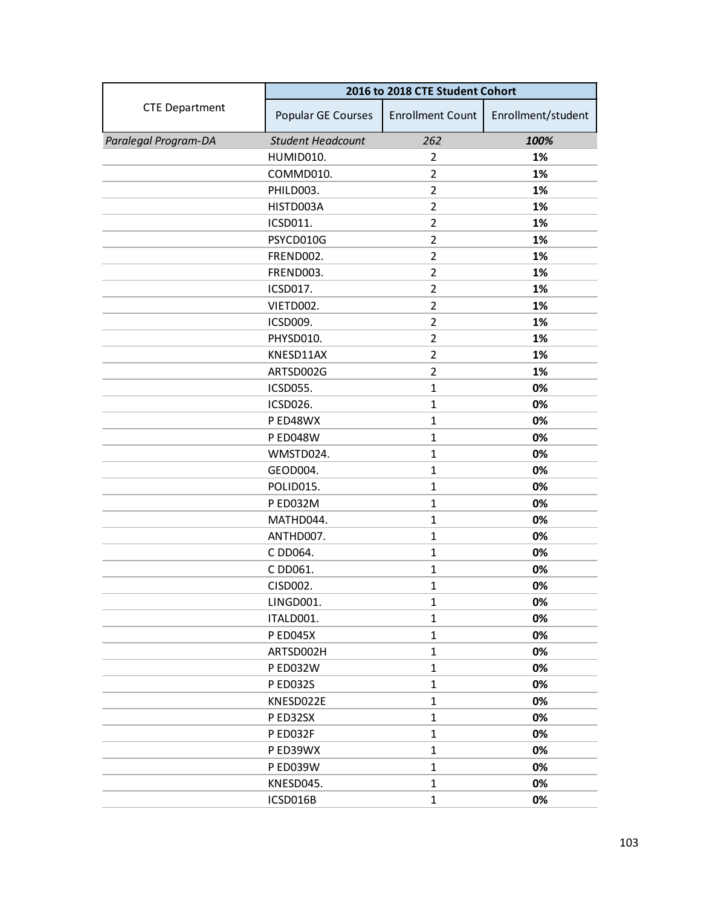|                       | 2016 to 2018 CTE Student Cohort |                         |                    |
|-----------------------|---------------------------------|-------------------------|--------------------|
| <b>CTE Department</b> | Popular GE Courses              | <b>Enrollment Count</b> | Enrollment/student |
| Paralegal Program-DA  | <b>Student Headcount</b>        | 262                     | 100%               |
|                       | HUMID010.                       | $\overline{2}$          | 1%                 |
|                       | COMMD010.                       | 2                       | 1%                 |
|                       | PHILD003.                       | $\overline{2}$          | 1%                 |
|                       | HISTD003A                       | $\overline{2}$          | 1%                 |
|                       | ICSD011.                        | $\overline{2}$          | 1%                 |
|                       | PSYCD010G                       | $\overline{2}$          | 1%                 |
|                       | FREND002.                       | $\overline{2}$          | 1%                 |
|                       | FREND003.                       | $\overline{2}$          | 1%                 |
|                       | ICSD017.                        | $\overline{2}$          | 1%                 |
|                       | VIETD002.                       | $\overline{2}$          | 1%                 |
|                       | ICSD009.                        | $\overline{2}$          | 1%                 |
|                       | PHYSD010.                       | $\overline{2}$          | 1%                 |
|                       | KNESD11AX                       | $\overline{2}$          | 1%                 |
|                       | ARTSD002G                       | $\overline{2}$          | 1%                 |
|                       | ICSD055.                        | $\mathbf{1}$            | 0%                 |
|                       | ICSD026.                        | $\mathbf{1}$            | 0%                 |
|                       | P ED48WX                        | $\mathbf{1}$            | 0%                 |
|                       | <b>P ED048W</b>                 | $\mathbf{1}$            | 0%                 |
|                       | WMSTD024.                       | $\mathbf{1}$            | 0%                 |
|                       | GEOD004.                        | $\mathbf{1}$            | 0%                 |
|                       | POLID015.                       | $\mathbf{1}$            | 0%                 |
|                       | P ED032M                        | $\mathbf{1}$            | 0%                 |
|                       | MATHD044.                       | $\mathbf{1}$            | 0%                 |
|                       | ANTHD007.                       | $\mathbf{1}$            | 0%                 |
|                       | C DD064.                        | $\mathbf{1}$            | 0%                 |
|                       | C DD061.                        | $\mathbf{1}$            | 0%                 |
|                       | CISD002.                        | $\mathbf{1}$            | 0%                 |
|                       | LINGD001.                       | 1                       | 0%                 |
|                       | ITALD001.                       | $\mathbf 1$             | 0%                 |
|                       | <b>PED045X</b>                  | $\mathbf{1}$            | 0%                 |
|                       | ARTSD002H                       | $\mathbf{1}$            | 0%                 |
|                       | P ED032W                        | 1                       | 0%                 |
|                       | <b>PED032S</b>                  | $\mathbf{1}$            | 0%                 |
|                       | KNESD022E                       | 1                       | 0%                 |
|                       | P ED32SX                        | $\mathbf{1}$            | 0%                 |
|                       | P ED032F                        | $\mathbf{1}$            | 0%                 |
|                       | P ED39WX                        | 1                       | 0%                 |
|                       | P ED039W                        | $\mathbf{1}$            | 0%                 |
|                       | KNESD045.                       | 1                       | 0%                 |
|                       | ICSD016B                        | $\mathbf{1}$            | 0%                 |
|                       |                                 |                         |                    |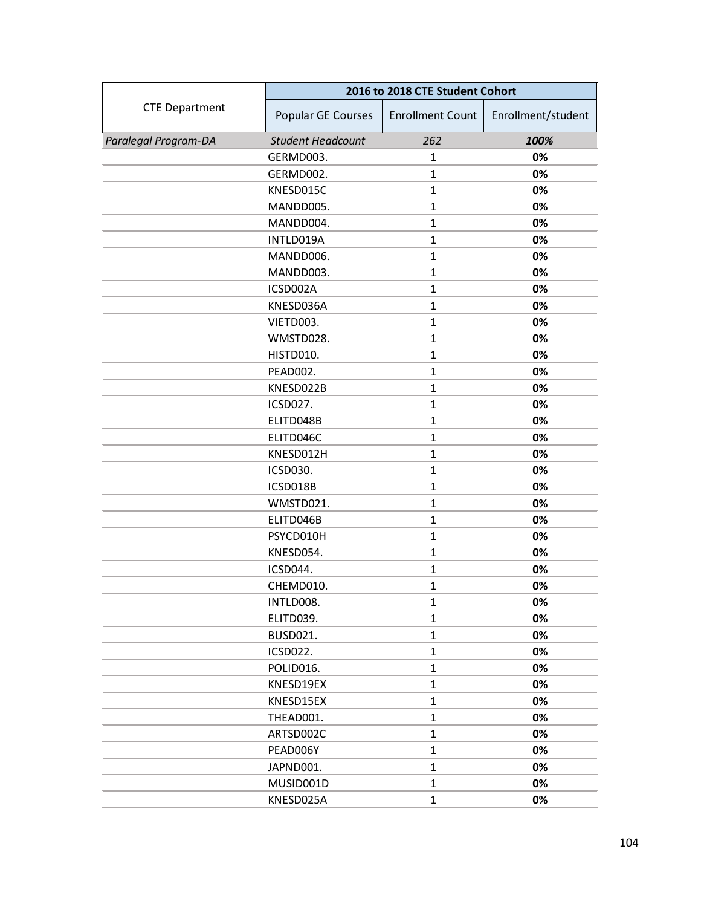|                       | 2016 to 2018 CTE Student Cohort |                         |                    |
|-----------------------|---------------------------------|-------------------------|--------------------|
| <b>CTE Department</b> | Popular GE Courses              | <b>Enrollment Count</b> | Enrollment/student |
| Paralegal Program-DA  | <b>Student Headcount</b>        | 262                     | 100%               |
|                       | GERMD003.                       | 1                       | 0%                 |
|                       | GERMD002.                       | $\mathbf{1}$            | 0%                 |
|                       | KNESD015C                       | $\mathbf{1}$            | 0%                 |
|                       | MANDD005.                       | $\mathbf{1}$            | 0%                 |
|                       | MANDD004.                       | $\mathbf{1}$            | 0%                 |
|                       | INTLD019A                       | $\mathbf{1}$            | 0%                 |
|                       | MANDD006.                       | $\mathbf{1}$            | 0%                 |
|                       | MANDD003.                       | $\mathbf{1}$            | 0%                 |
|                       | ICSD002A                        | $\mathbf{1}$            | 0%                 |
|                       | KNESD036A                       | $\mathbf{1}$            | 0%                 |
|                       | VIETD003.                       | $\mathbf{1}$            | 0%                 |
|                       | WMSTD028.                       | $\mathbf{1}$            | 0%                 |
|                       | HISTD010.                       | $\mathbf{1}$            | 0%                 |
|                       | PEAD002.                        | $\mathbf{1}$            | 0%                 |
|                       | KNESD022B                       | $\mathbf{1}$            | 0%                 |
|                       | ICSD027.                        | $\mathbf{1}$            | 0%                 |
|                       | ELITD048B                       | $\mathbf{1}$            | 0%                 |
|                       | ELITD046C                       | $\mathbf{1}$            | 0%                 |
|                       | KNESD012H                       | $\mathbf{1}$            | 0%                 |
|                       | ICSD030.                        | $\mathbf{1}$            | 0%                 |
|                       | ICSD018B                        | $\mathbf{1}$            | 0%                 |
|                       | WMSTD021.                       | $\mathbf{1}$            | 0%                 |
|                       | ELITD046B                       | $\mathbf{1}$            | 0%                 |
|                       | PSYCD010H                       | $\mathbf{1}$            | 0%                 |
|                       | KNESD054.                       | $\mathbf{1}$            | 0%                 |
|                       | ICSD044.                        | $\mathbf{1}$            | 0%                 |
|                       | CHEMD010.                       | $\mathbf{1}$            | 0%                 |
|                       | INTLD008.                       | $\mathbf{1}$            | 0%                 |
|                       | ELITD039.                       | $\mathbf{1}$            | 0%                 |
|                       | <b>BUSD021.</b>                 | $\mathbf{1}$            | 0%                 |
|                       | <b>ICSD022.</b>                 | $\mathbf{1}$            | 0%                 |
|                       | POLID016.                       | $\mathbf{1}$            | 0%                 |
|                       | KNESD19EX                       | $\mathbf{1}$            | 0%                 |
|                       | KNESD15EX                       | $\mathbf{1}$            | 0%                 |
|                       | THEAD001.                       | $\mathbf{1}$            | 0%                 |
|                       | ARTSD002C                       | $\mathbf{1}$            | 0%                 |
|                       | PEAD006Y                        | $\mathbf{1}$            | 0%                 |
|                       | JAPND001.                       | $\mathbf{1}$            | 0%                 |
|                       | MUSID001D                       | $\mathbf{1}$            | 0%                 |
|                       | KNESD025A                       | $\mathbf{1}$            | 0%                 |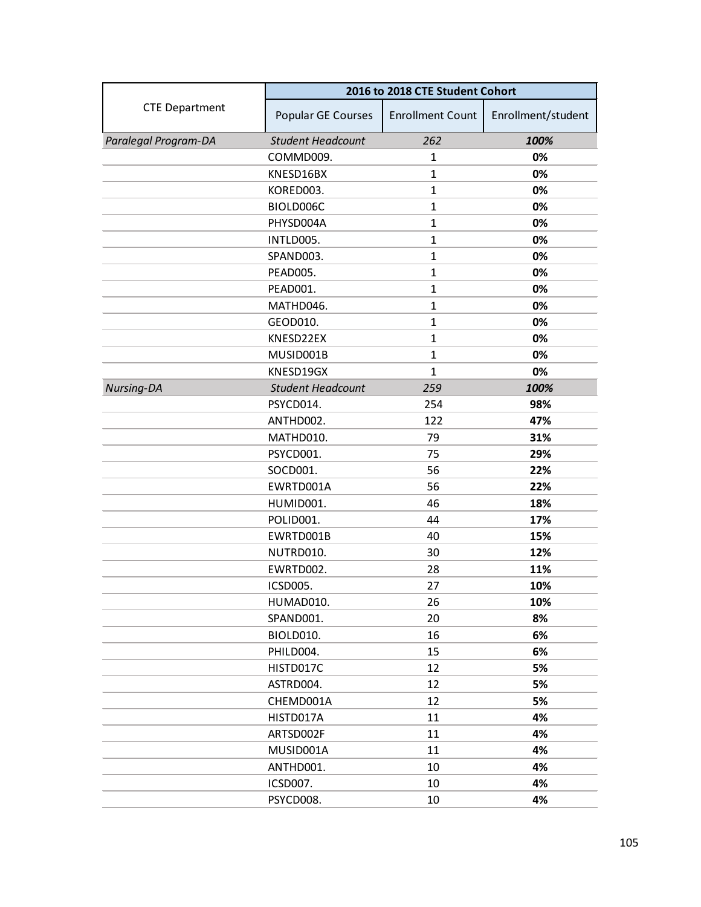|                       | 2016 to 2018 CTE Student Cohort |                         |                    |
|-----------------------|---------------------------------|-------------------------|--------------------|
| <b>CTE Department</b> | Popular GE Courses              | <b>Enrollment Count</b> | Enrollment/student |
| Paralegal Program-DA  | <b>Student Headcount</b>        | 262                     | 100%               |
|                       | COMMD009.                       | 1                       | 0%                 |
|                       | KNESD16BX                       | $\mathbf{1}$            | 0%                 |
|                       | KORED003.                       | $\mathbf{1}$            | 0%                 |
|                       | BIOLD006C                       | $\mathbf{1}$            | 0%                 |
|                       | PHYSD004A                       | $\mathbf{1}$            | 0%                 |
|                       | INTLD005.                       | $\mathbf{1}$            | 0%                 |
|                       | SPAND003.                       | $\mathbf{1}$            | 0%                 |
|                       | PEAD005.                        | $\mathbf{1}$            | 0%                 |
|                       | PEAD001.                        | $\mathbf{1}$            | 0%                 |
|                       | MATHD046.                       | $\mathbf{1}$            | 0%                 |
|                       | GEOD010.                        | $\mathbf{1}$            | 0%                 |
|                       | KNESD22EX                       | $\mathbf{1}$            | 0%                 |
|                       | MUSID001B                       | $\mathbf{1}$            | 0%                 |
|                       | KNESD19GX                       | $\mathbf{1}$            | 0%                 |
| Nursing-DA            | <b>Student Headcount</b>        | 259                     | 100%               |
|                       | PSYCD014.                       | 254                     | 98%                |
|                       | ANTHD002.                       | 122                     | 47%                |
|                       | MATHD010.                       | 79                      | 31%                |
|                       | PSYCD001.                       | 75                      | 29%                |
|                       | SOCD001.                        | 56                      | 22%                |
|                       | EWRTD001A                       | 56                      | 22%                |
|                       | HUMID001.                       | 46                      | 18%                |
|                       | POLID001.                       | 44                      | 17%                |
|                       | EWRTD001B                       | 40                      | 15%                |
|                       | NUTRD010.                       | 30                      | 12%                |
|                       | EWRTD002.                       | 28                      | 11%                |
|                       | ICSD005.                        | 27                      | 10%                |
|                       | HUMAD010.                       | 26                      | 10%                |
|                       | SPAND001.                       | 20                      | 8%                 |
|                       | BIOLD010.                       | 16                      | 6%                 |
|                       | PHILD004.                       | 15                      | 6%                 |
|                       | HISTD017C                       | 12                      | 5%                 |
|                       | ASTRD004.                       | 12                      | 5%                 |
|                       | CHEMD001A                       | 12                      | 5%                 |
|                       | HISTD017A                       | 11                      | 4%                 |
|                       | ARTSD002F                       | 11                      | 4%                 |
|                       | MUSID001A                       | 11                      | 4%                 |
|                       | ANTHD001.                       | 10                      | 4%                 |
|                       | ICSD007.                        | 10                      | 4%                 |
|                       | PSYCD008.                       | 10                      | 4%                 |
|                       |                                 |                         |                    |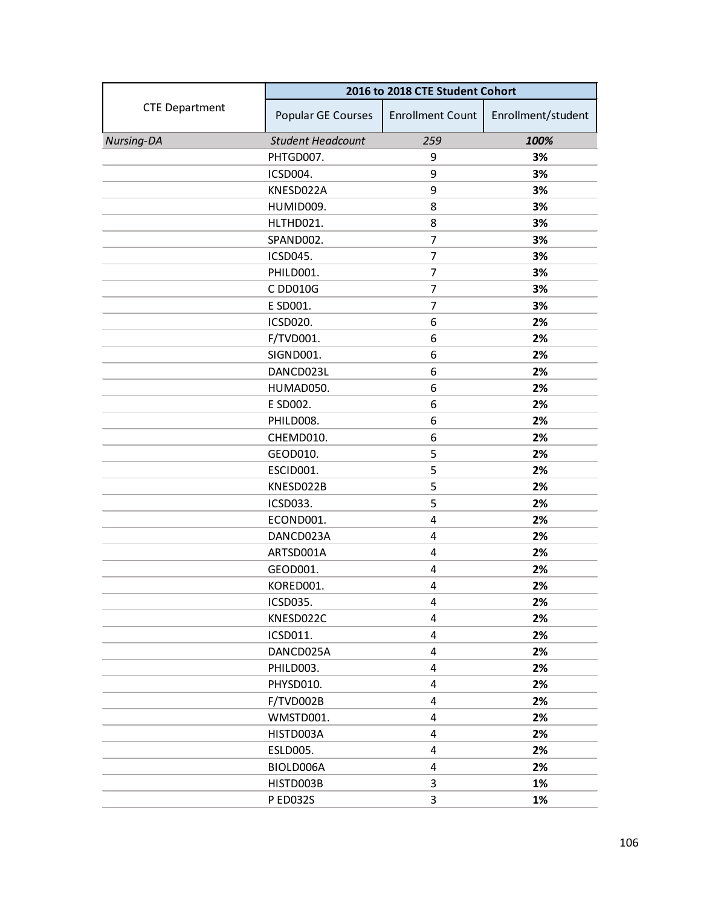|                       | 2016 to 2018 CTE Student Cohort |                         |                    |
|-----------------------|---------------------------------|-------------------------|--------------------|
| <b>CTE Department</b> | Popular GE Courses              | <b>Enrollment Count</b> | Enrollment/student |
| Nursing-DA            | <b>Student Headcount</b>        | 259                     | 100%               |
|                       | PHTGD007.                       | 9                       | 3%                 |
|                       | ICSD004.                        | 9                       | 3%                 |
|                       | KNESD022A                       | 9                       | 3%                 |
|                       | HUMID009.                       | 8                       | 3%                 |
|                       | HLTHD021.                       | 8                       | 3%                 |
|                       | SPAND002.                       | $\overline{7}$          | 3%                 |
|                       | ICSD045.                        | 7                       | 3%                 |
|                       | PHILD001.                       | 7                       | 3%                 |
|                       | C DD010G                        | 7                       | 3%                 |
|                       | E SD001.                        | $\overline{7}$          | 3%                 |
|                       | ICSD020.                        | 6                       | 2%                 |
|                       | F/TVD001.                       | 6                       | 2%                 |
|                       | SIGND001.                       | 6                       | 2%                 |
|                       | DANCD023L                       | 6                       | 2%                 |
|                       | HUMAD050.                       | 6                       | 2%                 |
|                       | E SD002.                        | 6                       | 2%                 |
|                       | PHILD008.                       | 6                       | 2%                 |
|                       | CHEMD010.                       | 6                       | 2%                 |
|                       | GEOD010.                        | 5                       | 2%                 |
|                       | ESCID001.                       | 5                       | 2%                 |
|                       | KNESD022B                       | 5                       | 2%                 |
|                       | ICSD033.                        | 5                       | 2%                 |
|                       | ECOND001.                       | 4                       | 2%                 |
|                       | DANCD023A                       | 4                       | 2%                 |
|                       | ARTSD001A                       | 4                       | 2%                 |
|                       | GEOD001.                        | 4                       | 2%                 |
|                       | KORED001.                       | 4                       | 2%                 |
|                       | ICSD035.                        | 4                       | 2%                 |
|                       | KNESD022C                       | 4                       | 2%                 |
|                       | ICSD011.                        | 4                       | 2%                 |
|                       | DANCD025A                       | 4                       | 2%                 |
|                       | PHILD003.                       | 4                       | 2%                 |
|                       | PHYSD010.                       | 4                       | 2%                 |
|                       | F/TVD002B                       | 4                       | 2%                 |
|                       | WMSTD001.                       | 4                       | 2%                 |
|                       | HISTD003A                       | 4                       | 2%                 |
|                       | <b>ESLD005.</b>                 | 4                       | 2%                 |
|                       | BIOLD006A                       | 4                       | 2%                 |
|                       | HISTD003B                       | 3                       | 1%                 |
|                       | P ED032S                        | 3                       | 1%                 |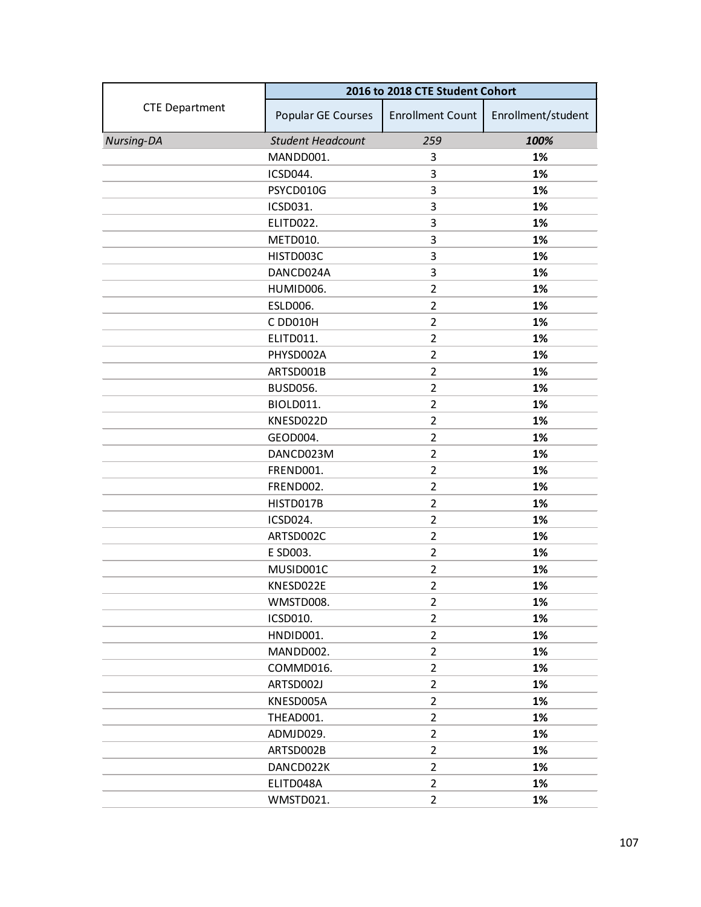|                       | 2016 to 2018 CTE Student Cohort |                         |                    |
|-----------------------|---------------------------------|-------------------------|--------------------|
| <b>CTE Department</b> | Popular GE Courses              | <b>Enrollment Count</b> | Enrollment/student |
| Nursing-DA            | <b>Student Headcount</b>        | 259                     | 100%               |
|                       | MANDD001.                       | 3                       | 1%                 |
|                       | ICSD044.                        | 3                       | 1%                 |
|                       | PSYCD010G                       | 3                       | 1%                 |
|                       | ICSD031.                        | 3                       | 1%                 |
|                       | ELITD022.                       | 3                       | 1%                 |
|                       | METD010.                        | 3                       | 1%                 |
|                       | HISTD003C                       | 3                       | 1%                 |
|                       | DANCD024A                       | 3                       | 1%                 |
|                       | HUMID006.                       | $\overline{2}$          | 1%                 |
|                       | ESLD006.                        | $\overline{2}$          | 1%                 |
|                       | C DD010H                        | $\overline{2}$          | 1%                 |
|                       | ELITD011.                       | $\overline{2}$          | 1%                 |
|                       | PHYSD002A                       | $\overline{2}$          | 1%                 |
|                       | ARTSD001B                       | $\overline{2}$          | 1%                 |
|                       | <b>BUSD056.</b>                 | $\overline{2}$          | 1%                 |
|                       | <b>BIOLD011.</b>                | $\overline{2}$          | 1%                 |
|                       | KNESD022D                       | $\overline{2}$          | 1%                 |
|                       | GEOD004.                        | $\overline{2}$          | 1%                 |
|                       | DANCD023M                       | $\overline{2}$          | 1%                 |
|                       | FREND001.                       | $\overline{2}$          | 1%                 |
|                       | FREND002.                       | $\overline{2}$          | 1%                 |
|                       | HISTD017B                       | $\overline{2}$          | 1%                 |
|                       | ICSD024.                        | $\overline{2}$          | 1%                 |
|                       | ARTSD002C                       | $\overline{2}$          | 1%                 |
|                       | E SD003.                        | $\overline{2}$          | 1%                 |
|                       | MUSID001C                       | $\overline{2}$          | 1%                 |
|                       | KNESD022E                       | $\overline{2}$          | 1%                 |
|                       | WMSTD008.                       | $\overline{2}$          | 1%                 |
|                       | <b>ICSD010.</b>                 | $\overline{2}$          | 1%                 |
|                       | HNDID001.                       | $\overline{2}$          | 1%                 |
|                       | MANDD002.                       | $\overline{2}$          | 1%                 |
|                       | COMMD016.                       | $\overline{2}$          | 1%                 |
|                       | ARTSD002J                       | $\overline{2}$          | 1%                 |
|                       | KNESD005A                       | $\overline{2}$          | 1%                 |
|                       | THEAD001.                       | $\overline{2}$          | 1%                 |
|                       | ADMJD029.                       | $\overline{2}$          | 1%                 |
|                       | ARTSD002B                       | $\overline{2}$          | 1%                 |
|                       | DANCD022K                       | $\overline{2}$          | 1%                 |
|                       | ELITD048A                       | $\overline{2}$          | 1%                 |
|                       | WMSTD021.                       | $\overline{2}$          | 1%                 |
|                       |                                 |                         |                    |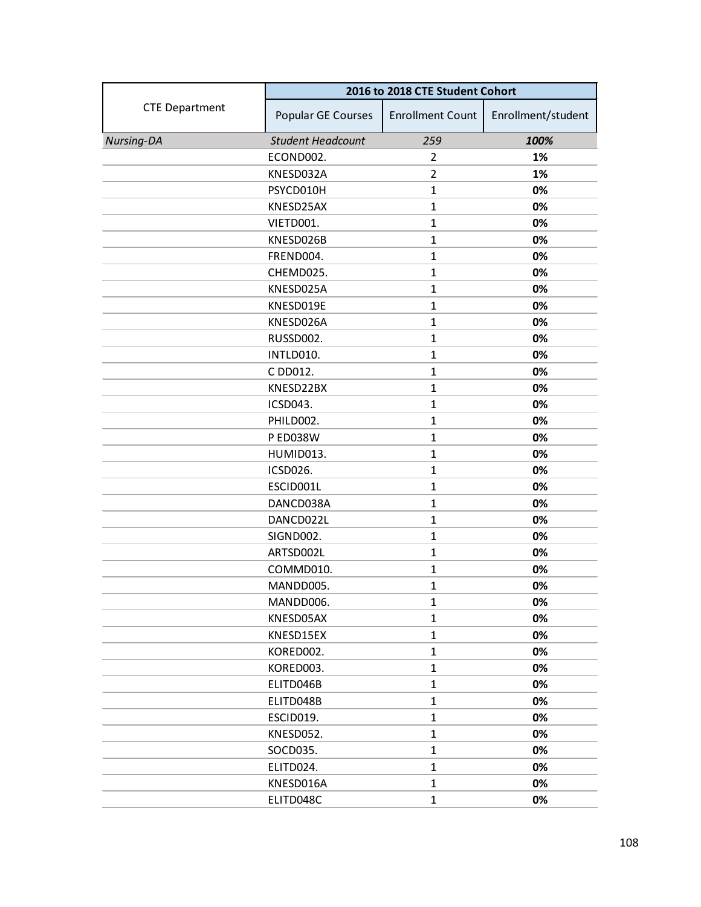|                       | 2016 to 2018 CTE Student Cohort |                         |                    |
|-----------------------|---------------------------------|-------------------------|--------------------|
| <b>CTE Department</b> | Popular GE Courses              | <b>Enrollment Count</b> | Enrollment/student |
| Nursing-DA            | <b>Student Headcount</b>        | 259                     | 100%               |
|                       | ECOND002.                       | $\overline{2}$          | 1%                 |
|                       | KNESD032A                       | $\overline{2}$          | 1%                 |
|                       | PSYCD010H                       | $\mathbf{1}$            | 0%                 |
|                       | KNESD25AX                       | $\mathbf{1}$            | 0%                 |
|                       | VIETD001.                       | $\mathbf{1}$            | 0%                 |
|                       | KNESD026B                       | $\mathbf{1}$            | 0%                 |
|                       | FREND004.                       | $\mathbf{1}$            | 0%                 |
|                       | CHEMD025.                       | $\mathbf{1}$            | 0%                 |
|                       | KNESD025A                       | $\mathbf{1}$            | 0%                 |
|                       | KNESD019E                       | $\mathbf{1}$            | 0%                 |
|                       | KNESD026A                       | $\mathbf{1}$            | 0%                 |
|                       | RUSSD002.                       | $\mathbf{1}$            | 0%                 |
|                       | INTLD010.                       | $\mathbf{1}$            | 0%                 |
|                       | C DD012.                        | $\mathbf{1}$            | 0%                 |
|                       | KNESD22BX                       | $\mathbf{1}$            | 0%                 |
|                       | ICSD043.                        | $\mathbf{1}$            | 0%                 |
|                       | PHILD002.                       | $\mathbf{1}$            | 0%                 |
|                       | <b>P ED038W</b>                 | $\mathbf{1}$            | 0%                 |
|                       | HUMID013.                       | $\mathbf{1}$            | 0%                 |
|                       | ICSD026.                        | $\mathbf{1}$            | 0%                 |
|                       | ESCID001L                       | $\mathbf{1}$            | 0%                 |
|                       | DANCD038A                       | $\mathbf{1}$            | 0%                 |
|                       | DANCD022L                       | $\mathbf{1}$            | 0%                 |
|                       | SIGND002.                       | $\mathbf{1}$            | 0%                 |
|                       | ARTSD002L                       | $\mathbf{1}$            | 0%                 |
|                       | COMMD010.                       | $\mathbf{1}$            | 0%                 |
|                       | MANDD005.                       | $\mathbf{1}$            | 0%                 |
|                       | MANDD006.                       | 1                       | 0%                 |
|                       | KNESD05AX                       | $\mathbf{1}$            | 0%                 |
|                       | KNESD15EX                       | $\mathbf{1}$            | 0%                 |
|                       | KORED002.                       | $\mathbf{1}$            | 0%                 |
|                       | KORED003.                       | $\mathbf{1}$            | 0%                 |
|                       | ELITD046B                       | $\mathbf{1}$            | 0%                 |
|                       | ELITD048B                       | $\mathbf{1}$            | 0%                 |
|                       | ESCID019.                       | $\mathbf{1}$            | 0%                 |
|                       | KNESD052.                       | $\mathbf{1}$            | 0%                 |
|                       | SOCD035.                        | $\mathbf{1}$            | 0%                 |
|                       | ELITD024.                       | $\mathbf{1}$            | 0%                 |
|                       | KNESD016A                       | $\mathbf{1}$            | 0%                 |
|                       | ELITD048C                       | $\mathbf{1}$            | 0%                 |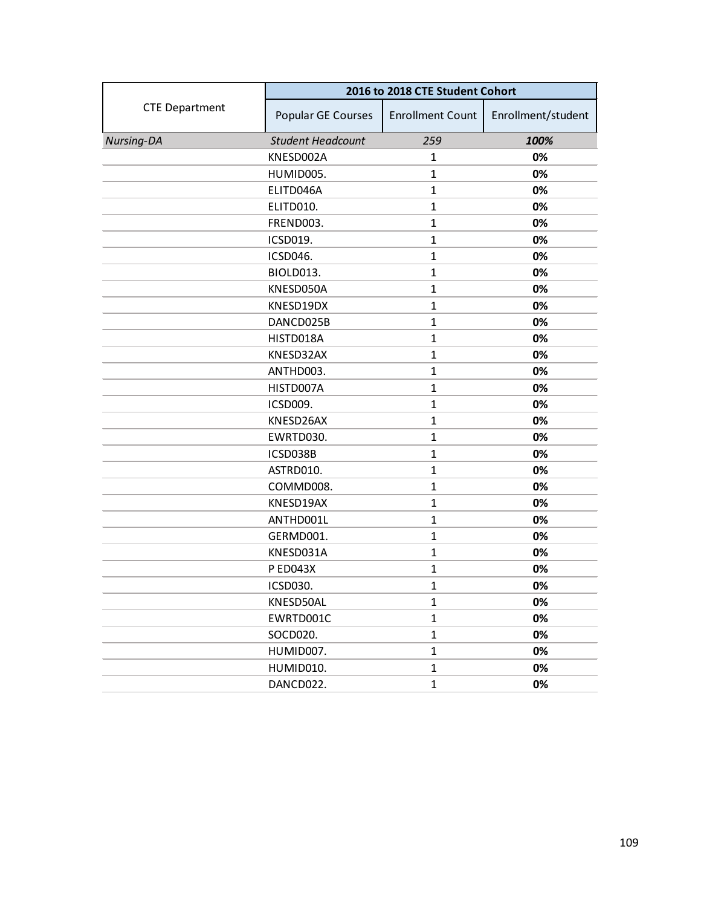|                       | 2016 to 2018 CTE Student Cohort |                         |                    |
|-----------------------|---------------------------------|-------------------------|--------------------|
| <b>CTE Department</b> | Popular GE Courses              | <b>Enrollment Count</b> | Enrollment/student |
| Nursing-DA            | <b>Student Headcount</b>        | 259                     | 100%               |
|                       | KNESD002A                       | 1                       | 0%                 |
|                       | HUMID005.                       | $\mathbf{1}$            | 0%                 |
|                       | ELITD046A                       | $\mathbf{1}$            | 0%                 |
|                       | ELITD010.                       | $\mathbf{1}$            | 0%                 |
|                       | FREND003.                       | $\mathbf 1$             | 0%                 |
|                       | ICSD019.                        | $\mathbf 1$             | 0%                 |
|                       | ICSD046.                        | $\mathbf 1$             | 0%                 |
|                       | BIOLD013.                       | $\mathbf{1}$            | 0%                 |
|                       | KNESD050A                       | $\mathbf{1}$            | 0%                 |
|                       | KNESD19DX                       | $\mathbf 1$             | 0%                 |
|                       | DANCD025B                       | $\mathbf{1}$            | 0%                 |
|                       | HISTD018A                       | $\mathbf{1}$            | 0%                 |
|                       | KNESD32AX                       | $\mathbf{1}$            | 0%                 |
|                       | ANTHD003.                       | $\mathbf 1$             | 0%                 |
|                       | HISTD007A                       | $\mathbf{1}$            | 0%                 |
|                       | ICSD009.                        | $\mathbf{1}$            | 0%                 |
|                       | KNESD26AX                       | $\mathbf{1}$            | 0%                 |
|                       | EWRTD030.                       | $\mathbf{1}$            | 0%                 |
|                       | ICSD038B                        | $\mathbf{1}$            | 0%                 |
|                       | ASTRD010.                       | $\mathbf{1}$            | 0%                 |
|                       | COMMD008.                       | $\mathbf{1}$            | 0%                 |
|                       | KNESD19AX                       | $\mathbf{1}$            | 0%                 |
|                       | ANTHD001L                       | $\mathbf{1}$            | 0%                 |
|                       | GERMD001.                       | $\mathbf{1}$            | 0%                 |
|                       | KNESD031A                       | $\mathbf{1}$            | 0%                 |
|                       | <b>P ED043X</b>                 | $\mathbf{1}$            | 0%                 |
|                       | ICSD030.                        | $\mathbf{1}$            | 0%                 |
|                       | KNESD50AL                       | $\mathbf{1}$            | 0%                 |
|                       | EWRTD001C                       | $\mathbf{1}$            | 0%                 |
|                       | SOCD020.                        | $\mathbf{1}$            | 0%                 |
|                       | HUMID007.                       | $\mathbf{1}$            | 0%                 |
|                       | HUMID010.                       | $\mathbf{1}$            | 0%                 |
|                       | DANCD022.                       | $\mathbf{1}$            | 0%                 |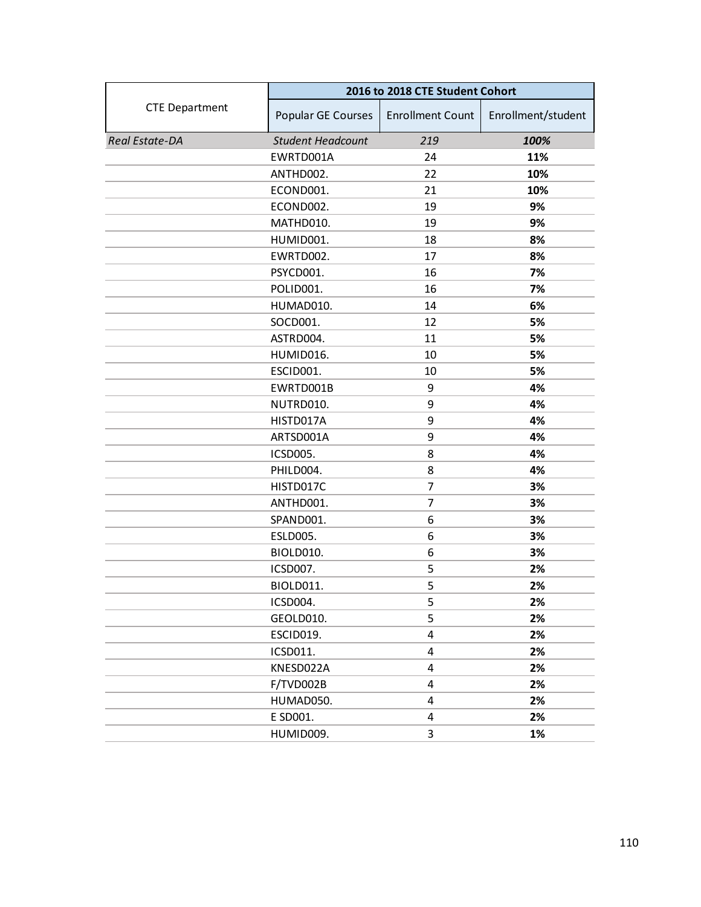|                       | 2016 to 2018 CTE Student Cohort |                         |                    |
|-----------------------|---------------------------------|-------------------------|--------------------|
| <b>CTE Department</b> | Popular GE Courses              | <b>Enrollment Count</b> | Enrollment/student |
| Real Estate-DA        | <b>Student Headcount</b>        | 219                     | 100%               |
|                       | EWRTD001A                       | 24                      | 11%                |
|                       | ANTHD002.                       | 22                      | 10%                |
|                       | ECOND001.                       | 21                      | 10%                |
|                       | ECOND002.                       | 19                      | 9%                 |
|                       | MATHD010.                       | 19                      | 9%                 |
|                       | HUMID001.                       | 18                      | 8%                 |
|                       | EWRTD002.                       | 17                      | 8%                 |
|                       | PSYCD001.                       | 16                      | 7%                 |
|                       | POLID001.                       | 16                      | 7%                 |
|                       | HUMAD010.                       | 14                      | 6%                 |
|                       | SOCD001.                        | 12                      | 5%                 |
|                       | ASTRD004.                       | 11                      | 5%                 |
|                       | HUMID016.                       | 10                      | 5%                 |
|                       | ESCID001.                       | 10                      | 5%                 |
|                       | EWRTD001B                       | 9                       | 4%                 |
|                       | NUTRD010.                       | 9                       | 4%                 |
|                       | HISTD017A                       | 9                       | 4%                 |
|                       | ARTSD001A                       | 9                       | 4%                 |
|                       | ICSD005.                        | 8                       | 4%                 |
|                       | PHILD004.                       | 8                       | 4%                 |
|                       | HISTD017C                       | 7                       | 3%                 |
|                       | ANTHD001.                       | 7                       | 3%                 |
|                       | SPAND001.                       | 6                       | 3%                 |
|                       | <b>ESLD005.</b>                 | 6                       | 3%                 |
|                       | BIOLD010.                       | 6                       | 3%                 |
|                       | ICSD007.                        | 5                       | 2%                 |
|                       | BIOLD011.                       | 5                       | 2%                 |
|                       | ICSD004.                        | 5                       | 2%                 |
|                       | GEOLD010.                       | 5                       | 2%                 |
|                       | ESCID019.                       | 4                       | 2%                 |
|                       | ICSD011.                        | 4                       | 2%                 |
|                       | KNESD022A                       | 4                       | 2%                 |
|                       | F/TVD002B                       | 4                       | 2%                 |
|                       | HUMAD050.                       | 4                       | 2%                 |
|                       | E SD001.                        | 4                       | 2%                 |
|                       | HUMID009.                       | 3                       | 1%                 |
|                       |                                 |                         |                    |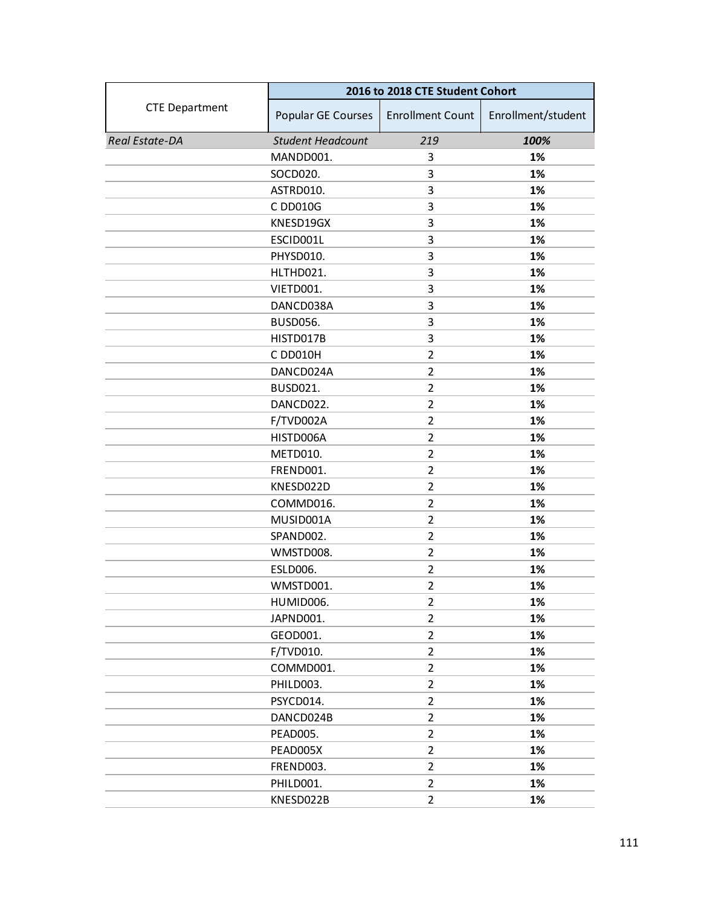|                       | 2016 to 2018 CTE Student Cohort |                         |                    |
|-----------------------|---------------------------------|-------------------------|--------------------|
| <b>CTE Department</b> | Popular GE Courses              | <b>Enrollment Count</b> | Enrollment/student |
| Real Estate-DA        | <b>Student Headcount</b>        | 219                     | 100%               |
|                       | MANDD001.                       | 3                       | 1%                 |
|                       | SOCD020.                        | 3                       | 1%                 |
|                       | ASTRD010.                       | 3                       | 1%                 |
|                       | C DD010G                        | 3                       | 1%                 |
|                       | KNESD19GX                       | 3                       | 1%                 |
|                       | ESCID001L                       | 3                       | 1%                 |
|                       | PHYSD010.                       | 3                       | 1%                 |
|                       | HLTHD021.                       | 3                       | 1%                 |
|                       | VIETD001.                       | 3                       | 1%                 |
|                       | DANCD038A                       | 3                       | 1%                 |
|                       | <b>BUSD056.</b>                 | 3                       | 1%                 |
|                       | HISTD017B                       | 3                       | 1%                 |
|                       | C DD010H                        | $\overline{2}$          | 1%                 |
|                       | DANCD024A                       | 2                       | 1%                 |
|                       | <b>BUSD021.</b>                 | $\overline{2}$          | 1%                 |
|                       | DANCD022.                       | $\overline{2}$          | 1%                 |
|                       | F/TVD002A                       | $\overline{2}$          | 1%                 |
|                       | HISTD006A                       | $\overline{2}$          | 1%                 |
|                       | <b>METD010.</b>                 | $\overline{2}$          | 1%                 |
|                       | FREND001.                       | $\overline{2}$          | 1%                 |
|                       | KNESD022D                       | $\overline{2}$          | 1%                 |
|                       | COMMD016.                       | 2                       | 1%                 |
|                       | MUSID001A                       | $\overline{2}$          | 1%                 |
|                       | SPAND002.                       | $\overline{2}$          | 1%                 |
|                       | WMSTD008.                       | $\overline{2}$          | 1%                 |
|                       | <b>ESLD006.</b>                 | $\overline{2}$          | 1%                 |
|                       | WMSTD001.                       | $\overline{2}$          | 1%                 |
|                       | HUMID006.                       | $\overline{2}$          | 1%                 |
|                       | JAPND001.                       | $\overline{2}$          | 1%                 |
|                       | GEOD001.                        | $\overline{2}$          | 1%                 |
|                       | F/TVD010.                       | $\overline{2}$          | 1%                 |
|                       | COMMD001.                       | $\overline{2}$          | 1%                 |
|                       | PHILD003.                       | $\overline{2}$          | 1%                 |
|                       | PSYCD014.                       | $\overline{2}$          | 1%                 |
|                       | DANCD024B                       | $\overline{2}$          | 1%                 |
|                       | PEAD005.                        | $\overline{2}$          | 1%                 |
|                       | PEAD005X                        | $\overline{2}$          | 1%                 |
|                       | FREND003.                       | $\overline{2}$          | 1%                 |
|                       | PHILD001.                       | $\overline{2}$          | 1%                 |
|                       | KNESD022B                       | $\overline{2}$          | 1%                 |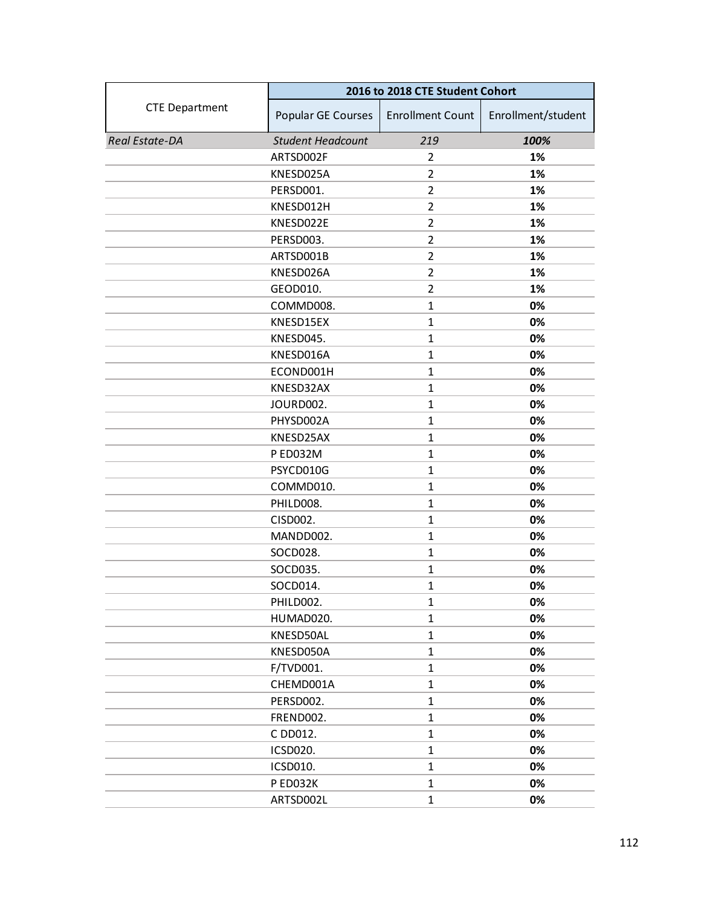|                       | 2016 to 2018 CTE Student Cohort |                         |                    |
|-----------------------|---------------------------------|-------------------------|--------------------|
| <b>CTE Department</b> | Popular GE Courses              | <b>Enrollment Count</b> | Enrollment/student |
| Real Estate-DA        | <b>Student Headcount</b>        | 219                     | 100%               |
|                       | ARTSD002F                       | 2                       | 1%                 |
|                       | KNESD025A                       | $\overline{2}$          | 1%                 |
|                       | PERSD001.                       | $\overline{2}$          | 1%                 |
|                       | KNESD012H                       | $\overline{2}$          | 1%                 |
|                       | KNESD022E                       | $\overline{2}$          | 1%                 |
|                       | PERSD003.                       | $\overline{2}$          | 1%                 |
|                       | ARTSD001B                       | $\overline{2}$          | 1%                 |
|                       | KNESD026A                       | $\overline{2}$          | 1%                 |
|                       | GEOD010.                        | $\overline{2}$          | 1%                 |
|                       | COMMD008.                       | $\mathbf{1}$            | 0%                 |
|                       | KNESD15EX                       | $\mathbf{1}$            | 0%                 |
|                       | KNESD045.                       | $\mathbf{1}$            | 0%                 |
|                       | KNESD016A                       | $\mathbf{1}$            | 0%                 |
|                       | ECOND001H                       | $\mathbf{1}$            | 0%                 |
|                       | KNESD32AX                       | $\mathbf{1}$            | 0%                 |
|                       | JOURD002.                       | $\mathbf{1}$            | 0%                 |
|                       | PHYSD002A                       | $\mathbf{1}$            | 0%                 |
|                       | KNESD25AX                       | $\mathbf{1}$            | 0%                 |
|                       | P ED032M                        | $\mathbf{1}$            | 0%                 |
|                       | PSYCD010G                       | $\mathbf{1}$            | 0%                 |
|                       | COMMD010.                       | $\mathbf{1}$            | 0%                 |
|                       | PHILD008.                       | $\mathbf 1$             | 0%                 |
|                       | CISD002.                        | $\mathbf{1}$            | 0%                 |
|                       | MANDD002.                       | $\mathbf{1}$            | 0%                 |
|                       | SOCD028.                        | $\mathbf{1}$            | 0%                 |
|                       | SOCD035.                        | $\mathbf{1}$            | 0%                 |
|                       | SOCD014.                        | $\mathbf{1}$            | 0%                 |
|                       | PHILD002.                       | 1                       | 0%                 |
|                       | HUMAD020.                       | $\mathbf{1}$            | 0%                 |
|                       | KNESD50AL                       | $\mathbf{1}$            | 0%                 |
|                       | KNESD050A                       | $\mathbf{1}$            | 0%                 |
|                       | F/TVD001.                       | $\mathbf 1$             | 0%                 |
|                       | CHEMD001A                       | $\mathbf{1}$            | 0%                 |
|                       | PERSD002.                       | $\mathbf{1}$            | 0%                 |
|                       | FREND002.                       | $\mathbf{1}$            | 0%                 |
|                       | C DD012.                        | $\mathbf{1}$            | 0%                 |
|                       | ICSD020.                        | $\mathbf 1$             | 0%                 |
|                       | ICSD010.                        | $\mathbf{1}$            | 0%                 |
|                       | P ED032K                        | $\mathbf{1}$            | 0%                 |
|                       | ARTSD002L                       | $\mathbf{1}$            | 0%                 |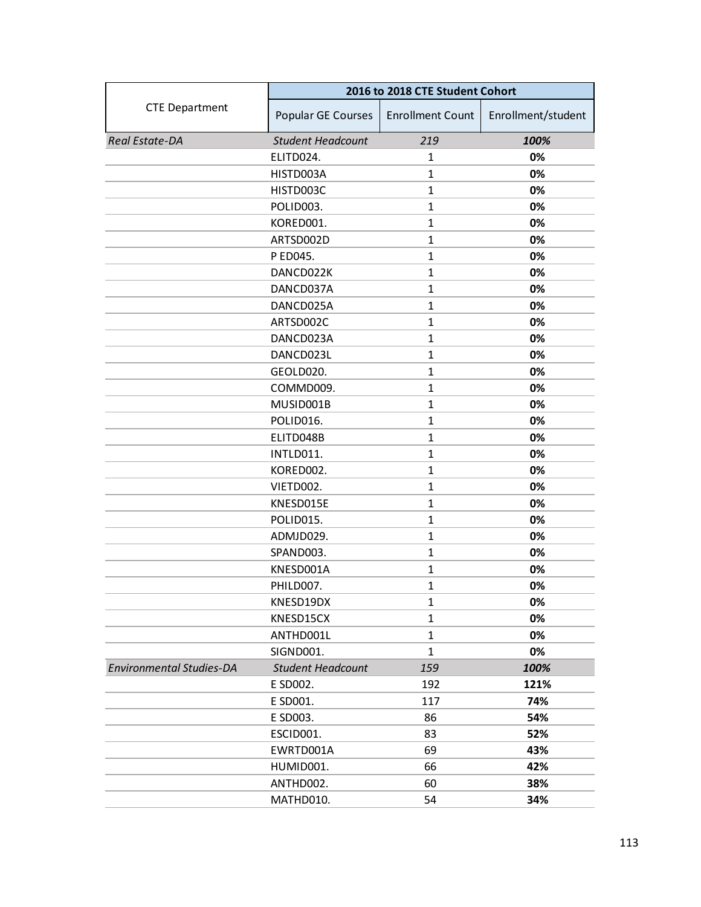|                                 | 2016 to 2018 CTE Student Cohort |                         |                    |
|---------------------------------|---------------------------------|-------------------------|--------------------|
| <b>CTE Department</b>           | Popular GE Courses              | <b>Enrollment Count</b> | Enrollment/student |
| Real Estate-DA                  | <b>Student Headcount</b>        | 219                     | 100%               |
|                                 | ELITD024.                       | 1                       | 0%                 |
|                                 | HISTD003A                       | $\mathbf{1}$            | 0%                 |
|                                 | HISTD003C                       | $\mathbf{1}$            | 0%                 |
|                                 | POLID003.                       | $\mathbf{1}$            | 0%                 |
|                                 | KORED001.                       | $\mathbf{1}$            | 0%                 |
|                                 | ARTSD002D                       | $\mathbf{1}$            | 0%                 |
|                                 | P ED045.                        | $\mathbf{1}$            | 0%                 |
|                                 | DANCD022K                       | $\mathbf{1}$            | 0%                 |
|                                 | DANCD037A                       | $\mathbf{1}$            | 0%                 |
|                                 | DANCD025A                       | $\mathbf{1}$            | 0%                 |
|                                 | ARTSD002C                       | $\mathbf{1}$            | 0%                 |
|                                 | DANCD023A                       | $\mathbf{1}$            | 0%                 |
|                                 | DANCD023L                       | $\mathbf{1}$            | 0%                 |
|                                 | GEOLD020.                       | $\mathbf{1}$            | 0%                 |
|                                 | COMMD009.                       | $\mathbf{1}$            | 0%                 |
|                                 | MUSID001B                       | $\mathbf{1}$            | 0%                 |
|                                 | POLID016.                       | $\mathbf{1}$            | 0%                 |
|                                 | ELITD048B                       | $\mathbf{1}$            | 0%                 |
|                                 | INTLD011.                       | $\mathbf{1}$            | 0%                 |
|                                 | KORED002.                       | $\mathbf{1}$            | 0%                 |
|                                 | VIETD002.                       | $\mathbf{1}$            | 0%                 |
|                                 | KNESD015E                       | $\mathbf{1}$            | 0%                 |
|                                 | POLID015.                       | $\mathbf{1}$            | 0%                 |
|                                 | ADMJD029.                       | $\mathbf{1}$            | 0%                 |
|                                 | SPAND003.                       | $\mathbf{1}$            | 0%                 |
|                                 | KNESD001A                       | $\mathbf{1}$            | 0%                 |
|                                 | PHILD007.                       | $\mathbf{1}$            | 0%                 |
|                                 | KNESD19DX                       | $\mathbf{1}$            | 0%                 |
|                                 | KNESD15CX                       | 1                       | 0%                 |
|                                 | ANTHD001L                       | $\mathbf{1}$            | 0%                 |
|                                 | SIGND001.                       | $\mathbf{1}$            | 0%                 |
| <b>Environmental Studies-DA</b> | <b>Student Headcount</b>        | 159                     | 100%               |
|                                 | E SD002.                        | 192                     | 121%               |
|                                 | E SD001.                        | 117                     | 74%                |
|                                 | E SD003.                        | 86                      | 54%                |
|                                 | ESCID001.                       | 83                      | 52%                |
|                                 | EWRTD001A                       | 69                      | 43%                |
|                                 | HUMID001.                       | 66                      | 42%                |
|                                 | ANTHD002.                       | 60                      | 38%                |
|                                 | MATHD010.                       | 54                      | 34%                |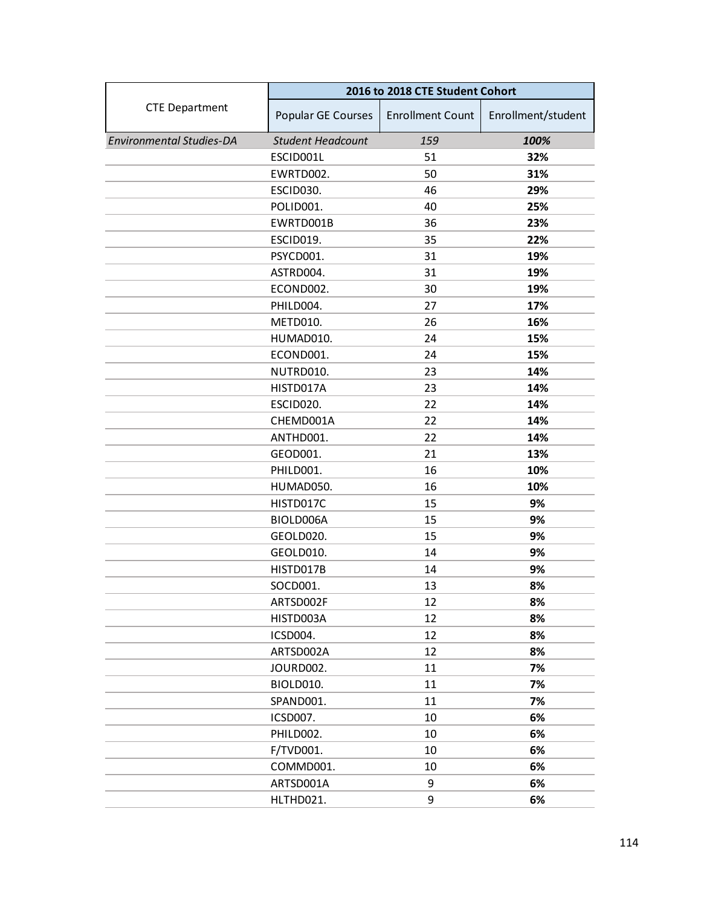|                                 | 2016 to 2018 CTE Student Cohort |                         |                    |
|---------------------------------|---------------------------------|-------------------------|--------------------|
| <b>CTE Department</b>           | Popular GE Courses              | <b>Enrollment Count</b> | Enrollment/student |
| <b>Environmental Studies-DA</b> | <b>Student Headcount</b>        | 159                     | 100%               |
|                                 | ESCID001L                       | 51                      | 32%                |
|                                 | EWRTD002.                       | 50                      | 31%                |
|                                 | ESCID030.                       | 46                      | 29%                |
|                                 | POLID001.                       | 40                      | 25%                |
|                                 | EWRTD001B                       | 36                      | 23%                |
|                                 | ESCID019.                       | 35                      | 22%                |
|                                 | PSYCD001.                       | 31                      | 19%                |
|                                 | ASTRD004.                       | 31                      | 19%                |
|                                 | ECOND002.                       | 30                      | 19%                |
|                                 | PHILD004.                       | 27                      | 17%                |
|                                 | METD010.                        | 26                      | 16%                |
|                                 | HUMAD010.                       | 24                      | 15%                |
|                                 | ECOND001.                       | 24                      | 15%                |
|                                 | NUTRD010.                       | 23                      | 14%                |
|                                 | HISTD017A                       | 23                      | 14%                |
|                                 | ESCID020.                       | 22                      | 14%                |
|                                 | CHEMD001A                       | 22                      | 14%                |
|                                 | ANTHD001.                       | 22                      | 14%                |
|                                 | GEOD001.                        | 21                      | 13%                |
|                                 | PHILD001.                       | 16                      | 10%                |
|                                 | HUMAD050.                       | 16                      | 10%                |
|                                 | HISTD017C                       | 15                      | 9%                 |
|                                 | BIOLD006A                       | 15                      | 9%                 |
|                                 | GEOLD020.                       | 15                      | 9%                 |
|                                 | GEOLD010.                       | 14                      | 9%                 |
|                                 | HISTD017B                       | 14                      | 9%                 |
|                                 | SOCD001.                        | 13                      | 8%                 |
|                                 | ARTSD002F                       | 12                      | 8%                 |
|                                 | HISTD003A                       | 12                      | 8%                 |
|                                 | ICSD004.                        | 12                      | 8%                 |
|                                 | ARTSD002A                       | 12                      | 8%                 |
|                                 | JOURD002.                       | 11                      | 7%                 |
|                                 | BIOLD010.                       | 11                      | 7%                 |
|                                 | SPAND001.                       | 11                      | 7%                 |
|                                 | ICSD007.                        | 10                      | 6%                 |
|                                 | PHILD002.                       | 10                      | 6%                 |
|                                 | F/TVD001.                       | 10                      | 6%                 |
|                                 | COMMD001.                       | 10                      | 6%                 |
|                                 | ARTSD001A                       | 9                       | 6%                 |
|                                 | HLTHD021.                       | 9                       | 6%                 |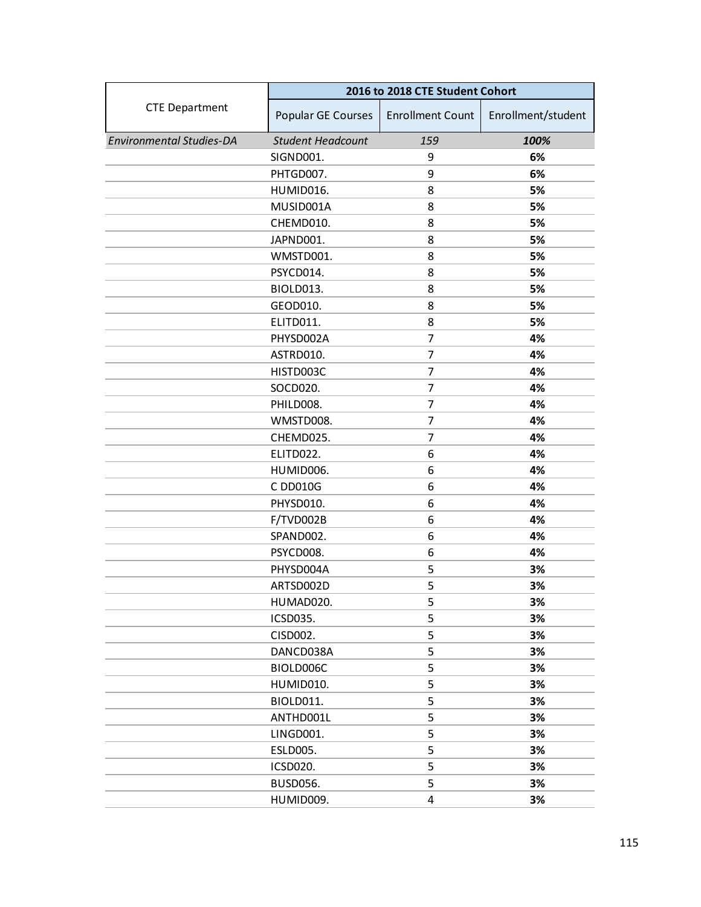|                                 | 2016 to 2018 CTE Student Cohort |                         |                    |
|---------------------------------|---------------------------------|-------------------------|--------------------|
| <b>CTE Department</b>           | Popular GE Courses              | <b>Enrollment Count</b> | Enrollment/student |
| <b>Environmental Studies-DA</b> | <b>Student Headcount</b>        | 159                     | 100%               |
|                                 | SIGND001.                       | 9                       | 6%                 |
|                                 | PHTGD007.                       | 9                       | 6%                 |
|                                 | HUMID016.                       | 8                       | 5%                 |
|                                 | MUSID001A                       | 8                       | 5%                 |
|                                 | CHEMD010.                       | 8                       | 5%                 |
|                                 | JAPND001.                       | 8                       | 5%                 |
|                                 | WMSTD001.                       | 8                       | 5%                 |
|                                 | PSYCD014.                       | 8                       | 5%                 |
|                                 | BIOLD013.                       | 8                       | 5%                 |
|                                 | GEOD010.                        | 8                       | 5%                 |
|                                 | ELITD011.                       | 8                       | 5%                 |
|                                 | PHYSD002A                       | 7                       | 4%                 |
|                                 | ASTRD010.                       | 7                       | 4%                 |
|                                 | HISTD003C                       | 7                       | 4%                 |
|                                 | SOCD020.                        | 7                       | 4%                 |
|                                 | PHILD008.                       | 7                       | 4%                 |
|                                 | WMSTD008.                       | 7                       | 4%                 |
|                                 | CHEMD025.                       | 7                       | 4%                 |
|                                 | ELITD022.                       | 6                       | 4%                 |
|                                 | HUMID006.                       | 6                       | 4%                 |
|                                 | C DD010G                        | 6                       | 4%                 |
|                                 | PHYSD010.                       | 6                       | 4%                 |
|                                 | F/TVD002B                       | 6                       | 4%                 |
|                                 | SPAND002.                       | 6                       | 4%                 |
|                                 | PSYCD008.                       | 6                       | 4%                 |
|                                 | PHYSD004A                       | 5                       | 3%                 |
|                                 | ARTSD002D                       | 5                       | 3%                 |
|                                 | HUMAD020.                       | 5                       | 3%                 |
|                                 | ICSD035.                        | 5                       | 3%                 |
|                                 | CISD002.                        | 5                       | 3%                 |
|                                 | DANCD038A                       | 5                       | 3%                 |
|                                 | BIOLD006C                       | 5                       | 3%                 |
|                                 | HUMID010.                       | 5                       | 3%                 |
|                                 | <b>BIOLD011.</b>                | 5                       | 3%                 |
|                                 | ANTHD001L                       | 5                       | 3%                 |
|                                 | LINGD001.                       | 5                       | 3%                 |
|                                 | ESLD005.                        | 5                       | 3%                 |
|                                 | ICSD020.                        | 5                       | 3%                 |
|                                 | <b>BUSD056.</b>                 | 5                       | 3%                 |
|                                 | HUMID009.                       | 4                       | 3%                 |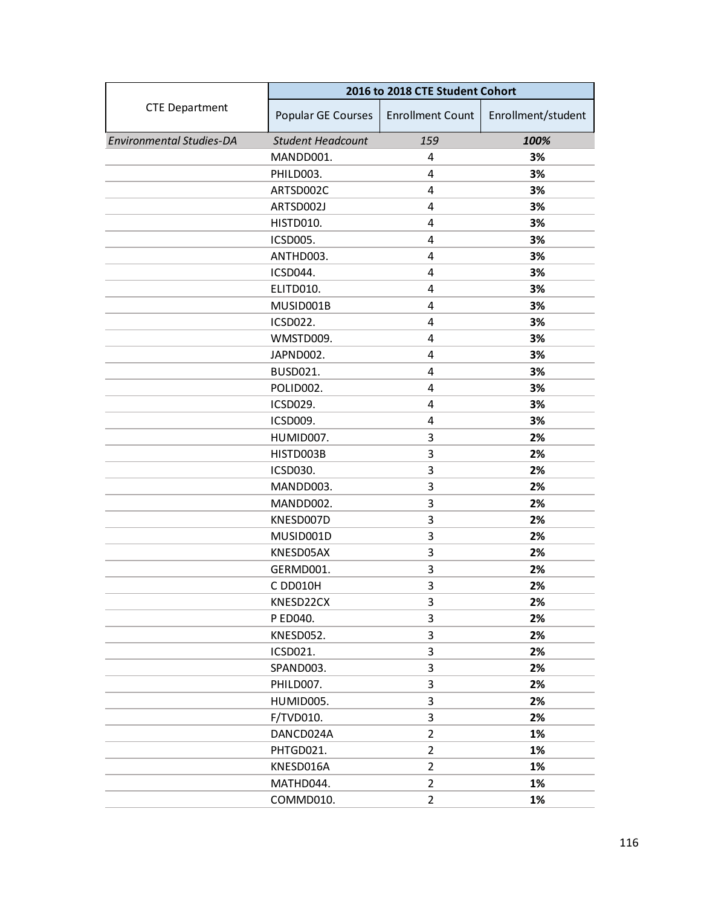|                                 | 2016 to 2018 CTE Student Cohort |                         |                    |
|---------------------------------|---------------------------------|-------------------------|--------------------|
| <b>CTE Department</b>           | Popular GE Courses              | <b>Enrollment Count</b> | Enrollment/student |
| <b>Environmental Studies-DA</b> | <b>Student Headcount</b>        | 159                     | 100%               |
|                                 | MANDD001.                       | 4                       | 3%                 |
|                                 | PHILD003.                       | 4                       | 3%                 |
|                                 | ARTSD002C                       | 4                       | 3%                 |
|                                 | ARTSD002J                       | 4                       | 3%                 |
|                                 | HISTD010.                       | $\overline{4}$          | 3%                 |
|                                 | <b>ICSD005.</b>                 | 4                       | 3%                 |
|                                 | ANTHD003.                       | 4                       | 3%                 |
|                                 | ICSD044.                        | 4                       | 3%                 |
|                                 | ELITD010.                       | 4                       | 3%                 |
|                                 | MUSID001B                       | 4                       | 3%                 |
|                                 | ICSD022.                        | 4                       | 3%                 |
|                                 | WMSTD009.                       | 4                       | 3%                 |
|                                 | JAPND002.                       | 4                       | 3%                 |
|                                 | <b>BUSD021.</b>                 | 4                       | 3%                 |
|                                 | POLID002.                       | 4                       | 3%                 |
|                                 | ICSD029.                        | 4                       | 3%                 |
|                                 | ICSD009.                        | 4                       | 3%                 |
|                                 | HUMID007.                       | 3                       | 2%                 |
|                                 | HISTD003B                       | 3                       | 2%                 |
|                                 | ICSD030.                        | 3                       | 2%                 |
|                                 | MANDD003.                       | 3                       | 2%                 |
|                                 | MANDD002.                       | 3                       | 2%                 |
|                                 | KNESD007D                       | 3                       | 2%                 |
|                                 | MUSID001D                       | 3                       | 2%                 |
|                                 | KNESD05AX                       | 3                       | 2%                 |
|                                 | GERMD001.                       | 3                       | 2%                 |
|                                 | C DD010H                        | 3                       | 2%                 |
|                                 | KNESD22CX                       | 3                       | 2%                 |
|                                 | P ED040.                        | 3                       | 2%                 |
|                                 | KNESD052.                       | 3                       | 2%                 |
|                                 | ICSD021.                        | 3                       | 2%                 |
|                                 | SPAND003.                       | 3                       | 2%                 |
|                                 | PHILD007.                       | 3                       | 2%                 |
|                                 | HUMID005.                       | 3                       | 2%                 |
|                                 | F/TVD010.                       | 3                       | 2%                 |
|                                 | DANCD024A                       | $\overline{2}$          | 1%                 |
|                                 | PHTGD021.                       | $\overline{2}$          | 1%                 |
|                                 | KNESD016A                       | $\overline{2}$          | 1%                 |
|                                 | MATHD044.                       | $\overline{2}$          | 1%                 |
|                                 | COMMD010.                       | $\overline{2}$          | 1%                 |
|                                 |                                 |                         |                    |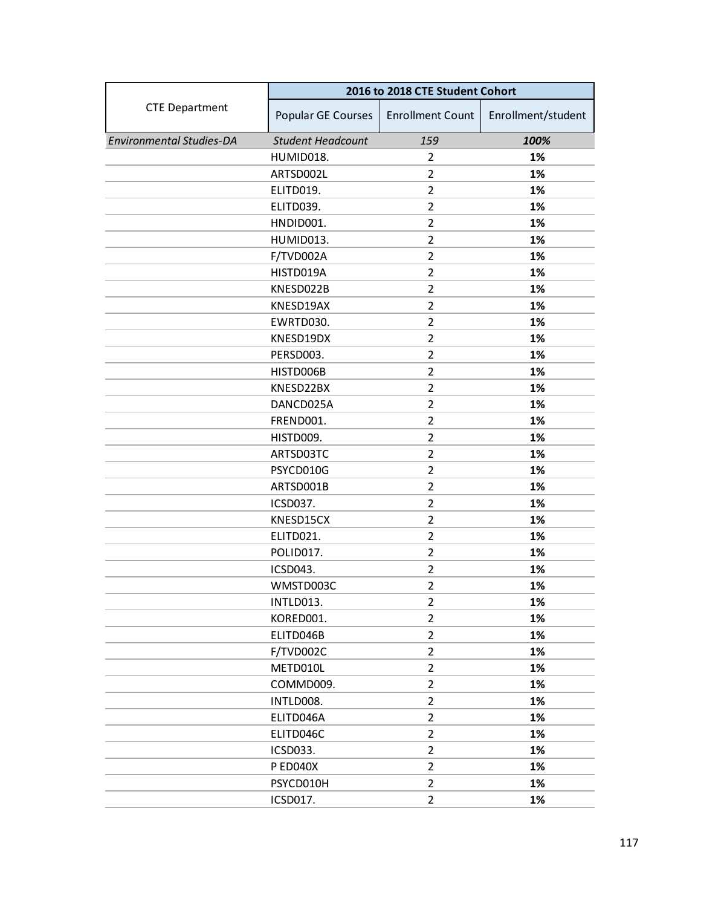|                                 | 2016 to 2018 CTE Student Cohort |                         |                    |
|---------------------------------|---------------------------------|-------------------------|--------------------|
| <b>CTE Department</b>           | Popular GE Courses              | <b>Enrollment Count</b> | Enrollment/student |
| <b>Environmental Studies-DA</b> | <b>Student Headcount</b>        | 159                     | 100%               |
|                                 | HUMID018.                       | 2                       | 1%                 |
|                                 | ARTSD002L                       | $\overline{2}$          | 1%                 |
|                                 | ELITD019.                       | $\overline{2}$          | 1%                 |
|                                 | ELITD039.                       | $\overline{2}$          | 1%                 |
|                                 | HNDID001.                       | $\overline{2}$          | 1%                 |
|                                 | HUMID013.                       | $\overline{2}$          | 1%                 |
|                                 | F/TVD002A                       | $\overline{2}$          | 1%                 |
|                                 | HISTD019A                       | $\overline{2}$          | 1%                 |
|                                 | KNESD022B                       | $\overline{2}$          | 1%                 |
|                                 | KNESD19AX                       | $\overline{2}$          | 1%                 |
|                                 | EWRTD030.                       | $\overline{2}$          | 1%                 |
|                                 | KNESD19DX                       | $\overline{2}$          | 1%                 |
|                                 | PERSD003.                       | $\overline{2}$          | 1%                 |
|                                 | HISTD006B                       | $\overline{2}$          | 1%                 |
|                                 | KNESD22BX                       | $\overline{2}$          | 1%                 |
|                                 | DANCD025A                       | $\overline{2}$          | 1%                 |
|                                 | FREND001.                       | $\overline{2}$          | 1%                 |
|                                 | HISTD009.                       | $\overline{2}$          | 1%                 |
|                                 | ARTSD03TC                       | $\overline{2}$          | 1%                 |
|                                 | PSYCD010G                       | $\overline{2}$          | 1%                 |
|                                 | ARTSD001B                       | $\overline{2}$          | 1%                 |
|                                 | ICSD037.                        | 2                       | 1%                 |
|                                 | KNESD15CX                       | $\overline{2}$          | 1%                 |
|                                 | ELITD021.                       | $\overline{2}$          | 1%                 |
|                                 | POLID017.                       | $\overline{2}$          | 1%                 |
|                                 | ICSD043.                        | $\overline{2}$          | 1%                 |
|                                 | WMSTD003C                       | $\overline{2}$          | 1%                 |
|                                 | INTLD013.                       | $\overline{2}$          | 1%                 |
|                                 | KORED001.                       | $\overline{2}$          | 1%                 |
|                                 | ELITD046B                       | $\overline{2}$          | 1%                 |
|                                 | F/TVD002C                       | $\overline{2}$          | 1%                 |
|                                 | METD010L                        | $\overline{2}$          | 1%                 |
|                                 | COMMD009.                       | $\overline{2}$          | 1%                 |
|                                 | INTLD008.                       | $\overline{2}$          | 1%                 |
|                                 | ELITD046A                       | $\overline{2}$          | 1%                 |
|                                 | ELITD046C                       | $\overline{2}$          | 1%                 |
|                                 | ICSD033.                        | $\overline{2}$          | 1%                 |
|                                 | <b>P ED040X</b>                 | $\overline{2}$          | 1%                 |
|                                 | PSYCD010H                       | $\overline{2}$          | 1%                 |
|                                 | ICSD017.                        | $\overline{2}$          | 1%                 |
|                                 |                                 |                         |                    |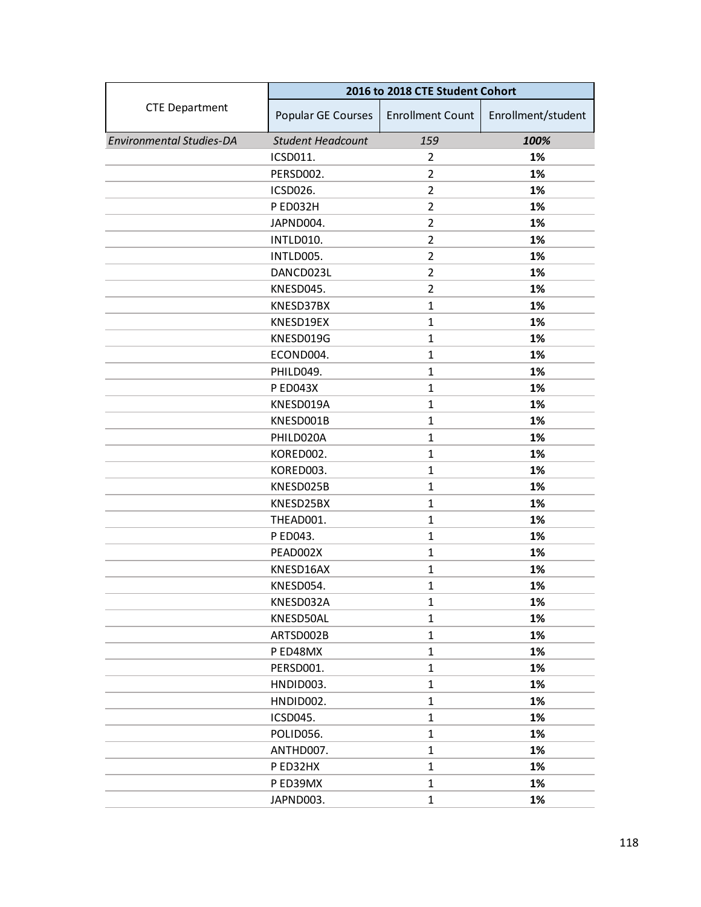|                                 | 2016 to 2018 CTE Student Cohort |                         |                    |
|---------------------------------|---------------------------------|-------------------------|--------------------|
| <b>CTE Department</b>           | Popular GE Courses              | <b>Enrollment Count</b> | Enrollment/student |
| <b>Environmental Studies-DA</b> | <b>Student Headcount</b>        | 159                     | 100%               |
|                                 | ICSD011.                        | $\overline{2}$          | 1%                 |
|                                 | PERSD002.                       | 2                       | 1%                 |
|                                 | ICSD026.                        | $\overline{2}$          | 1%                 |
|                                 | P ED032H                        | $\overline{2}$          | 1%                 |
|                                 | JAPND004.                       | $\overline{2}$          | 1%                 |
|                                 | INTLD010.                       | $\overline{2}$          | 1%                 |
|                                 | INTLD005.                       | 2                       | 1%                 |
|                                 | DANCD023L                       | $\overline{2}$          | 1%                 |
|                                 | KNESD045.                       | $\overline{2}$          | 1%                 |
|                                 | KNESD37BX                       | $\mathbf{1}$            | 1%                 |
|                                 | KNESD19EX                       | $\mathbf{1}$            | 1%                 |
|                                 | KNESD019G                       | $\mathbf{1}$            | 1%                 |
|                                 | ECOND004.                       | $\mathbf{1}$            | 1%                 |
|                                 | PHILD049.                       | $\mathbf{1}$            | 1%                 |
|                                 | <b>P ED043X</b>                 | $\mathbf{1}$            | 1%                 |
|                                 | KNESD019A                       | $\mathbf{1}$            | 1%                 |
|                                 | KNESD001B                       | $\mathbf{1}$            | 1%                 |
|                                 | PHILD020A                       | $\mathbf{1}$            | 1%                 |
|                                 | KORED002.                       | $\mathbf{1}$            | 1%                 |
|                                 | KORED003.                       | $\mathbf{1}$            | 1%                 |
|                                 | KNESD025B                       | $\mathbf{1}$            | 1%                 |
|                                 | KNESD25BX                       | $\mathbf{1}$            | 1%                 |
|                                 | THEAD001.                       | $\mathbf{1}$            | 1%                 |
|                                 | P ED043.                        | $\mathbf{1}$            | 1%                 |
|                                 | PEAD002X                        | $\mathbf{1}$            | 1%                 |
|                                 | KNESD16AX                       | $\mathbf{1}$            | 1%                 |
|                                 | KNESD054.                       | $\mathbf{1}$            | 1%                 |
|                                 | KNESD032A                       | $\mathbf{1}$            | 1%                 |
|                                 | KNESD50AL                       | $\mathbf{1}$            | 1%                 |
|                                 | ARTSD002B                       | $\mathbf{1}$            | 1%                 |
|                                 | P ED48MX                        | $\mathbf{1}$            | 1%                 |
|                                 | PERSD001.                       | $\mathbf{1}$            | 1%                 |
|                                 | HNDID003.                       | $\mathbf{1}$            | 1%                 |
|                                 | HNDID002.                       | $\mathbf{1}$            | 1%                 |
|                                 | ICSD045.                        | $\mathbf{1}$            | 1%                 |
|                                 | POLID056.                       | $\mathbf{1}$            | 1%                 |
|                                 | ANTHD007.                       | $\mathbf{1}$            | 1%                 |
|                                 | P ED32HX                        | $\mathbf{1}$            | 1%                 |
|                                 | P ED39MX                        | $\mathbf{1}$            | 1%                 |
|                                 | JAPND003.                       | $\mathbf{1}$            | 1%                 |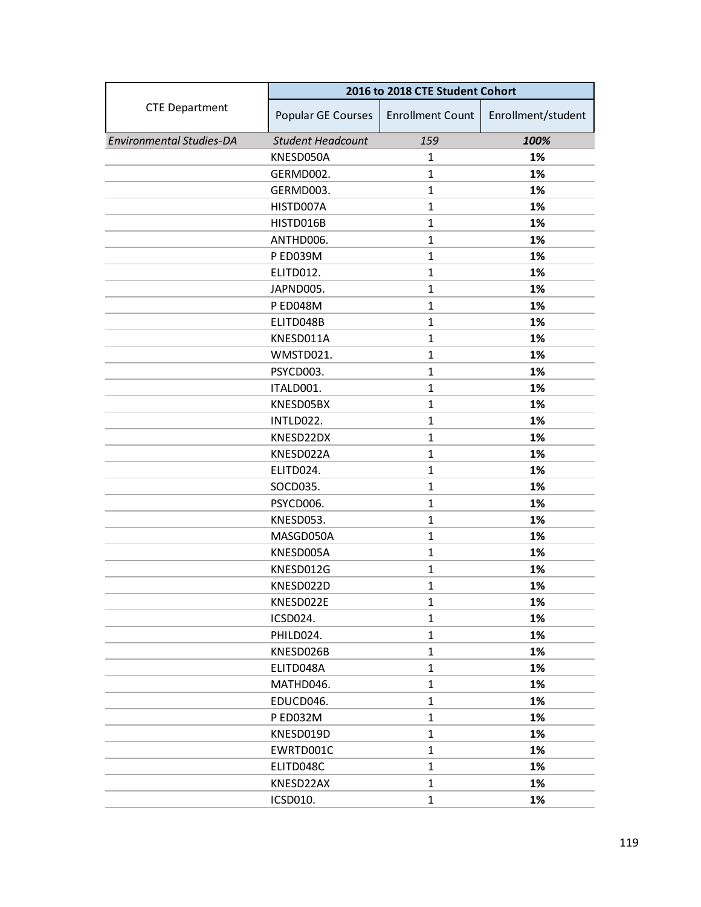|                                 | 2016 to 2018 CTE Student Cohort |                         |                    |
|---------------------------------|---------------------------------|-------------------------|--------------------|
| <b>CTE Department</b>           | Popular GE Courses              | <b>Enrollment Count</b> | Enrollment/student |
| <b>Environmental Studies-DA</b> | <b>Student Headcount</b>        | 159                     | 100%               |
|                                 | KNESD050A                       | 1                       | 1%                 |
|                                 | GERMD002.                       | $\mathbf{1}$            | 1%                 |
|                                 | GERMD003.                       | $\mathbf{1}$            | 1%                 |
|                                 | HISTD007A                       | $\mathbf{1}$            | 1%                 |
|                                 | HISTD016B                       | $\mathbf{1}$            | 1%                 |
|                                 | ANTHD006.                       | $\mathbf{1}$            | 1%                 |
|                                 | P ED039M                        | $\mathbf{1}$            | 1%                 |
|                                 | ELITD012.                       | $\mathbf{1}$            | 1%                 |
|                                 | JAPND005.                       | $\mathbf{1}$            | 1%                 |
|                                 | P ED048M                        | $\mathbf{1}$            | 1%                 |
|                                 | ELITD048B                       | $\mathbf{1}$            | 1%                 |
|                                 | KNESD011A                       | $\mathbf{1}$            | 1%                 |
|                                 | WMSTD021.                       | $\mathbf{1}$            | 1%                 |
|                                 | PSYCD003.                       | $\mathbf{1}$            | 1%                 |
|                                 | ITALD001.                       | $\mathbf{1}$            | 1%                 |
|                                 | KNESD05BX                       | $\mathbf{1}$            | 1%                 |
|                                 | INTLD022.                       | $\mathbf{1}$            | 1%                 |
|                                 | KNESD22DX                       | $\mathbf{1}$            | 1%                 |
|                                 | KNESD022A                       | $\mathbf{1}$            | 1%                 |
|                                 | ELITD024.                       | $\mathbf{1}$            | 1%                 |
|                                 | SOCD035.                        | $\mathbf{1}$            | 1%                 |
|                                 | PSYCD006.                       | $\mathbf{1}$            | 1%                 |
|                                 | KNESD053.                       | $\mathbf{1}$            | 1%                 |
|                                 | MASGD050A                       | $\mathbf{1}$            | 1%                 |
|                                 | KNESD005A                       | $\mathbf{1}$            | 1%                 |
|                                 | KNESD012G                       | $\mathbf{1}$            | 1%                 |
|                                 | KNESD022D                       | $\mathbf{1}$            | 1%                 |
|                                 | KNESD022E                       | $\mathbf{1}$            | 1%                 |
|                                 | ICSD024.                        | $\mathbf{1}$            | 1%                 |
|                                 | PHILD024.                       | $\mathbf{1}$            | 1%                 |
|                                 | KNESD026B                       | $\mathbf{1}$            | 1%                 |
|                                 | ELITD048A                       | $\mathbf{1}$            | 1%                 |
|                                 | MATHD046.                       | $\mathbf{1}$            | 1%                 |
|                                 | EDUCD046.                       | $\mathbf{1}$            | 1%                 |
|                                 | P ED032M                        | $\mathbf{1}$            | 1%                 |
|                                 | KNESD019D                       | $\mathbf{1}$            | 1%                 |
|                                 | EWRTD001C                       | $\mathbf{1}$            | 1%                 |
|                                 | ELITD048C                       | $\mathbf{1}$            | 1%                 |
|                                 | KNESD22AX                       | $\mathbf{1}$            | 1%                 |
|                                 | ICSD010.                        | $\mathbf{1}$            | 1%                 |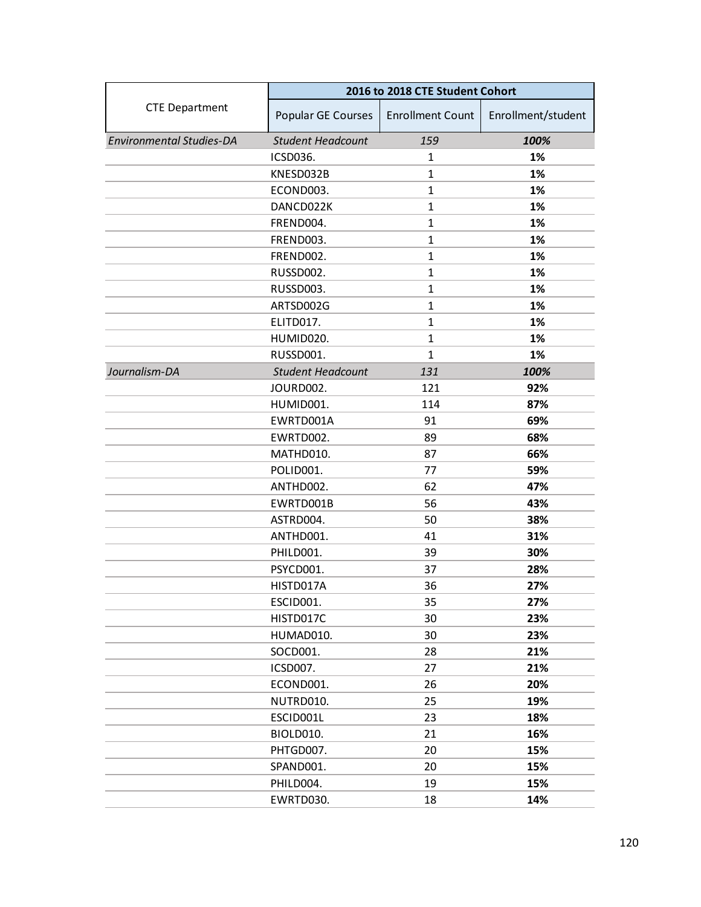|                                 | 2016 to 2018 CTE Student Cohort |                         |                    |
|---------------------------------|---------------------------------|-------------------------|--------------------|
| <b>CTE Department</b>           | Popular GE Courses              | <b>Enrollment Count</b> | Enrollment/student |
| <b>Environmental Studies-DA</b> | <b>Student Headcount</b>        | 159                     | 100%               |
|                                 | ICSD036.                        | 1                       | 1%                 |
|                                 | KNESD032B                       | $\mathbf{1}$            | 1%                 |
|                                 | ECOND003.                       | $\mathbf{1}$            | 1%                 |
|                                 | DANCD022K                       | $\mathbf{1}$            | 1%                 |
|                                 | FREND004.                       | $\mathbf{1}$            | 1%                 |
|                                 | FREND003.                       | $\mathbf{1}$            | 1%                 |
|                                 | FREND002.                       | $\mathbf{1}$            | 1%                 |
|                                 | RUSSD002.                       | $\mathbf{1}$            | 1%                 |
|                                 | RUSSD003.                       | $\mathbf{1}$            | 1%                 |
|                                 | ARTSD002G                       | $\mathbf{1}$            | 1%                 |
|                                 | ELITD017.                       | 1                       | 1%                 |
|                                 | HUMID020.                       | $\mathbf{1}$            | 1%                 |
|                                 | RUSSD001.                       | $\mathbf{1}$            | 1%                 |
| Journalism-DA                   | <b>Student Headcount</b>        | 131                     | 100%               |
|                                 | JOURD002.                       | 121                     | 92%                |
|                                 | HUMID001.                       | 114                     | 87%                |
|                                 | EWRTD001A                       | 91                      | 69%                |
|                                 | EWRTD002.                       | 89                      | 68%                |
|                                 | MATHD010.                       | 87                      | 66%                |
|                                 | POLID001.                       | 77                      | 59%                |
|                                 | ANTHD002.                       | 62                      | 47%                |
|                                 | EWRTD001B                       | 56                      | 43%                |
|                                 | ASTRD004.                       | 50                      | 38%                |
|                                 | ANTHD001.                       | 41                      | 31%                |
|                                 | PHILD001.                       | 39                      | 30%                |
|                                 | PSYCD001.                       | 37                      | 28%                |
|                                 | HISTD017A                       | 36                      | 27%                |
|                                 | ESCID001.                       | 35                      | 27%                |
|                                 | HISTD017C                       | 30                      | 23%                |
|                                 | HUMAD010.                       | 30                      | 23%                |
|                                 | SOCD001.                        | 28                      | 21%                |
|                                 | ICSD007.                        | 27                      | 21%                |
|                                 | ECOND001.                       | 26                      | 20%                |
|                                 | NUTRD010.                       | 25                      | 19%                |
|                                 | ESCID001L                       | 23                      | 18%                |
|                                 | BIOLD010.                       | 21                      | 16%                |
|                                 | PHTGD007.                       | 20                      | 15%                |
|                                 | SPAND001.                       | 20                      | 15%                |
|                                 | PHILD004.                       | 19                      | 15%                |
|                                 | EWRTD030.                       | 18                      | 14%                |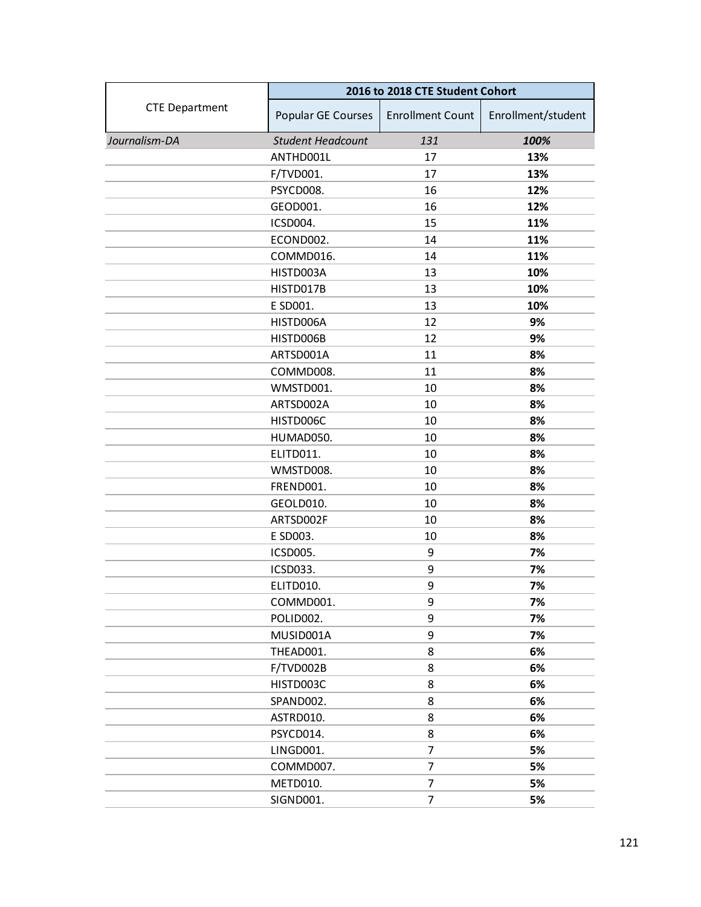|                       | 2016 to 2018 CTE Student Cohort |                         |                    |
|-----------------------|---------------------------------|-------------------------|--------------------|
| <b>CTE Department</b> | Popular GE Courses              | <b>Enrollment Count</b> | Enrollment/student |
| Journalism-DA         | <b>Student Headcount</b>        | 131                     | 100%               |
|                       | ANTHD001L                       | 17                      | 13%                |
|                       | F/TVD001.                       | 17                      | 13%                |
|                       | PSYCD008.                       | 16                      | 12%                |
|                       | GEOD001.                        | 16                      | 12%                |
|                       | ICSD004.                        | 15                      | 11%                |
|                       | ECOND002.                       | 14                      | 11%                |
|                       | COMMD016.                       | 14                      | 11%                |
|                       | HISTD003A                       | 13                      | 10%                |
|                       | HISTD017B                       | 13                      | 10%                |
|                       | E SD001.                        | 13                      | 10%                |
|                       | HISTD006A                       | 12                      | 9%                 |
|                       | HISTD006B                       | 12                      | 9%                 |
|                       | ARTSD001A                       | 11                      | 8%                 |
|                       | COMMD008.                       | 11                      | 8%                 |
|                       | WMSTD001.                       | 10                      | 8%                 |
|                       | ARTSD002A                       | 10                      | 8%                 |
|                       | HISTD006C                       | 10                      | 8%                 |
|                       | HUMAD050.                       | 10                      | 8%                 |
|                       | ELITD011.                       | 10                      | 8%                 |
|                       | WMSTD008.                       | 10                      | 8%                 |
|                       | FREND001.                       | 10                      | 8%                 |
|                       | GEOLD010.                       | 10                      | 8%                 |
|                       | ARTSD002F                       | 10                      | 8%                 |
|                       | E SD003.                        | 10                      | 8%                 |
|                       | <b>ICSD005.</b>                 | 9                       | 7%                 |
|                       | ICSD033.                        | 9                       | 7%                 |
|                       | ELITD010.                       | 9                       | 7%                 |
|                       | COMMD001.                       | 9                       | 7%                 |
|                       | POLID002.                       | 9                       | 7%                 |
|                       | MUSID001A                       | 9                       | 7%                 |
|                       | THEAD001.                       | 8                       | 6%                 |
|                       | F/TVD002B                       | 8                       | 6%                 |
|                       | HISTD003C                       | 8                       | 6%                 |
|                       | SPAND002.                       | 8                       | 6%                 |
|                       | ASTRD010.                       | 8                       | 6%                 |
|                       | PSYCD014.                       | 8                       | 6%                 |
|                       | LINGD001.                       | 7                       | 5%                 |
|                       | COMMD007.                       | 7                       | 5%                 |
|                       | METD010.                        | 7                       | 5%                 |
|                       | SIGND001.                       | 7                       | 5%                 |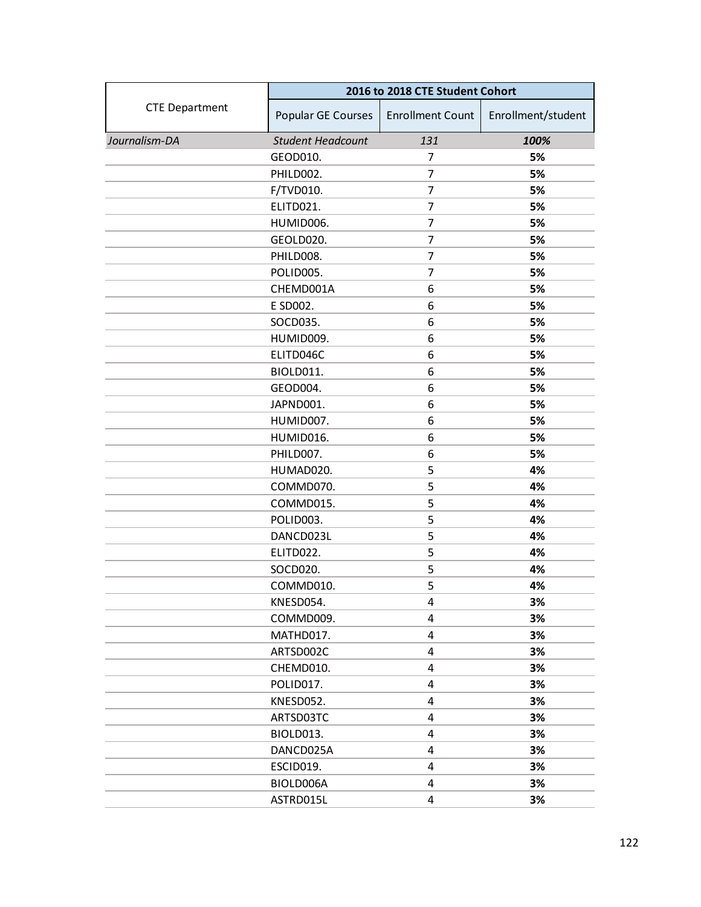|                       | 2016 to 2018 CTE Student Cohort |                         |                    |
|-----------------------|---------------------------------|-------------------------|--------------------|
| <b>CTE Department</b> | Popular GE Courses              | <b>Enrollment Count</b> | Enrollment/student |
| Journalism-DA         | <b>Student Headcount</b>        | 131                     | 100%               |
|                       | GEOD010.                        | 7                       | 5%                 |
|                       | PHILD002.                       | 7                       | 5%                 |
|                       | F/TVD010.                       | 7                       | 5%                 |
|                       | ELITD021.                       | 7                       | 5%                 |
|                       | HUMID006.                       | 7                       | 5%                 |
|                       | GEOLD020.                       | 7                       | 5%                 |
|                       | PHILD008.                       | 7                       | 5%                 |
|                       | POLID005.                       | 7                       | 5%                 |
|                       | CHEMD001A                       | 6                       | 5%                 |
|                       | E SD002.                        | 6                       | 5%                 |
|                       | SOCD035.                        | 6                       | 5%                 |
|                       | HUMID009.                       | 6                       | 5%                 |
|                       | ELITD046C                       | 6                       | 5%                 |
|                       | BIOLD011.                       | 6                       | 5%                 |
|                       | GEOD004.                        | 6                       | 5%                 |
|                       | JAPND001.                       | 6                       | 5%                 |
|                       | HUMID007.                       | 6                       | 5%                 |
|                       | HUMID016.                       | 6                       | 5%                 |
|                       | PHILD007.                       | 6                       | 5%                 |
|                       | HUMAD020.                       | 5                       | 4%                 |
|                       | COMMD070.                       | 5                       | 4%                 |
|                       | COMMD015.                       | 5                       | 4%                 |
|                       | POLID003.                       | 5                       | 4%                 |
|                       | DANCD023L                       | 5                       | 4%                 |
|                       | ELITD022.                       | 5                       | 4%                 |
|                       | SOCD020.                        | 5                       | 4%                 |
|                       | COMMD010.                       | 5                       | 4%                 |
|                       | KNESD054.                       | 4                       | 3%                 |
|                       | COMMD009.                       | 4                       | 3%                 |
|                       | MATHD017.                       | 4                       | 3%                 |
|                       | ARTSD002C                       | 4                       | 3%                 |
|                       | CHEMD010.                       | 4                       | 3%                 |
|                       | POLID017.                       | 4                       | 3%                 |
|                       | KNESD052.                       | 4                       | 3%                 |
|                       | ARTSD03TC                       | 4                       | 3%                 |
|                       | BIOLD013.                       | 4                       | 3%                 |
|                       | DANCD025A                       | 4                       | 3%                 |
|                       | ESCID019.                       | 4                       | 3%                 |
|                       | BIOLD006A                       | 4                       | 3%                 |
|                       | ASTRD015L                       | 4                       | 3%                 |
|                       |                                 |                         |                    |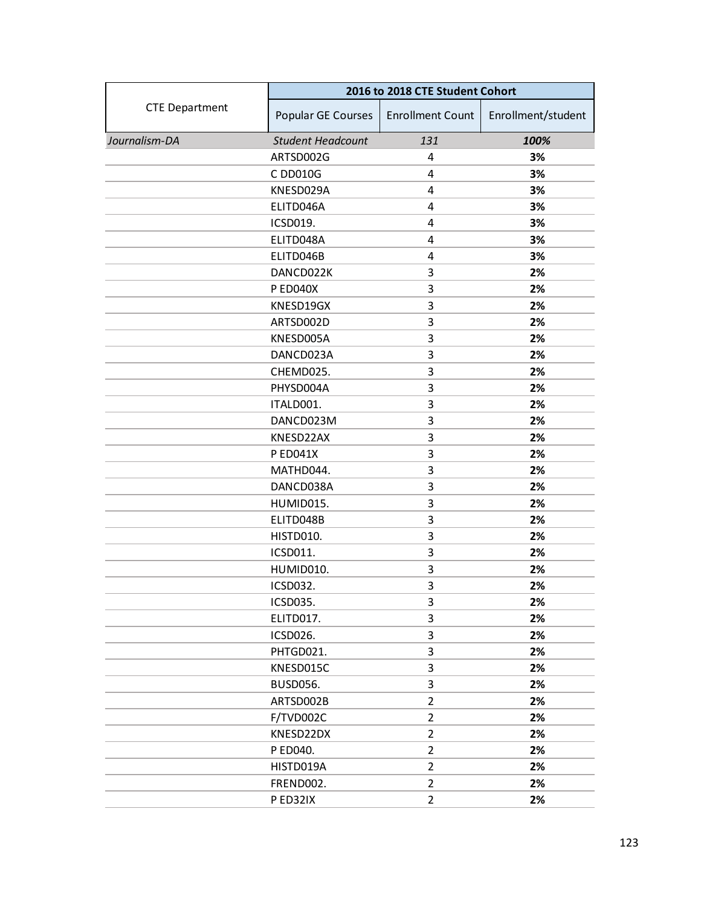|                       | 2016 to 2018 CTE Student Cohort |                         |                    |
|-----------------------|---------------------------------|-------------------------|--------------------|
| <b>CTE Department</b> | Popular GE Courses              | <b>Enrollment Count</b> | Enrollment/student |
| Journalism-DA         | <b>Student Headcount</b>        | 131                     | 100%               |
|                       | ARTSD002G                       | 4                       | 3%                 |
|                       | C DD010G                        | 4                       | 3%                 |
|                       | KNESD029A                       | 4                       | 3%                 |
|                       | ELITD046A                       | 4                       | 3%                 |
|                       | ICSD019.                        | 4                       | 3%                 |
|                       | ELITD048A                       | 4                       | 3%                 |
|                       | ELITD046B                       | 4                       | 3%                 |
|                       | DANCD022K                       | 3                       | 2%                 |
|                       | P ED040X                        | 3                       | 2%                 |
|                       | KNESD19GX                       | 3                       | 2%                 |
|                       | ARTSD002D                       | 3                       | 2%                 |
|                       | KNESD005A                       | 3                       | 2%                 |
|                       | DANCD023A                       | 3                       | 2%                 |
|                       | CHEMD025.                       | 3                       | 2%                 |
|                       | PHYSD004A                       | 3                       | 2%                 |
|                       | ITALD001.                       | 3                       | 2%                 |
|                       | DANCD023M                       | 3                       | 2%                 |
|                       | KNESD22AX                       | 3                       | 2%                 |
|                       | <b>P ED041X</b>                 | 3                       | 2%                 |
|                       | MATHD044.                       | 3                       | 2%                 |
|                       | DANCD038A                       | 3                       | 2%                 |
|                       | HUMID015.                       | 3                       | 2%                 |
|                       | ELITD048B                       | 3                       | 2%                 |
|                       | <b>HISTD010.</b>                | 3                       | 2%                 |
|                       | ICSD011.                        | 3                       | 2%                 |
|                       | HUMID010.                       | 3                       | 2%                 |
|                       | ICSD032.                        | 3                       | 2%                 |
|                       | ICSD035.                        | 3                       | 2%                 |
|                       | ELITD017.                       | 3                       | 2%                 |
|                       | ICSD026.                        | 3                       | 2%                 |
|                       | PHTGD021.                       | 3                       | 2%                 |
|                       | KNESD015C                       | 3                       | 2%                 |
|                       | <b>BUSD056.</b>                 | 3                       | 2%                 |
|                       | ARTSD002B                       | $\overline{2}$          | 2%                 |
|                       | F/TVD002C                       | $\overline{2}$          | 2%                 |
|                       | KNESD22DX                       | $\overline{2}$          | 2%                 |
|                       | P ED040.                        | $\overline{2}$          | 2%                 |
|                       | HISTD019A                       | $\overline{2}$          | 2%                 |
|                       | FREND002.                       | $\overline{2}$          | 2%                 |
|                       | P ED32IX                        | $\overline{2}$          | 2%                 |
|                       |                                 |                         |                    |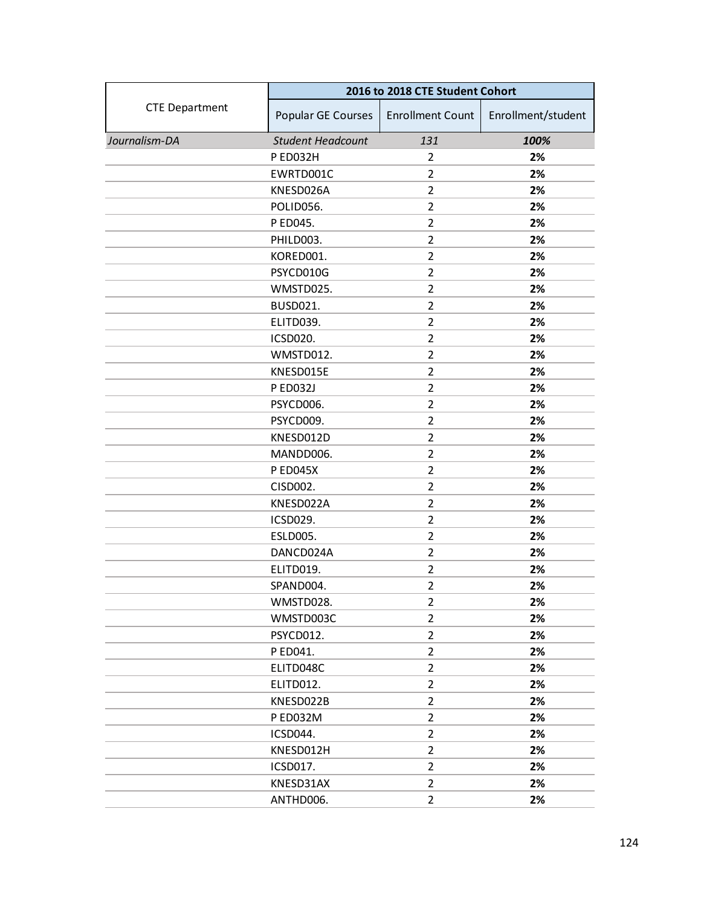|                       | 2016 to 2018 CTE Student Cohort |                         |                    |
|-----------------------|---------------------------------|-------------------------|--------------------|
| <b>CTE Department</b> | Popular GE Courses              | <b>Enrollment Count</b> | Enrollment/student |
| Journalism-DA         | <b>Student Headcount</b>        | 131                     | 100%               |
|                       | P ED032H                        | $\overline{2}$          | 2%                 |
|                       | EWRTD001C                       | $\overline{2}$          | 2%                 |
|                       | KNESD026A                       | $\overline{2}$          | 2%                 |
|                       | POLID056.                       | $\overline{2}$          | 2%                 |
|                       | P ED045.                        | $\overline{2}$          | 2%                 |
|                       | PHILD003.                       | $\overline{2}$          | 2%                 |
|                       | KORED001.                       | $\overline{2}$          | 2%                 |
|                       | PSYCD010G                       | $\overline{2}$          | 2%                 |
|                       | WMSTD025.                       | $\overline{2}$          | 2%                 |
|                       | <b>BUSD021.</b>                 | $\overline{2}$          | 2%                 |
|                       | ELITD039.                       | $\overline{2}$          | 2%                 |
|                       | ICSD020.                        | $\overline{2}$          | 2%                 |
|                       | WMSTD012.                       | $\overline{2}$          | 2%                 |
|                       | KNESD015E                       | $\overline{2}$          | 2%                 |
|                       | P ED032J                        | $\overline{2}$          | 2%                 |
|                       | PSYCD006.                       | $\overline{2}$          | 2%                 |
|                       | PSYCD009.                       | $\overline{2}$          | 2%                 |
|                       | KNESD012D                       | $\overline{2}$          | 2%                 |
|                       | MANDD006.                       | $\overline{2}$          | 2%                 |
|                       | <b>P ED045X</b>                 | $\overline{2}$          | 2%                 |
|                       | CISD002.                        | $\overline{2}$          | 2%                 |
|                       | KNESD022A                       | $\overline{2}$          | 2%                 |
|                       | ICSD029.                        | $\overline{2}$          | 2%                 |
|                       | <b>ESLD005.</b>                 | $\overline{2}$          | 2%                 |
|                       | DANCD024A                       | $\overline{2}$          | 2%                 |
|                       | ELITD019.                       | $\overline{2}$          | 2%                 |
|                       | SPAND004.                       | $\overline{2}$          | 2%                 |
|                       | WMSTD028.                       | $\overline{2}$          | 2%                 |
|                       | WMSTD003C                       | $\overline{2}$          | 2%                 |
|                       | PSYCD012.                       | $\overline{2}$          | 2%                 |
|                       | P ED041.                        | $\overline{2}$          | 2%                 |
|                       | ELITD048C                       | $\overline{2}$          | 2%                 |
|                       | ELITD012.                       | $\overline{2}$          | 2%                 |
|                       | KNESD022B                       | $\overline{2}$          | 2%                 |
|                       | P ED032M                        | $\overline{2}$          | 2%                 |
|                       | ICSD044.                        | $\overline{2}$          | 2%                 |
|                       | KNESD012H                       | $\overline{2}$          | 2%                 |
|                       | ICSD017.                        | $\overline{2}$          | 2%                 |
|                       | KNESD31AX                       | $\overline{2}$          | 2%                 |
|                       | ANTHD006.                       | $\overline{2}$          | 2%                 |
|                       |                                 |                         |                    |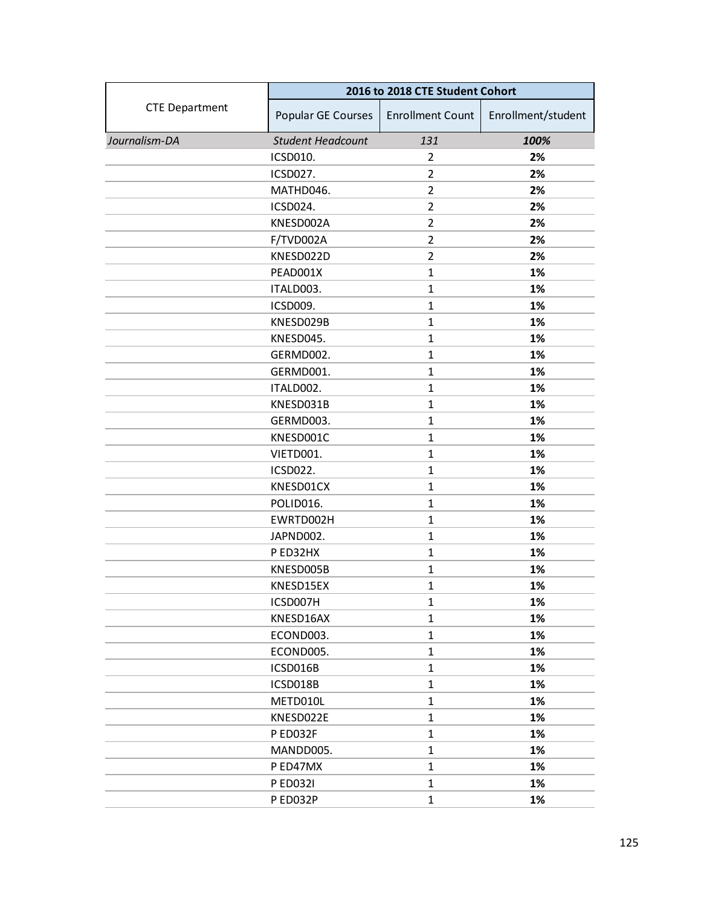|                       | 2016 to 2018 CTE Student Cohort |                         |                    |
|-----------------------|---------------------------------|-------------------------|--------------------|
| <b>CTE Department</b> | Popular GE Courses              | <b>Enrollment Count</b> | Enrollment/student |
| Journalism-DA         | <b>Student Headcount</b>        | 131                     | 100%               |
|                       | ICSD010.                        | 2                       | 2%                 |
|                       | ICSD027.                        | $\overline{2}$          | 2%                 |
|                       | MATHD046.                       | $\overline{2}$          | 2%                 |
|                       | ICSD024.                        | $\overline{2}$          | 2%                 |
|                       | KNESD002A                       | $\overline{2}$          | 2%                 |
|                       | F/TVD002A                       | $\overline{2}$          | 2%                 |
|                       | KNESD022D                       | $\overline{2}$          | 2%                 |
|                       | PEAD001X                        | $\mathbf{1}$            | 1%                 |
|                       | ITALD003.                       | $\mathbf{1}$            | 1%                 |
|                       | ICSD009.                        | $\mathbf{1}$            | 1%                 |
|                       | KNESD029B                       | $\mathbf{1}$            | 1%                 |
|                       | KNESD045.                       | $\mathbf{1}$            | 1%                 |
|                       | GERMD002.                       | $\mathbf{1}$            | 1%                 |
|                       | GERMD001.                       | $\mathbf{1}$            | 1%                 |
|                       | ITALD002.                       | $\mathbf{1}$            | 1%                 |
|                       | KNESD031B                       | $\mathbf{1}$            | 1%                 |
|                       | GERMD003.                       | $\mathbf{1}$            | 1%                 |
|                       | KNESD001C                       | $\mathbf{1}$            | 1%                 |
|                       | VIETD001.                       | $\mathbf{1}$            | 1%                 |
|                       | ICSD022.                        | $\mathbf{1}$            | 1%                 |
|                       | KNESD01CX                       | $\mathbf{1}$            | 1%                 |
|                       | POLID016.                       | $\mathbf{1}$            | 1%                 |
|                       | EWRTD002H                       | $\mathbf{1}$            | 1%                 |
|                       | JAPND002.                       | $\mathbf{1}$            | 1%                 |
|                       | P ED32HX                        | $\mathbf{1}$            | 1%                 |
|                       | KNESD005B                       | $\mathbf{1}$            | 1%                 |
|                       | KNESD15EX                       | $\mathbf{1}$            | 1%                 |
|                       | ICSD007H                        | $\mathbf{1}$            | 1%                 |
|                       | KNESD16AX                       | $\mathbf{1}$            | 1%                 |
|                       | ECOND003.                       | $\mathbf{1}$            | 1%                 |
|                       | ECOND005.                       | $\mathbf{1}$            | 1%                 |
|                       | ICSD016B                        | $\mathbf{1}$            | 1%                 |
|                       | ICSD018B                        | $\mathbf{1}$            | 1%                 |
|                       | METD010L                        | $\mathbf{1}$            | 1%                 |
|                       | KNESD022E                       | $\mathbf{1}$            | 1%                 |
|                       | P ED032F                        | $\mathbf{1}$            | 1%                 |
|                       | MANDD005.                       | $\mathbf{1}$            | 1%                 |
|                       | P ED47MX                        | $\mathbf{1}$            | 1%                 |
|                       | <b>PED0321</b>                  | $\mathbf{1}$            | 1%                 |
|                       | P ED032P                        | $\mathbf{1}$            | 1%                 |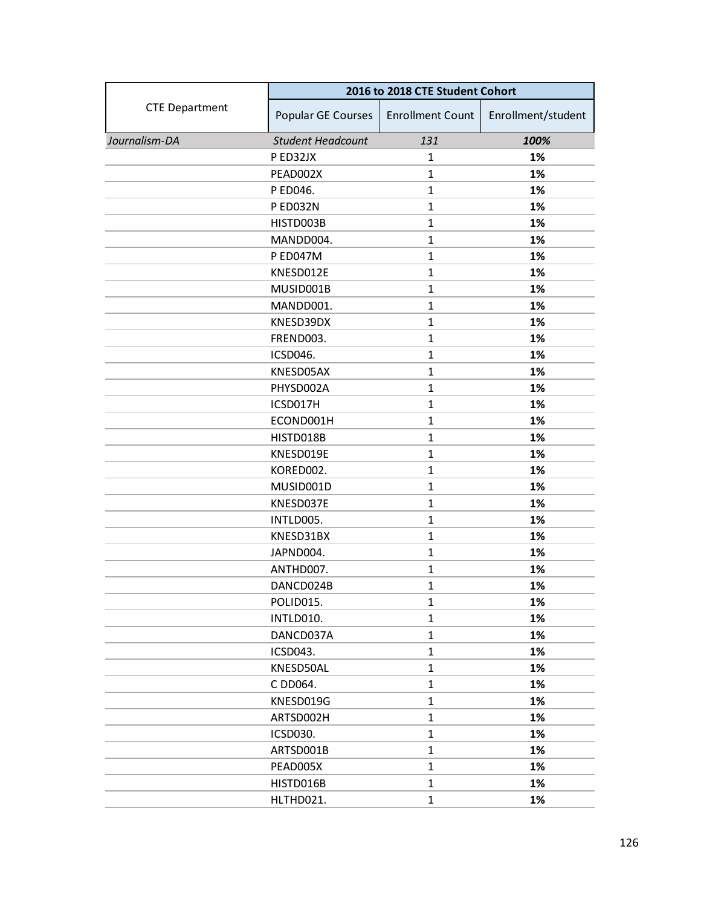|                       | 2016 to 2018 CTE Student Cohort |                         |                    |
|-----------------------|---------------------------------|-------------------------|--------------------|
| <b>CTE Department</b> | Popular GE Courses              | <b>Enrollment Count</b> | Enrollment/student |
| Journalism-DA         | <b>Student Headcount</b>        | 131                     | 100%               |
|                       | P ED32JX                        | 1                       | 1%                 |
|                       | PEAD002X                        | $\mathbf{1}$            | 1%                 |
|                       | P ED046.                        | $\mathbf{1}$            | 1%                 |
|                       | P ED032N                        | $\mathbf{1}$            | 1%                 |
|                       | HISTD003B                       | $\mathbf{1}$            | 1%                 |
|                       | MANDD004.                       | $\mathbf{1}$            | 1%                 |
|                       | <b>P ED047M</b>                 | $\mathbf{1}$            | 1%                 |
|                       | KNESD012E                       | $\mathbf{1}$            | 1%                 |
|                       | MUSID001B                       | $\mathbf{1}$            | 1%                 |
|                       | MANDD001.                       | $\mathbf{1}$            | 1%                 |
|                       | KNESD39DX                       | $\mathbf{1}$            | 1%                 |
|                       | FREND003.                       | $\mathbf{1}$            | 1%                 |
|                       | ICSD046.                        | $\mathbf{1}$            | 1%                 |
|                       | KNESD05AX                       | $\mathbf{1}$            | 1%                 |
|                       | PHYSD002A                       | $\mathbf{1}$            | 1%                 |
|                       | ICSD017H                        | $\mathbf{1}$            | 1%                 |
|                       | ECOND001H                       | $\mathbf{1}$            | 1%                 |
|                       | HISTD018B                       | $\mathbf{1}$            | 1%                 |
|                       | KNESD019E                       | $\mathbf{1}$            | 1%                 |
|                       | KORED002.                       | $\mathbf{1}$            | 1%                 |
|                       | MUSID001D                       | $\mathbf{1}$            | 1%                 |
|                       | KNESD037E                       | $\mathbf{1}$            | 1%                 |
|                       | INTLD005.                       | $\mathbf{1}$            | 1%                 |
|                       | KNESD31BX                       | $\mathbf{1}$            | 1%                 |
|                       | JAPND004.                       | $\mathbf{1}$            | 1%                 |
|                       | ANTHD007.                       | $\mathbf{1}$            | 1%                 |
|                       | DANCD024B                       | $\mathbf{1}$            | 1%                 |
|                       | POLID015.                       | $\mathbf{1}$            | 1%                 |
|                       | INTLD010.                       | $\mathbf{1}$            | 1%                 |
|                       | DANCD037A                       | $\mathbf{1}$            | 1%                 |
|                       | ICSD043.                        | $\mathbf{1}$            | 1%                 |
|                       | KNESD50AL                       | $\mathbf{1}$            | 1%                 |
|                       | C DD064.                        | $\mathbf{1}$            | 1%                 |
|                       | KNESD019G                       | $\mathbf{1}$            | 1%                 |
|                       | ARTSD002H                       | $\mathbf{1}$            | 1%                 |
|                       | ICSD030.                        | $\mathbf{1}$            | 1%                 |
|                       | ARTSD001B                       | $\mathbf{1}$            | 1%                 |
|                       | PEAD005X                        | $\mathbf{1}$            | 1%                 |
|                       | HISTD016B                       | $\mathbf{1}$            | 1%                 |
|                       | HLTHD021.                       | $\mathbf{1}$            | 1%                 |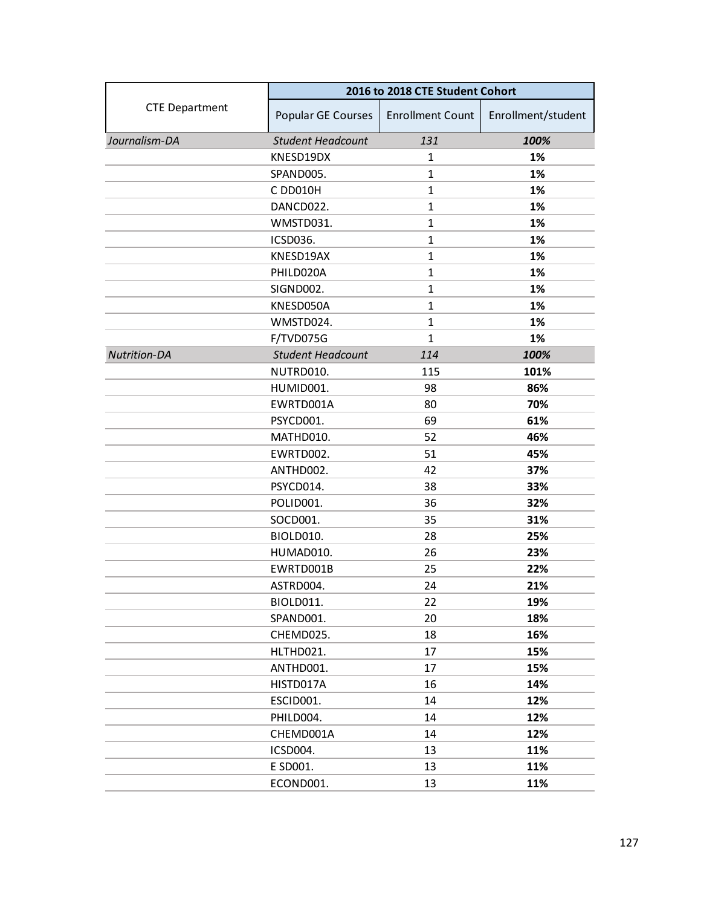| <b>CTE Department</b><br>Popular GE Courses<br><b>Enrollment Count</b><br>Enrollment/student<br>131<br>Journalism-DA<br><b>Student Headcount</b><br>100%<br>KNESD19DX<br>1%<br>1<br>1%<br>SPAND005.<br>$\mathbf{1}$<br>1%<br>C DD010H<br>$\mathbf{1}$<br>DANCD022.<br>$\mathbf{1}$<br>1%<br>WMSTD031.<br>$\mathbf{1}$<br>1%<br>ICSD036.<br>$\mathbf{1}$<br>1%<br>KNESD19AX<br>$\mathbf{1}$<br>1%<br>1%<br>PHILD020A<br>$\mathbf{1}$<br>SIGND002.<br>$\mathbf{1}$<br>1%<br>KNESD050A<br>$\mathbf{1}$<br>1%<br>WMSTD024.<br>$\mathbf{1}$<br>1%<br>F/TVD075G<br>1%<br>$\mathbf{1}$<br><b>Nutrition-DA</b><br><b>Student Headcount</b><br>114<br>100%<br>NUTRD010.<br>115<br>101%<br>HUMID001.<br>98<br>86%<br>EWRTD001A<br>80<br>70%<br>69<br>61%<br>PSYCD001.<br>46%<br>MATHD010.<br>52<br>EWRTD002.<br>51<br>45%<br>ANTHD002.<br>42<br>37%<br>PSYCD014.<br>38<br>33%<br>36<br>32%<br>POLID001.<br>35<br>31%<br>SOCD001.<br>BIOLD010.<br>28<br>25%<br>26<br>23%<br>HUMAD010.<br>25<br>EWRTD001B<br>22%<br>ASTRD004.<br>24<br>21%<br>BIOLD011.<br>22<br>19%<br>SPAND001.<br>20<br>18%<br>18<br>16%<br>CHEMD025.<br>17<br>15%<br>HLTHD021.<br>ANTHD001.<br>17<br>15%<br>16<br>HISTD017A<br>14%<br>ESCID001.<br>14<br>12%<br>PHILD004.<br>14<br>12%<br>CHEMD001A<br>14<br>12%<br>ICSD004.<br>13<br>11%<br>E SD001.<br>13<br>11%<br>11%<br>ECOND001.<br>13 | 2016 to 2018 CTE Student Cohort |  |  |
|------------------------------------------------------------------------------------------------------------------------------------------------------------------------------------------------------------------------------------------------------------------------------------------------------------------------------------------------------------------------------------------------------------------------------------------------------------------------------------------------------------------------------------------------------------------------------------------------------------------------------------------------------------------------------------------------------------------------------------------------------------------------------------------------------------------------------------------------------------------------------------------------------------------------------------------------------------------------------------------------------------------------------------------------------------------------------------------------------------------------------------------------------------------------------------------------------------------------------------------------------------------------------------------------------------------------------------------------------|---------------------------------|--|--|
|                                                                                                                                                                                                                                                                                                                                                                                                                                                                                                                                                                                                                                                                                                                                                                                                                                                                                                                                                                                                                                                                                                                                                                                                                                                                                                                                                      |                                 |  |  |
|                                                                                                                                                                                                                                                                                                                                                                                                                                                                                                                                                                                                                                                                                                                                                                                                                                                                                                                                                                                                                                                                                                                                                                                                                                                                                                                                                      |                                 |  |  |
|                                                                                                                                                                                                                                                                                                                                                                                                                                                                                                                                                                                                                                                                                                                                                                                                                                                                                                                                                                                                                                                                                                                                                                                                                                                                                                                                                      |                                 |  |  |
|                                                                                                                                                                                                                                                                                                                                                                                                                                                                                                                                                                                                                                                                                                                                                                                                                                                                                                                                                                                                                                                                                                                                                                                                                                                                                                                                                      |                                 |  |  |
|                                                                                                                                                                                                                                                                                                                                                                                                                                                                                                                                                                                                                                                                                                                                                                                                                                                                                                                                                                                                                                                                                                                                                                                                                                                                                                                                                      |                                 |  |  |
|                                                                                                                                                                                                                                                                                                                                                                                                                                                                                                                                                                                                                                                                                                                                                                                                                                                                                                                                                                                                                                                                                                                                                                                                                                                                                                                                                      |                                 |  |  |
|                                                                                                                                                                                                                                                                                                                                                                                                                                                                                                                                                                                                                                                                                                                                                                                                                                                                                                                                                                                                                                                                                                                                                                                                                                                                                                                                                      |                                 |  |  |
|                                                                                                                                                                                                                                                                                                                                                                                                                                                                                                                                                                                                                                                                                                                                                                                                                                                                                                                                                                                                                                                                                                                                                                                                                                                                                                                                                      |                                 |  |  |
|                                                                                                                                                                                                                                                                                                                                                                                                                                                                                                                                                                                                                                                                                                                                                                                                                                                                                                                                                                                                                                                                                                                                                                                                                                                                                                                                                      |                                 |  |  |
|                                                                                                                                                                                                                                                                                                                                                                                                                                                                                                                                                                                                                                                                                                                                                                                                                                                                                                                                                                                                                                                                                                                                                                                                                                                                                                                                                      |                                 |  |  |
|                                                                                                                                                                                                                                                                                                                                                                                                                                                                                                                                                                                                                                                                                                                                                                                                                                                                                                                                                                                                                                                                                                                                                                                                                                                                                                                                                      |                                 |  |  |
|                                                                                                                                                                                                                                                                                                                                                                                                                                                                                                                                                                                                                                                                                                                                                                                                                                                                                                                                                                                                                                                                                                                                                                                                                                                                                                                                                      |                                 |  |  |
|                                                                                                                                                                                                                                                                                                                                                                                                                                                                                                                                                                                                                                                                                                                                                                                                                                                                                                                                                                                                                                                                                                                                                                                                                                                                                                                                                      |                                 |  |  |
|                                                                                                                                                                                                                                                                                                                                                                                                                                                                                                                                                                                                                                                                                                                                                                                                                                                                                                                                                                                                                                                                                                                                                                                                                                                                                                                                                      |                                 |  |  |
|                                                                                                                                                                                                                                                                                                                                                                                                                                                                                                                                                                                                                                                                                                                                                                                                                                                                                                                                                                                                                                                                                                                                                                                                                                                                                                                                                      |                                 |  |  |
|                                                                                                                                                                                                                                                                                                                                                                                                                                                                                                                                                                                                                                                                                                                                                                                                                                                                                                                                                                                                                                                                                                                                                                                                                                                                                                                                                      |                                 |  |  |
|                                                                                                                                                                                                                                                                                                                                                                                                                                                                                                                                                                                                                                                                                                                                                                                                                                                                                                                                                                                                                                                                                                                                                                                                                                                                                                                                                      |                                 |  |  |
|                                                                                                                                                                                                                                                                                                                                                                                                                                                                                                                                                                                                                                                                                                                                                                                                                                                                                                                                                                                                                                                                                                                                                                                                                                                                                                                                                      |                                 |  |  |
|                                                                                                                                                                                                                                                                                                                                                                                                                                                                                                                                                                                                                                                                                                                                                                                                                                                                                                                                                                                                                                                                                                                                                                                                                                                                                                                                                      |                                 |  |  |
|                                                                                                                                                                                                                                                                                                                                                                                                                                                                                                                                                                                                                                                                                                                                                                                                                                                                                                                                                                                                                                                                                                                                                                                                                                                                                                                                                      |                                 |  |  |
|                                                                                                                                                                                                                                                                                                                                                                                                                                                                                                                                                                                                                                                                                                                                                                                                                                                                                                                                                                                                                                                                                                                                                                                                                                                                                                                                                      |                                 |  |  |
|                                                                                                                                                                                                                                                                                                                                                                                                                                                                                                                                                                                                                                                                                                                                                                                                                                                                                                                                                                                                                                                                                                                                                                                                                                                                                                                                                      |                                 |  |  |
|                                                                                                                                                                                                                                                                                                                                                                                                                                                                                                                                                                                                                                                                                                                                                                                                                                                                                                                                                                                                                                                                                                                                                                                                                                                                                                                                                      |                                 |  |  |
|                                                                                                                                                                                                                                                                                                                                                                                                                                                                                                                                                                                                                                                                                                                                                                                                                                                                                                                                                                                                                                                                                                                                                                                                                                                                                                                                                      |                                 |  |  |
|                                                                                                                                                                                                                                                                                                                                                                                                                                                                                                                                                                                                                                                                                                                                                                                                                                                                                                                                                                                                                                                                                                                                                                                                                                                                                                                                                      |                                 |  |  |
|                                                                                                                                                                                                                                                                                                                                                                                                                                                                                                                                                                                                                                                                                                                                                                                                                                                                                                                                                                                                                                                                                                                                                                                                                                                                                                                                                      |                                 |  |  |
|                                                                                                                                                                                                                                                                                                                                                                                                                                                                                                                                                                                                                                                                                                                                                                                                                                                                                                                                                                                                                                                                                                                                                                                                                                                                                                                                                      |                                 |  |  |
|                                                                                                                                                                                                                                                                                                                                                                                                                                                                                                                                                                                                                                                                                                                                                                                                                                                                                                                                                                                                                                                                                                                                                                                                                                                                                                                                                      |                                 |  |  |
|                                                                                                                                                                                                                                                                                                                                                                                                                                                                                                                                                                                                                                                                                                                                                                                                                                                                                                                                                                                                                                                                                                                                                                                                                                                                                                                                                      |                                 |  |  |
|                                                                                                                                                                                                                                                                                                                                                                                                                                                                                                                                                                                                                                                                                                                                                                                                                                                                                                                                                                                                                                                                                                                                                                                                                                                                                                                                                      |                                 |  |  |
|                                                                                                                                                                                                                                                                                                                                                                                                                                                                                                                                                                                                                                                                                                                                                                                                                                                                                                                                                                                                                                                                                                                                                                                                                                                                                                                                                      |                                 |  |  |
|                                                                                                                                                                                                                                                                                                                                                                                                                                                                                                                                                                                                                                                                                                                                                                                                                                                                                                                                                                                                                                                                                                                                                                                                                                                                                                                                                      |                                 |  |  |
|                                                                                                                                                                                                                                                                                                                                                                                                                                                                                                                                                                                                                                                                                                                                                                                                                                                                                                                                                                                                                                                                                                                                                                                                                                                                                                                                                      |                                 |  |  |
|                                                                                                                                                                                                                                                                                                                                                                                                                                                                                                                                                                                                                                                                                                                                                                                                                                                                                                                                                                                                                                                                                                                                                                                                                                                                                                                                                      |                                 |  |  |
|                                                                                                                                                                                                                                                                                                                                                                                                                                                                                                                                                                                                                                                                                                                                                                                                                                                                                                                                                                                                                                                                                                                                                                                                                                                                                                                                                      |                                 |  |  |
|                                                                                                                                                                                                                                                                                                                                                                                                                                                                                                                                                                                                                                                                                                                                                                                                                                                                                                                                                                                                                                                                                                                                                                                                                                                                                                                                                      |                                 |  |  |
|                                                                                                                                                                                                                                                                                                                                                                                                                                                                                                                                                                                                                                                                                                                                                                                                                                                                                                                                                                                                                                                                                                                                                                                                                                                                                                                                                      |                                 |  |  |
|                                                                                                                                                                                                                                                                                                                                                                                                                                                                                                                                                                                                                                                                                                                                                                                                                                                                                                                                                                                                                                                                                                                                                                                                                                                                                                                                                      |                                 |  |  |
|                                                                                                                                                                                                                                                                                                                                                                                                                                                                                                                                                                                                                                                                                                                                                                                                                                                                                                                                                                                                                                                                                                                                                                                                                                                                                                                                                      |                                 |  |  |
|                                                                                                                                                                                                                                                                                                                                                                                                                                                                                                                                                                                                                                                                                                                                                                                                                                                                                                                                                                                                                                                                                                                                                                                                                                                                                                                                                      |                                 |  |  |
|                                                                                                                                                                                                                                                                                                                                                                                                                                                                                                                                                                                                                                                                                                                                                                                                                                                                                                                                                                                                                                                                                                                                                                                                                                                                                                                                                      |                                 |  |  |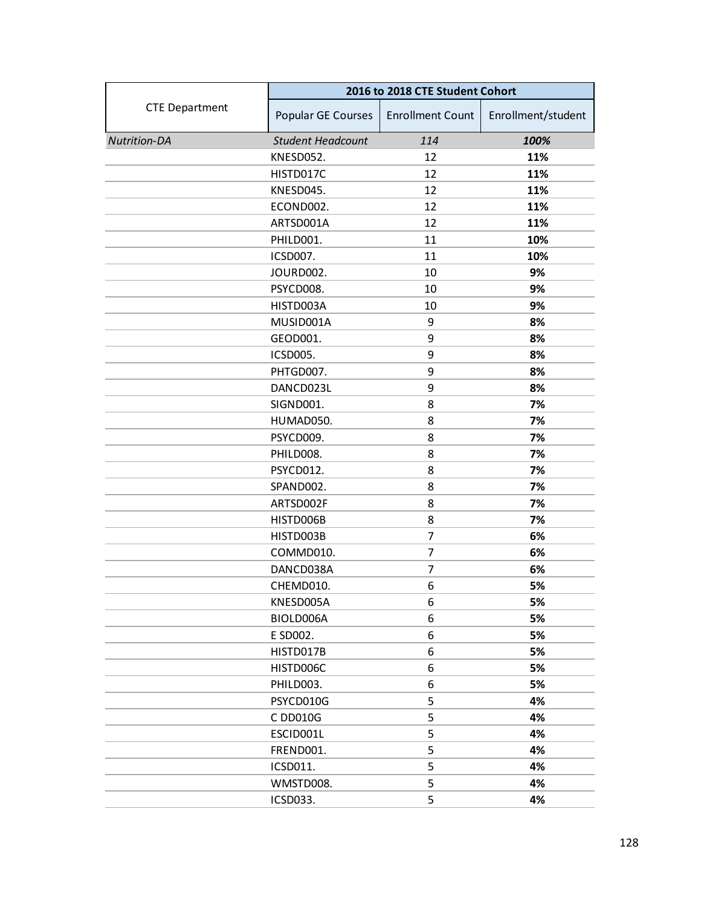|                       | 2016 to 2018 CTE Student Cohort |                         |                    |
|-----------------------|---------------------------------|-------------------------|--------------------|
| <b>CTE Department</b> | Popular GE Courses              | <b>Enrollment Count</b> | Enrollment/student |
| <b>Nutrition-DA</b>   | <b>Student Headcount</b>        | 114                     | 100%               |
|                       | KNESD052.                       | 12                      | 11%                |
|                       | HISTD017C                       | 12                      | 11%                |
|                       | KNESD045.                       | 12                      | 11%                |
|                       | ECOND002.                       | 12                      | 11%                |
|                       | ARTSD001A                       | 12                      | 11%                |
|                       | PHILD001.                       | 11                      | 10%                |
|                       | ICSD007.                        | 11                      | 10%                |
|                       | JOURD002.                       | 10                      | 9%                 |
|                       | PSYCD008.                       | 10                      | 9%                 |
|                       | HISTD003A                       | 10                      | 9%                 |
|                       | MUSID001A                       | 9                       | 8%                 |
|                       | GEOD001.                        | 9                       | 8%                 |
|                       | ICSD005.                        | 9                       | 8%                 |
|                       | PHTGD007.                       | 9                       | 8%                 |
|                       | DANCD023L                       | 9                       | 8%                 |
|                       | SIGND001.                       | 8                       | 7%                 |
|                       | HUMAD050.                       | 8                       | 7%                 |
|                       | PSYCD009.                       | 8                       | 7%                 |
|                       | PHILD008.                       | 8                       | 7%                 |
|                       | PSYCD012.                       | 8                       | 7%                 |
|                       | SPAND002.                       | 8                       | 7%                 |
|                       | ARTSD002F                       | 8                       | 7%                 |
|                       | HISTD006B                       | 8                       | 7%                 |
|                       | HISTD003B                       | 7                       | 6%                 |
|                       | COMMD010.                       | $\overline{7}$          | 6%                 |
|                       | DANCD038A                       | 7                       | 6%                 |
|                       | CHEMD010.                       | 6                       | 5%                 |
|                       | KNESD005A                       | 6                       | 5%                 |
|                       | BIOLD006A                       | 6                       | 5%                 |
|                       | E SD002.                        | 6                       | 5%                 |
|                       | HISTD017B                       | 6                       | 5%                 |
|                       | HISTD006C                       | 6                       | 5%                 |
|                       | PHILD003.                       | 6                       | 5%                 |
|                       | PSYCD010G                       | 5                       | 4%                 |
|                       | C DD010G                        | 5                       | 4%                 |
|                       | ESCID001L                       | 5                       | 4%                 |
|                       | FREND001.                       | 5                       | 4%                 |
|                       | ICSD011.                        | 5                       | 4%                 |
|                       | WMSTD008.                       | 5                       | 4%                 |
|                       | ICSD033.                        | 5                       | 4%                 |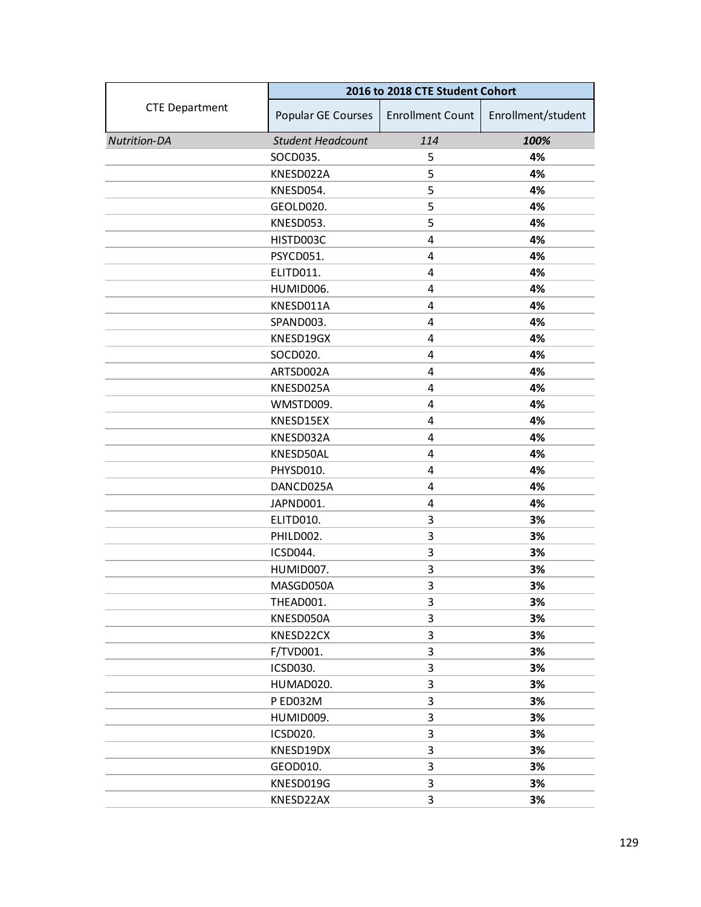|                       | 2016 to 2018 CTE Student Cohort |                         |                    |
|-----------------------|---------------------------------|-------------------------|--------------------|
| <b>CTE Department</b> | Popular GE Courses              | <b>Enrollment Count</b> | Enrollment/student |
| <b>Nutrition-DA</b>   | <b>Student Headcount</b>        | 114                     | 100%               |
|                       | SOCD035.                        | 5                       | 4%                 |
|                       | KNESD022A                       | 5                       | 4%                 |
|                       | KNESD054.                       | 5                       | 4%                 |
|                       | GEOLD020.                       | 5                       | 4%                 |
|                       | KNESD053.                       | 5                       | 4%                 |
|                       | HISTD003C                       | 4                       | 4%                 |
|                       | PSYCD051.                       | 4                       | 4%                 |
|                       | ELITD011.                       | 4                       | 4%                 |
|                       | HUMID006.                       | 4                       | 4%                 |
|                       | KNESD011A                       | 4                       | 4%                 |
|                       | SPAND003.                       | 4                       | 4%                 |
|                       | KNESD19GX                       | 4                       | 4%                 |
|                       | SOCD020.                        | 4                       | 4%                 |
|                       | ARTSD002A                       | 4                       | 4%                 |
|                       | KNESD025A                       | 4                       | 4%                 |
|                       | WMSTD009.                       | 4                       | 4%                 |
|                       | KNESD15EX                       | 4                       | 4%                 |
|                       | KNESD032A                       | 4                       | 4%                 |
|                       | KNESD50AL                       | 4                       | 4%                 |
|                       | PHYSD010.                       | 4                       | 4%                 |
|                       | DANCD025A                       | 4                       | 4%                 |
|                       | JAPND001.                       | 4                       | 4%                 |
|                       | ELITD010.                       | 3                       | 3%                 |
|                       | PHILD002.                       | 3                       | 3%                 |
|                       | ICSD044.                        | 3                       | 3%                 |
|                       | HUMID007.                       | 3                       | 3%                 |
|                       | MASGD050A                       | 3                       | 3%                 |
|                       | THEAD001.                       | 3                       | 3%                 |
|                       | KNESD050A                       | 3                       | 3%                 |
|                       | KNESD22CX                       | 3                       | 3%                 |
|                       | F/TVD001.                       | 3                       | 3%                 |
|                       | ICSD030.                        | 3                       | 3%                 |
|                       | HUMAD020.                       | 3                       | 3%                 |
|                       | P ED032M                        | 3                       | 3%                 |
|                       | HUMID009.                       | 3                       | 3%                 |
|                       | ICSD020.                        | 3                       | 3%                 |
|                       | KNESD19DX                       | 3                       | 3%                 |
|                       | GEOD010.                        | 3                       | 3%                 |
|                       | KNESD019G                       | 3                       | 3%                 |
|                       | KNESD22AX                       | 3                       | 3%                 |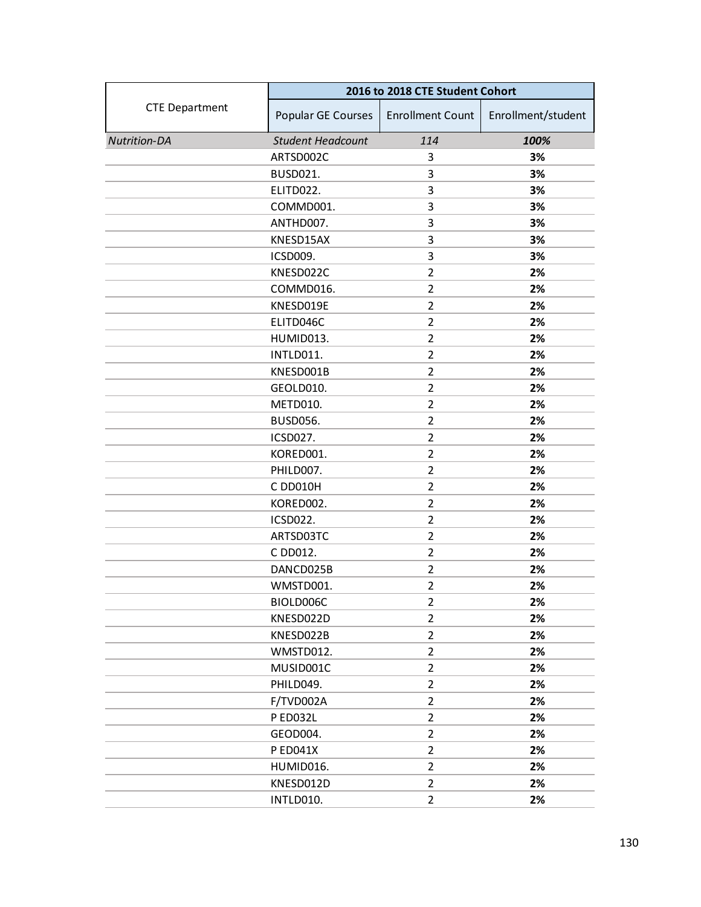|                       | 2016 to 2018 CTE Student Cohort |                         |                    |
|-----------------------|---------------------------------|-------------------------|--------------------|
| <b>CTE Department</b> | Popular GE Courses              | <b>Enrollment Count</b> | Enrollment/student |
| <b>Nutrition-DA</b>   | <b>Student Headcount</b>        | 114                     | 100%               |
|                       | ARTSD002C                       | 3                       | 3%                 |
|                       | <b>BUSD021.</b>                 | 3                       | 3%                 |
|                       | ELITD022.                       | 3                       | 3%                 |
|                       | COMMD001.                       | 3                       | 3%                 |
|                       | ANTHD007.                       | 3                       | 3%                 |
|                       | KNESD15AX                       | 3                       | 3%                 |
|                       | ICSD009.                        | 3                       | 3%                 |
|                       | KNESD022C                       | $\overline{2}$          | 2%                 |
|                       | COMMD016.                       | $\overline{2}$          | 2%                 |
|                       | KNESD019E                       | $\overline{2}$          | 2%                 |
|                       | ELITD046C                       | $\overline{2}$          | 2%                 |
|                       | HUMID013.                       | $\overline{2}$          | 2%                 |
|                       | INTLD011.                       | $\overline{2}$          | 2%                 |
|                       | KNESD001B                       | $\overline{2}$          | 2%                 |
|                       | GEOLD010.                       | $\overline{2}$          | 2%                 |
|                       | METD010.                        | $\overline{2}$          | 2%                 |
|                       | <b>BUSD056.</b>                 | $\overline{2}$          | 2%                 |
|                       | ICSD027.                        | $\overline{2}$          | 2%                 |
|                       | KORED001.                       | $\overline{2}$          | 2%                 |
|                       | PHILD007.                       | $\overline{2}$          | 2%                 |
|                       | C DD010H                        | $\overline{2}$          | 2%                 |
|                       | KORED002.                       | 2                       | 2%                 |
|                       | <b>ICSD022.</b>                 | $\overline{2}$          | 2%                 |
|                       | ARTSD03TC                       | $\overline{2}$          | 2%                 |
|                       | C DD012.                        | $\overline{2}$          | 2%                 |
|                       | DANCD025B                       | $\overline{2}$          | 2%                 |
|                       | WMSTD001.                       | $\overline{2}$          | 2%                 |
|                       | BIOLD006C                       | $\overline{2}$          | 2%                 |
|                       | KNESD022D                       | $\overline{2}$          | 2%                 |
|                       | KNESD022B                       | $\overline{2}$          | 2%                 |
|                       | WMSTD012.                       | $\overline{2}$          | 2%                 |
|                       | MUSID001C                       | $\overline{2}$          | 2%                 |
|                       | PHILD049.                       | $\overline{2}$          | 2%                 |
|                       | F/TVD002A                       | $\overline{2}$          | 2%                 |
|                       | <b>P ED032L</b>                 | $\overline{2}$          | 2%                 |
|                       | GEOD004.                        | $\overline{2}$          | 2%                 |
|                       | <b>PED041X</b>                  | $\overline{2}$          | 2%                 |
|                       | HUMID016.                       | $\overline{2}$          | 2%                 |
|                       | KNESD012D                       | $\overline{2}$          | 2%                 |
|                       | INTLD010.                       | $\overline{2}$          | 2%                 |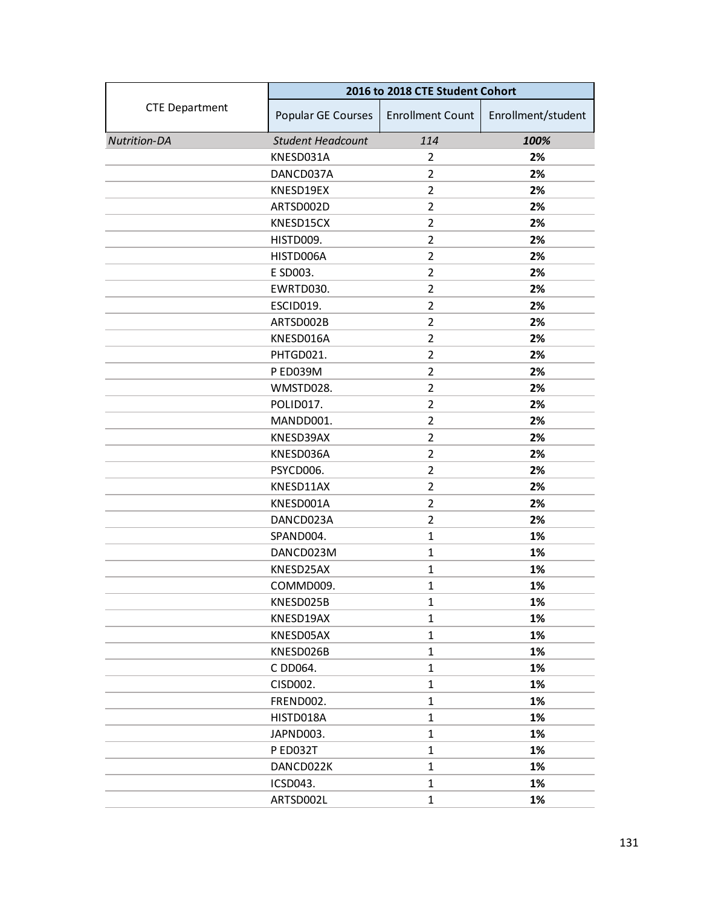|                       | 2016 to 2018 CTE Student Cohort |                         |                    |
|-----------------------|---------------------------------|-------------------------|--------------------|
| <b>CTE Department</b> | Popular GE Courses              | <b>Enrollment Count</b> | Enrollment/student |
| <b>Nutrition-DA</b>   | <b>Student Headcount</b>        | 114                     | 100%               |
|                       | KNESD031A                       | 2                       | 2%                 |
|                       | DANCD037A                       | $\overline{2}$          | 2%                 |
|                       | KNESD19EX                       | $\overline{2}$          | 2%                 |
|                       | ARTSD002D                       | $\overline{2}$          | 2%                 |
|                       | KNESD15CX                       | $\overline{2}$          | 2%                 |
|                       | HISTD009.                       | $\overline{2}$          | 2%                 |
|                       | HISTD006A                       | $\overline{2}$          | 2%                 |
|                       | E SD003.                        | $\overline{2}$          | 2%                 |
|                       | EWRTD030.                       | $\overline{2}$          | 2%                 |
|                       | ESCID019.                       | $\overline{2}$          | 2%                 |
|                       | ARTSD002B                       | $\overline{2}$          | 2%                 |
|                       | KNESD016A                       | $\overline{2}$          | 2%                 |
|                       | PHTGD021.                       | $\overline{2}$          | 2%                 |
|                       | P ED039M                        | $\overline{2}$          | 2%                 |
|                       | WMSTD028.                       | $\overline{2}$          | 2%                 |
|                       | POLID017.                       | $\overline{2}$          | 2%                 |
|                       | MANDD001.                       | $\overline{2}$          | 2%                 |
|                       | KNESD39AX                       | $\overline{2}$          | 2%                 |
|                       | KNESD036A                       | $\overline{2}$          | 2%                 |
|                       | PSYCD006.                       | $\overline{2}$          | 2%                 |
|                       | KNESD11AX                       | $\overline{2}$          | 2%                 |
|                       | KNESD001A                       | 2                       | 2%                 |
|                       | DANCD023A                       | $\overline{2}$          | 2%                 |
|                       | SPAND004.                       | $\mathbf{1}$            | 1%                 |
|                       | DANCD023M                       | $\mathbf{1}$            | 1%                 |
|                       | KNESD25AX                       | $\mathbf{1}$            | 1%                 |
|                       | COMMD009.                       | $\mathbf{1}$            | 1%                 |
|                       | KNESD025B                       | 1                       | 1%                 |
|                       | KNESD19AX                       | $\mathbf{1}$            | 1%                 |
|                       | KNESD05AX                       | $\mathbf{1}$            | 1%                 |
|                       | KNESD026B                       | $\mathbf{1}$            | 1%                 |
|                       | C DD064.                        | $\mathbf{1}$            | 1%                 |
|                       | CISD002.                        | $\mathbf{1}$            | 1%                 |
|                       | FREND002.                       | $\mathbf{1}$            | 1%                 |
|                       | HISTD018A                       | $\mathbf{1}$            | 1%                 |
|                       | JAPND003.                       | $\mathbf{1}$            | 1%                 |
|                       | P ED032T                        | $\mathbf{1}$            | 1%                 |
|                       | DANCD022K                       | $\mathbf{1}$            | 1%                 |
|                       | ICSD043.                        | 1                       | 1%                 |
|                       | ARTSD002L                       | $\mathbf{1}$            | 1%                 |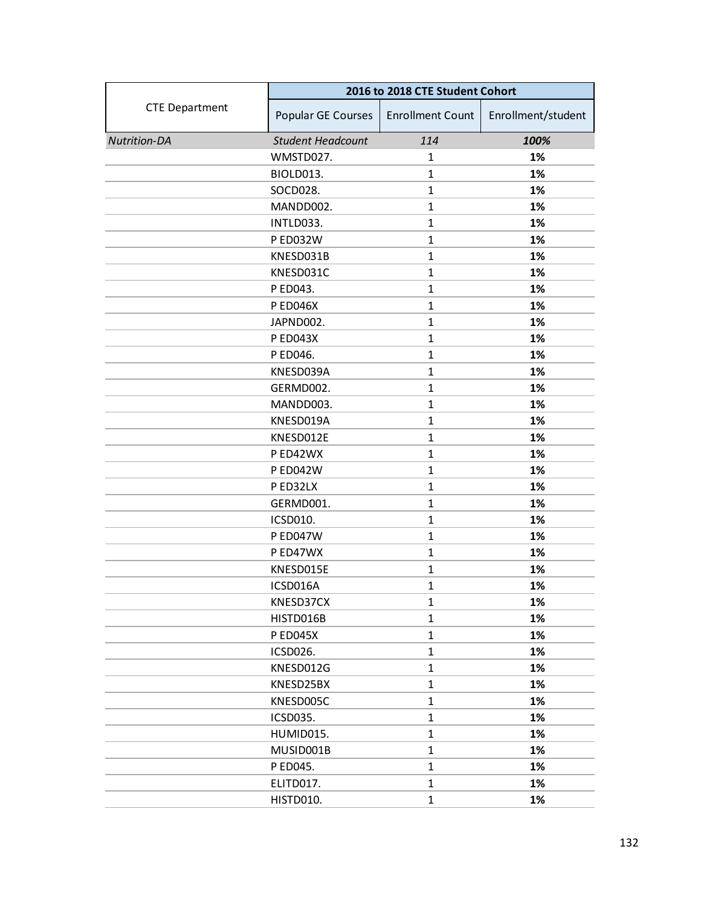|                       | 2016 to 2018 CTE Student Cohort |                         |                    |
|-----------------------|---------------------------------|-------------------------|--------------------|
| <b>CTE Department</b> | Popular GE Courses              | <b>Enrollment Count</b> | Enrollment/student |
| <b>Nutrition-DA</b>   | <b>Student Headcount</b>        | 114                     | 100%               |
|                       | WMSTD027.                       | 1                       | 1%                 |
|                       | BIOLD013.                       | $\mathbf{1}$            | 1%                 |
|                       | SOCD028.                        | $\mathbf{1}$            | 1%                 |
|                       | MANDD002.                       | $\mathbf{1}$            | 1%                 |
|                       | INTLD033.                       | $\mathbf{1}$            | 1%                 |
|                       | <b>P ED032W</b>                 | $\mathbf{1}$            | 1%                 |
|                       | KNESD031B                       | $\mathbf{1}$            | 1%                 |
|                       | KNESD031C                       | $\mathbf{1}$            | 1%                 |
|                       | P ED043.                        | $\mathbf{1}$            | 1%                 |
|                       | <b>P ED046X</b>                 | $\mathbf{1}$            | 1%                 |
|                       | JAPND002.                       | $\mathbf{1}$            | 1%                 |
|                       | <b>P ED043X</b>                 | $\mathbf{1}$            | 1%                 |
|                       | P ED046.                        | $\mathbf{1}$            | 1%                 |
|                       | KNESD039A                       | $\mathbf{1}$            | 1%                 |
|                       | GERMD002.                       | $\mathbf{1}$            | 1%                 |
|                       | MANDD003.                       | $\mathbf{1}$            | 1%                 |
|                       | KNESD019A                       | $\mathbf{1}$            | 1%                 |
|                       | KNESD012E                       | $\mathbf{1}$            | 1%                 |
|                       | P ED42WX                        | $\mathbf{1}$            | 1%                 |
|                       | P ED042W                        | $\mathbf{1}$            | 1%                 |
|                       | P ED32LX                        | $\mathbf{1}$            | 1%                 |
|                       | GERMD001.                       | $\mathbf{1}$            | 1%                 |
|                       | ICSD010.                        | $\mathbf{1}$            | 1%                 |
|                       | <b>P ED047W</b>                 | $\mathbf{1}$            | 1%                 |
|                       | P ED47WX                        | $\mathbf{1}$            | 1%                 |
|                       | KNESD015E                       | $\mathbf{1}$            | 1%                 |
|                       | ICSD016A                        | $\mathbf{1}$            | 1%                 |
|                       | KNESD37CX                       | $\mathbf{1}$            | 1%                 |
|                       | HISTD016B                       | $\mathbf{1}$            | 1%                 |
|                       | <b>P ED045X</b>                 | $\mathbf{1}$            | 1%                 |
|                       | ICSD026.                        | $\mathbf{1}$            | 1%                 |
|                       | KNESD012G                       | $\mathbf{1}$            | 1%                 |
|                       | KNESD25BX                       | $\mathbf{1}$            | 1%                 |
|                       | KNESD005C                       | $\mathbf{1}$            | 1%                 |
|                       | ICSD035.                        | $\mathbf{1}$            | 1%                 |
|                       | HUMID015.                       | $\mathbf{1}$            | 1%                 |
|                       | MUSID001B                       | $\mathbf{1}$            | 1%                 |
|                       | P ED045.                        | $\mathbf{1}$            | 1%                 |
|                       | ELITD017.                       | $\mathbf{1}$            | 1%                 |
|                       | HISTD010.                       | $\mathbf{1}$            | 1%                 |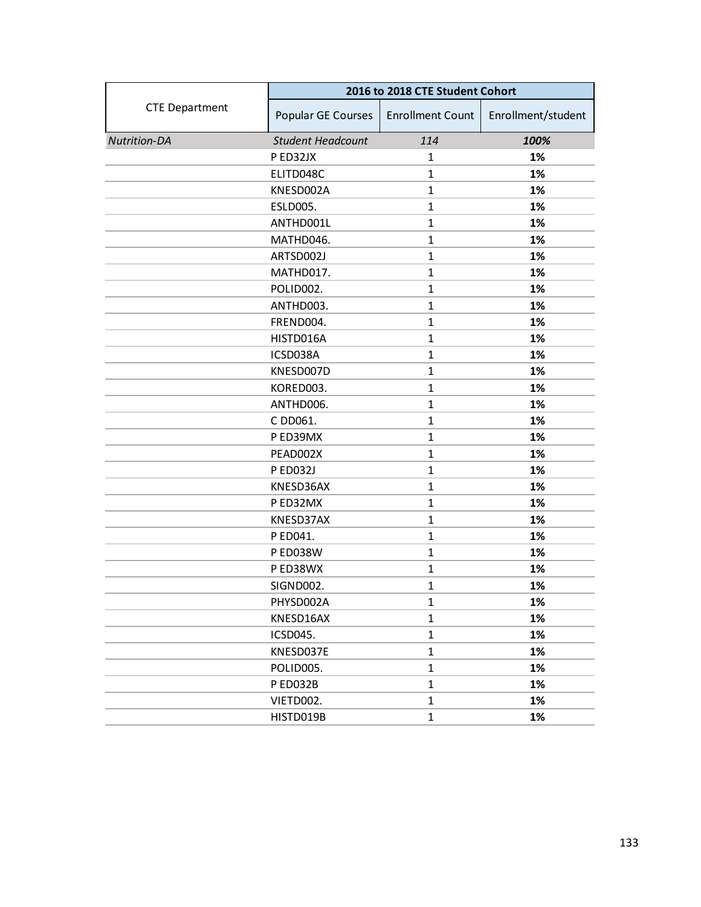|                       | 2016 to 2018 CTE Student Cohort |                         |                    |
|-----------------------|---------------------------------|-------------------------|--------------------|
| <b>CTE Department</b> | Popular GE Courses              | <b>Enrollment Count</b> | Enrollment/student |
| <b>Nutrition-DA</b>   | <b>Student Headcount</b>        | 114                     | 100%               |
|                       | P ED32JX                        | 1                       | 1%                 |
|                       | ELITD048C                       | $\mathbf{1}$            | 1%                 |
|                       | KNESD002A                       | $\mathbf{1}$            | 1%                 |
|                       | ESLD005.                        | $\mathbf{1}$            | 1%                 |
|                       | ANTHD001L                       | $\mathbf{1}$            | 1%                 |
|                       | MATHD046.                       | $\mathbf{1}$            | 1%                 |
|                       | ARTSD002J                       | $\mathbf{1}$            | 1%                 |
|                       | MATHD017.                       | $\mathbf{1}$            | 1%                 |
|                       | POLID002.                       | $\mathbf{1}$            | 1%                 |
|                       | ANTHD003.                       | $\mathbf{1}$            | 1%                 |
|                       | FREND004.                       | $\mathbf{1}$            | 1%                 |
|                       | HISTD016A                       | $\mathbf{1}$            | 1%                 |
|                       | ICSD038A                        | $\mathbf{1}$            | 1%                 |
|                       | KNESD007D                       | $\mathbf{1}$            | 1%                 |
|                       | KORED003.                       | $\mathbf{1}$            | 1%                 |
|                       | ANTHD006.                       | $\mathbf{1}$            | 1%                 |
|                       | C DD061.                        | $\mathbf{1}$            | 1%                 |
|                       | P ED39MX                        | $\mathbf{1}$            | 1%                 |
|                       | PEAD002X                        | $\mathbf{1}$            | 1%                 |
|                       | P ED032J                        | $\mathbf{1}$            | 1%                 |
|                       | KNESD36AX                       | $\mathbf{1}$            | 1%                 |
|                       | P ED32MX                        | $\mathbf{1}$            | 1%                 |
|                       | KNESD37AX                       | $\mathbf{1}$            | 1%                 |
|                       | P ED041.                        | $\mathbf{1}$            | 1%                 |
|                       | <b>P ED038W</b>                 | $\mathbf{1}$            | 1%                 |
|                       | P ED38WX                        | $\mathbf{1}$            | 1%                 |
|                       | SIGND002.                       | $\mathbf{1}$            | 1%                 |
|                       | PHYSD002A                       | 1                       | 1%                 |
|                       | KNESD16AX                       | $\mathbf 1$             | 1%                 |
|                       | ICSD045.                        | $\mathbf{1}$            | 1%                 |
|                       | KNESD037E                       | $\mathbf{1}$            | 1%                 |
|                       | POLID005.                       | $\mathbf{1}$            | 1%                 |
|                       | P ED032B                        | $\mathbf{1}$            | 1%                 |
|                       | VIETD002.                       | $\mathbf{1}$            | 1%                 |
|                       | HISTD019B                       | $\mathbf{1}$            | 1%                 |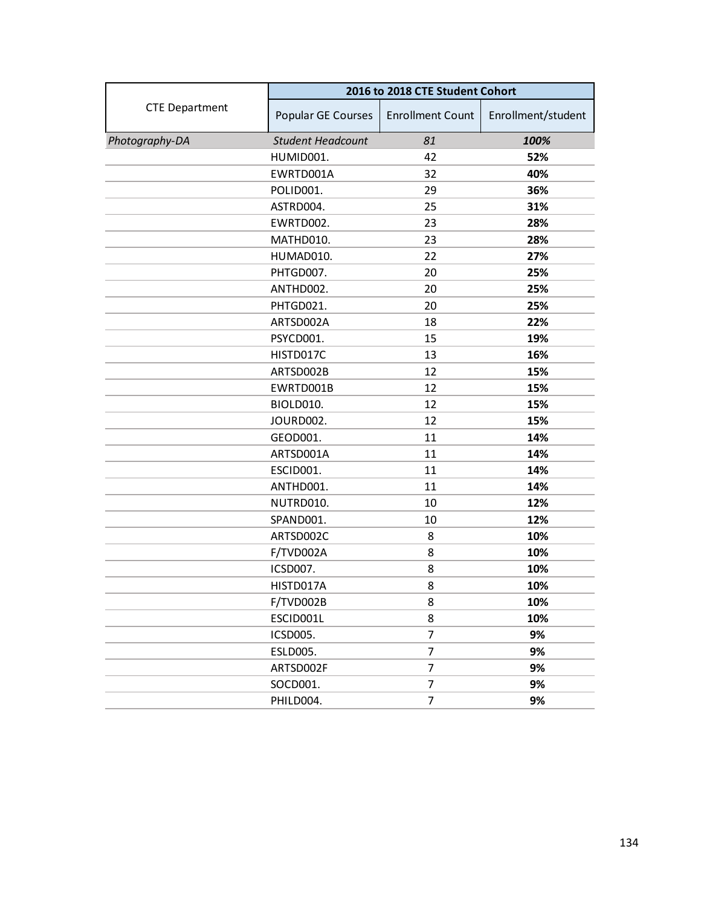|                       | 2016 to 2018 CTE Student Cohort |                         |                    |
|-----------------------|---------------------------------|-------------------------|--------------------|
| <b>CTE Department</b> | Popular GE Courses              | <b>Enrollment Count</b> | Enrollment/student |
| Photography-DA        | <b>Student Headcount</b>        | 81                      | 100%               |
|                       | HUMID001.                       | 42                      | 52%                |
|                       | EWRTD001A                       | 32                      | 40%                |
|                       | POLID001.                       | 29                      | 36%                |
|                       | ASTRD004.                       | 25                      | 31%                |
|                       | EWRTD002.                       | 23                      | 28%                |
|                       | MATHD010.                       | 23                      | 28%                |
|                       | HUMAD010.                       | 22                      | 27%                |
|                       | PHTGD007.                       | 20                      | 25%                |
|                       | ANTHD002.                       | 20                      | 25%                |
|                       | PHTGD021.                       | 20                      | 25%                |
|                       | ARTSD002A                       | 18                      | 22%                |
|                       | PSYCD001.                       | 15                      | 19%                |
|                       | HISTD017C                       | 13                      | 16%                |
|                       | ARTSD002B                       | 12                      | 15%                |
|                       | EWRTD001B                       | 12                      | 15%                |
|                       | BIOLD010.                       | 12                      | 15%                |
|                       | JOURD002.                       | 12                      | 15%                |
|                       | GEOD001.                        | 11                      | 14%                |
|                       | ARTSD001A                       | 11                      | 14%                |
|                       | ESCID001.                       | 11                      | 14%                |
|                       | ANTHD001.                       | 11                      | 14%                |
|                       | NUTRD010.                       | 10                      | 12%                |
|                       | SPAND001.                       | 10                      | 12%                |
|                       | ARTSD002C                       | 8                       | 10%                |
|                       | F/TVD002A                       | 8                       | 10%                |
|                       | ICSD007.                        | 8                       | 10%                |
|                       | HISTD017A                       | 8                       | 10%                |
|                       | F/TVD002B                       | 8                       | 10%                |
|                       | ESCID001L                       | 8                       | 10%                |
|                       | ICSD005.                        | 7                       | 9%                 |
|                       | <b>ESLD005.</b>                 | 7                       | 9%                 |
|                       | ARTSD002F                       | 7                       | 9%                 |
|                       | SOCD001.                        | 7                       | 9%                 |
|                       | PHILD004.                       | 7                       | 9%                 |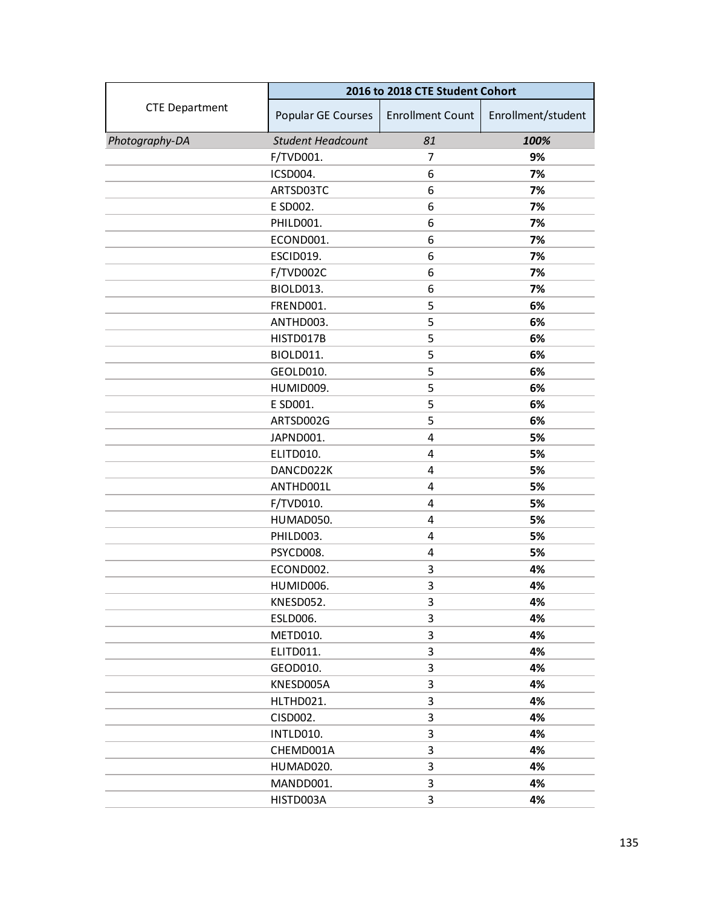|                       | 2016 to 2018 CTE Student Cohort |                         |                    |
|-----------------------|---------------------------------|-------------------------|--------------------|
| <b>CTE Department</b> | Popular GE Courses              | <b>Enrollment Count</b> | Enrollment/student |
| Photography-DA        | <b>Student Headcount</b>        | 81                      | 100%               |
|                       | F/TVD001.                       | 7                       | 9%                 |
|                       | ICSD004.                        | 6                       | 7%                 |
|                       | ARTSD03TC                       | 6                       | 7%                 |
|                       | E SD002.                        | 6                       | 7%                 |
|                       | PHILD001.                       | 6                       | 7%                 |
|                       | ECOND001.                       | 6                       | 7%                 |
|                       | ESCID019.                       | 6                       | 7%                 |
|                       | F/TVD002C                       | 6                       | 7%                 |
|                       | BIOLD013.                       | 6                       | 7%                 |
|                       | FREND001.                       | 5                       | 6%                 |
|                       | ANTHD003.                       | 5                       | 6%                 |
|                       | HISTD017B                       | 5                       | 6%                 |
|                       | BIOLD011.                       | 5                       | 6%                 |
|                       | GEOLD010.                       | 5                       | 6%                 |
|                       | HUMID009.                       | 5                       | 6%                 |
|                       | E SD001.                        | 5                       | 6%                 |
|                       | ARTSD002G                       | 5                       | 6%                 |
|                       | JAPND001.                       | 4                       | 5%                 |
|                       | ELITD010.                       | 4                       | 5%                 |
|                       | DANCD022K                       | 4                       | 5%                 |
|                       | ANTHD001L                       | 4                       | 5%                 |
|                       | F/TVD010.                       | 4                       | 5%                 |
|                       | HUMAD050.                       | 4                       | 5%                 |
|                       | PHILD003.                       | 4                       | 5%                 |
|                       | PSYCD008.                       | 4                       | 5%                 |
|                       | ECOND002.                       | 3                       | 4%                 |
|                       | HUMID006.                       | 3                       | 4%                 |
|                       | KNESD052.                       | 3                       | 4%                 |
|                       | ESLD006.                        | 3                       | 4%                 |
|                       | METD010.                        | 3                       | 4%                 |
|                       | ELITD011.                       | 3                       | 4%                 |
|                       | GEOD010.                        | 3                       | 4%                 |
|                       | KNESD005A                       | 3                       | 4%                 |
|                       | HLTHD021.                       | 3                       | 4%                 |
|                       | CISD002.                        | 3                       | 4%                 |
|                       | INTLD010.                       | 3                       | 4%                 |
|                       | CHEMD001A                       | 3                       | 4%                 |
|                       | HUMAD020.                       | 3                       | 4%                 |
|                       | MANDD001.                       | 3                       | 4%                 |
|                       | HISTD003A                       | 3                       | 4%                 |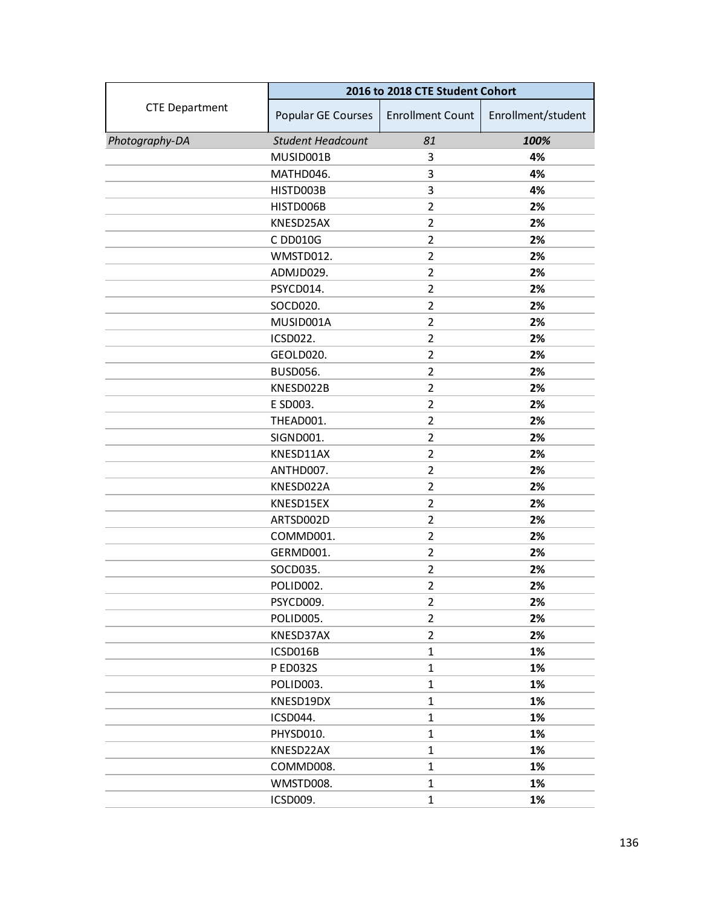|                       | 2016 to 2018 CTE Student Cohort |                         |                    |
|-----------------------|---------------------------------|-------------------------|--------------------|
| <b>CTE Department</b> | Popular GE Courses              | <b>Enrollment Count</b> | Enrollment/student |
| Photography-DA        | <b>Student Headcount</b>        | 81                      | 100%               |
|                       | MUSID001B                       | 3                       | 4%                 |
|                       | MATHD046.                       | 3                       | 4%                 |
|                       | HISTD003B                       | 3                       | 4%                 |
|                       | HISTD006B                       | $\overline{2}$          | 2%                 |
|                       | KNESD25AX                       | $\overline{2}$          | 2%                 |
|                       | C DD010G                        | $\overline{2}$          | 2%                 |
|                       | WMSTD012.                       | $\overline{2}$          | 2%                 |
|                       | ADMJD029.                       | $\overline{2}$          | 2%                 |
|                       | PSYCD014.                       | $\overline{2}$          | 2%                 |
|                       | SOCD020.                        | $\overline{2}$          | 2%                 |
|                       | MUSID001A                       | $\overline{2}$          | 2%                 |
|                       | ICSD022.                        | $\overline{2}$          | 2%                 |
|                       | GEOLD020.                       | $\overline{2}$          | 2%                 |
|                       | <b>BUSD056.</b>                 | $\overline{2}$          | 2%                 |
|                       | KNESD022B                       | $\overline{2}$          | 2%                 |
|                       | E SD003.                        | $\overline{2}$          | 2%                 |
|                       | THEAD001.                       | $\overline{2}$          | 2%                 |
|                       | SIGND001.                       | $\overline{2}$          | 2%                 |
|                       | KNESD11AX                       | $\overline{2}$          | 2%                 |
|                       | ANTHD007.                       | $\overline{2}$          | 2%                 |
|                       | KNESD022A                       | $\overline{2}$          | 2%                 |
|                       | KNESD15EX                       | 2                       | 2%                 |
|                       | ARTSD002D                       | $\overline{2}$          | 2%                 |
|                       | COMMD001.                       | $\overline{2}$          | 2%                 |
|                       | GERMD001.                       | $\overline{2}$          | 2%                 |
|                       | SOCD035.                        | $\overline{2}$          | 2%                 |
|                       | POLID002.                       | $\overline{2}$          | 2%                 |
|                       | PSYCD009.                       | $\overline{2}$          | 2%                 |
|                       | POLID005.                       | $\overline{2}$          | 2%                 |
|                       | KNESD37AX                       | $\overline{2}$          | 2%                 |
|                       | ICSD016B                        | $\mathbf{1}$            | 1%                 |
|                       | <b>PED032S</b>                  | $\mathbf{1}$            | 1%                 |
|                       | POLID003.                       | $\mathbf{1}$            | 1%                 |
|                       | KNESD19DX                       | $\mathbf{1}$            | 1%                 |
|                       | ICSD044.                        | $\mathbf{1}$            | 1%                 |
|                       | PHYSD010.                       | $\mathbf{1}$            | 1%                 |
|                       | KNESD22AX                       | $\mathbf{1}$            | 1%                 |
|                       | COMMD008.                       | $\mathbf{1}$            | 1%                 |
|                       | WMSTD008.                       | $\mathbf{1}$            | 1%                 |
|                       | ICSD009.                        | $\mathbf{1}$            | 1%                 |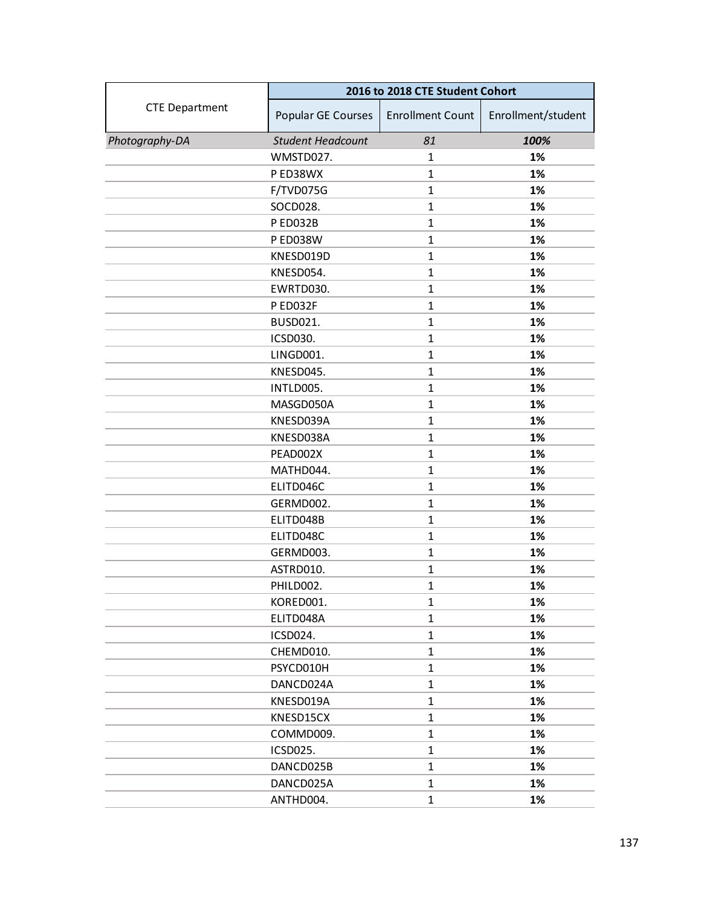|                       | 2016 to 2018 CTE Student Cohort |                         |                    |
|-----------------------|---------------------------------|-------------------------|--------------------|
| <b>CTE Department</b> | Popular GE Courses              | <b>Enrollment Count</b> | Enrollment/student |
| Photography-DA        | <b>Student Headcount</b>        | 81                      | 100%               |
|                       | WMSTD027.                       | 1                       | 1%                 |
|                       | P ED38WX                        | $\mathbf{1}$            | 1%                 |
|                       | F/TVD075G                       | $\mathbf{1}$            | 1%                 |
|                       | SOCD028.                        | $\mathbf{1}$            | 1%                 |
|                       | P ED032B                        | $\mathbf{1}$            | 1%                 |
|                       | <b>P ED038W</b>                 | $\mathbf{1}$            | 1%                 |
|                       | KNESD019D                       | $\mathbf{1}$            | 1%                 |
|                       | KNESD054.                       | $\mathbf{1}$            | 1%                 |
|                       | EWRTD030.                       | $\mathbf{1}$            | 1%                 |
|                       | P ED032F                        | $\mathbf{1}$            | 1%                 |
|                       | <b>BUSD021.</b>                 | $\mathbf{1}$            | 1%                 |
|                       | ICSD030.                        | $\mathbf{1}$            | 1%                 |
|                       | LINGD001.                       | $\mathbf{1}$            | 1%                 |
|                       | KNESD045.                       | $\mathbf{1}$            | 1%                 |
|                       | INTLD005.                       | $\mathbf{1}$            | 1%                 |
|                       | MASGD050A                       | $\mathbf{1}$            | 1%                 |
|                       | KNESD039A                       | $\mathbf{1}$            | 1%                 |
|                       | KNESD038A                       | $\mathbf{1}$            | 1%                 |
|                       | PEAD002X                        | $\mathbf{1}$            | 1%                 |
|                       | MATHD044.                       | $\mathbf{1}$            | 1%                 |
|                       | ELITD046C                       | $\mathbf{1}$            | 1%                 |
|                       | GERMD002.                       | $\mathbf 1$             | 1%                 |
|                       | ELITD048B                       | $\mathbf{1}$            | 1%                 |
|                       | ELITD048C                       | $\mathbf{1}$            | 1%                 |
|                       | GERMD003.                       | $\mathbf{1}$            | 1%                 |
|                       | ASTRD010.                       | $\mathbf{1}$            | 1%                 |
|                       | PHILD002.                       | $\mathbf{1}$            | 1%                 |
|                       | KORED001.                       | 1                       | 1%                 |
|                       | ELITD048A                       | $\mathbf{1}$            | 1%                 |
|                       | ICSD024.                        | $\mathbf{1}$            | 1%                 |
|                       | CHEMD010.                       | $\mathbf{1}$            | 1%                 |
|                       | PSYCD010H                       | $\mathbf{1}$            | 1%                 |
|                       | DANCD024A                       | $\mathbf{1}$            | 1%                 |
|                       | KNESD019A                       | 1                       | 1%                 |
|                       | KNESD15CX                       | $\mathbf{1}$            | 1%                 |
|                       | COMMD009.                       | $\mathbf{1}$            | 1%                 |
|                       | ICSD025.                        | $\mathbf 1$             | 1%                 |
|                       | DANCD025B                       | $\mathbf{1}$            | 1%                 |
|                       | DANCD025A                       | 1                       | 1%                 |
|                       | ANTHD004.                       | $\mathbf{1}$            | 1%                 |
|                       |                                 |                         |                    |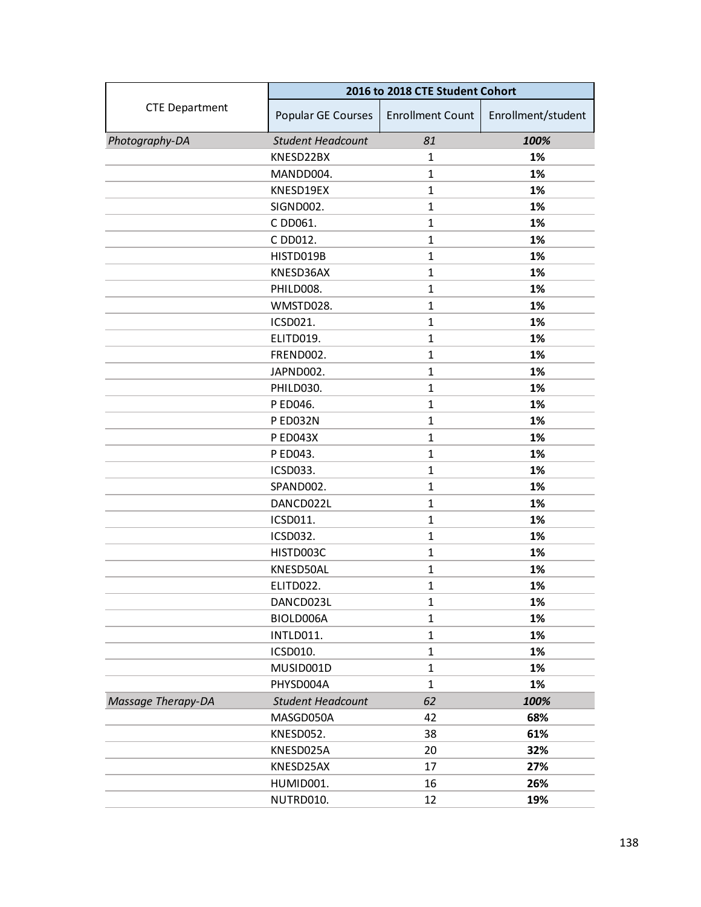|                       | 2016 to 2018 CTE Student Cohort |                         |                    |
|-----------------------|---------------------------------|-------------------------|--------------------|
| <b>CTE Department</b> | Popular GE Courses              | <b>Enrollment Count</b> | Enrollment/student |
| Photography-DA        | <b>Student Headcount</b>        | 81                      | 100%               |
|                       | KNESD22BX                       | 1                       | 1%                 |
|                       | MANDD004.                       | $\mathbf{1}$            | 1%                 |
|                       | KNESD19EX                       | $\mathbf{1}$            | 1%                 |
|                       | SIGND002.                       | $\mathbf{1}$            | 1%                 |
|                       | C DD061.                        | $\mathbf{1}$            | 1%                 |
|                       | C DD012.                        | $\mathbf{1}$            | 1%                 |
|                       | HISTD019B                       | $\mathbf{1}$            | 1%                 |
|                       | KNESD36AX                       | $\mathbf{1}$            | 1%                 |
|                       | PHILD008.                       | $\mathbf{1}$            | 1%                 |
|                       | WMSTD028.                       | $\mathbf{1}$            | 1%                 |
|                       | ICSD021.                        | $\mathbf{1}$            | 1%                 |
|                       | ELITD019.                       | $\mathbf{1}$            | 1%                 |
|                       | FREND002.                       | $\mathbf{1}$            | 1%                 |
|                       | JAPND002.                       | $\mathbf{1}$            | 1%                 |
|                       | PHILD030.                       | $\mathbf{1}$            | 1%                 |
|                       | P ED046.                        | $\mathbf{1}$            | 1%                 |
|                       | P ED032N                        | $\mathbf{1}$            | 1%                 |
|                       | <b>P ED043X</b>                 | $\mathbf{1}$            | 1%                 |
|                       | P ED043.                        | $\mathbf{1}$            | 1%                 |
|                       | ICSD033.                        | $\mathbf{1}$            | 1%                 |
|                       | SPAND002.                       | $\mathbf{1}$            | 1%                 |
|                       | DANCD022L                       | $\mathbf{1}$            | 1%                 |
|                       | ICSD011.                        | $\mathbf{1}$            | 1%                 |
|                       | ICSD032.                        | $\mathbf{1}$            | 1%                 |
|                       | HISTD003C                       | $\mathbf{1}$            | 1%                 |
|                       | KNESD50AL                       | $\mathbf{1}$            | 1%                 |
|                       | ELITD022.                       | $\mathbf{1}$            | 1%                 |
|                       | DANCD023L                       | $\mathbf{1}$            | 1%                 |
|                       | BIOLD006A                       | $\mathbf{1}$            | 1%                 |
|                       | INTLD011.                       | $\mathbf{1}$            | 1%                 |
|                       | ICSD010.                        | $\mathbf{1}$            | 1%                 |
|                       | MUSID001D                       | $\mathbf{1}$            | 1%                 |
|                       | PHYSD004A                       | $\mathbf{1}$            | 1%                 |
| Massage Therapy-DA    | <b>Student Headcount</b>        | 62                      | 100%               |
|                       | MASGD050A                       | 42                      | 68%                |
|                       | KNESD052.                       | 38                      | 61%                |
|                       | KNESD025A                       | 20                      | 32%                |
|                       | KNESD25AX                       | 17                      | 27%                |
|                       | HUMID001.                       | 16                      | 26%                |
|                       | NUTRD010.                       | 12                      | 19%                |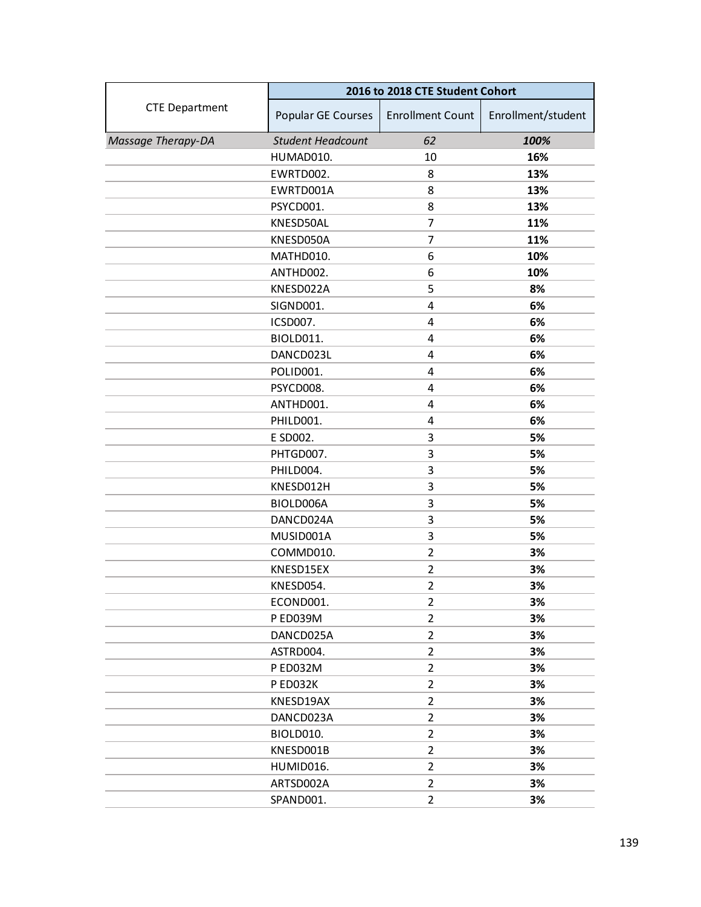|                       | 2016 to 2018 CTE Student Cohort |                         |                    |
|-----------------------|---------------------------------|-------------------------|--------------------|
| <b>CTE Department</b> | Popular GE Courses              | <b>Enrollment Count</b> | Enrollment/student |
| Massage Therapy-DA    | <b>Student Headcount</b>        | 62                      | 100%               |
|                       | HUMAD010.                       | 10                      | 16%                |
|                       | EWRTD002.                       | 8                       | 13%                |
|                       | EWRTD001A                       | 8                       | 13%                |
|                       | PSYCD001.                       | 8                       | 13%                |
|                       | KNESD50AL                       | 7                       | 11%                |
|                       | KNESD050A                       | 7                       | 11%                |
|                       | MATHD010.                       | 6                       | 10%                |
|                       | ANTHD002.                       | 6                       | 10%                |
|                       | KNESD022A                       | 5                       | 8%                 |
|                       | SIGND001.                       | $\overline{4}$          | 6%                 |
|                       | ICSD007.                        | 4                       | 6%                 |
|                       | BIOLD011.                       | 4                       | 6%                 |
|                       | DANCD023L                       | 4                       | 6%                 |
|                       | POLID001.                       | 4                       | 6%                 |
|                       | PSYCD008.                       | 4                       | 6%                 |
|                       | ANTHD001.                       | 4                       | 6%                 |
|                       | PHILD001.                       | 4                       | 6%                 |
|                       | E SD002.                        | 3                       | 5%                 |
|                       | PHTGD007.                       | 3                       | 5%                 |
|                       | PHILD004.                       | 3                       | 5%                 |
|                       | KNESD012H                       | 3                       | 5%                 |
|                       | BIOLD006A                       | 3                       | 5%                 |
|                       | DANCD024A                       | 3                       | 5%                 |
|                       | MUSID001A                       | 3                       | 5%                 |
|                       | COMMD010.                       | $\overline{2}$          | 3%                 |
|                       | KNESD15EX                       | $\overline{2}$          | 3%                 |
|                       | KNESD054.                       | $\overline{2}$          | 3%                 |
|                       | ECOND001.                       | $\overline{2}$          | 3%                 |
|                       | P ED039M                        | $\overline{2}$          | 3%                 |
|                       | DANCD025A                       | $\overline{2}$          | 3%                 |
|                       | ASTRD004.                       | $\overline{2}$          | 3%                 |
|                       | P ED032M                        | $\overline{2}$          | 3%                 |
|                       | P ED032K                        | $\overline{2}$          | 3%                 |
|                       | KNESD19AX                       | $\overline{2}$          | 3%                 |
|                       | DANCD023A                       | $\overline{2}$          | 3%                 |
|                       | BIOLD010.                       | $\overline{2}$          | 3%                 |
|                       | KNESD001B                       | $\overline{2}$          | 3%                 |
|                       | HUMID016.                       | $\overline{2}$          | 3%                 |
|                       | ARTSD002A                       | $\overline{2}$          | 3%                 |
|                       | SPAND001.                       | $\overline{2}$          | 3%                 |
|                       |                                 |                         |                    |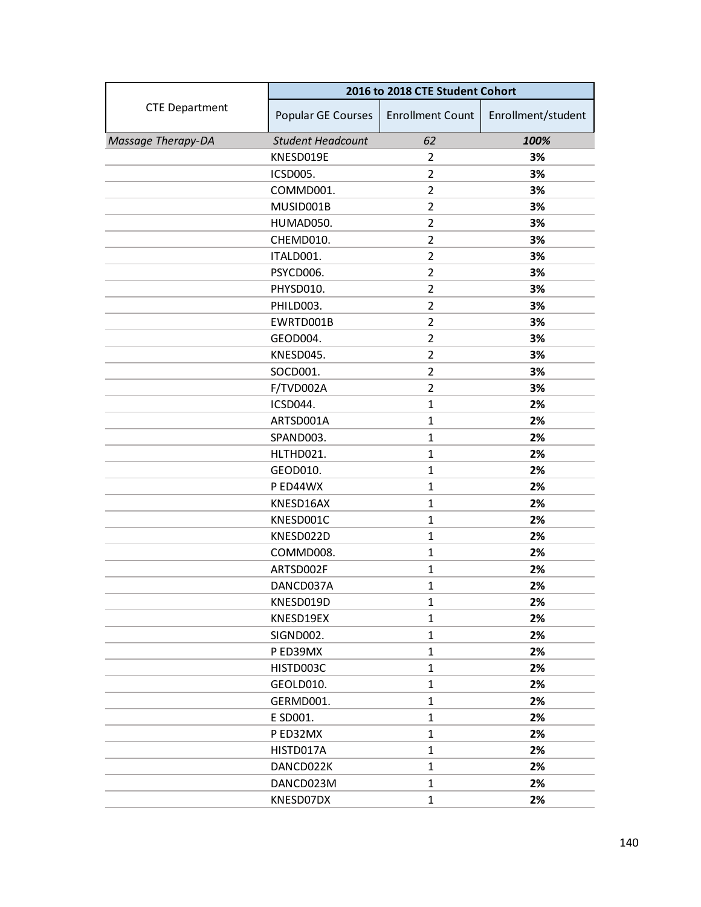|                       | 2016 to 2018 CTE Student Cohort |                         |                    |
|-----------------------|---------------------------------|-------------------------|--------------------|
| <b>CTE Department</b> | Popular GE Courses              | <b>Enrollment Count</b> | Enrollment/student |
| Massage Therapy-DA    | <b>Student Headcount</b>        | 62                      | 100%               |
|                       | KNESD019E                       | $\overline{2}$          | 3%                 |
|                       | ICSD005.                        | $\overline{2}$          | 3%                 |
|                       | COMMD001.                       | $\overline{2}$          | 3%                 |
|                       | MUSID001B                       | $\overline{2}$          | 3%                 |
|                       | HUMAD050.                       | $\overline{2}$          | 3%                 |
|                       | CHEMD010.                       | $\overline{2}$          | 3%                 |
|                       | ITALD001.                       | $\overline{2}$          | 3%                 |
|                       | PSYCD006.                       | $\overline{2}$          | 3%                 |
|                       | PHYSD010.                       | $\overline{2}$          | 3%                 |
|                       | PHILD003.                       | $\overline{2}$          | 3%                 |
|                       | EWRTD001B                       | $\overline{2}$          | 3%                 |
|                       | GEOD004.                        | $\overline{2}$          | 3%                 |
|                       | KNESD045.                       | $\overline{2}$          | 3%                 |
|                       | SOCD001.                        | $\overline{2}$          | 3%                 |
|                       | F/TVD002A                       | $\overline{2}$          | 3%                 |
|                       | ICSD044.                        | $\mathbf{1}$            | 2%                 |
|                       | ARTSD001A                       | $\mathbf{1}$            | 2%                 |
|                       | SPAND003.                       | $\mathbf{1}$            | 2%                 |
|                       | HLTHD021.                       | $\mathbf{1}$            | 2%                 |
|                       | GEOD010.                        | $\mathbf{1}$            | 2%                 |
|                       | P ED44WX                        | $\mathbf{1}$            | 2%                 |
|                       | KNESD16AX                       | $\mathbf{1}$            | 2%                 |
|                       | KNESD001C                       | $\mathbf{1}$            | 2%                 |
|                       | KNESD022D                       | $\mathbf{1}$            | 2%                 |
|                       | COMMD008.                       | $\mathbf{1}$            | 2%                 |
|                       | ARTSD002F                       | $\mathbf{1}$            | 2%                 |
|                       | DANCD037A                       | $\mathbf{1}$            | 2%                 |
|                       | KNESD019D                       | $\mathbf{1}$            | 2%                 |
|                       | KNESD19EX                       | $\mathbf{1}$            | 2%                 |
|                       | SIGND002.                       | $\mathbf{1}$            | 2%                 |
|                       | P ED39MX                        | $\mathbf{1}$            | 2%                 |
|                       | HISTD003C                       | $\mathbf{1}$            | 2%                 |
|                       | GEOLD010.                       | $\mathbf{1}$            | 2%                 |
|                       | GERMD001.                       | $\mathbf{1}$            | 2%                 |
|                       | E SD001.                        | $\mathbf{1}$            | 2%                 |
|                       | P ED32MX                        | $\mathbf{1}$            | 2%                 |
|                       | HISTD017A                       | $\mathbf{1}$            | 2%                 |
|                       | DANCD022K                       | $\mathbf{1}$            | 2%                 |
|                       | DANCD023M                       | 1                       | 2%                 |
|                       | KNESD07DX                       | $\mathbf{1}$            | 2%                 |
|                       |                                 |                         |                    |